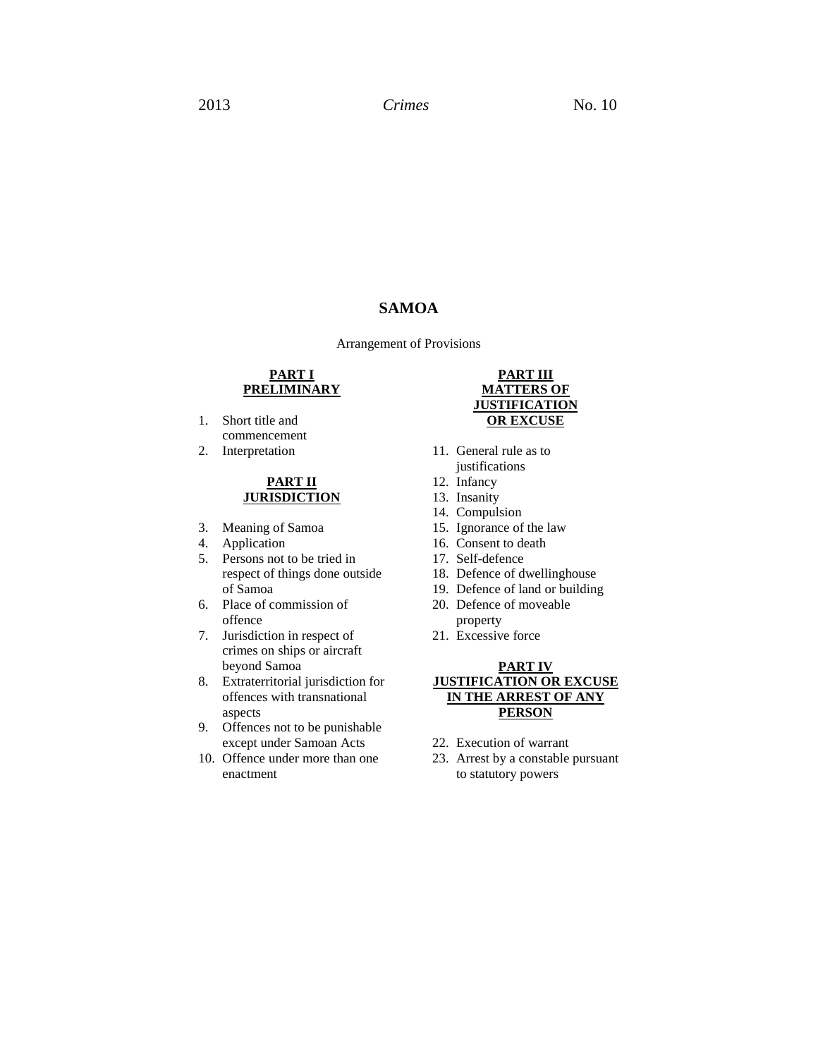# **SAMOA**

Arrangement of Provisions

## **PART I PRELIMINARY**

- 1. Short title and commencement
- 2. Interpretation

#### **PART II JURISDICTION**

- 3. Meaning of Samoa
- 4. Application
- 5. Persons not to be tried in respect of things done outside of Samoa
- 6. Place of commission of offence
- 7. Jurisdiction in respect of crimes on ships or aircraft beyond Samoa
- 8. Extraterritorial jurisdiction for offences with transnational aspects
- 9. Offences not to be punishable except under Samoan Acts
- 10. Offence under more than one enactment

## **PART III MATTERS OF JUSTIFICATION OR EXCUSE**

- 11. General rule as to justifications
- 12. Infancy
- 13. Insanity
- 14. Compulsion
- 15. Ignorance of the law
- 16. Consent to death
- 17. Self-defence
- 18. Defence of dwellinghouse
- 19. Defence of land or building
- 20. Defence of moveable property
- 21. Excessive force

## **PART IV JUSTIFICATION OR EXCUSE IN THE ARREST OF ANY PERSON**

- 22. Execution of warrant
- 23. Arrest by a constable pursuant to statutory powers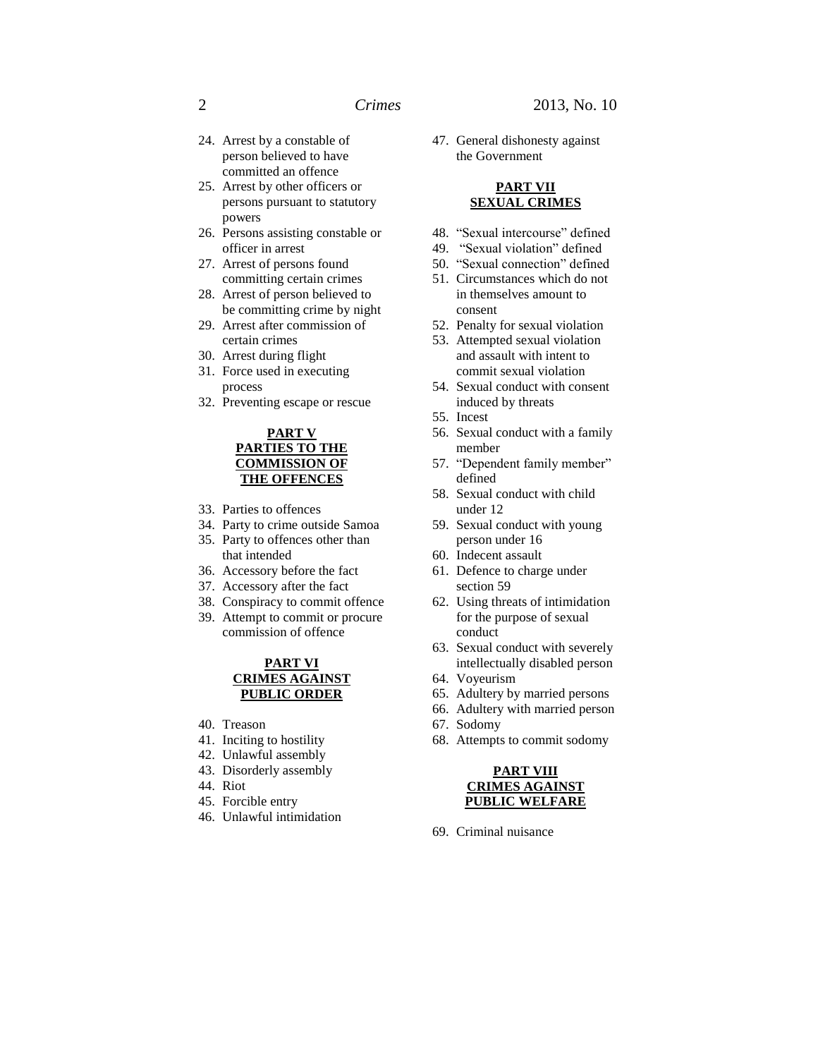- 24. Arrest by a constable of person believed to have committed an offence
- 25. Arrest by other officers or persons pursuant to statutory powers
- 26. Persons assisting constable or officer in arrest
- 27. Arrest of persons found committing certain crimes
- 28. Arrest of person believed to be committing crime by night
- 29. Arrest after commission of certain crimes
- 30. Arrest during flight
- 31. Force used in executing process
- 32. Preventing escape or rescue

## **PART V PARTIES TO THE COMMISSION OF THE OFFENCES**

- 33. Parties to offences
- 34. Party to crime outside Samoa
- 35. Party to offences other than that intended
- 36. Accessory before the fact
- 37. Accessory after the fact
- 38. Conspiracy to commit offence
- 39. Attempt to commit or procure commission of offence

### **PART VI CRIMES AGAINST PUBLIC ORDER**

- 40. Treason
- 41. Inciting to hostility
- 42. Unlawful assembly
- 43. Disorderly assembly
- 44. Riot
- 45. Forcible entry
- 46. Unlawful intimidation

47. General dishonesty against the Government

#### **PART VII SEXUAL CRIMES**

- 48. "Sexual intercourse" defined
- 49. "Sexual violation" defined
- 
- in themselves amount to consent
- 
- 53. Attempted sexual violation and assault with intent to commit sexual violation
- induced by threats
- 
- member
- defined
- under 12
- 59. Sexual conduct with young person under 16
- 60. Indecent assault
- section 59
- for the purpose of sexual conduct
- 63. Sexual conduct with severely intellectually disabled person
- 
- 
- 
- 
- 

**PART VIII**

- 50. "Sexual connection" defined
- 51. Circumstances which do not
- 52. Penalty for sexual violation
- 
- 54. Sexual conduct with consent
- 55. Incest
- 56. Sexual conduct with a family
- 57. "Dependent family member"
- 58. Sexual conduct with child
- 
- 
- 61. Defence to charge under
- 62. Using threats of intimidation
- 
- 64. Voyeurism
- 65. Adultery by married persons
- 66. Adultery with married person
- 67. Sodomy
- 68. Attempts to commit sodomy

- **CRIMES AGAINST PUBLIC WELFARE**
- 69. Criminal nuisance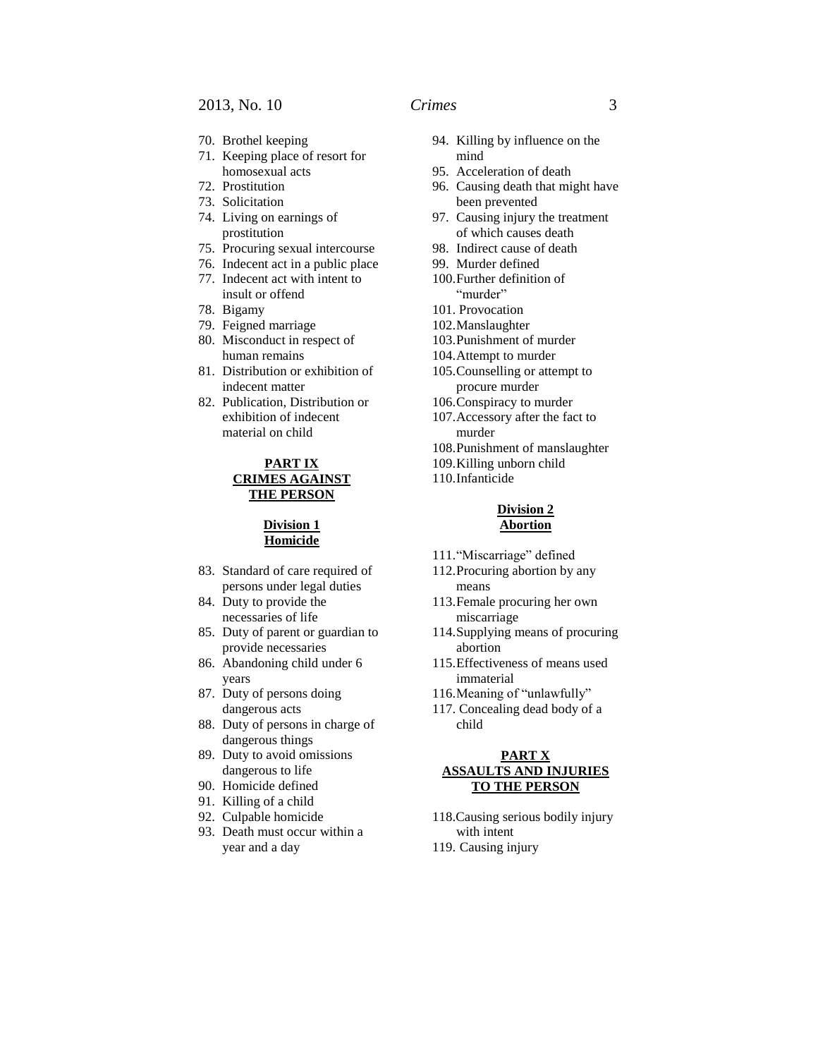- 71. Keeping place of resort for homosexual acts
- 72. Prostitution
- 73. Solicitation
- 74. Living on earnings of prostitution
- 75. Procuring sexual intercourse
- 76. Indecent act in a public place
- 77. Indecent act with intent to insult or offend
- 78. Bigamy
- 79. Feigned marriage
- 80. Misconduct in respect of human remains
- 81. Distribution or exhibition of indecent matter
- 82. Publication, Distribution or exhibition of indecent material on child

## **PART IX CRIMES AGAINST THE PERSON**

## **Division 1 Homicide**

- 83. Standard of care required of persons under legal duties
- 84. Duty to provide the necessaries of life
- 85. Duty of parent or guardian to provide necessaries
- 86. Abandoning child under 6 years
- 87. Duty of persons doing dangerous acts
- 88. Duty of persons in charge of dangerous things
- 89. Duty to avoid omissions dangerous to life
- 90. Homicide defined
- 91. Killing of a child
- 92. Culpable homicide
- 93. Death must occur within a year and a day
- - 94. Killing by influence on the mind
	- 95. Acceleration of death
	- 96. Causing death that might have been prevented
	- 97. Causing injury the treatment of which causes death
	- 98. Indirect cause of death
	- 99. Murder defined
	- 100.Further definition of "murder"
	- 101. Provocation
	- 102.Manslaughter
	- 103.Punishment of murder
	- 104.Attempt to murder
	- 105.Counselling or attempt to procure murder
	- 106.Conspiracy to murder
	- 107.Accessory after the fact to murder
	- 108.Punishment of manslaughter
	- 109.Killing unborn child
	- 110.Infanticide

#### **Division 2 Abortion**

- 111."Miscarriage" defined
- 112.Procuring abortion by any means
- 113.Female procuring her own miscarriage
- 114.Supplying means of procuring abortion
- 115.Effectiveness of means used immaterial
- 116.Meaning of "unlawfully"
- 117. Concealing dead body of a child

## **PART X ASSAULTS AND INJURIES TO THE PERSON**

118.Causing serious bodily injury with intent 119. Causing injury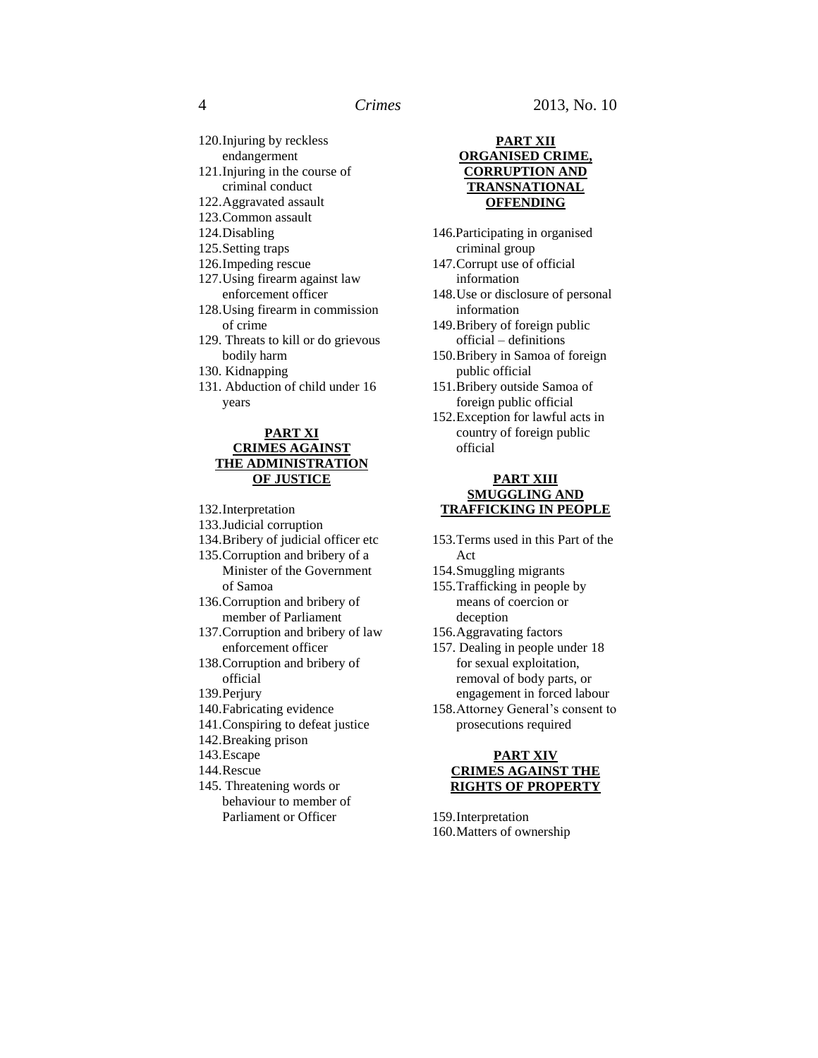- 120.Injuring by reckless endangerment
- 121.Injuring in the course of criminal conduct
- 122.Aggravated assault
- 123.Common assault
- 124.Disabling
- 125.Setting traps
- 126.Impeding rescue
- 127.Using firearm against law enforcement officer
- 128.Using firearm in commission of crime
- 129. Threats to kill or do grievous bodily harm
- 130. Kidnapping
- 131. Abduction of child under 16 years

#### **PART XI CRIMES AGAINST THE ADMINISTRATION OF JUSTICE**

- 132.Interpretation
- 133.Judicial corruption
- 134.Bribery of judicial officer etc 135.Corruption and bribery of a
- Minister of the Government of Samoa
- 136.Corruption and bribery of member of Parliament
- 137.Corruption and bribery of law enforcement officer
- 138.Corruption and bribery of official
- 139.Perjury
- 140.Fabricating evidence
- 141.Conspiring to defeat justice
- 142.Breaking prison
- 143.Escape
- 144.Rescue
- 145. Threatening words or behaviour to member of Parliament or Officer

## **PART XII ORGANISED CRIME, CORRUPTION AND TRANSNATIONAL OFFENDING**

- 146.Participating in organised criminal group
- 147.Corrupt use of official information
- 148.Use or disclosure of personal information
- 149.Bribery of foreign public official – definitions
- 150.Bribery in Samoa of foreign public official
- 151.Bribery outside Samoa of foreign public official
- 152.Exception for lawful acts in country of foreign public official

#### **PART XIII SMUGGLING AND TRAFFICKING IN PEOPLE**

- 153.Terms used in this Part of the Act
- 154.Smuggling migrants
- 155.Trafficking in people by means of coercion or deception
- 156.Aggravating factors
- 157. Dealing in people under 18 for sexual exploitation, removal of body parts, or engagement in forced labour
- 158.Attorney General's consent to prosecutions required

## **PART XIV CRIMES AGAINST THE RIGHTS OF PROPERTY**

159.Interpretation 160.Matters of ownership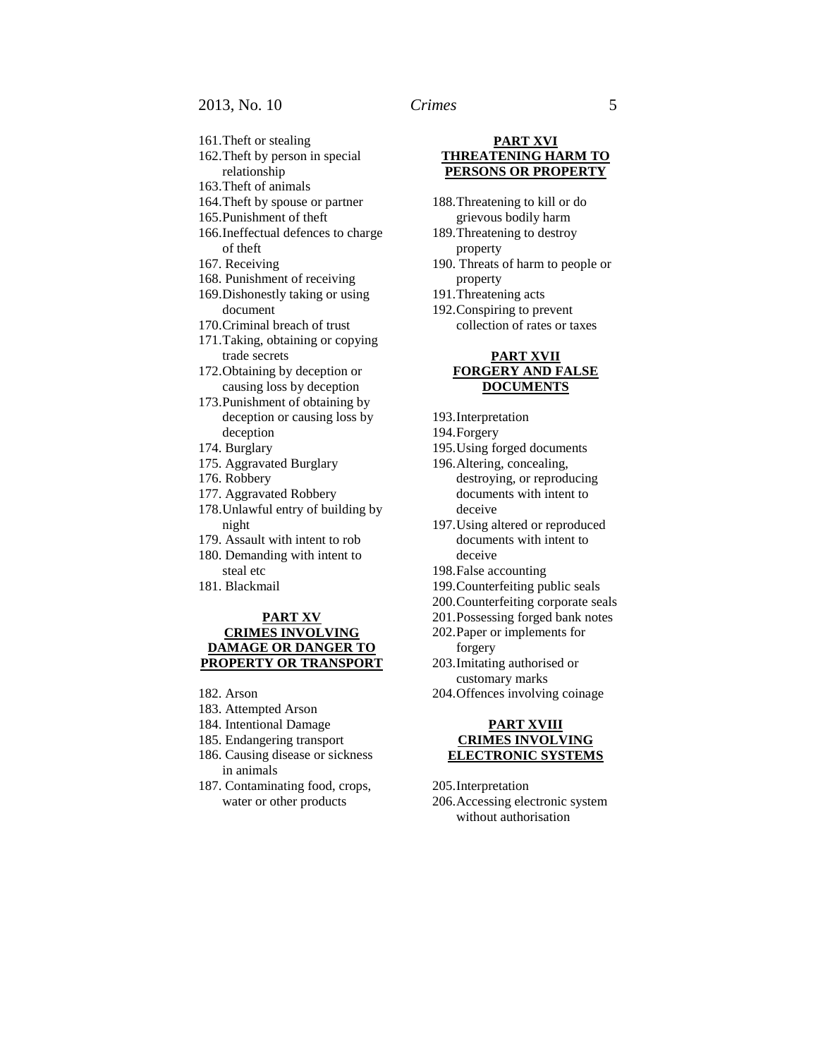- 161.Theft or stealing
- 162.Theft by person in special relationship
- 163.Theft of animals
- 164.Theft by spouse or partner
- 165.Punishment of theft
- 166.Ineffectual defences to charge of theft
- 167. Receiving
- 168. Punishment of receiving
- 169.Dishonestly taking or using document
- 170.Criminal breach of trust
- 171.Taking, obtaining or copying trade secrets
- 172.Obtaining by deception or causing loss by deception
- 173.Punishment of obtaining by deception or causing loss by deception
- 174. Burglary
- 175. Aggravated Burglary
- 176. Robbery
- 177. Aggravated Robbery
- 178.Unlawful entry of building by night
- 179. Assault with intent to rob
- 180. Demanding with intent to steal etc
- 181. Blackmail

#### **PART XV CRIMES INVOLVING DAMAGE OR DANGER TO PROPERTY OR TRANSPORT**

- 182. Arson
- 183. Attempted Arson
- 184. Intentional Damage
- 185. Endangering transport
- 186. Causing disease or sickness in animals
- 187. Contaminating food, crops, water or other products

### **PART XVI THREATENING HARM TO PERSONS OR PROPERTY**

- 188.Threatening to kill or do grievous bodily harm
- 189.Threatening to destroy property
- 190. Threats of harm to people or property
- 191.Threatening acts
- 192.Conspiring to prevent collection of rates or taxes

#### **PART XVII FORGERY AND FALSE DOCUMENTS**

- 193.Interpretation
- 194.Forgery
- 195.Using forged documents
- 196.Altering, concealing, destroying, or reproducing documents with intent to deceive
- 197.Using altered or reproduced documents with intent to deceive
- 198.False accounting
- 199.Counterfeiting public seals
- 200.Counterfeiting corporate seals
- 201.Possessing forged bank notes
- 202.Paper or implements for forgery
- 203.Imitating authorised or customary marks
- 204.Offences involving coinage

#### **PART XVIII CRIMES INVOLVING ELECTRONIC SYSTEMS**

205.Interpretation

206.Accessing electronic system without authorisation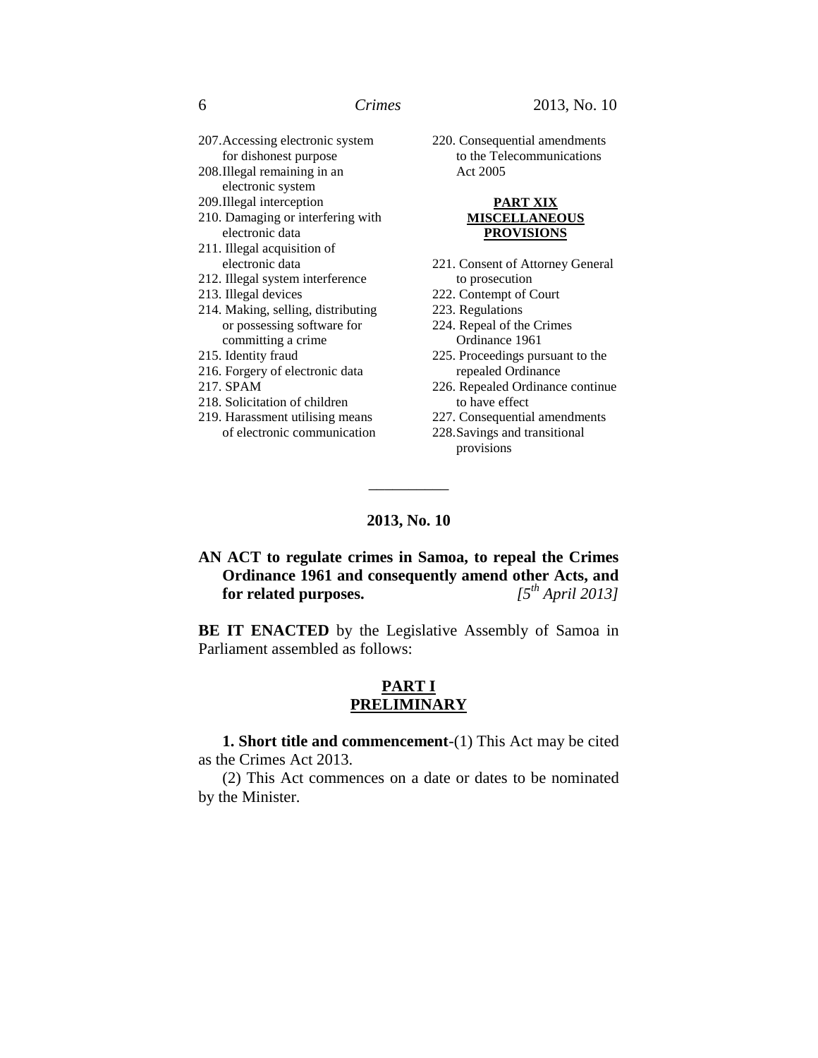- 207.Accessing electronic system for dishonest purpose
- 208.Illegal remaining in an electronic system
- 209.Illegal interception
- 210. Damaging or interfering with electronic data
- 211. Illegal acquisition of electronic data
- 212. Illegal system interference
- 213. Illegal devices
- 214. Making, selling, distributing or possessing software for committing a crime
- 215. Identity fraud
- 216. Forgery of electronic data
- 217. SPAM
- 218. Solicitation of children
- 219. Harassment utilising means of electronic communication

220. Consequential amendments to the Telecommunications Act 2005

### **PART XIX MISCELLANEOUS PROVISIONS**

- 221. Consent of Attorney General to prosecution
- 222. Contempt of Court
- 223. Regulations
- 224. Repeal of the Crimes Ordinance 1961
- 225. Proceedings pursuant to the repealed Ordinance
- 226. Repealed Ordinance continue to have effect
- 227. Consequential amendments
- 228.Savings and transitional

provisions

# **2013, No. 10**

\_\_\_\_\_\_\_\_\_\_

#### **AN ACT to regulate crimes in Samoa, to repeal the Crimes Ordinance 1961 and consequently amend other Acts, and for related purposes.** *[5 th April 2013]*

**BE IT ENACTED** by the Legislative Assembly of Samoa in Parliament assembled as follows:

# **PART I PRELIMINARY**

**1. Short title and commencement**-(1) This Act may be cited as the Crimes Act 2013.

(2) This Act commences on a date or dates to be nominated by the Minister.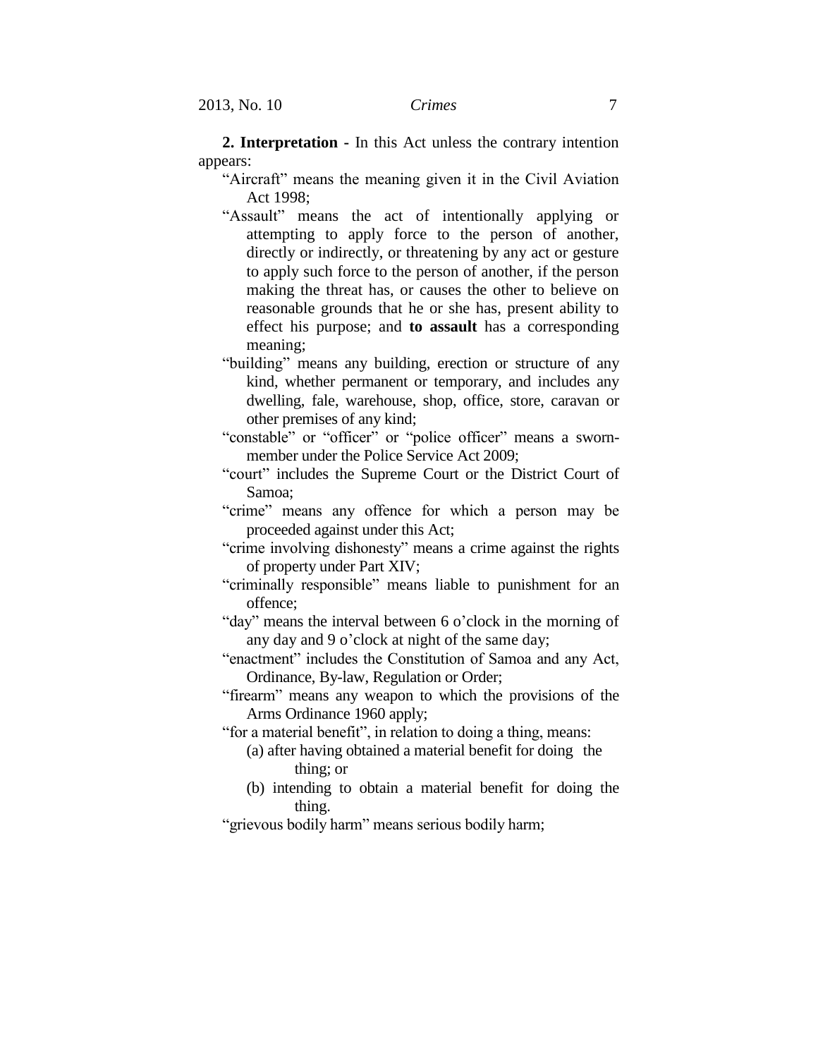**2. Interpretation -** In this Act unless the contrary intention appears:

"Aircraft" means the meaning given it in the Civil Aviation Act 1998;

- "Assault" means the act of intentionally applying or attempting to apply force to the person of another, directly or indirectly, or threatening by any act or gesture to apply such force to the person of another, if the person making the threat has, or causes the other to believe on reasonable grounds that he or she has, present ability to effect his purpose; and **to assault** has a corresponding meaning;
- "building" means any building, erection or structure of any kind, whether permanent or temporary, and includes any dwelling, fale, warehouse, shop, office, store, caravan or other premises of any kind;
- "constable" or "officer" or "police officer" means a swornmember under the Police Service Act 2009;
- "court" includes the Supreme Court or the District Court of Samoa;
- "crime" means any offence for which a person may be proceeded against under this Act;
- "crime involving dishonesty" means a crime against the rights of property under Part XIV;
- "criminally responsible" means liable to punishment for an offence;

"day" means the interval between 6 o'clock in the morning of any day and 9 o'clock at night of the same day;

- "enactment" includes the Constitution of Samoa and any Act, Ordinance, By-law, Regulation or Order;
- "firearm" means any weapon to which the provisions of the Arms Ordinance 1960 apply;

"for a material benefit", in relation to doing a thing, means:

- (a) after having obtained a material benefit for doing the thing; or
- (b) intending to obtain a material benefit for doing the thing.

"grievous bodily harm" means serious bodily harm;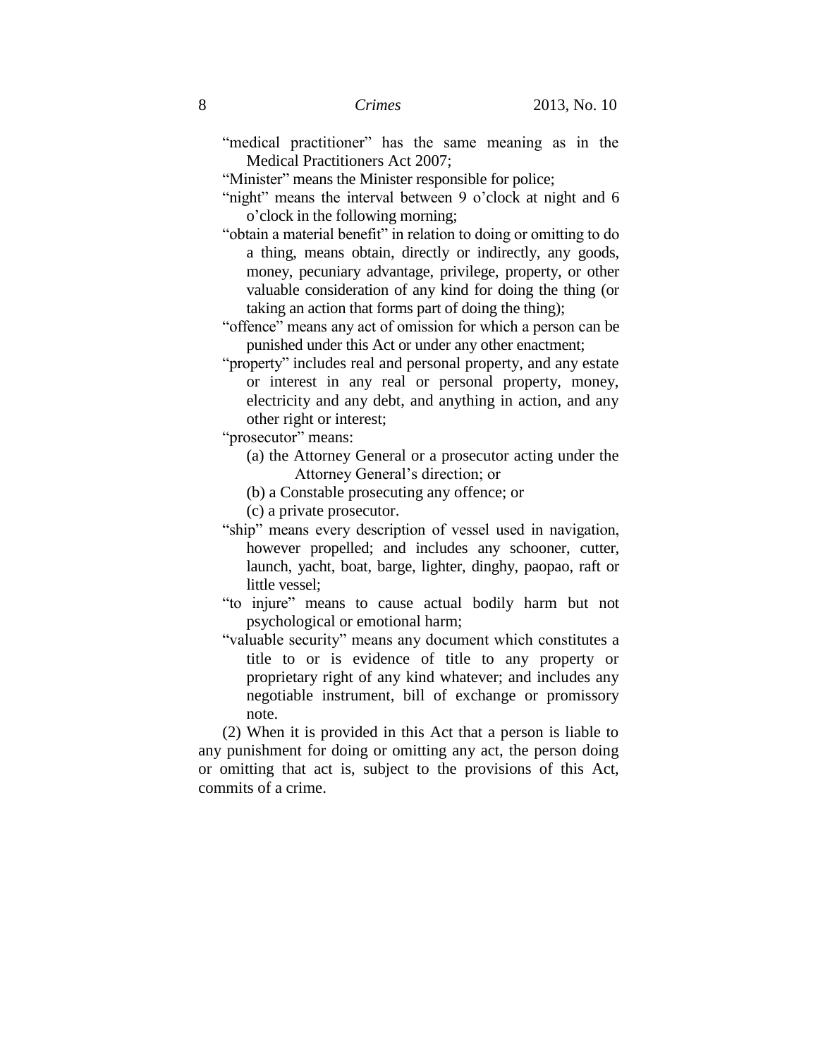"medical practitioner" has the same meaning as in the Medical Practitioners Act 2007;

"Minister" means the Minister responsible for police;

- "night" means the interval between 9 o'clock at night and 6 o'clock in the following morning;
- "obtain a material benefit" in relation to doing or omitting to do a thing, means obtain, directly or indirectly, any goods, money, pecuniary advantage, privilege, property, or other valuable consideration of any kind for doing the thing (or taking an action that forms part of doing the thing);
- "offence" means any act of omission for which a person can be punished under this Act or under any other enactment;
- "property" includes real and personal property, and any estate or interest in any real or personal property, money, electricity and any debt, and anything in action, and any other right or interest;

"prosecutor" means:

- (a) the Attorney General or a prosecutor acting under the Attorney General's direction; or
- (b) a Constable prosecuting any offence; or
- (c) a private prosecutor.
- "ship" means every description of vessel used in navigation, however propelled; and includes any schooner, cutter, launch, yacht, boat, barge, lighter, dinghy, paopao, raft or little vessel;
- "to injure" means to cause actual bodily harm but not psychological or emotional harm;
- "valuable security" means any document which constitutes a title to or is evidence of title to any property or proprietary right of any kind whatever; and includes any negotiable instrument, bill of exchange or promissory note.

(2) When it is provided in this Act that a person is liable to any punishment for doing or omitting any act, the person doing or omitting that act is, subject to the provisions of this Act, commits of a crime.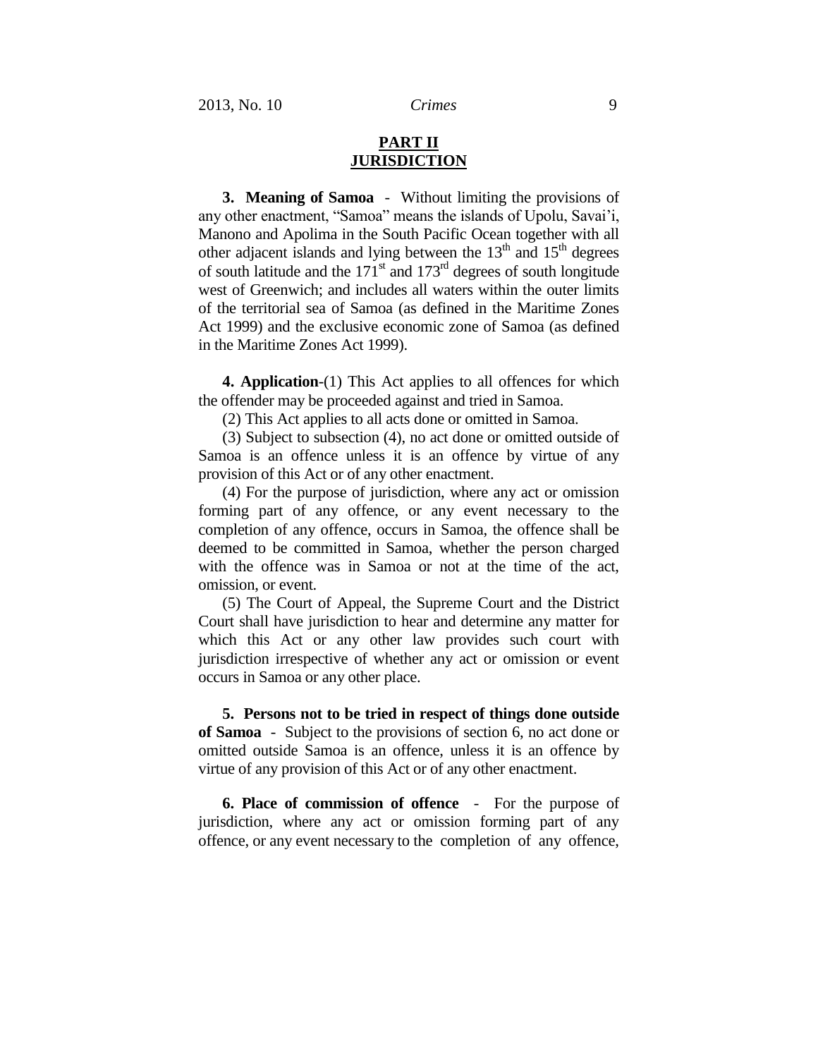# **PART II JURISDICTION**

**3. Meaning of Samoa** - Without limiting the provisions of any other enactment, "Samoa" means the islands of Upolu, Savai'i, Manono and Apolima in the South Pacific Ocean together with all other adjacent islands and lying between the  $13<sup>th</sup>$  and  $15<sup>th</sup>$  degrees of south latitude and the  $171<sup>st</sup>$  and  $173<sup>rd</sup>$  degrees of south longitude west of Greenwich; and includes all waters within the outer limits of the territorial sea of Samoa (as defined in the Maritime Zones Act 1999) and the exclusive economic zone of Samoa (as defined in the Maritime Zones Act 1999).

**4. Application**-(1) This Act applies to all offences for which the offender may be proceeded against and tried in Samoa.

(2) This Act applies to all acts done or omitted in Samoa.

(3) Subject to subsection (4), no act done or omitted outside of Samoa is an offence unless it is an offence by virtue of any provision of this Act or of any other enactment.

(4) For the purpose of jurisdiction, where any act or omission forming part of any offence, or any event necessary to the completion of any offence, occurs in Samoa, the offence shall be deemed to be committed in Samoa, whether the person charged with the offence was in Samoa or not at the time of the act, omission, or event.

(5) The Court of Appeal, the Supreme Court and the District Court shall have jurisdiction to hear and determine any matter for which this Act or any other law provides such court with jurisdiction irrespective of whether any act or omission or event occurs in Samoa or any other place.

**5. Persons not to be tried in respect of things done outside of Samoa** - Subject to the provisions of section 6, no act done or omitted outside Samoa is an offence, unless it is an offence by virtue of any provision of this Act or of any other enactment.

**6. Place of commission of offence** - For the purpose of jurisdiction, where any act or omission forming part of any offence, or any event necessary to the completion of any offence,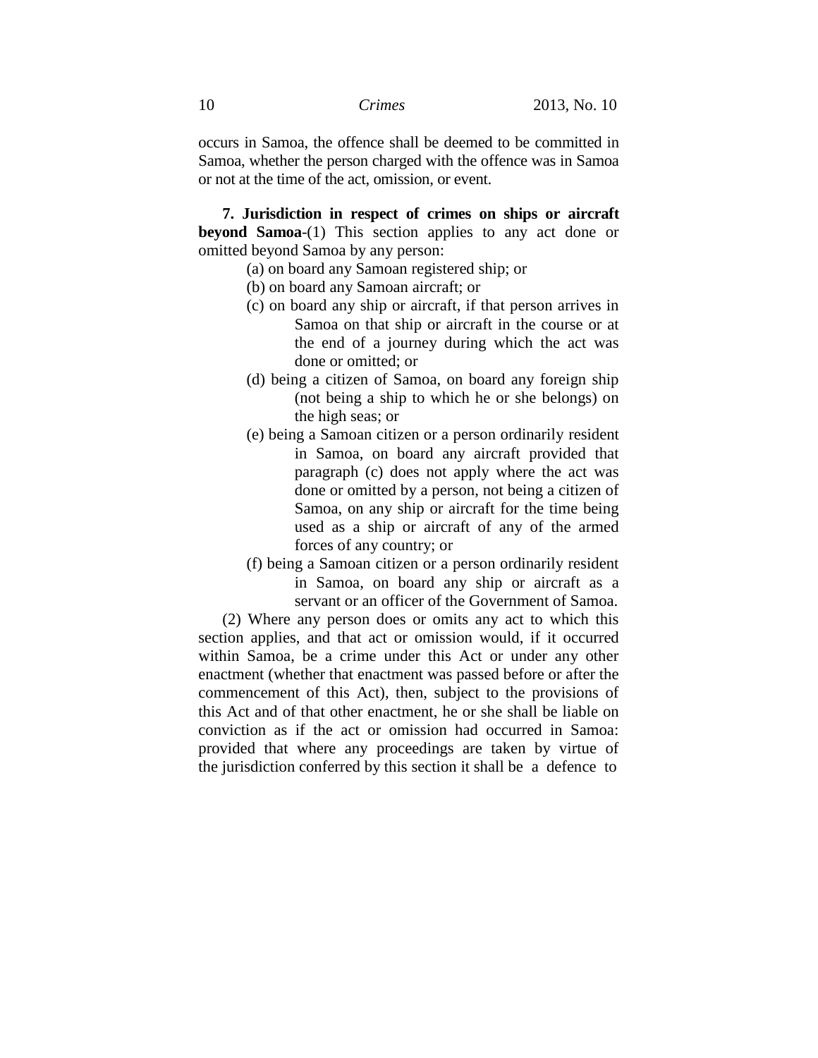occurs in Samoa, the offence shall be deemed to be committed in Samoa, whether the person charged with the offence was in Samoa or not at the time of the act, omission, or event.

**7. Jurisdiction in respect of crimes on ships or aircraft beyond Samoa**-(1) This section applies to any act done or omitted beyond Samoa by any person:

- (a) on board any Samoan registered ship; or
- (b) on board any Samoan aircraft; or
- (c) on board any ship or aircraft, if that person arrives in Samoa on that ship or aircraft in the course or at the end of a journey during which the act was done or omitted; or
- (d) being a citizen of Samoa, on board any foreign ship (not being a ship to which he or she belongs) on the high seas; or
- (e) being a Samoan citizen or a person ordinarily resident in Samoa, on board any aircraft provided that paragraph (c) does not apply where the act was done or omitted by a person, not being a citizen of Samoa, on any ship or aircraft for the time being used as a ship or aircraft of any of the armed forces of any country; or
- (f) being a Samoan citizen or a person ordinarily resident in Samoa, on board any ship or aircraft as a servant or an officer of the Government of Samoa.

(2) Where any person does or omits any act to which this section applies, and that act or omission would, if it occurred within Samoa, be a crime under this Act or under any other enactment (whether that enactment was passed before or after the commencement of this Act), then, subject to the provisions of this Act and of that other enactment, he or she shall be liable on conviction as if the act or omission had occurred in Samoa: provided that where any proceedings are taken by virtue of the jurisdiction conferred by this section it shall be a defence to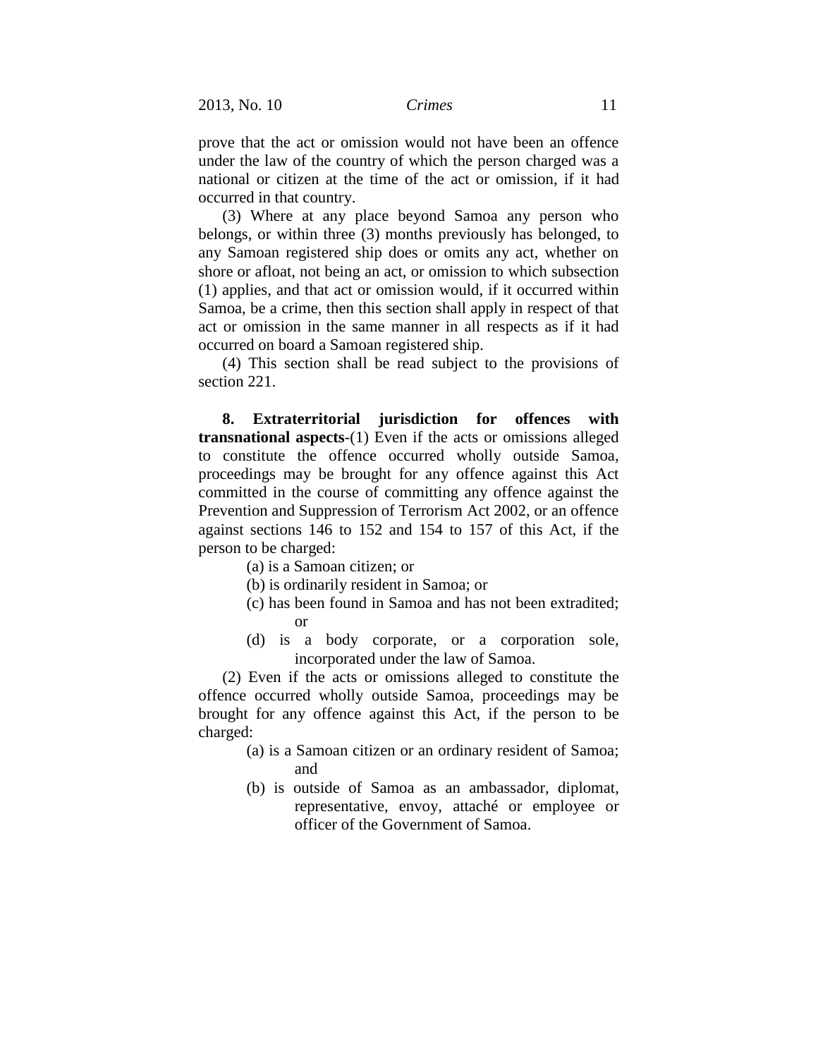prove that the act or omission would not have been an offence under the law of the country of which the person charged was a national or citizen at the time of the act or omission, if it had occurred in that country.

(3) Where at any place beyond Samoa any person who belongs, or within three (3) months previously has belonged, to any Samoan registered ship does or omits any act, whether on shore or afloat, not being an act, or omission to which subsection (1) applies, and that act or omission would, if it occurred within Samoa, be a crime, then this section shall apply in respect of that act or omission in the same manner in all respects as if it had occurred on board a Samoan registered ship.

(4) This section shall be read subject to the provisions of section 221.

**8. Extraterritorial jurisdiction for offences with transnational aspects**-(1) Even if the acts or omissions alleged to constitute the offence occurred wholly outside Samoa, proceedings may be brought for any offence against this Act committed in the course of committing any offence against the Prevention and Suppression of Terrorism Act 2002, or an offence against sections 146 to 152 and 154 to 157 of this Act, if the person to be charged:

- (a) is a Samoan citizen; or
- (b) is ordinarily resident in Samoa; or
- (c) has been found in Samoa and has not been extradited; or
- (d) is a body corporate, or a corporation sole, incorporated under the law of Samoa.

(2) Even if the acts or omissions alleged to constitute the offence occurred wholly outside Samoa, proceedings may be brought for any offence against this Act, if the person to be charged:

- (a) is a Samoan citizen or an ordinary resident of Samoa; and
- (b) is outside of Samoa as an ambassador, diplomat, representative, envoy, attaché or employee or officer of the Government of Samoa.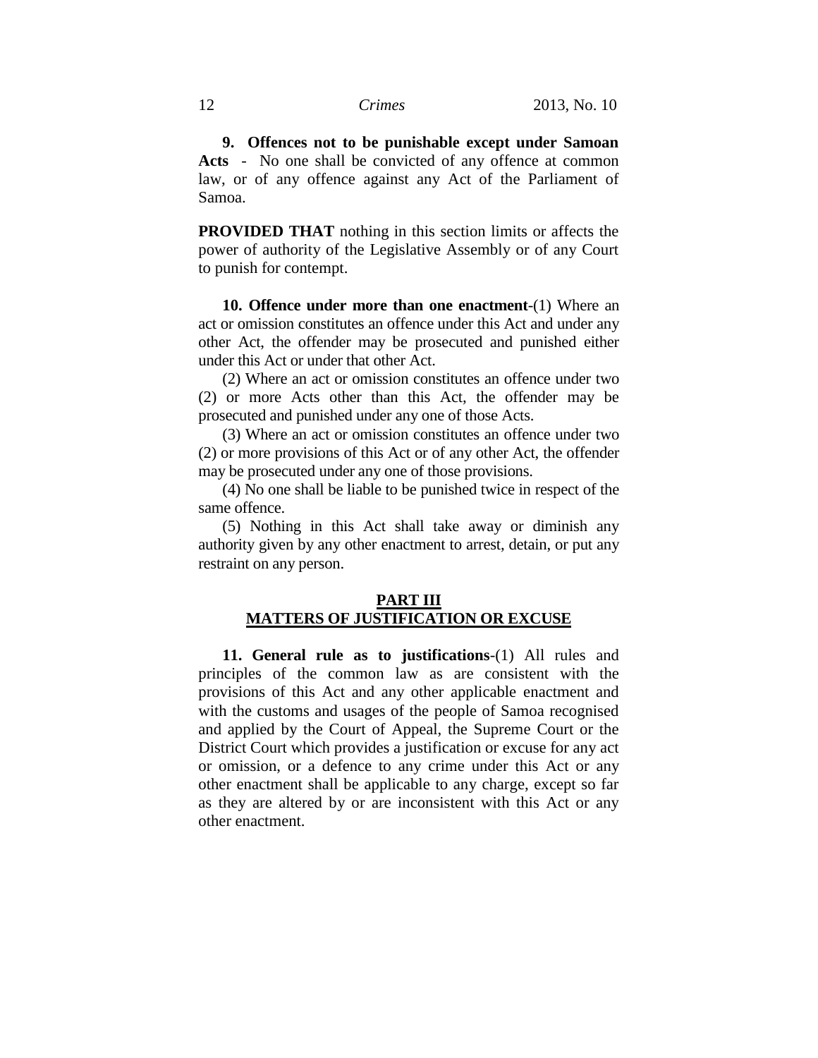**9. Offences not to be punishable except under Samoan Acts** - No one shall be convicted of any offence at common law, or of any offence against any Act of the Parliament of Samoa.

**PROVIDED THAT** nothing in this section limits or affects the power of authority of the Legislative Assembly or of any Court to punish for contempt.

**10. Offence under more than one enactment**-(1) Where an act or omission constitutes an offence under this Act and under any other Act, the offender may be prosecuted and punished either under this Act or under that other Act.

(2) Where an act or omission constitutes an offence under two (2) or more Acts other than this Act, the offender may be prosecuted and punished under any one of those Acts.

(3) Where an act or omission constitutes an offence under two (2) or more provisions of this Act or of any other Act, the offender may be prosecuted under any one of those provisions.

(4) No one shall be liable to be punished twice in respect of the same offence.

(5) Nothing in this Act shall take away or diminish any authority given by any other enactment to arrest, detain, or put any restraint on any person.

# **PART III MATTERS OF JUSTIFICATION OR EXCUSE**

**11. General rule as to justifications**-(1) All rules and principles of the common law as are consistent with the provisions of this Act and any other applicable enactment and with the customs and usages of the people of Samoa recognised and applied by the Court of Appeal, the Supreme Court or the District Court which provides a justification or excuse for any act or omission, or a defence to any crime under this Act or any other enactment shall be applicable to any charge, except so far as they are altered by or are inconsistent with this Act or any other enactment.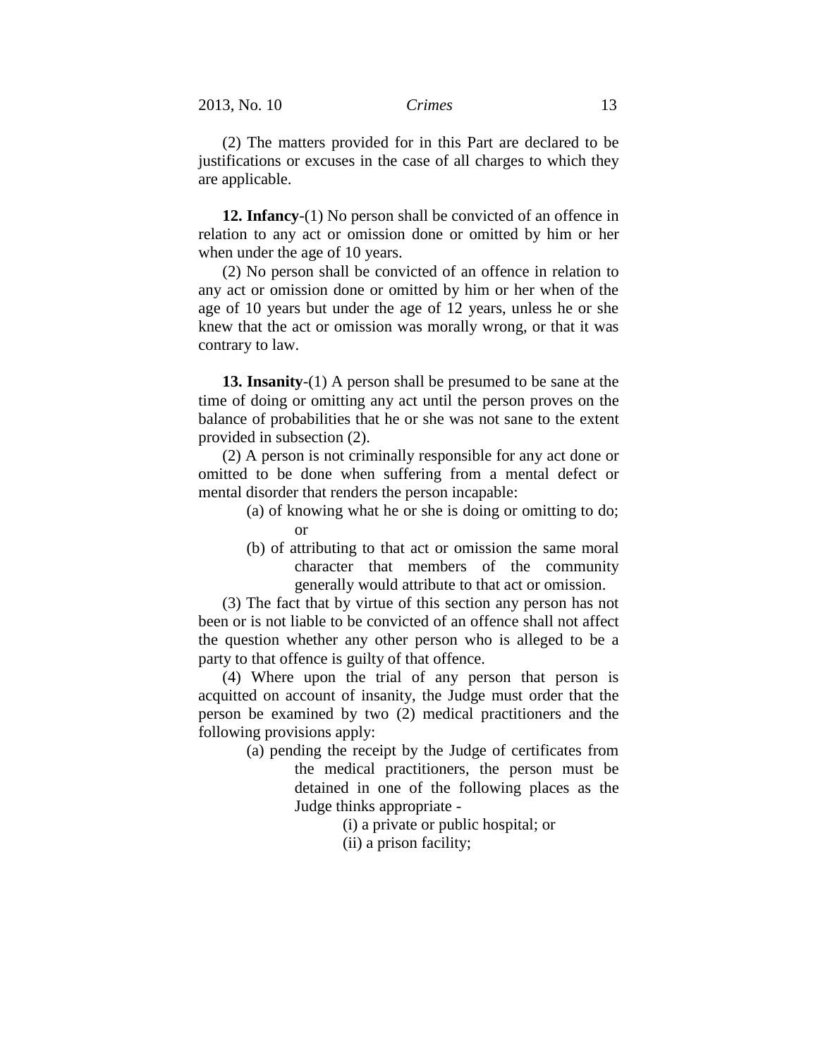(2) The matters provided for in this Part are declared to be justifications or excuses in the case of all charges to which they are applicable.

**12. Infancy**-(1) No person shall be convicted of an offence in relation to any act or omission done or omitted by him or her when under the age of 10 years.

(2) No person shall be convicted of an offence in relation to any act or omission done or omitted by him or her when of the age of 10 years but under the age of 12 years, unless he or she knew that the act or omission was morally wrong, or that it was contrary to law.

**13. Insanity**-(1) A person shall be presumed to be sane at the time of doing or omitting any act until the person proves on the balance of probabilities that he or she was not sane to the extent provided in subsection (2).

(2) A person is not criminally responsible for any act done or omitted to be done when suffering from a mental defect or mental disorder that renders the person incapable:

- (a) of knowing what he or she is doing or omitting to do; or
- (b) of attributing to that act or omission the same moral character that members of the community generally would attribute to that act or omission.

(3) The fact that by virtue of this section any person has not been or is not liable to be convicted of an offence shall not affect the question whether any other person who is alleged to be a party to that offence is guilty of that offence.

(4) Where upon the trial of any person that person is acquitted on account of insanity, the Judge must order that the person be examined by two (2) medical practitioners and the following provisions apply:

> (a) pending the receipt by the Judge of certificates from the medical practitioners, the person must be detained in one of the following places as the Judge thinks appropriate -

> > (i) a private or public hospital; or

(ii) a prison facility;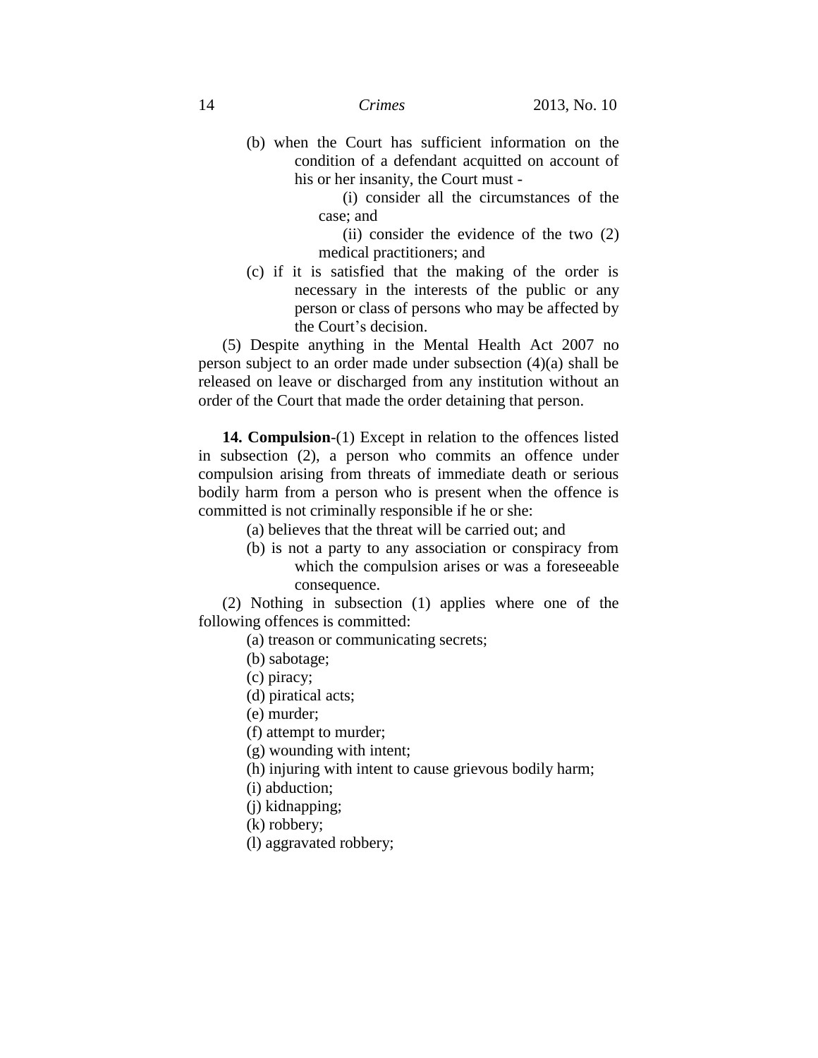(b) when the Court has sufficient information on the condition of a defendant acquitted on account of his or her insanity, the Court must -

> (i) consider all the circumstances of the case; and

> (ii) consider the evidence of the two (2) medical practitioners; and

(c) if it is satisfied that the making of the order is necessary in the interests of the public or any person or class of persons who may be affected by the Court's decision.

(5) Despite anything in the Mental Health Act 2007 no person subject to an order made under subsection (4)(a) shall be released on leave or discharged from any institution without an order of the Court that made the order detaining that person.

**14. Compulsion**-(1) Except in relation to the offences listed in subsection (2), a person who commits an offence under compulsion arising from threats of immediate death or serious bodily harm from a person who is present when the offence is committed is not criminally responsible if he or she:

(a) believes that the threat will be carried out; and

(b) is not a party to any association or conspiracy from which the compulsion arises or was a foreseeable consequence.

(2) Nothing in subsection (1) applies where one of the following offences is committed:

(a) treason or communicating secrets;

- (b) sabotage;
- (c) piracy;
- (d) piratical acts;

(e) murder;

(f) attempt to murder;

(g) wounding with intent;

(h) injuring with intent to cause grievous bodily harm;

(i) abduction;

(j) kidnapping;

(k) robbery;

(l) aggravated robbery;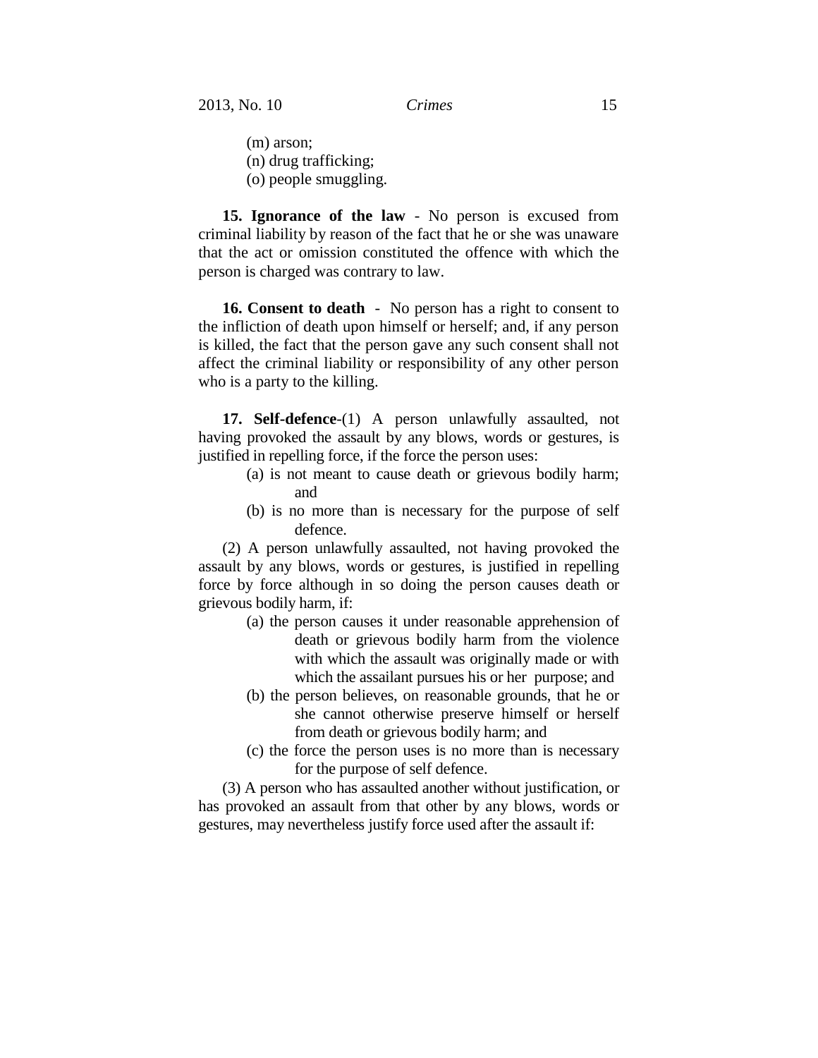(m) arson; (n) drug trafficking; (o) people smuggling.

**15. Ignorance of the law** - No person is excused from criminal liability by reason of the fact that he or she was unaware that the act or omission constituted the offence with which the person is charged was contrary to law.

**16. Consent to death** - No person has a right to consent to the infliction of death upon himself or herself; and, if any person is killed, the fact that the person gave any such consent shall not affect the criminal liability or responsibility of any other person who is a party to the killing.

**17. Self-defence**-(1) A person unlawfully assaulted, not having provoked the assault by any blows, words or gestures, is justified in repelling force, if the force the person uses:

- (a) is not meant to cause death or grievous bodily harm; and
- (b) is no more than is necessary for the purpose of self defence.

(2) A person unlawfully assaulted, not having provoked the assault by any blows, words or gestures, is justified in repelling force by force although in so doing the person causes death or grievous bodily harm, if:

- (a) the person causes it under reasonable apprehension of death or grievous bodily harm from the violence with which the assault was originally made or with which the assailant pursues his or her purpose; and
- (b) the person believes, on reasonable grounds, that he or she cannot otherwise preserve himself or herself from death or grievous bodily harm; and
- (c) the force the person uses is no more than is necessary for the purpose of self defence.

(3) A person who has assaulted another without justification, or has provoked an assault from that other by any blows, words or gestures, may nevertheless justify force used after the assault if: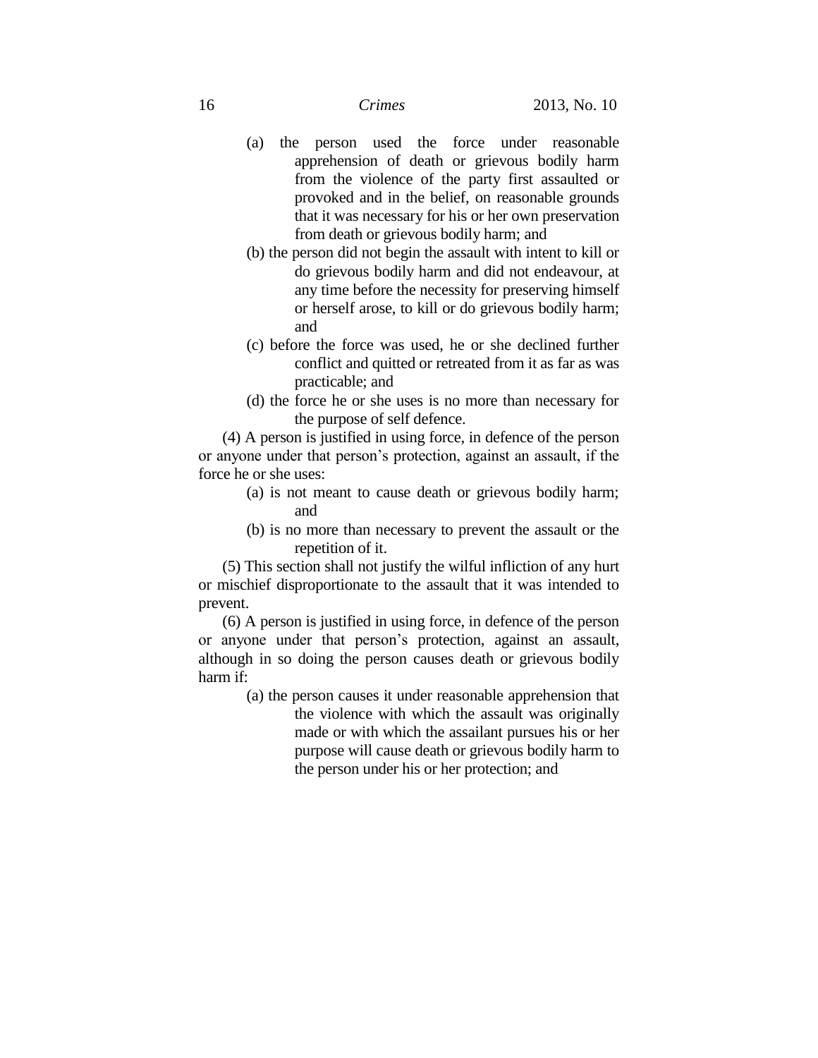- (a) the person used the force under reasonable apprehension of death or grievous bodily harm from the violence of the party first assaulted or provoked and in the belief, on reasonable grounds that it was necessary for his or her own preservation from death or grievous bodily harm; and
- (b) the person did not begin the assault with intent to kill or do grievous bodily harm and did not endeavour, at any time before the necessity for preserving himself or herself arose, to kill or do grievous bodily harm; and
- (c) before the force was used, he or she declined further conflict and quitted or retreated from it as far as was practicable; and
- (d) the force he or she uses is no more than necessary for the purpose of self defence.

(4) A person is justified in using force, in defence of the person or anyone under that person's protection, against an assault, if the force he or she uses:

- (a) is not meant to cause death or grievous bodily harm; and
- (b) is no more than necessary to prevent the assault or the repetition of it.

(5) This section shall not justify the wilful infliction of any hurt or mischief disproportionate to the assault that it was intended to prevent.

(6) A person is justified in using force, in defence of the person or anyone under that person's protection, against an assault, although in so doing the person causes death or grievous bodily harm if:

> (a) the person causes it under reasonable apprehension that the violence with which the assault was originally

made or with which the assailant pursues his or her purpose will cause death or grievous bodily harm to the person under his or her protection; and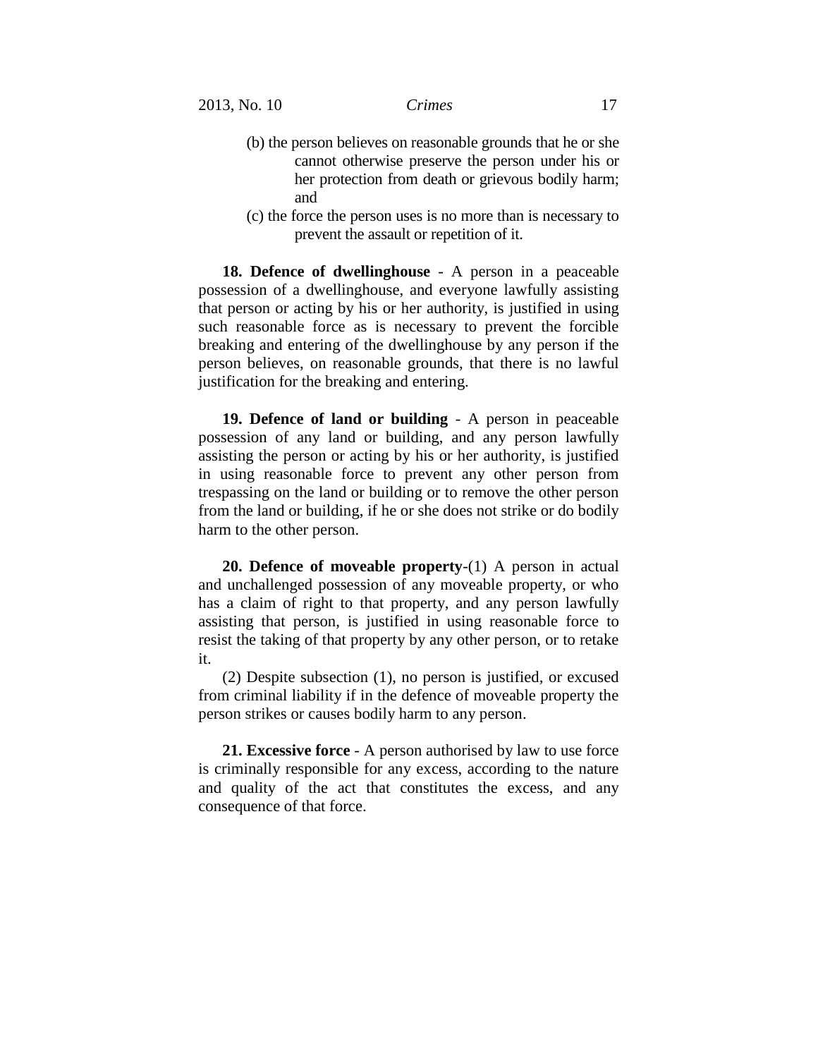- (b) the person believes on reasonable grounds that he or she cannot otherwise preserve the person under his or her protection from death or grievous bodily harm; and
- (c) the force the person uses is no more than is necessary to prevent the assault or repetition of it.

**18. Defence of dwellinghouse** - A person in a peaceable possession of a dwellinghouse, and everyone lawfully assisting that person or acting by his or her authority, is justified in using such reasonable force as is necessary to prevent the forcible breaking and entering of the dwellinghouse by any person if the person believes, on reasonable grounds, that there is no lawful justification for the breaking and entering.

**19. Defence of land or building** - A person in peaceable possession of any land or building, and any person lawfully assisting the person or acting by his or her authority, is justified in using reasonable force to prevent any other person from trespassing on the land or building or to remove the other person from the land or building, if he or she does not strike or do bodily harm to the other person.

**20. Defence of moveable property**-(1) A person in actual and unchallenged possession of any moveable property, or who has a claim of right to that property, and any person lawfully assisting that person, is justified in using reasonable force to resist the taking of that property by any other person, or to retake it.

(2) Despite subsection (1), no person is justified, or excused from criminal liability if in the defence of moveable property the person strikes or causes bodily harm to any person.

**21. Excessive force** - A person authorised by law to use force is criminally responsible for any excess, according to the nature and quality of the act that constitutes the excess, and any consequence of that force.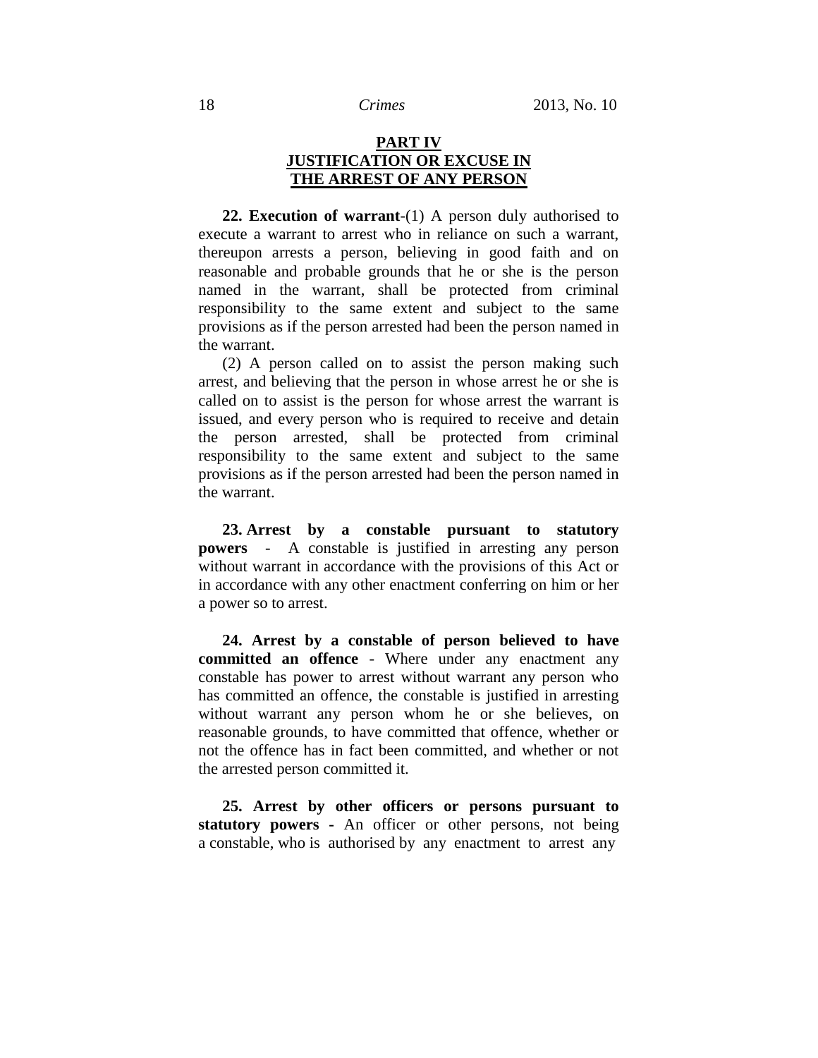# **PART IV JUSTIFICATION OR EXCUSE IN THE ARREST OF ANY PERSON**

**22. Execution of warrant**-(1) A person duly authorised to execute a warrant to arrest who in reliance on such a warrant, thereupon arrests a person, believing in good faith and on reasonable and probable grounds that he or she is the person named in the warrant, shall be protected from criminal responsibility to the same extent and subject to the same provisions as if the person arrested had been the person named in the warrant.

(2) A person called on to assist the person making such arrest, and believing that the person in whose arrest he or she is called on to assist is the person for whose arrest the warrant is issued, and every person who is required to receive and detain the person arrested, shall be protected from criminal responsibility to the same extent and subject to the same provisions as if the person arrested had been the person named in the warrant.

**23. Arrest by a constable pursuant to statutory powers** - A constable is justified in arresting any person without warrant in accordance with the provisions of this Act or in accordance with any other enactment conferring on him or her a power so to arrest.

**24. Arrest by a constable of person believed to have committed an offence** - Where under any enactment any constable has power to arrest without warrant any person who has committed an offence, the constable is justified in arresting without warrant any person whom he or she believes, on reasonable grounds, to have committed that offence, whether or not the offence has in fact been committed, and whether or not the arrested person committed it.

**25. Arrest by other officers or persons pursuant to statutory powers -** An officer or other persons, not being a constable, who is authorised by any enactment to arrest any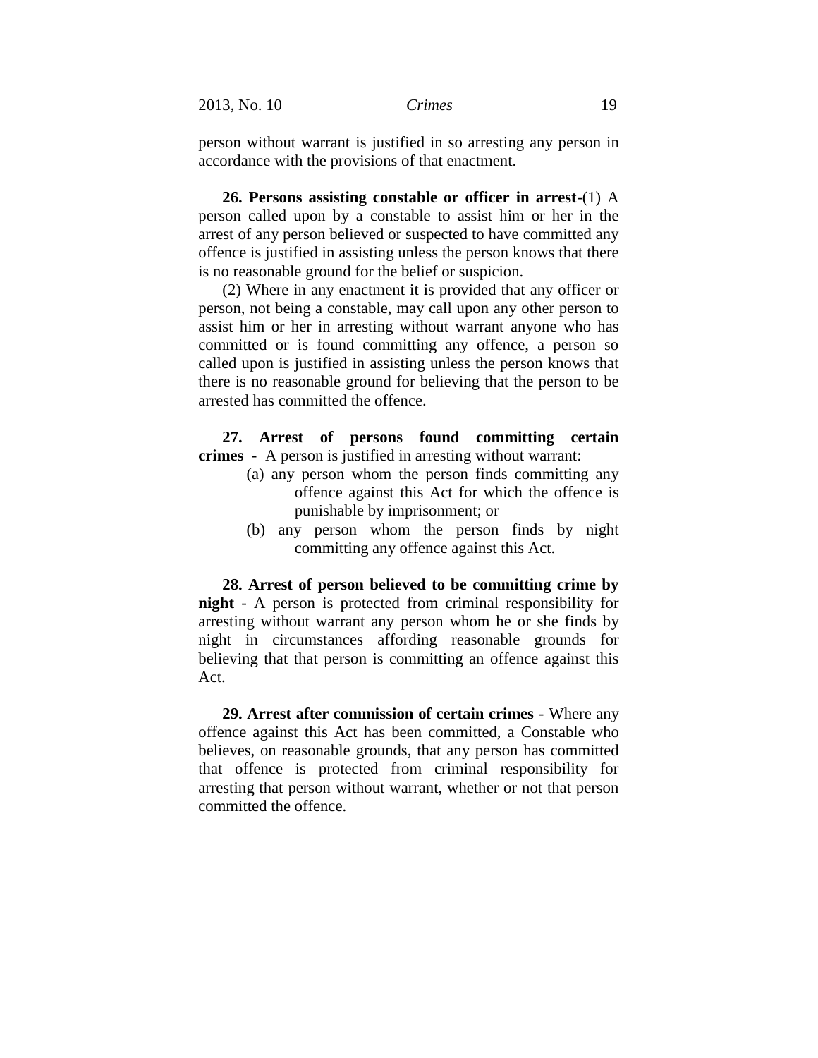person without warrant is justified in so arresting any person in accordance with the provisions of that enactment.

**26. Persons assisting constable or officer in arrest**-(1) A person called upon by a constable to assist him or her in the arrest of any person believed or suspected to have committed any offence is justified in assisting unless the person knows that there is no reasonable ground for the belief or suspicion.

(2) Where in any enactment it is provided that any officer or person, not being a constable, may call upon any other person to assist him or her in arresting without warrant anyone who has committed or is found committing any offence, a person so called upon is justified in assisting unless the person knows that there is no reasonable ground for believing that the person to be arrested has committed the offence.

**27. Arrest of persons found committing certain crimes** - A person is justified in arresting without warrant:

- (a) any person whom the person finds committing any offence against this Act for which the offence is punishable by imprisonment; or
- (b) any person whom the person finds by night committing any offence against this Act.

**28. Arrest of person believed to be committing crime by night** - A person is protected from criminal responsibility for arresting without warrant any person whom he or she finds by night in circumstances affording reasonable grounds for believing that that person is committing an offence against this Act.

**29. Arrest after commission of certain crimes** - Where any offence against this Act has been committed, a Constable who believes, on reasonable grounds, that any person has committed that offence is protected from criminal responsibility for arresting that person without warrant, whether or not that person committed the offence.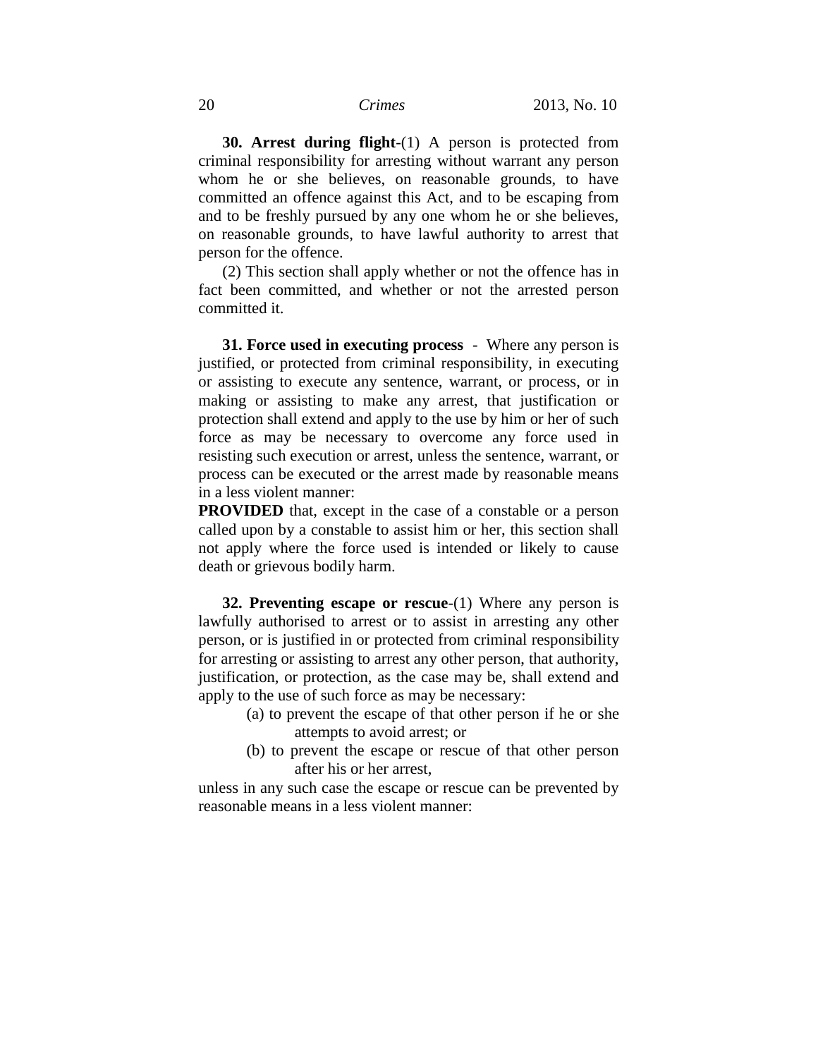**30. Arrest during flight**-(1) A person is protected from criminal responsibility for arresting without warrant any person whom he or she believes, on reasonable grounds, to have committed an offence against this Act, and to be escaping from and to be freshly pursued by any one whom he or she believes, on reasonable grounds, to have lawful authority to arrest that person for the offence.

(2) This section shall apply whether or not the offence has in fact been committed, and whether or not the arrested person committed it.

**31. Force used in executing process** - Where any person is justified, or protected from criminal responsibility, in executing or assisting to execute any sentence, warrant, or process, or in making or assisting to make any arrest, that justification or protection shall extend and apply to the use by him or her of such force as may be necessary to overcome any force used in resisting such execution or arrest, unless the sentence, warrant, or process can be executed or the arrest made by reasonable means in a less violent manner:

**PROVIDED** that, except in the case of a constable or a person called upon by a constable to assist him or her, this section shall not apply where the force used is intended or likely to cause death or grievous bodily harm.

**32. Preventing escape or rescue**-(1) Where any person is lawfully authorised to arrest or to assist in arresting any other person, or is justified in or protected from criminal responsibility for arresting or assisting to arrest any other person, that authority, justification, or protection, as the case may be, shall extend and apply to the use of such force as may be necessary:

- (a) to prevent the escape of that other person if he or she attempts to avoid arrest; or
- (b) to prevent the escape or rescue of that other person after his or her arrest,

unless in any such case the escape or rescue can be prevented by reasonable means in a less violent manner: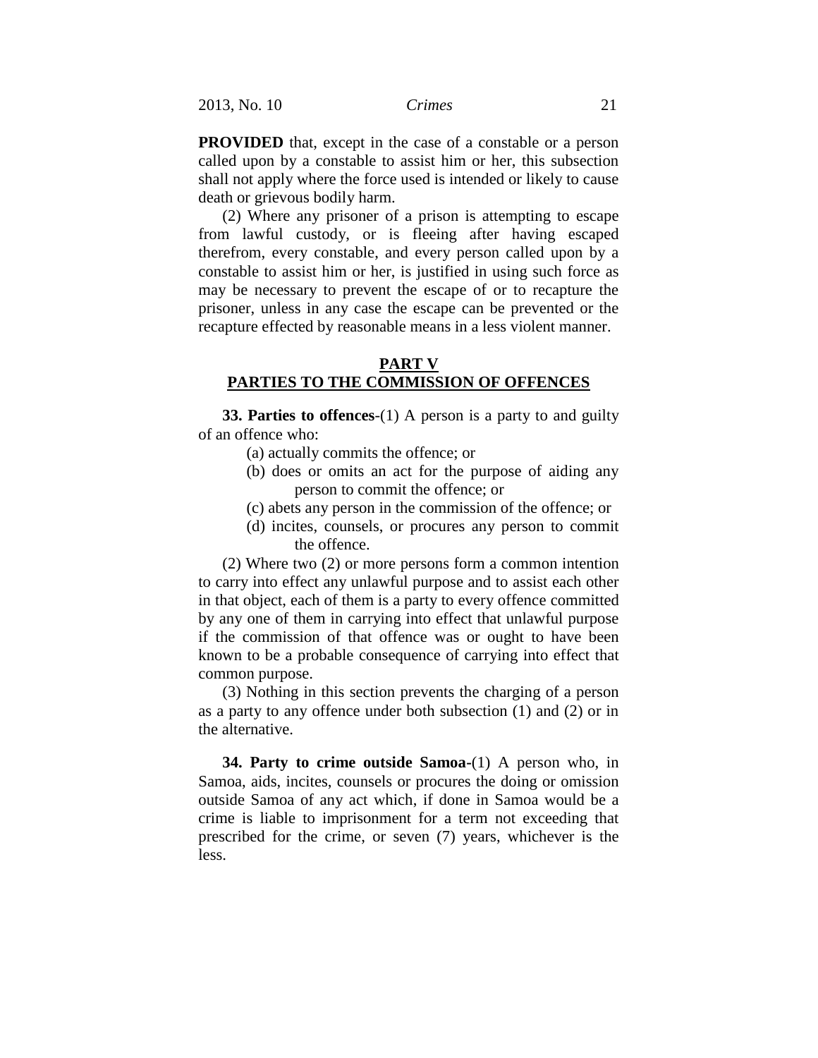**PROVIDED** that, except in the case of a constable or a person called upon by a constable to assist him or her, this subsection shall not apply where the force used is intended or likely to cause death or grievous bodily harm.

(2) Where any prisoner of a prison is attempting to escape from lawful custody, or is fleeing after having escaped therefrom, every constable, and every person called upon by a constable to assist him or her, is justified in using such force as may be necessary to prevent the escape of or to recapture the prisoner, unless in any case the escape can be prevented or the recapture effected by reasonable means in a less violent manner.

## **PART V**

# **PARTIES TO THE COMMISSION OF OFFENCES**

**33. Parties to offences**-(1) A person is a party to and guilty of an offence who:

- (a) actually commits the offence; or
- (b) does or omits an act for the purpose of aiding any person to commit the offence; or
- (c) abets any person in the commission of the offence; or
- (d) incites, counsels, or procures any person to commit the offence.

(2) Where two (2) or more persons form a common intention to carry into effect any unlawful purpose and to assist each other in that object, each of them is a party to every offence committed by any one of them in carrying into effect that unlawful purpose if the commission of that offence was or ought to have been known to be a probable consequence of carrying into effect that common purpose.

(3) Nothing in this section prevents the charging of a person as a party to any offence under both subsection (1) and (2) or in the alternative.

**34. Party to crime outside Samoa-**(1) A person who, in Samoa, aids, incites, counsels or procures the doing or omission outside Samoa of any act which, if done in Samoa would be a crime is liable to imprisonment for a term not exceeding that prescribed for the crime, or seven (7) years, whichever is the less.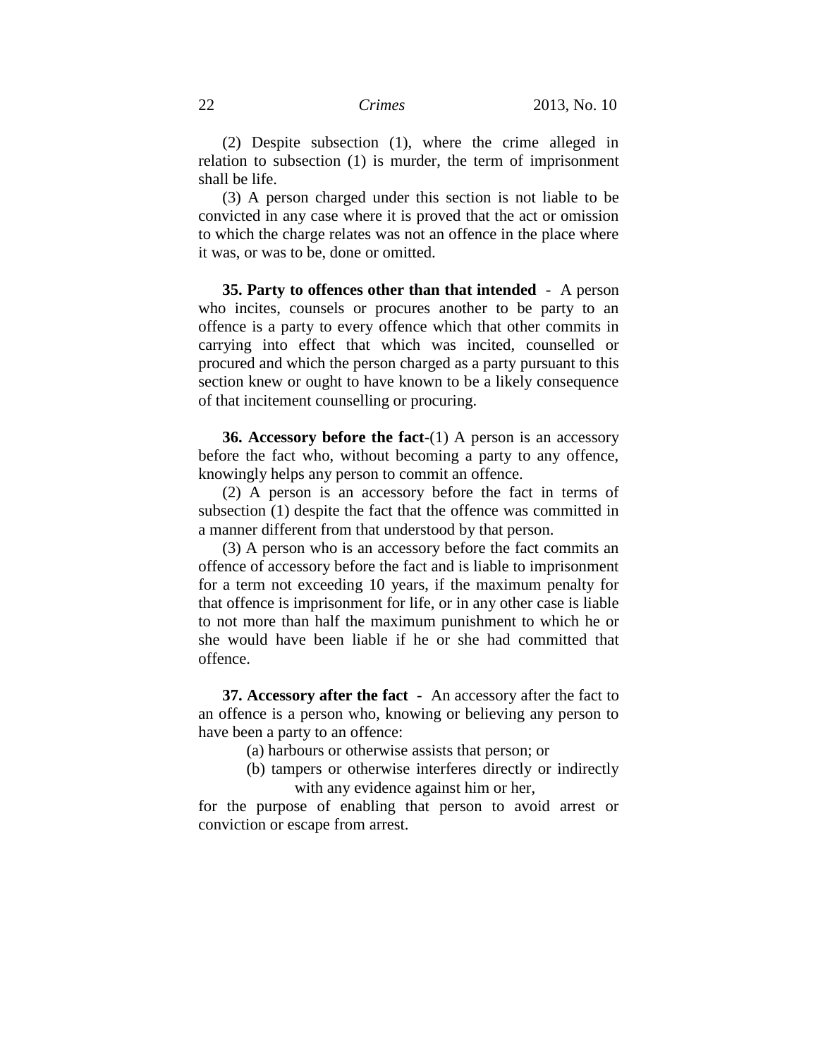(2) Despite subsection (1), where the crime alleged in relation to subsection (1) is murder, the term of imprisonment shall be life.

(3) A person charged under this section is not liable to be convicted in any case where it is proved that the act or omission to which the charge relates was not an offence in the place where it was, or was to be, done or omitted.

**35. Party to offences other than that intended** - A person who incites, counsels or procures another to be party to an offence is a party to every offence which that other commits in carrying into effect that which was incited, counselled or procured and which the person charged as a party pursuant to this section knew or ought to have known to be a likely consequence of that incitement counselling or procuring.

**36. Accessory before the fact**-(1) A person is an accessory before the fact who, without becoming a party to any offence, knowingly helps any person to commit an offence.

(2) A person is an accessory before the fact in terms of subsection (1) despite the fact that the offence was committed in a manner different from that understood by that person.

(3) A person who is an accessory before the fact commits an offence of accessory before the fact and is liable to imprisonment for a term not exceeding 10 years, if the maximum penalty for that offence is imprisonment for life, or in any other case is liable to not more than half the maximum punishment to which he or she would have been liable if he or she had committed that offence.

**37. Accessory after the fact** - An accessory after the fact to an offence is a person who, knowing or believing any person to have been a party to an offence:

(a) harbours or otherwise assists that person; or

(b) tampers or otherwise interferes directly or indirectly with any evidence against him or her,

for the purpose of enabling that person to avoid arrest or conviction or escape from arrest.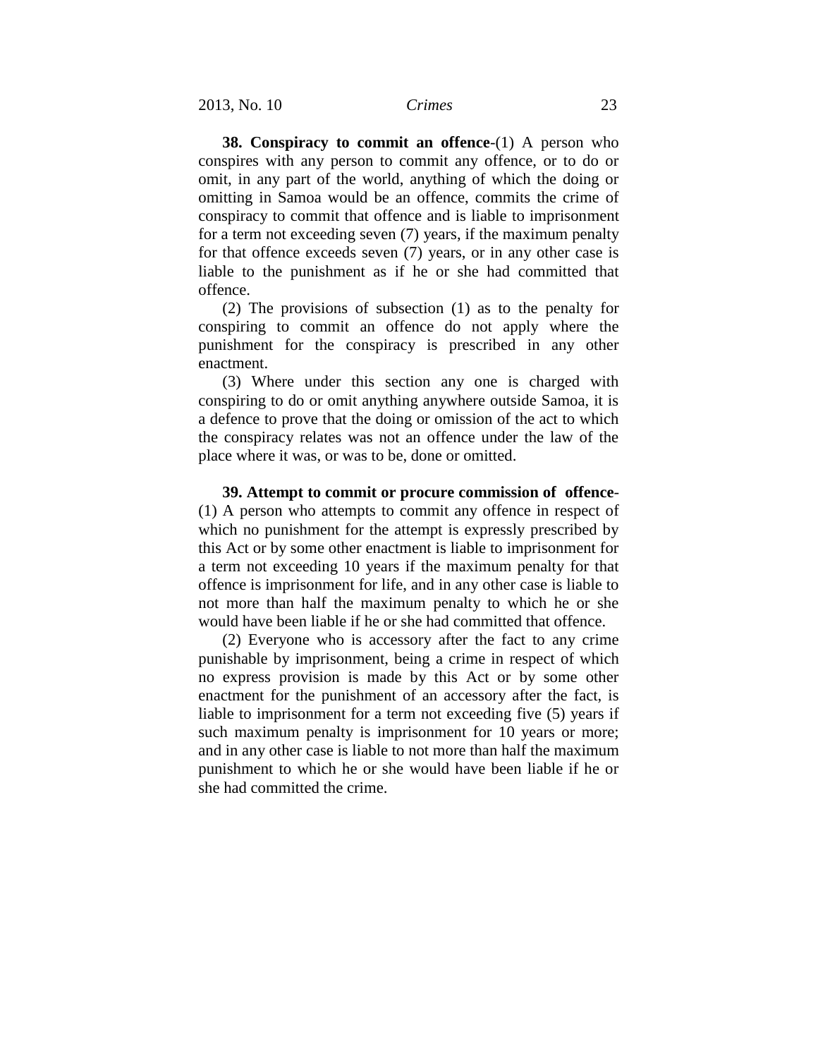**38. Conspiracy to commit an offence**-(1) A person who conspires with any person to commit any offence, or to do or omit, in any part of the world, anything of which the doing or omitting in Samoa would be an offence, commits the crime of conspiracy to commit that offence and is liable to imprisonment for a term not exceeding seven (7) years, if the maximum penalty for that offence exceeds seven (7) years, or in any other case is liable to the punishment as if he or she had committed that offence.

(2) The provisions of subsection (1) as to the penalty for conspiring to commit an offence do not apply where the punishment for the conspiracy is prescribed in any other enactment.

(3) Where under this section any one is charged with conspiring to do or omit anything anywhere outside Samoa, it is a defence to prove that the doing or omission of the act to which the conspiracy relates was not an offence under the law of the place where it was, or was to be, done or omitted.

**39. Attempt to commit or procure commission of offence**- (1) A person who attempts to commit any offence in respect of which no punishment for the attempt is expressly prescribed by this Act or by some other enactment is liable to imprisonment for a term not exceeding 10 years if the maximum penalty for that offence is imprisonment for life, and in any other case is liable to not more than half the maximum penalty to which he or she would have been liable if he or she had committed that offence.

(2) Everyone who is accessory after the fact to any crime punishable by imprisonment, being a crime in respect of which no express provision is made by this Act or by some other enactment for the punishment of an accessory after the fact, is liable to imprisonment for a term not exceeding five (5) years if such maximum penalty is imprisonment for 10 years or more; and in any other case is liable to not more than half the maximum punishment to which he or she would have been liable if he or she had committed the crime.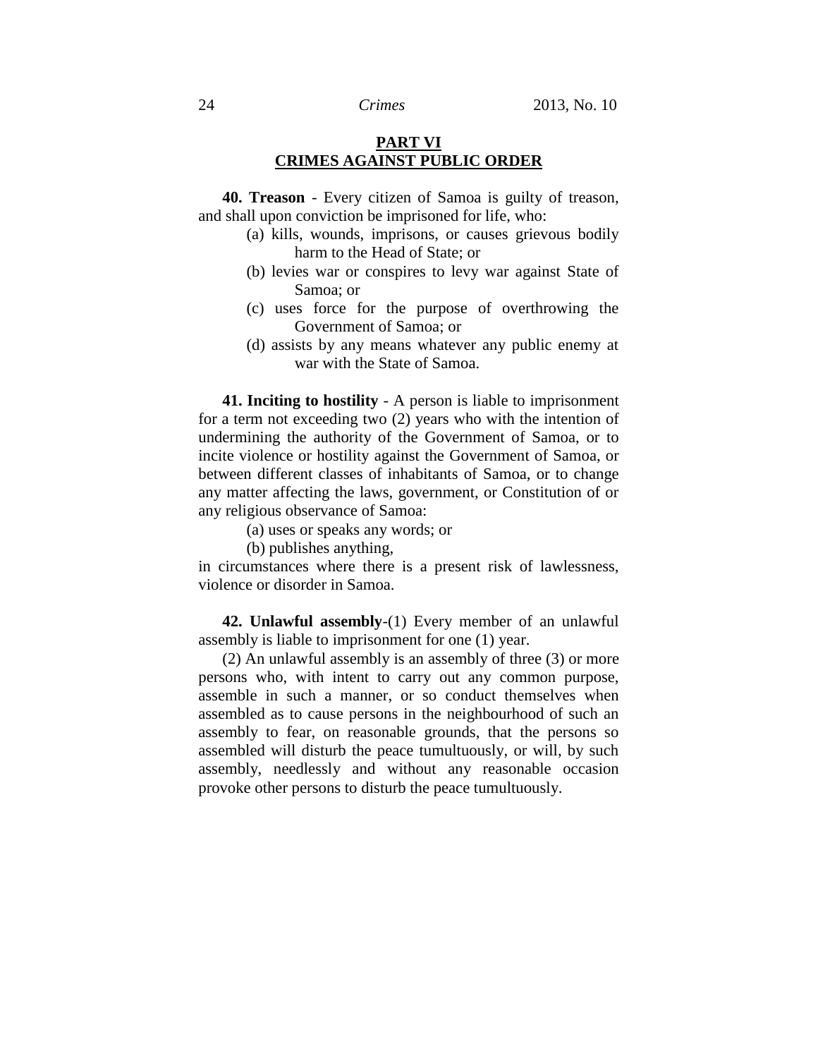# **PART VI CRIMES AGAINST PUBLIC ORDER**

**40. Treason** - Every citizen of Samoa is guilty of treason, and shall upon conviction be imprisoned for life, who:

- (a) kills, wounds, imprisons, or causes grievous bodily harm to the Head of State; or
- (b) levies war or conspires to levy war against State of Samoa; or
- (c) uses force for the purpose of overthrowing the Government of Samoa; or
- (d) assists by any means whatever any public enemy at war with the State of Samoa.

**41. Inciting to hostility** - A person is liable to imprisonment for a term not exceeding two (2) years who with the intention of undermining the authority of the Government of Samoa, or to incite violence or hostility against the Government of Samoa, or between different classes of inhabitants of Samoa, or to change any matter affecting the laws, government, or Constitution of or any religious observance of Samoa:

- (a) uses or speaks any words; or
- (b) publishes anything,

in circumstances where there is a present risk of lawlessness, violence or disorder in Samoa.

**42. Unlawful assembly**-(1) Every member of an unlawful assembly is liable to imprisonment for one (1) year.

(2) An unlawful assembly is an assembly of three (3) or more persons who, with intent to carry out any common purpose, assemble in such a manner, or so conduct themselves when assembled as to cause persons in the neighbourhood of such an assembly to fear, on reasonable grounds, that the persons so assembled will disturb the peace tumultuously, or will, by such assembly, needlessly and without any reasonable occasion provoke other persons to disturb the peace tumultuously.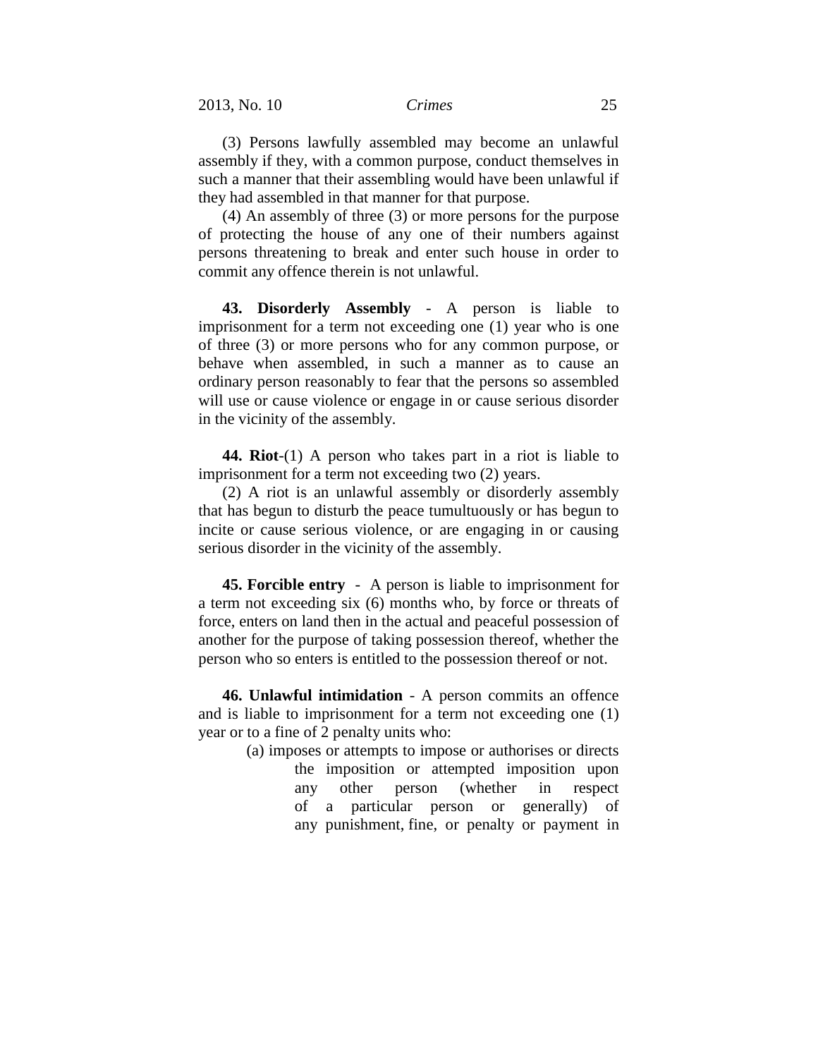(3) Persons lawfully assembled may become an unlawful assembly if they, with a common purpose, conduct themselves in such a manner that their assembling would have been unlawful if they had assembled in that manner for that purpose.

(4) An assembly of three (3) or more persons for the purpose of protecting the house of any one of their numbers against persons threatening to break and enter such house in order to commit any offence therein is not unlawful.

**43. Disorderly Assembly** - A person is liable to imprisonment for a term not exceeding one (1) year who is one of three (3) or more persons who for any common purpose, or behave when assembled, in such a manner as to cause an ordinary person reasonably to fear that the persons so assembled will use or cause violence or engage in or cause serious disorder in the vicinity of the assembly.

**44. Riot**-(1) A person who takes part in a riot is liable to imprisonment for a term not exceeding two (2) years.

(2) A riot is an unlawful assembly or disorderly assembly that has begun to disturb the peace tumultuously or has begun to incite or cause serious violence, or are engaging in or causing serious disorder in the vicinity of the assembly.

**45. Forcible entry** - A person is liable to imprisonment for a term not exceeding six (6) months who, by force or threats of force, enters on land then in the actual and peaceful possession of another for the purpose of taking possession thereof, whether the person who so enters is entitled to the possession thereof or not.

**46. Unlawful intimidation** - A person commits an offence and is liable to imprisonment for a term not exceeding one (1) year or to a fine of 2 penalty units who:

> (a) imposes or attempts to impose or authorises or directs the imposition or attempted imposition upon any other person (whether in respect of a particular person or generally) of any punishment, fine, or penalty or payment in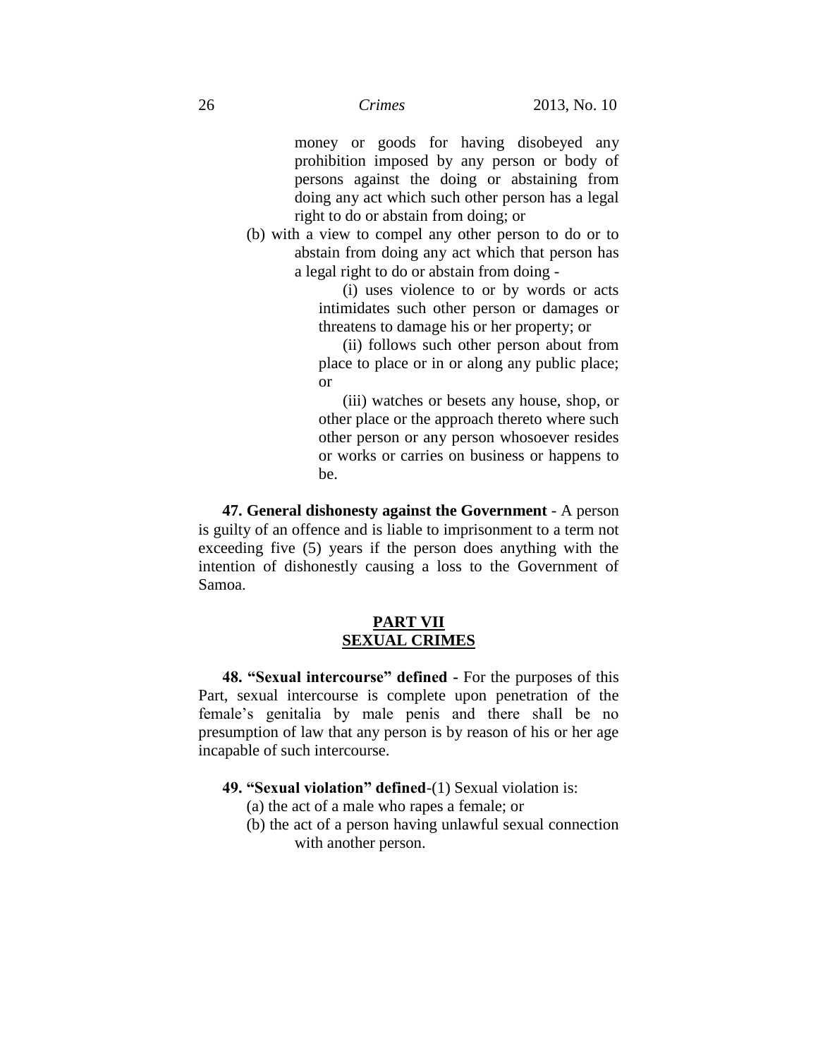money or goods for having disobeyed any prohibition imposed by any person or body of persons against the doing or abstaining from doing any act which such other person has a legal right to do or abstain from doing; or

(b) with a view to compel any other person to do or to abstain from doing any act which that person has a legal right to do or abstain from doing -

> (i) uses violence to or by words or acts intimidates such other person or damages or threatens to damage his or her property; or

> (ii) follows such other person about from place to place or in or along any public place; or

> (iii) watches or besets any house, shop, or other place or the approach thereto where such other person or any person whosoever resides or works or carries on business or happens to be.

**47. General dishonesty against the Government** - A person is guilty of an offence and is liable to imprisonment to a term not exceeding five (5) years if the person does anything with the intention of dishonestly causing a loss to the Government of Samoa.

# **PART VII SEXUAL CRIMES**

**48. "Sexual intercourse" defined -** For the purposes of this Part, sexual intercourse is complete upon penetration of the female's genitalia by male penis and there shall be no presumption of law that any person is by reason of his or her age incapable of such intercourse.

- **49. "Sexual violation" defined**-(1) Sexual violation is:
	- (a) the act of a male who rapes a female; or
	- (b) the act of a person having unlawful sexual connection with another person.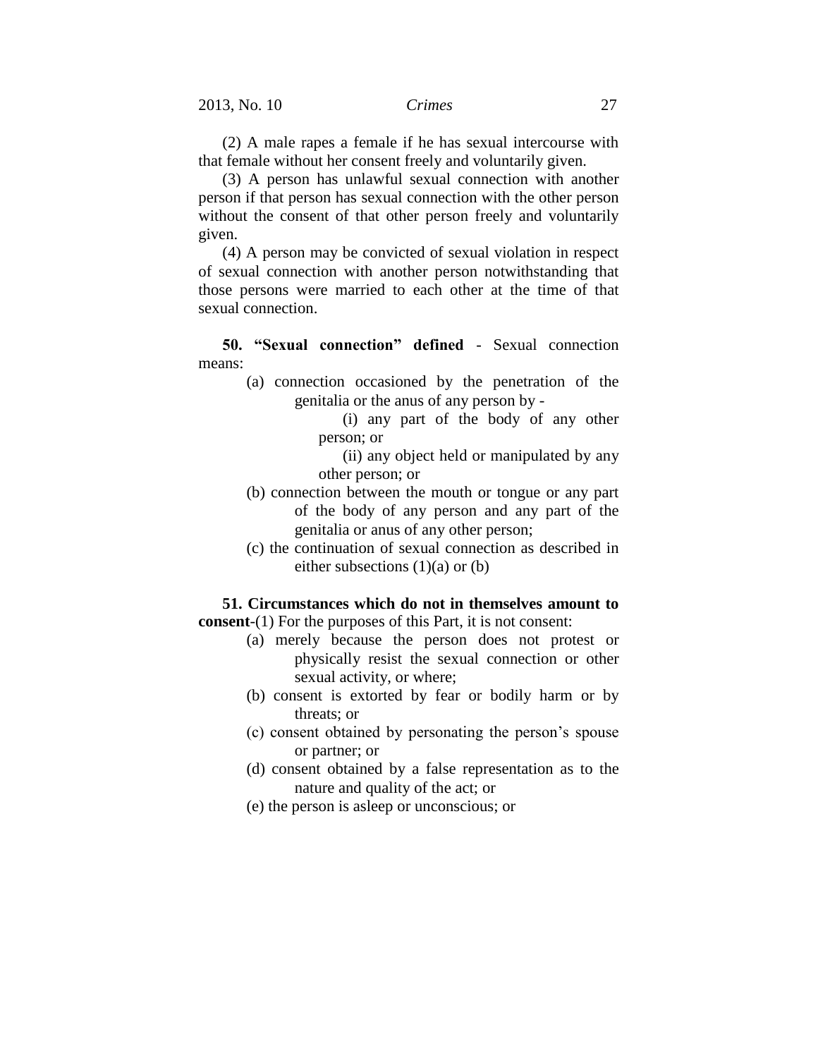(2) A male rapes a female if he has sexual intercourse with that female without her consent freely and voluntarily given.

(3) A person has unlawful sexual connection with another person if that person has sexual connection with the other person without the consent of that other person freely and voluntarily given.

(4) A person may be convicted of sexual violation in respect of sexual connection with another person notwithstanding that those persons were married to each other at the time of that sexual connection.

**50. "Sexual connection" defined** - Sexual connection means:

- (a) connection occasioned by the penetration of the genitalia or the anus of any person by -
	- (i) any part of the body of any other person; or

(ii) any object held or manipulated by any other person; or

- (b) connection between the mouth or tongue or any part of the body of any person and any part of the genitalia or anus of any other person;
- (c) the continuation of sexual connection as described in either subsections  $(1)(a)$  or  $(b)$

**51. Circumstances which do not in themselves amount to consent**-(1) For the purposes of this Part, it is not consent:

- (a) merely because the person does not protest or physically resist the sexual connection or other sexual activity, or where;
- (b) consent is extorted by fear or bodily harm or by threats; or
- (c) consent obtained by personating the person's spouse or partner; or
- (d) consent obtained by a false representation as to the nature and quality of the act; or
- (e) the person is asleep or unconscious; or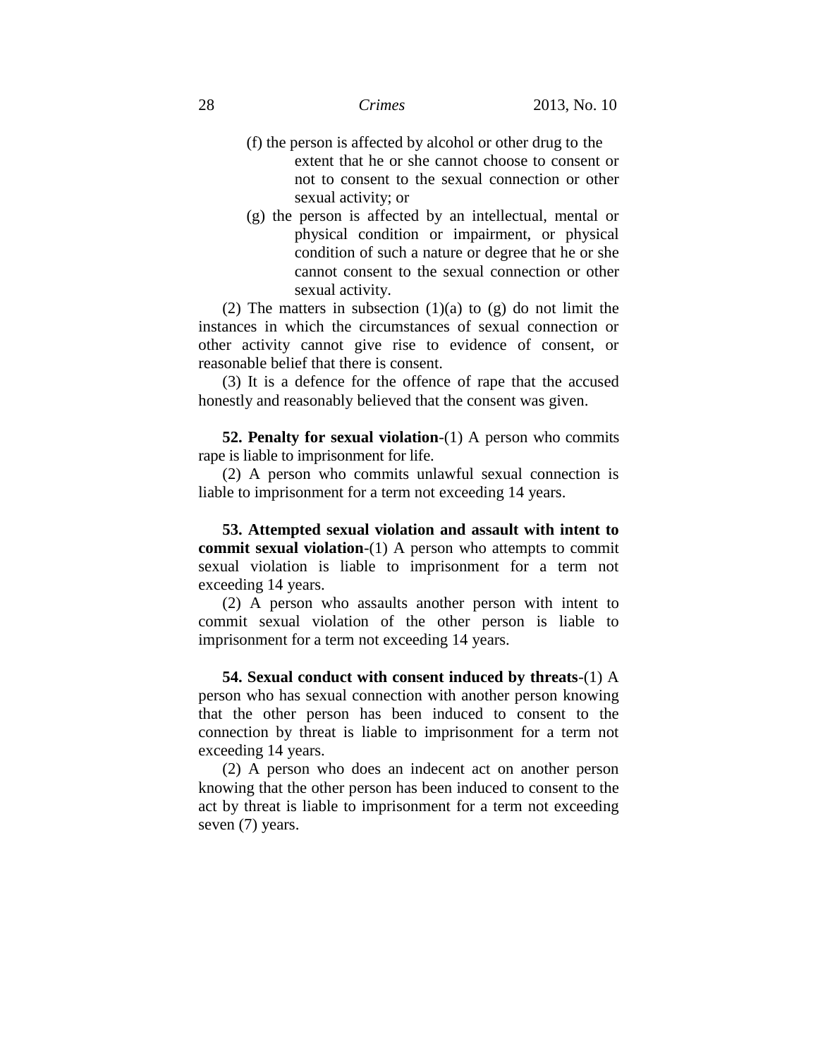- (f) the person is affected by alcohol or other drug to the extent that he or she cannot choose to consent or not to consent to the sexual connection or other sexual activity; or
- (g) the person is affected by an intellectual, mental or physical condition or impairment, or physical condition of such a nature or degree that he or she cannot consent to the sexual connection or other sexual activity.

(2) The matters in subsection  $(1)(a)$  to  $(g)$  do not limit the instances in which the circumstances of sexual connection or other activity cannot give rise to evidence of consent, or reasonable belief that there is consent.

(3) It is a defence for the offence of rape that the accused honestly and reasonably believed that the consent was given.

**52. Penalty for sexual violation**-(1) A person who commits rape is liable to imprisonment for life.

(2) A person who commits unlawful sexual connection is liable to imprisonment for a term not exceeding 14 years.

**53. Attempted sexual violation and assault with intent to commit sexual violation-(1)** A person who attempts to commit sexual violation is liable to imprisonment for a term not exceeding 14 years.

(2) A person who assaults another person with intent to commit sexual violation of the other person is liable to imprisonment for a term not exceeding 14 years.

**54. Sexual conduct with consent induced by threats**-(1) A person who has sexual connection with another person knowing that the other person has been induced to consent to the connection by threat is liable to imprisonment for a term not exceeding 14 years.

(2) A person who does an indecent act on another person knowing that the other person has been induced to consent to the act by threat is liable to imprisonment for a term not exceeding seven (7) years.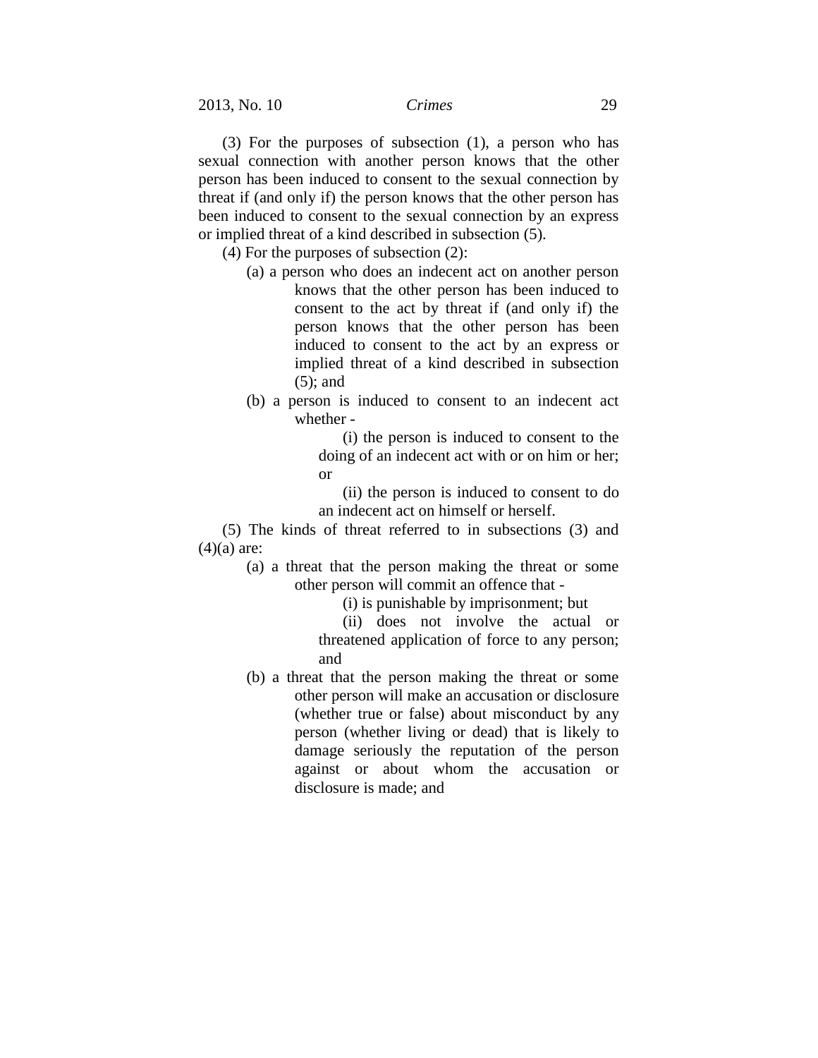(3) For the purposes of subsection (1), a person who has sexual connection with another person knows that the other person has been induced to consent to the sexual connection by threat if (and only if) the person knows that the other person has been induced to consent to the sexual connection by an express or implied threat of a kind described in subsection [\(5\).](http://www.brookersonline.co.nz/databases/modus/lawpart/statutes/link?id=ACT-NZL-PUB-Y.1961-43%7eBDY%7ePT.7%7eSG.!201%7eS.129A%7eSS.5&si=57359&sid=6c31dt3vuqhrb2gic0cs4gaqkeouo35o&hli=3&sp=statutes)

(4) For the purposes of subsection (2):

- (a) a person who does an indecent act on another person knows that the other person has been induced to consent to the act by threat if (and only if) the person knows that the other person has been induced to consent to the act by an express or implied threat of a kind described in subsection (5); and
- (b) a person is induced to consent to an indecent act whether -

(i) the person is induced to consent to the doing of an indecent act with or on him or her; or

(ii) the person is induced to consent to do an indecent act on himself or herself.

(5) The kinds of threat referred to in subsections (3) and  $(4)(a)$  are:

(a) a threat that the person making the threat or some other person will commit an offence that -

(i) is punishable by imprisonment; but

(ii) does not involve the actual or threatened application of force to any person; and

(b) a threat that the person making the threat or some other person will make an accusation or disclosure (whether true or false) about misconduct by any person (whether living or dead) that is likely to damage seriously the reputation of the person against or about whom the accusation or disclosure is made; and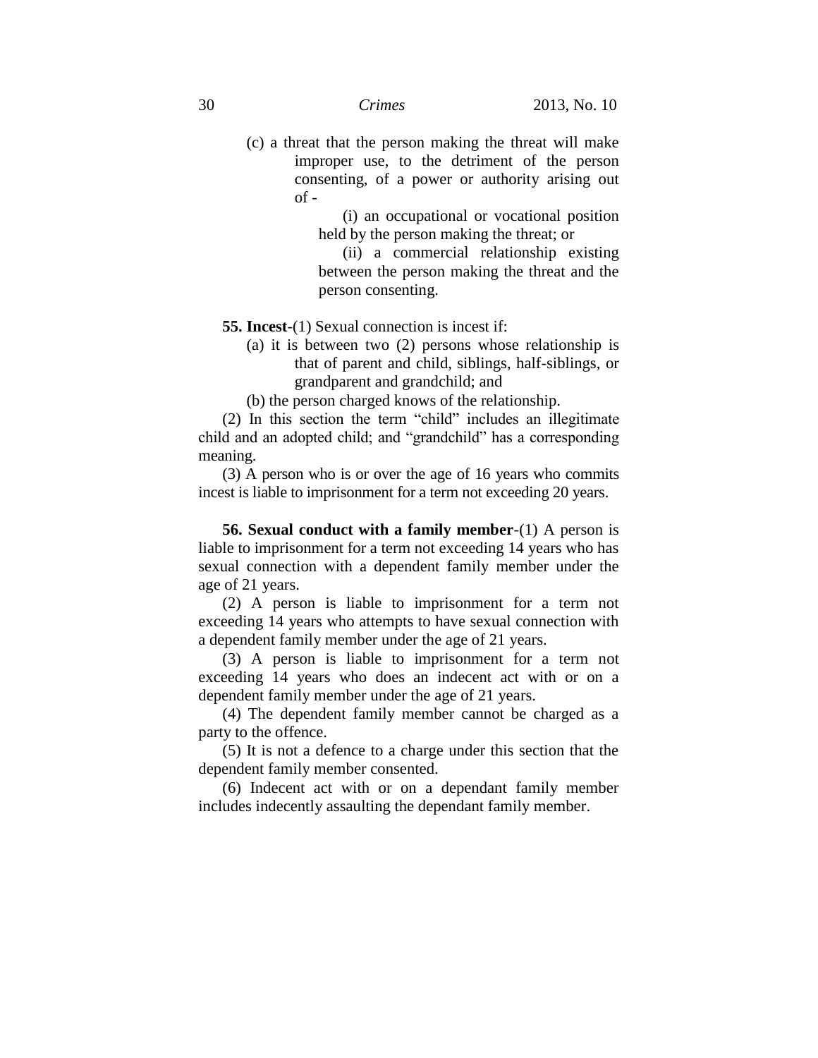(c) a threat that the person making the threat will make improper use, to the detriment of the person consenting, of a power or authority arising out  $of -$ 

> (i) an occupational or vocational position held by the person making the threat; or

> (ii) a commercial relationship existing between the person making the threat and the person consenting.

**55. Incest**-(1) Sexual connection is incest if:

- (a) it is between two (2) persons whose relationship is that of parent and child, siblings, half-siblings, or grandparent and grandchild; and
- (b) the person charged knows of the relationship.

(2) In this section the term "child" includes an illegitimate child and an adopted child; and "grandchild" has a corresponding meaning.

(3) A person who is or over the age of 16 years who commits incest is liable to imprisonment for a term not exceeding 20 years.

**56. Sexual conduct with a family member**-(1) A person is liable to imprisonment for a term not exceeding 14 years who has sexual connection with a dependent family member under the age of 21 years.

(2) A person is liable to imprisonment for a term not exceeding 14 years who attempts to have sexual connection with a dependent family member under the age of 21 years.

(3) A person is liable to imprisonment for a term not exceeding 14 years who does an indecent act with or on a dependent family member under the age of 21 years.

(4) The dependent family member cannot be charged as a party to the offence.

(5) It is not a defence to a charge under this section that the dependent family member consented.

(6) Indecent act with or on a dependant family member includes indecently assaulting the dependant family member.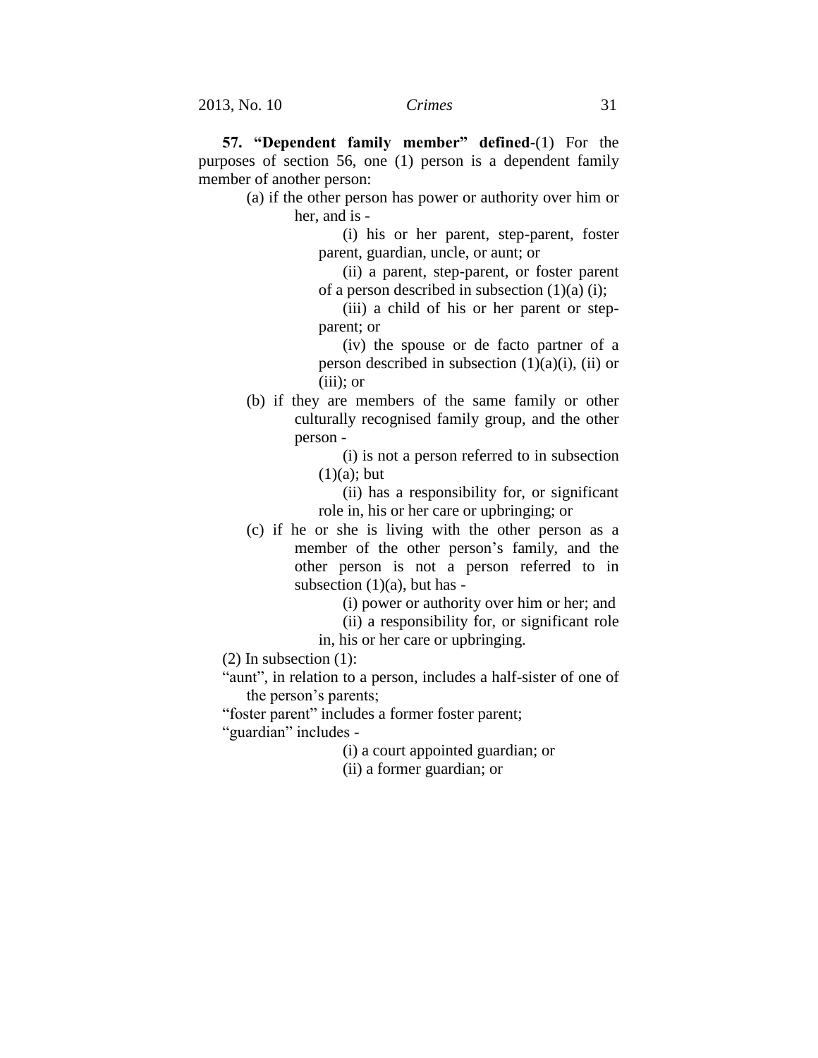**57. "Dependent family member" defined**-(1) For the purposes of section 56, one (1) person is a dependent family member of another person:

(a) if the other person has power or authority over him or her, and is -

> (i) his or her parent, step-parent, foster parent, guardian, uncle, or aunt; or

> (ii) a parent, step-parent, or foster parent of a person described in subsection  $(1)(a)$  (i);

> (iii) a child of his or her parent or stepparent; or

> (iv) the spouse or de facto partner of a person described in subsection  $(1)(a)(i)$ ,  $(ii)$  or (iii); or

- (b) if they are members of the same family or other culturally recognised family group, and the other person -
	- (i) is not a person referred to in subsection  $(1)(a)$ ; but
	- (ii) has a responsibility for, or significant role in, his or her care or upbringing; or
- (c) if he or she is living with the other person as a member of the other person's family, and the other person is not a person referred to in subsection  $(1)(a)$ , but has -

(i) power or authority over him or her; and

- (ii) a responsibility for, or significant role
- in, his or her care or upbringing.

(2) In subsection (1):

"aunt", in relation to a person, includes a half-sister of one of the person's parents;

"foster parent" includes a former foster parent;

"guardian" includes -

(i) a court appointed guardian; or

(ii) a former guardian; or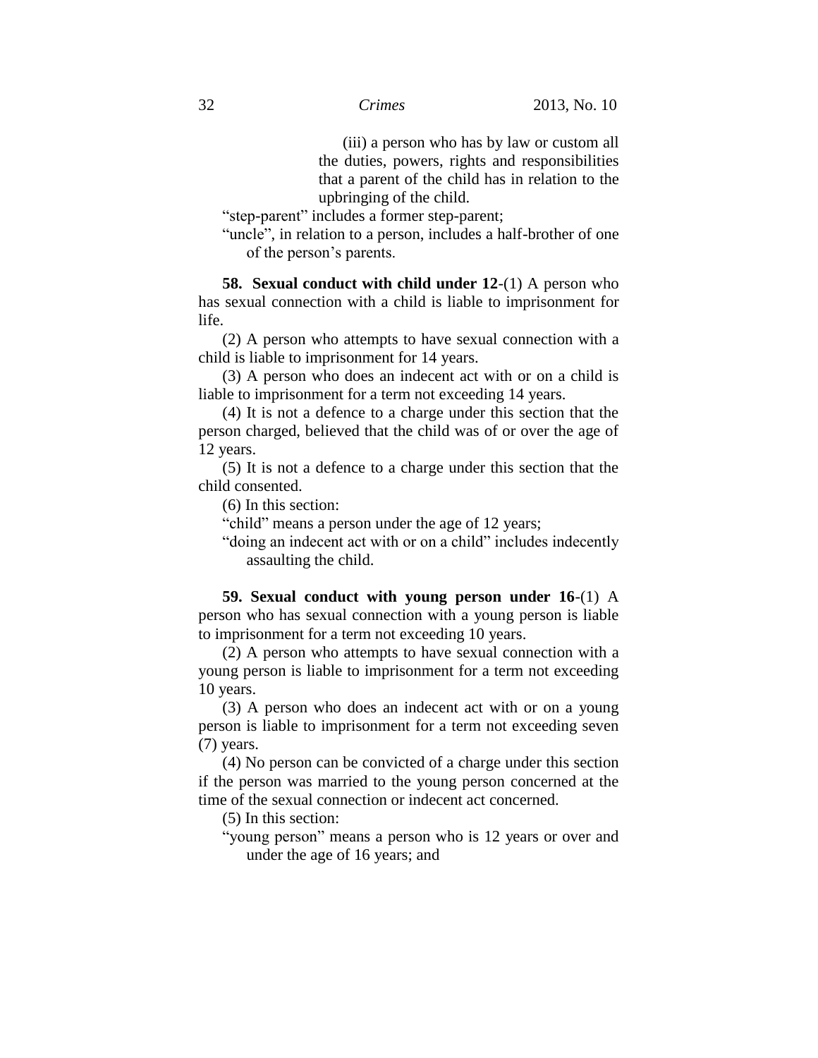(iii) a person who has by law or custom all the duties, powers, rights and responsibilities that a parent of the child has in relation to the upbringing of the child.

"step-parent" includes a former step-parent;

"uncle", in relation to a person, includes a half-brother of one of the person's parents.

**58. Sexual conduct with child under 12**-(1) A person who has sexual connection with a child is liable to imprisonment for life.

(2) A person who attempts to have sexual connection with a child is liable to imprisonment for 14 years.

(3) A person who does an indecent act with or on a child is liable to imprisonment for a term not exceeding 14 years.

(4) It is not a defence to a charge under this section that the person charged, believed that the child was of or over the age of 12 years.

(5) It is not a defence to a charge under this section that the child consented.

(6) In this section:

"child" means a person under the age of 12 years;

"doing an indecent act with or on a child" includes indecently assaulting the child.

**59. Sexual conduct with young person under 16**-(1) A person who has sexual connection with a young person is liable to imprisonment for a term not exceeding 10 years.

(2) A person who attempts to have sexual connection with a young person is liable to imprisonment for a term not exceeding 10 years.

(3) A person who does an indecent act with or on a young person is liable to imprisonment for a term not exceeding seven (7) years.

(4) No person can be convicted of a charge under this section if the person was married to the young person concerned at the time of the sexual connection or indecent act concerned.

(5) In this section:

"young person" means a person who is 12 years or over and under the age of 16 years; and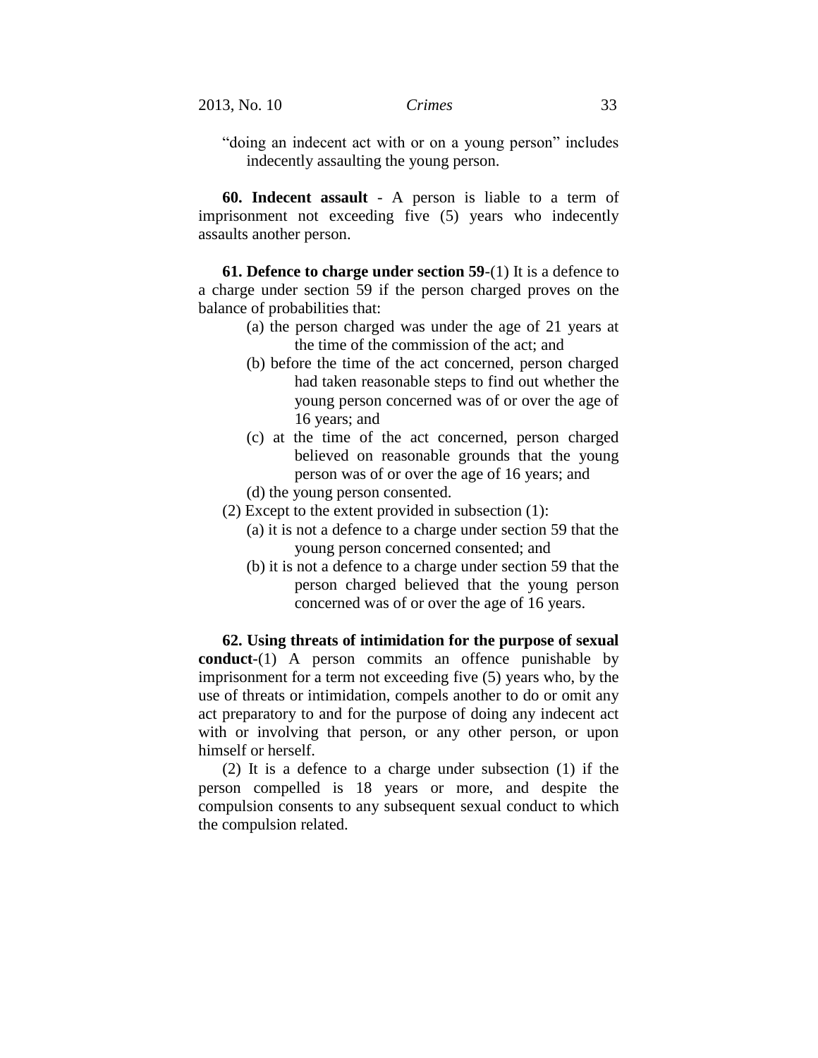"doing an indecent act with or on a young person" includes indecently assaulting the young person.

**60. Indecent assault** - A person is liable to a term of imprisonment not exceeding five (5) years who indecently assaults another person.

**61. Defence to charge under section 59**-(1) It is a defence to a charge under section 59 if the person charged proves on the balance of probabilities that:

- (a) the person charged was under the age of 21 years at the time of the commission of the act; and
- (b) before the time of the act concerned, person charged had taken reasonable steps to find out whether the young person concerned was of or over the age of 16 years; and
- (c) at the time of the act concerned, person charged believed on reasonable grounds that the young person was of or over the age of 16 years; and
- (d) the young person consented.
- (2) Except to the extent provided in subsection (1):
	- (a) it is not a defence to a charge under section 59 that the young person concerned consented; and
	- (b) it is not a defence to a charge under section 59 that the person charged believed that the young person concerned was of or over the age of 16 years.

**62. Using threats of intimidation for the purpose of sexual conduct**-(1) A person commits an offence punishable by imprisonment for a term not exceeding five (5) years who, by the use of threats or intimidation, compels another to do or omit any act preparatory to and for the purpose of doing any indecent act with or involving that person, or any other person, or upon himself or herself.

(2) It is a defence to a charge under subsection (1) if the person compelled is 18 years or more, and despite the compulsion consents to any subsequent sexual conduct to which the compulsion related.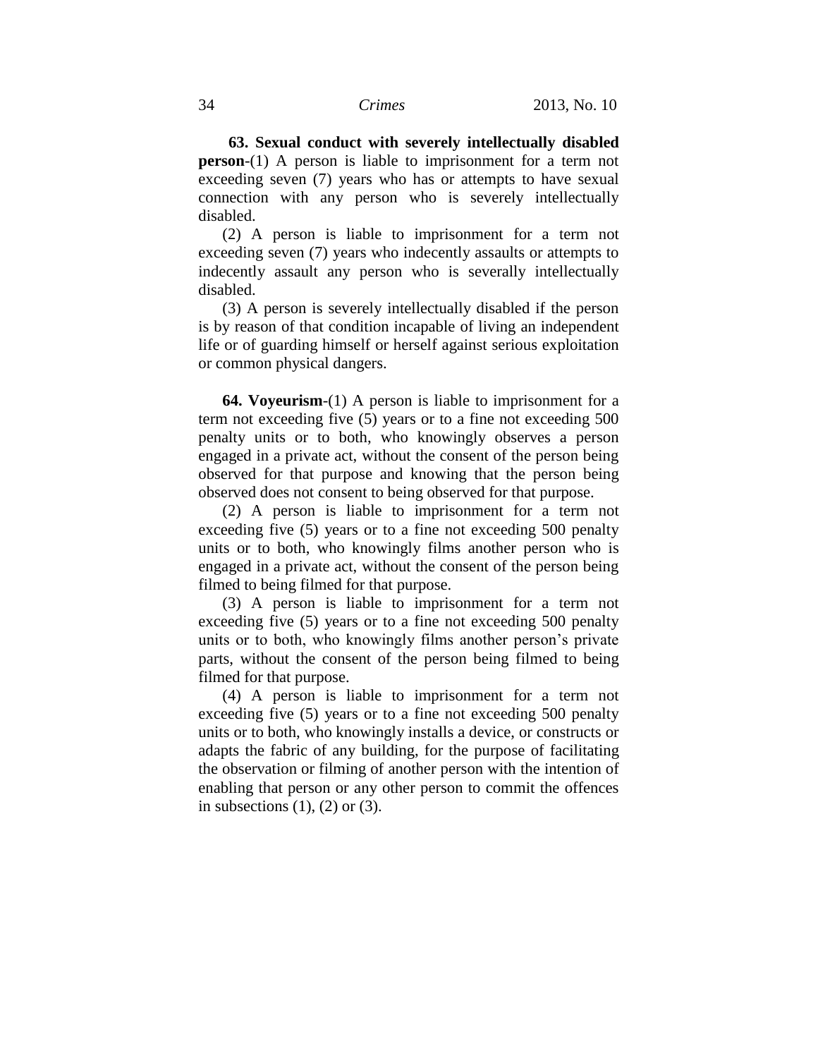**63. Sexual conduct with severely intellectually disabled person**-(1) A person is liable to imprisonment for a term not exceeding seven (7) years who has or attempts to have sexual connection with any person who is severely intellectually disabled.

(2) A person is liable to imprisonment for a term not exceeding seven (7) years who indecently assaults or attempts to indecently assault any person who is severally intellectually disabled.

(3) A person is severely intellectually disabled if the person is by reason of that condition incapable of living an independent life or of guarding himself or herself against serious exploitation or common physical dangers.

**64. Voyeurism**-(1) A person is liable to imprisonment for a term not exceeding five (5) years or to a fine not exceeding 500 penalty units or to both, who knowingly observes a person engaged in a private act, without the consent of the person being observed for that purpose and knowing that the person being observed does not consent to being observed for that purpose.

(2) A person is liable to imprisonment for a term not exceeding five (5) years or to a fine not exceeding 500 penalty units or to both, who knowingly films another person who is engaged in a private act, without the consent of the person being filmed to being filmed for that purpose.

(3) A person is liable to imprisonment for a term not exceeding five (5) years or to a fine not exceeding 500 penalty units or to both, who knowingly films another person's private parts, without the consent of the person being filmed to being filmed for that purpose.

(4) A person is liable to imprisonment for a term not exceeding five (5) years or to a fine not exceeding 500 penalty units or to both, who knowingly installs a device, or constructs or adapts the fabric of any building, for the purpose of facilitating the observation or filming of another person with the intention of enabling that person or any other person to commit the offences in subsections  $(1)$ ,  $(2)$  or  $(3)$ .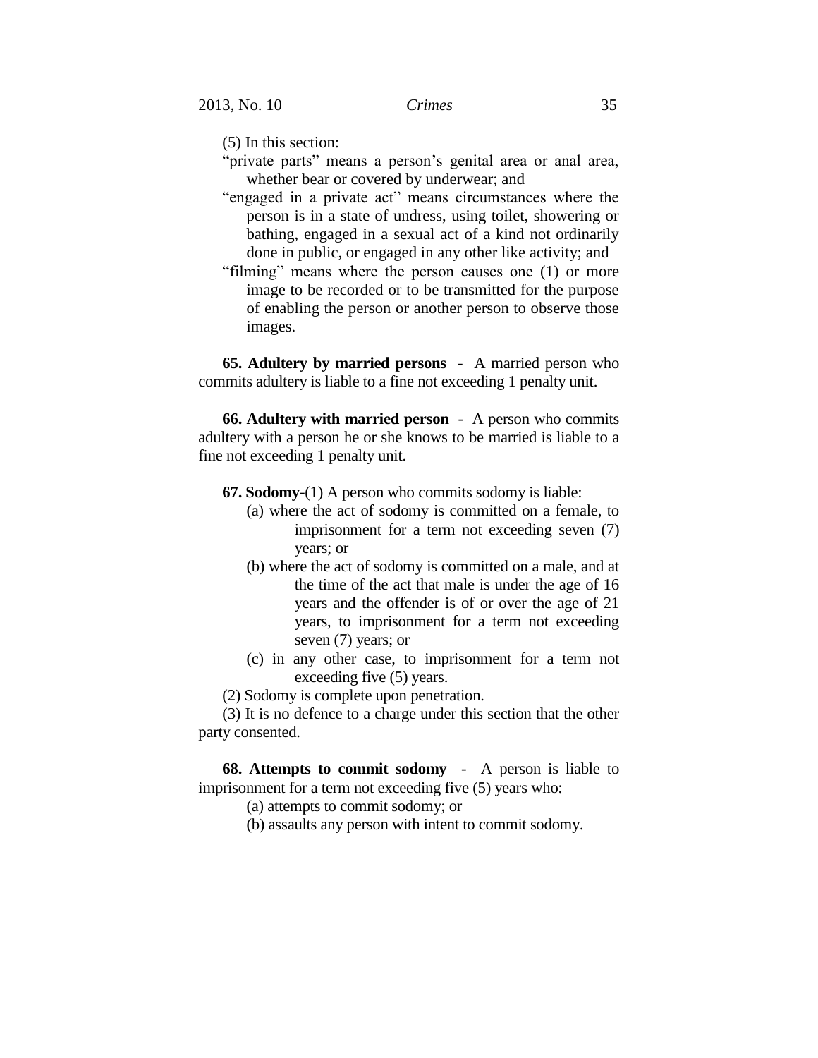(5) In this section:

- "private parts" means a person's genital area or anal area, whether bear or covered by underwear; and
- "engaged in a private act" means circumstances where the person is in a state of undress, using toilet, showering or bathing, engaged in a sexual act of a kind not ordinarily done in public, or engaged in any other like activity; and
- "filming" means where the person causes one (1) or more image to be recorded or to be transmitted for the purpose of enabling the person or another person to observe those images.

**65. Adultery by married persons** - A married person who commits adultery is liable to a fine not exceeding 1 penalty unit.

**66. Adultery with married person** - A person who commits adultery with a person he or she knows to be married is liable to a fine not exceeding 1 penalty unit.

- **67. Sodomy-**(1) A person who commits sodomy is liable:
	- (a) where the act of sodomy is committed on a female, to imprisonment for a term not exceeding seven (7) years; or
	- (b) where the act of sodomy is committed on a male, and at the time of the act that male is under the age of 16 years and the offender is of or over the age of 21 years, to imprisonment for a term not exceeding seven (7) years; or
	- (c) in any other case, to imprisonment for a term not exceeding five (5) years.
- (2) Sodomy is complete upon penetration.

(3) It is no defence to a charge under this section that the other party consented.

**68. Attempts to commit sodomy** - A person is liable to imprisonment for a term not exceeding five (5) years who:

(a) attempts to commit sodomy; or

(b) assaults any person with intent to commit sodomy.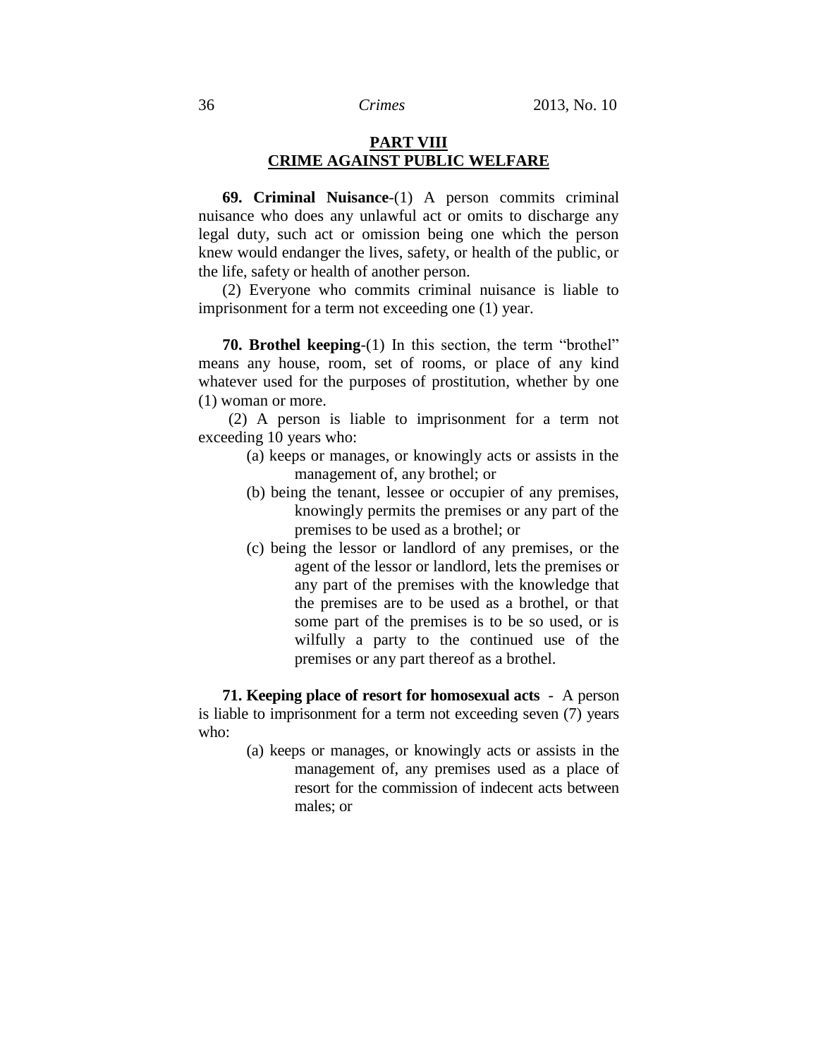# **PART VIII CRIME AGAINST PUBLIC WELFARE**

**69. Criminal Nuisance**-(1) A person commits criminal nuisance who does any unlawful act or omits to discharge any legal duty, such act or omission being one which the person knew would endanger the lives, safety, or health of the public, or the life, safety or health of another person.

(2) Everyone who commits criminal nuisance is liable to imprisonment for a term not exceeding one (1) year.

**70. Brothel keeping**-(1) In this section, the term "brothel" means any house, room, set of rooms, or place of any kind whatever used for the purposes of prostitution, whether by one (1) woman or more.

(2) A person is liable to imprisonment for a term not exceeding 10 years who:

- (a) keeps or manages, or knowingly acts or assists in the management of, any brothel; or
- (b) being the tenant, lessee or occupier of any premises, knowingly permits the premises or any part of the premises to be used as a brothel; or
- (c) being the lessor or landlord of any premises, or the agent of the lessor or landlord, lets the premises or any part of the premises with the knowledge that the premises are to be used as a brothel, or that some part of the premises is to be so used, or is wilfully a party to the continued use of the premises or any part thereof as a brothel.

**71. Keeping place of resort for homosexual acts** - A person is liable to imprisonment for a term not exceeding seven (7) years who:

> (a) keeps or manages, or knowingly acts or assists in the management of, any premises used as a place of resort for the commission of indecent acts between males; or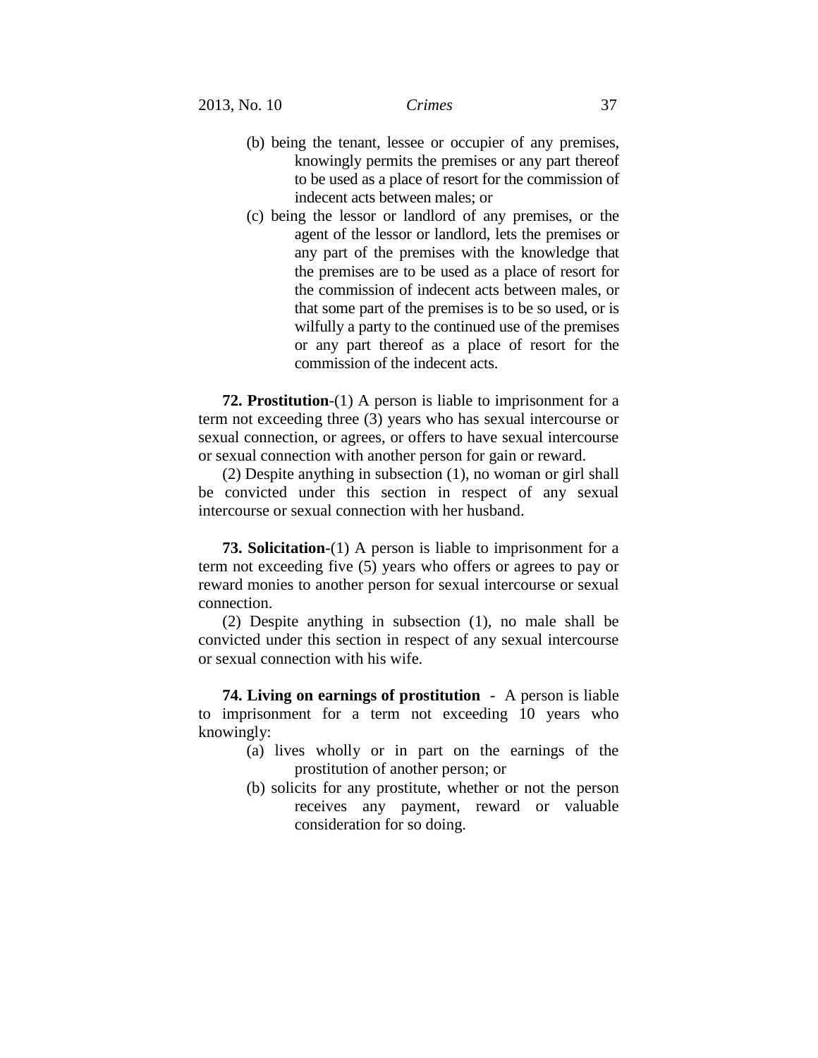- (b) being the tenant, lessee or occupier of any premises, knowingly permits the premises or any part thereof to be used as a place of resort for the commission of indecent acts between males; or
- (c) being the lessor or landlord of any premises, or the agent of the lessor or landlord, lets the premises or any part of the premises with the knowledge that the premises are to be used as a place of resort for the commission of indecent acts between males, or that some part of the premises is to be so used, or is wilfully a party to the continued use of the premises or any part thereof as a place of resort for the commission of the indecent acts.

**72. Prostitution**-(1) A person is liable to imprisonment for a term not exceeding three (3) years who has sexual intercourse or sexual connection, or agrees, or offers to have sexual intercourse or sexual connection with another person for gain or reward.

(2) Despite anything in subsection (1), no woman or girl shall be convicted under this section in respect of any sexual intercourse or sexual connection with her husband.

**73. Solicitation**-(1) A person is liable to imprisonment for a term not exceeding five (5) years who offers or agrees to pay or reward monies to another person for sexual intercourse or sexual connection.

(2) Despite anything in subsection (1), no male shall be convicted under this section in respect of any sexual intercourse or sexual connection with his wife.

**74. Living on earnings of prostitution** - A person is liable to imprisonment for a term not exceeding 10 years who knowingly:

- (a) lives wholly or in part on the earnings of the prostitution of another person; or
- (b) solicits for any prostitute, whether or not the person receives any payment, reward or valuable consideration for so doing.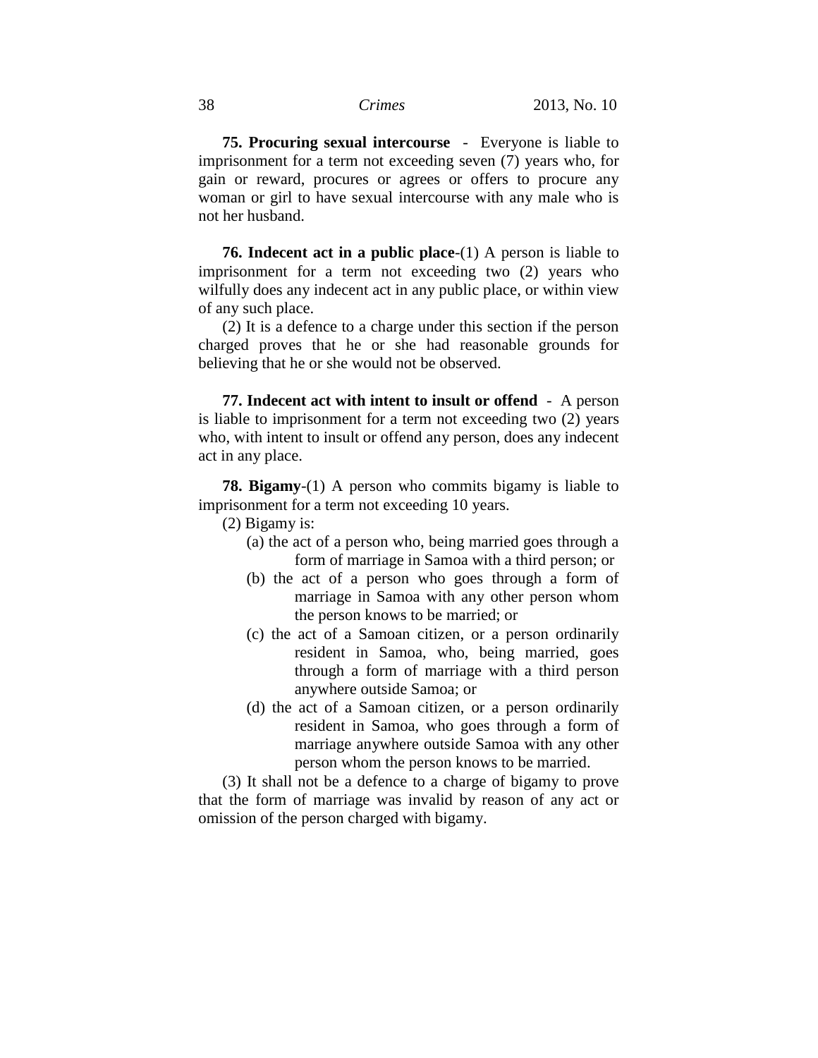**75. Procuring sexual intercourse** - Everyone is liable to imprisonment for a term not exceeding seven (7) years who, for gain or reward, procures or agrees or offers to procure any woman or girl to have sexual intercourse with any male who is not her husband.

**76. Indecent act in a public place**-(1) A person is liable to imprisonment for a term not exceeding two (2) years who wilfully does any indecent act in any public place, or within view of any such place.

(2) It is a defence to a charge under this section if the person charged proves that he or she had reasonable grounds for believing that he or she would not be observed.

**77. Indecent act with intent to insult or offend** - A person is liable to imprisonment for a term not exceeding two (2) years who, with intent to insult or offend any person, does any indecent act in any place.

**78. Bigamy**-(1) A person who commits bigamy is liable to imprisonment for a term not exceeding 10 years.

(2) Bigamy is:

- (a) the act of a person who, being married goes through a form of marriage in Samoa with a third person; or
- (b) the act of a person who goes through a form of marriage in Samoa with any other person whom the person knows to be married; or
- (c) the act of a Samoan citizen, or a person ordinarily resident in Samoa, who, being married, goes through a form of marriage with a third person anywhere outside Samoa; or
- (d) the act of a Samoan citizen, or a person ordinarily resident in Samoa, who goes through a form of marriage anywhere outside Samoa with any other person whom the person knows to be married.

(3) It shall not be a defence to a charge of bigamy to prove that the form of marriage was invalid by reason of any act or omission of the person charged with bigamy.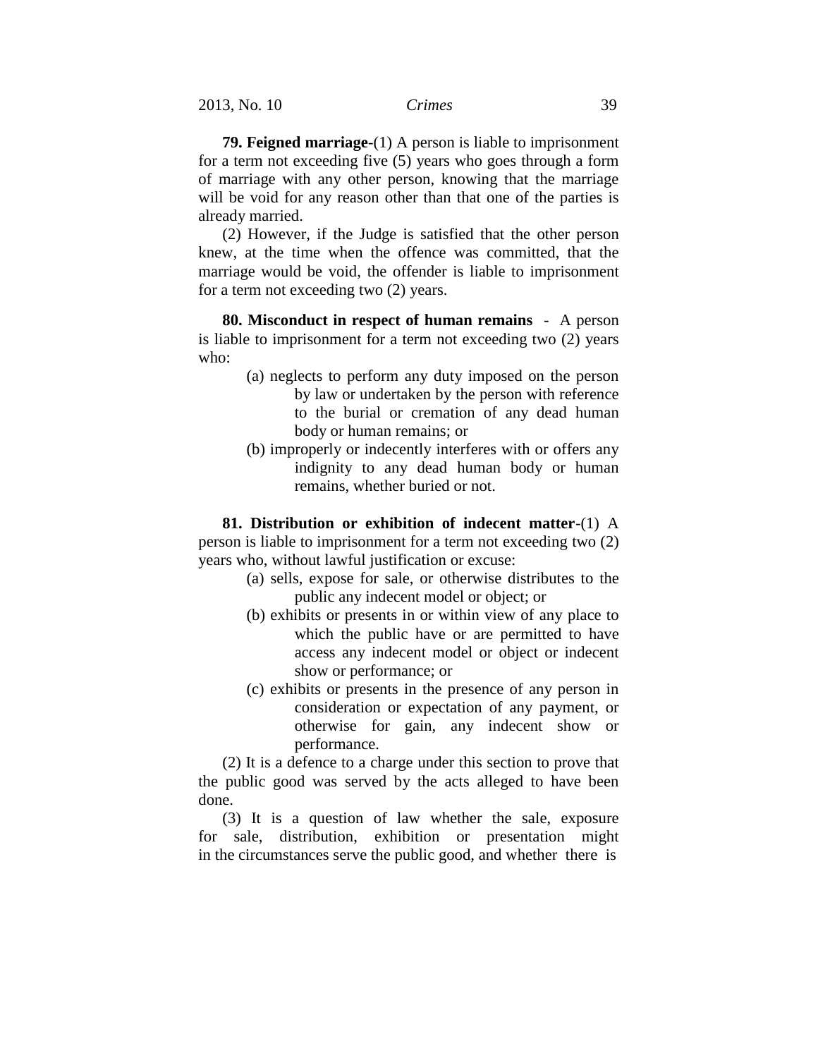**79. Feigned marriage**-(1) A person is liable to imprisonment for a term not exceeding five (5) years who goes through a form of marriage with any other person, knowing that the marriage will be void for any reason other than that one of the parties is already married.

(2) However, if the Judge is satisfied that the other person knew, at the time when the offence was committed, that the marriage would be void, the offender is liable to imprisonment for a term not exceeding two (2) years.

**80. Misconduct in respect of human remains** -A person is liable to imprisonment for a term not exceeding two (2) years who:

- (a) neglects to perform any duty imposed on the person by law or undertaken by the person with reference to the burial or cremation of any dead human body or human remains; or
- (b) improperly or indecently interferes with or offers any indignity to any dead human body or human remains, whether buried or not.

**81. Distribution or exhibition of indecent matter**-(1) A person is liable to imprisonment for a term not exceeding two (2) years who, without lawful justification or excuse:

- (a) sells, expose for sale, or otherwise distributes to the public any indecent model or object; or
- (b) exhibits or presents in or within view of any place to which the public have or are permitted to have access any indecent model or object or indecent show or performance; or
- (c) exhibits or presents in the presence of any person in consideration or expectation of any payment, or otherwise for gain, any indecent show or performance.

(2) It is a defence to a charge under this section to prove that the public good was served by the acts alleged to have been done.

(3) It is a question of law whether the sale, exposure for sale, distribution, exhibition or presentation might in the circumstances serve the public good, and whether there is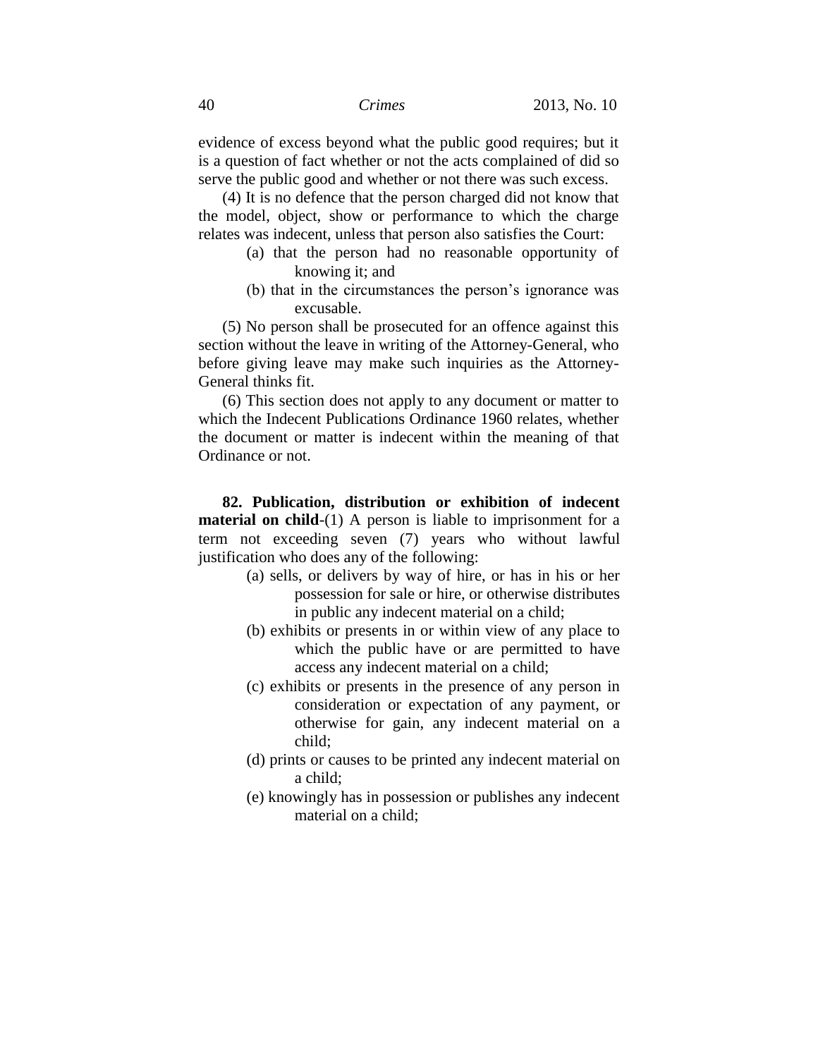evidence of excess beyond what the public good requires; but it is a question of fact whether or not the acts complained of did so serve the public good and whether or not there was such excess.

(4) It is no defence that the person charged did not know that the model, object, show or performance to which the charge relates was indecent, unless that person also satisfies the Court:

- (a) that the person had no reasonable opportunity of knowing it; and
- (b) that in the circumstances the person's ignorance was excusable.

(5) No person shall be prosecuted for an offence against this section without the leave in writing of the Attorney-General, who before giving leave may make such inquiries as the Attorney-General thinks fit.

(6) This section does not apply to any document or matter to which the Indecent Publications Ordinance 1960 relates, whether the document or matter is indecent within the meaning of that Ordinance or not.

**82. Publication, distribution or exhibition of indecent material on child**-(1) A person is liable to imprisonment for a term not exceeding seven (7) years who without lawful justification who does any of the following:

- (a) sells, or delivers by way of hire, or has in his or her possession for sale or hire, or otherwise distributes in public any indecent material on a child;
- (b) exhibits or presents in or within view of any place to which the public have or are permitted to have access any indecent material on a child;
- (c) exhibits or presents in the presence of any person in consideration or expectation of any payment, or otherwise for gain, any indecent material on a child;
- (d) prints or causes to be printed any indecent material on a child;
- (e) knowingly has in possession or publishes any indecent material on a child;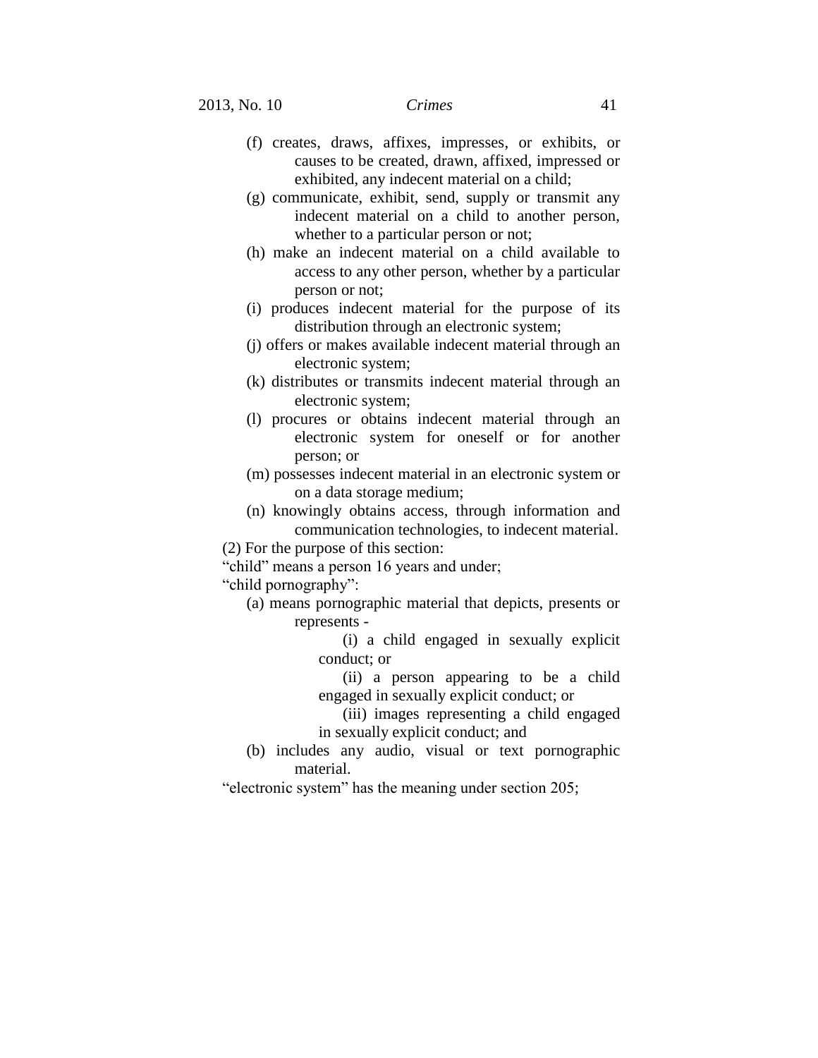- (f) creates, draws, affixes, impresses, or exhibits, or causes to be created, drawn, affixed, impressed or exhibited, any indecent material on a child;
- (g) communicate, exhibit, send, supply or transmit any indecent material on a child to another person, whether to a particular person or not;
- (h) make an indecent material on a child available to access to any other person, whether by a particular person or not;
- (i) produces indecent material for the purpose of its distribution through an electronic system;
- (j) offers or makes available indecent material through an electronic system;
- (k) distributes or transmits indecent material through an electronic system;
- (l) procures or obtains indecent material through an electronic system for oneself or for another person; or
- (m) possesses indecent material in an electronic system or on a data storage medium;
- (n) knowingly obtains access, through information and communication technologies, to indecent material.

(2) For the purpose of this section:

"child" means a person 16 years and under;

"child pornography":

(a) means pornographic material that depicts, presents or represents -

> (i) a child engaged in sexually explicit conduct; or

- (ii) a person appearing to be a child engaged in sexually explicit conduct; or
- (iii) images representing a child engaged in sexually explicit conduct; and
- (b) includes any audio, visual or text pornographic material.

"electronic system" has the meaning under section 205;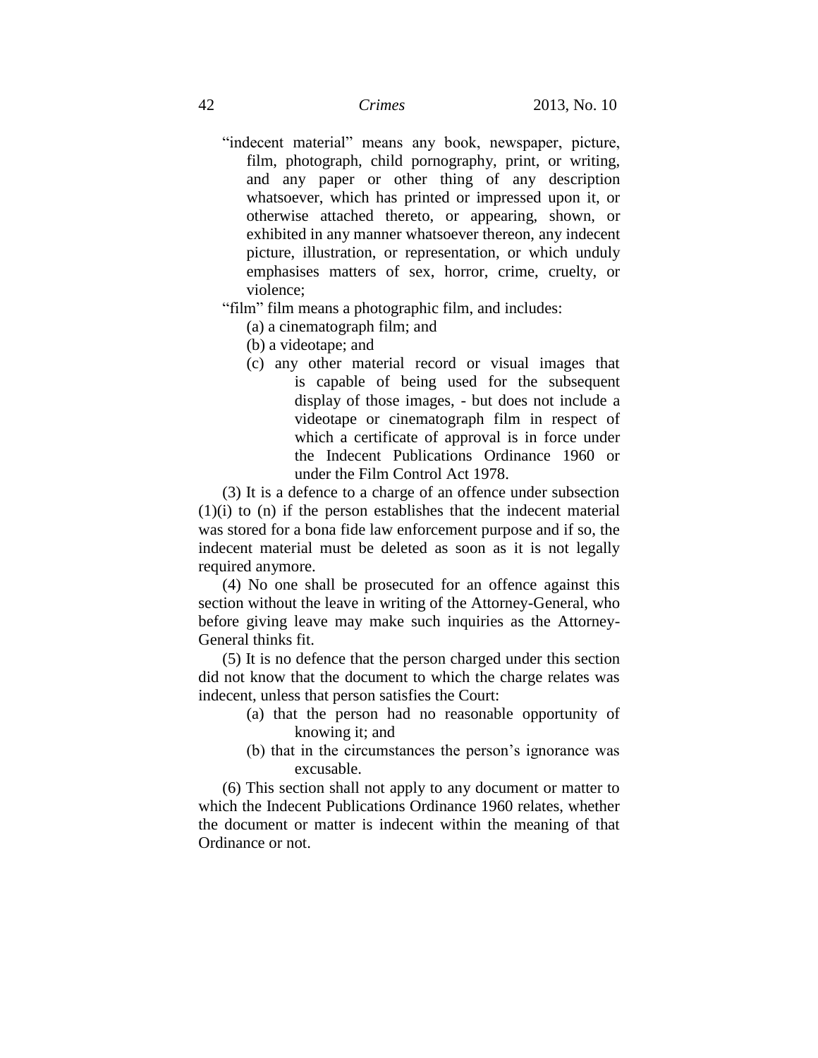"indecent material" means any book, newspaper, picture, film, photograph, child pornography, print, or writing, and any paper or other thing of any description whatsoever, which has printed or impressed upon it, or otherwise attached thereto, or appearing, shown, or exhibited in any manner whatsoever thereon, any indecent picture, illustration, or representation, or which unduly emphasises matters of sex, horror, crime, cruelty, or violence;

"film" film means a photographic film, and includes:

- (a) a cinematograph film; and
- (b) a videotape; and
- (c) any other material record or visual images that is capable of being used for the subsequent display of those images, - but does not include a videotape or cinematograph film in respect of which a certificate of approval is in force under the Indecent Publications Ordinance 1960 or under the Film Control Act 1978.

(3) It is a defence to a charge of an offence under subsection (1)(i) to (n) if the person establishes that the indecent material was stored for a bona fide law enforcement purpose and if so, the indecent material must be deleted as soon as it is not legally required anymore.

(4) No one shall be prosecuted for an offence against this section without the leave in writing of the Attorney-General, who before giving leave may make such inquiries as the Attorney-General thinks fit.

(5) It is no defence that the person charged under this section did not know that the document to which the charge relates was indecent, unless that person satisfies the Court:

- (a) that the person had no reasonable opportunity of knowing it; and
- (b) that in the circumstances the person's ignorance was excusable.

(6) This section shall not apply to any document or matter to which the Indecent Publications Ordinance 1960 relates, whether the document or matter is indecent within the meaning of that Ordinance or not.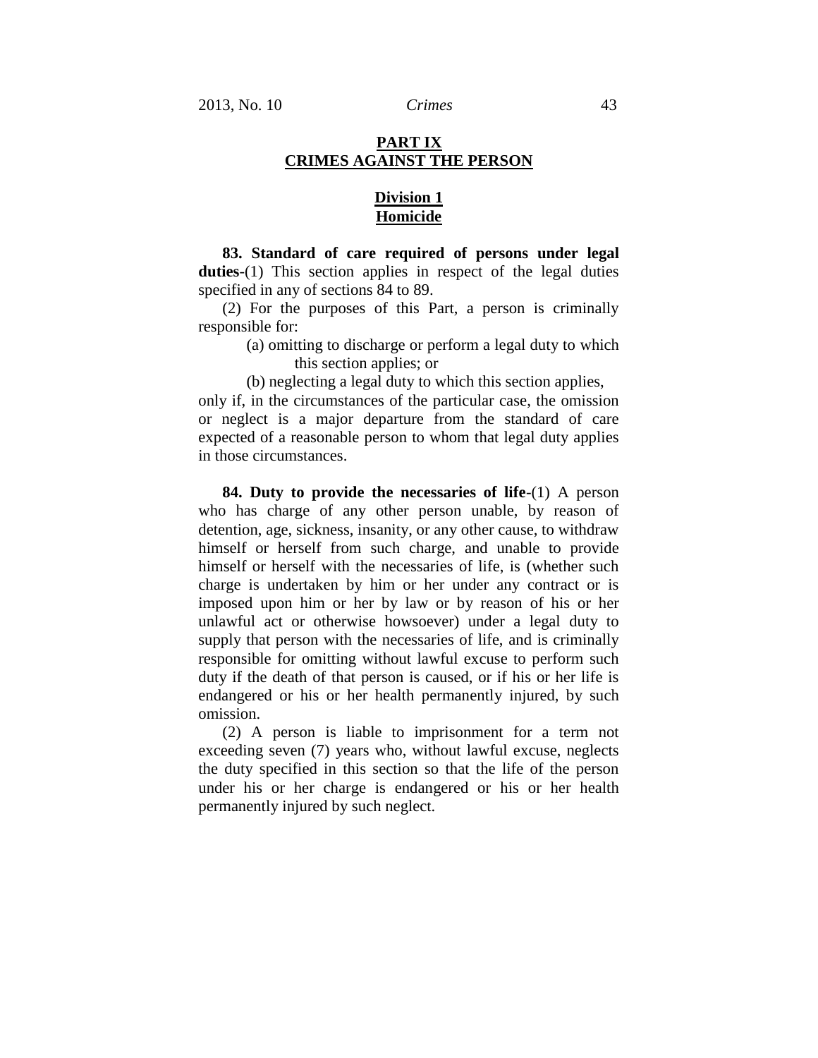## **PART IX CRIMES AGAINST THE PERSON**

## **Division 1 Homicide**

**83. Standard of care required of persons under legal duties**-(1) This section applies in respect of the legal duties specified in any of sections 84 to 89.

(2) For the purposes of this Part, a person is criminally responsible for:

> (a) omitting to discharge or perform a legal duty to which this section applies; or

(b) neglecting a legal duty to which this section applies,

only if, in the circumstances of the particular case, the omission or neglect is a major departure from the standard of care expected of a reasonable person to whom that legal duty applies in those circumstances.

**84. Duty to provide the necessaries of life**-(1) A person who has charge of any other person unable, by reason of detention, age, sickness, insanity, or any other cause, to withdraw himself or herself from such charge, and unable to provide himself or herself with the necessaries of life, is (whether such charge is undertaken by him or her under any contract or is imposed upon him or her by law or by reason of his or her unlawful act or otherwise howsoever) under a legal duty to supply that person with the necessaries of life, and is criminally responsible for omitting without lawful excuse to perform such duty if the death of that person is caused, or if his or her life is endangered or his or her health permanently injured, by such omission.

(2) A person is liable to imprisonment for a term not exceeding seven (7) years who, without lawful excuse, neglects the duty specified in this section so that the life of the person under his or her charge is endangered or his or her health permanently injured by such neglect.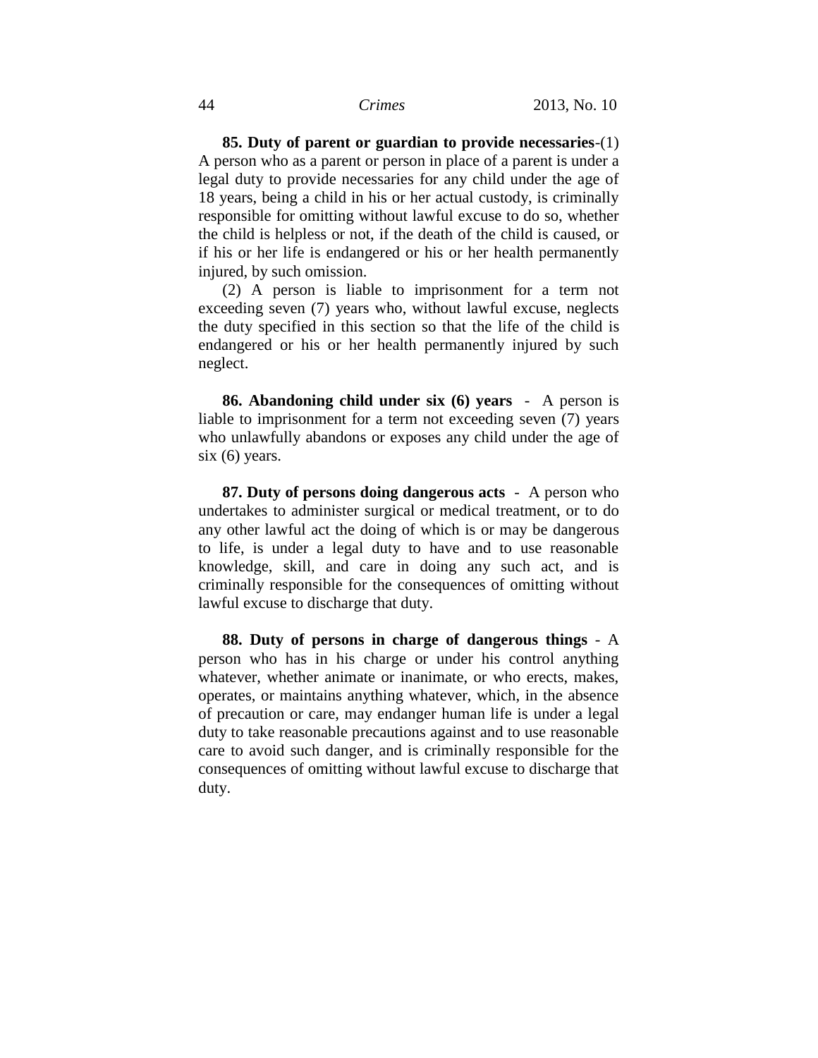**85. Duty of parent or guardian to provide necessaries**-(1) A person who as a parent or person in place of a parent is under a legal duty to provide necessaries for any child under the age of 18 years, being a child in his or her actual custody, is criminally responsible for omitting without lawful excuse to do so, whether the child is helpless or not, if the death of the child is caused, or if his or her life is endangered or his or her health permanently injured, by such omission.

(2) A person is liable to imprisonment for a term not exceeding seven (7) years who, without lawful excuse, neglects the duty specified in this section so that the life of the child is endangered or his or her health permanently injured by such neglect.

**86. Abandoning child under six (6) years** - A person is liable to imprisonment for a term not exceeding seven (7) years who unlawfully abandons or exposes any child under the age of six (6) years.

**87. Duty of persons doing dangerous acts** - A person who undertakes to administer surgical or medical treatment, or to do any other lawful act the doing of which is or may be dangerous to life, is under a legal duty to have and to use reasonable knowledge, skill, and care in doing any such act, and is criminally responsible for the consequences of omitting without lawful excuse to discharge that duty.

**88. Duty of persons in charge of dangerous things** - A person who has in his charge or under his control anything whatever, whether animate or inanimate, or who erects, makes, operates, or maintains anything whatever, which, in the absence of precaution or care, may endanger human life is under a legal duty to take reasonable precautions against and to use reasonable care to avoid such danger, and is criminally responsible for the consequences of omitting without lawful excuse to discharge that duty.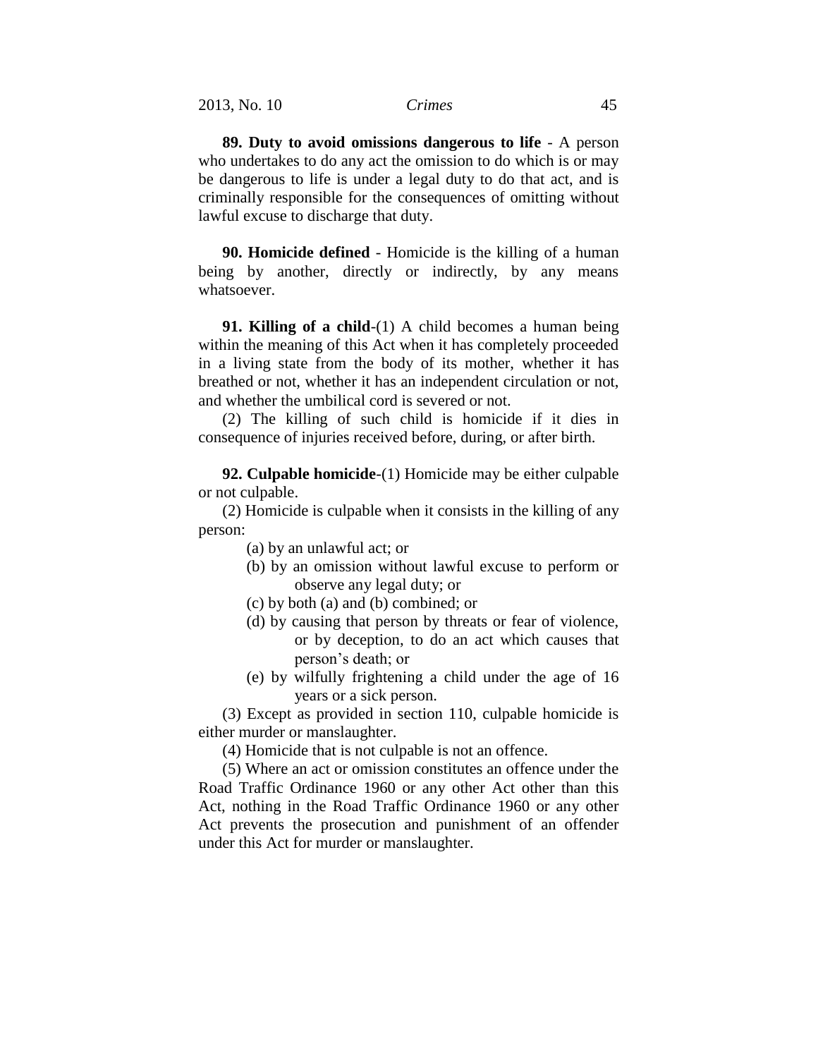**89. Duty to avoid omissions dangerous to life** - A person who undertakes to do any act the omission to do which is or may be dangerous to life is under a legal duty to do that act, and is criminally responsible for the consequences of omitting without lawful excuse to discharge that duty.

**90. Homicide defined** - Homicide is the killing of a human being by another, directly or indirectly, by any means whatsoever.

**91. Killing of a child**-(1) A child becomes a human being within the meaning of this Act when it has completely proceeded in a living state from the body of its mother, whether it has breathed or not, whether it has an independent circulation or not, and whether the umbilical cord is severed or not.

(2) The killing of such child is homicide if it dies in consequence of injuries received before, during, or after birth.

**92. Culpable homicide**-(1) Homicide may be either culpable or not culpable.

(2) Homicide is culpable when it consists in the killing of any person:

(a) by an unlawful act; or

- (b) by an omission without lawful excuse to perform or observe any legal duty; or
- (c) by both (a) and (b) combined; or
- (d) by causing that person by threats or fear of violence, or by deception, to do an act which causes that person's death; or
- (e) by wilfully frightening a child under the age of 16 years or a sick person.

(3) Except as provided in section 110, culpable homicide is either murder or manslaughter.

(4) Homicide that is not culpable is not an offence.

(5) Where an act or omission constitutes an offence under the Road Traffic Ordinance 1960 or any other Act other than this Act, nothing in the Road Traffic Ordinance 1960 or any other Act prevents the prosecution and punishment of an offender under this Act for murder or manslaughter.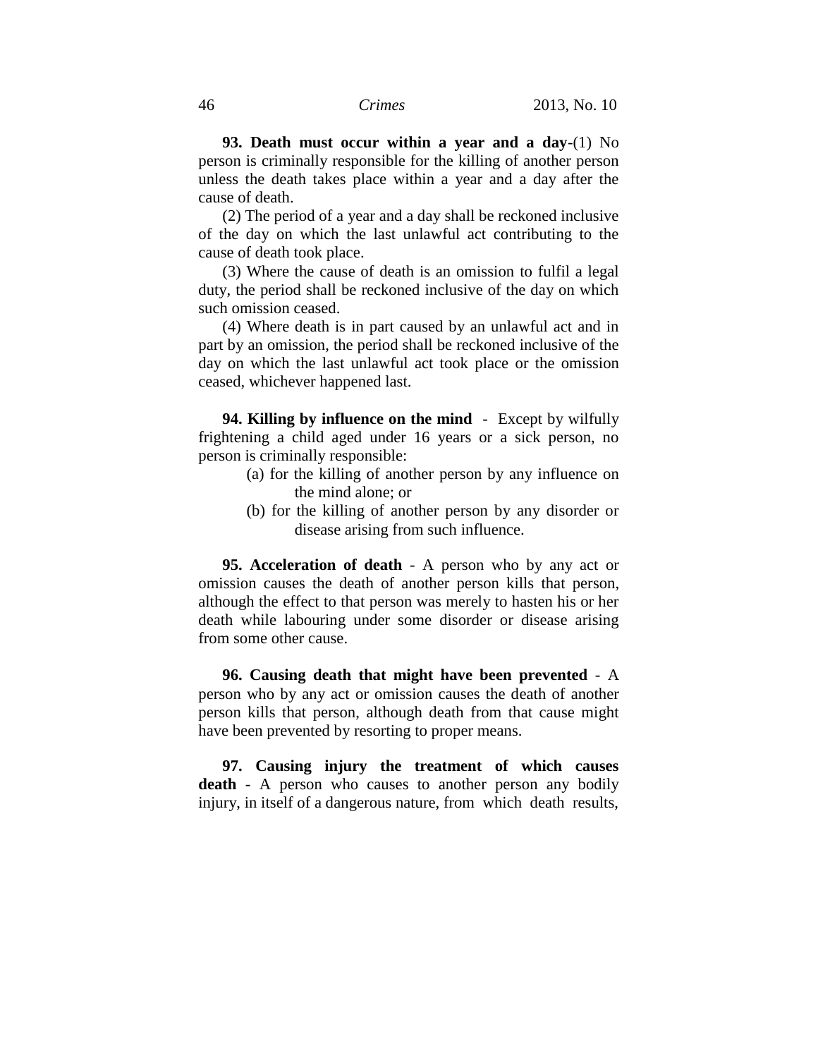**93. Death must occur within a year and a day**-(1) No person is criminally responsible for the killing of another person unless the death takes place within a year and a day after the cause of death.

(2) The period of a year and a day shall be reckoned inclusive of the day on which the last unlawful act contributing to the cause of death took place.

(3) Where the cause of death is an omission to fulfil a legal duty, the period shall be reckoned inclusive of the day on which such omission ceased.

(4) Where death is in part caused by an unlawful act and in part by an omission, the period shall be reckoned inclusive of the day on which the last unlawful act took place or the omission ceased, whichever happened last.

**94. Killing by influence on the mind** - Except by wilfully frightening a child aged under 16 years or a sick person, no person is criminally responsible:

- (a) for the killing of another person by any influence on the mind alone; or
- (b) for the killing of another person by any disorder or disease arising from such influence.

**95. Acceleration of death** - A person who by any act or omission causes the death of another person kills that person, although the effect to that person was merely to hasten his or her death while labouring under some disorder or disease arising from some other cause.

**96. Causing death that might have been prevented** - A person who by any act or omission causes the death of another person kills that person, although death from that cause might have been prevented by resorting to proper means.

**97. Causing injury the treatment of which causes death** - A person who causes to another person any bodily injury, in itself of a dangerous nature, from which death results,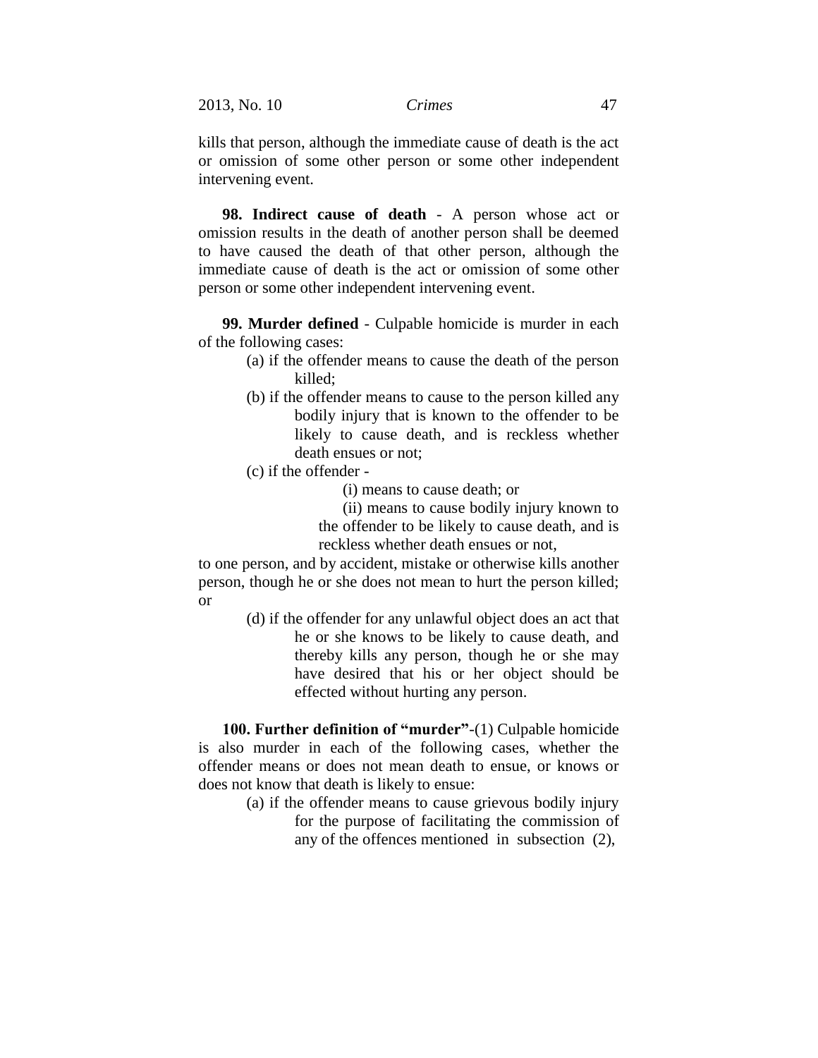2013, No. 10 *Crimes* 47

kills that person, although the immediate cause of death is the act or omission of some other person or some other independent intervening event.

**98. Indirect cause of death** - A person whose act or omission results in the death of another person shall be deemed to have caused the death of that other person, although the immediate cause of death is the act or omission of some other person or some other independent intervening event.

**99. Murder defined** - Culpable homicide is murder in each of the following cases:

- (a) if the offender means to cause the death of the person killed;
- (b) if the offender means to cause to the person killed any bodily injury that is known to the offender to be likely to cause death, and is reckless whether death ensues or not;
- (c) if the offender
	- (i) means to cause death; or
	- (ii) means to cause bodily injury known to
	- the offender to be likely to cause death, and is reckless whether death ensues or not,

to one person, and by accident, mistake or otherwise kills another person, though he or she does not mean to hurt the person killed; or

> (d) if the offender for any unlawful object does an act that he or she knows to be likely to cause death, and thereby kills any person, though he or she may have desired that his or her object should be effected without hurting any person.

**100. Further definition of "murder"**-(1) Culpable homicide is also murder in each of the following cases, whether the offender means or does not mean death to ensue, or knows or does not know that death is likely to ensue:

> (a) if the offender means to cause grievous bodily injury for the purpose of facilitating the commission of any of the offences mentioned in subsection (2),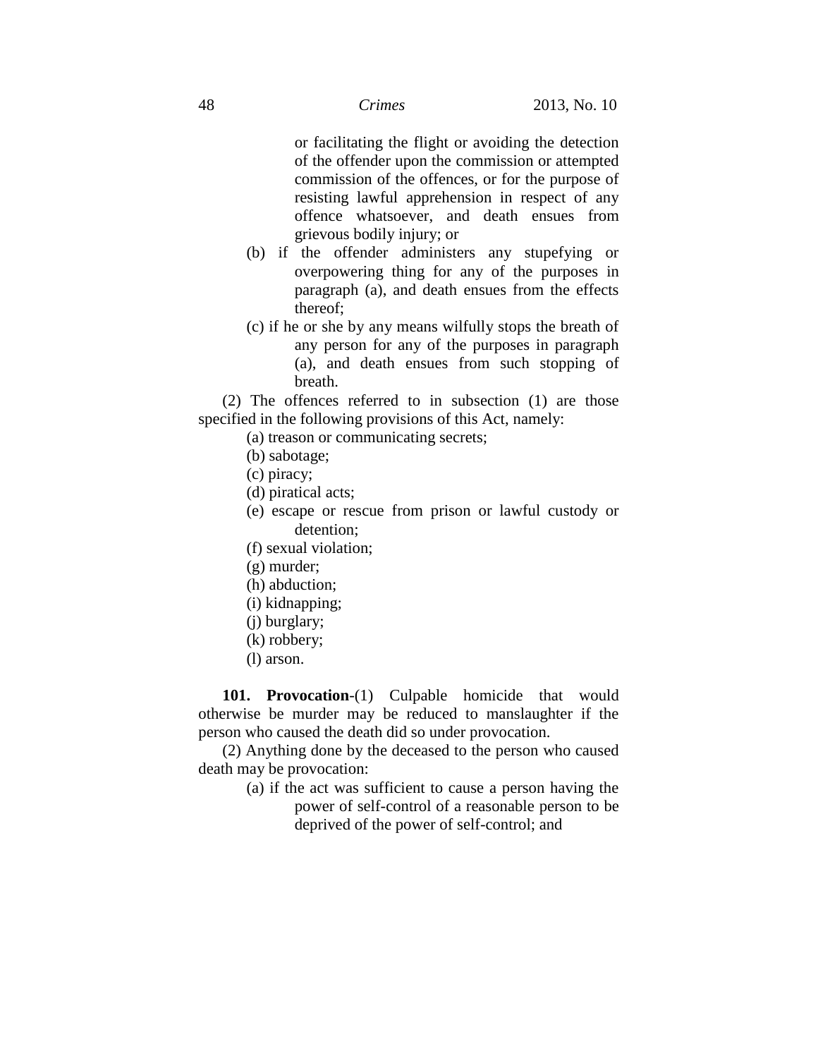or facilitating the flight or avoiding the detection of the offender upon the commission or attempted commission of the offences, or for the purpose of resisting lawful apprehension in respect of any offence whatsoever, and death ensues from grievous bodily injury; or

- (b) if the offender administers any stupefying or overpowering thing for any of the purposes in paragraph (a), and death ensues from the effects thereof;
- (c) if he or she by any means wilfully stops the breath of any person for any of the purposes in paragraph (a), and death ensues from such stopping of breath.

(2) The offences referred to in subsection (1) are those specified in the following provisions of this Act, namely:

- (a) treason or communicating secrets;
- (b) sabotage;
- (c) piracy;
- (d) piratical acts;
- (e) escape or rescue from prison or lawful custody or detention;
- (f) sexual violation;
- (g) murder;
- (h) abduction;
- (i) kidnapping;
- (j) burglary;
- (k) robbery;
- (l) arson.

**101. Provocation**-(1) Culpable homicide that would otherwise be murder may be reduced to manslaughter if the person who caused the death did so under provocation.

(2) Anything done by the deceased to the person who caused death may be provocation:

> (a) if the act was sufficient to cause a person having the power of self-control of a reasonable person to be deprived of the power of self-control; and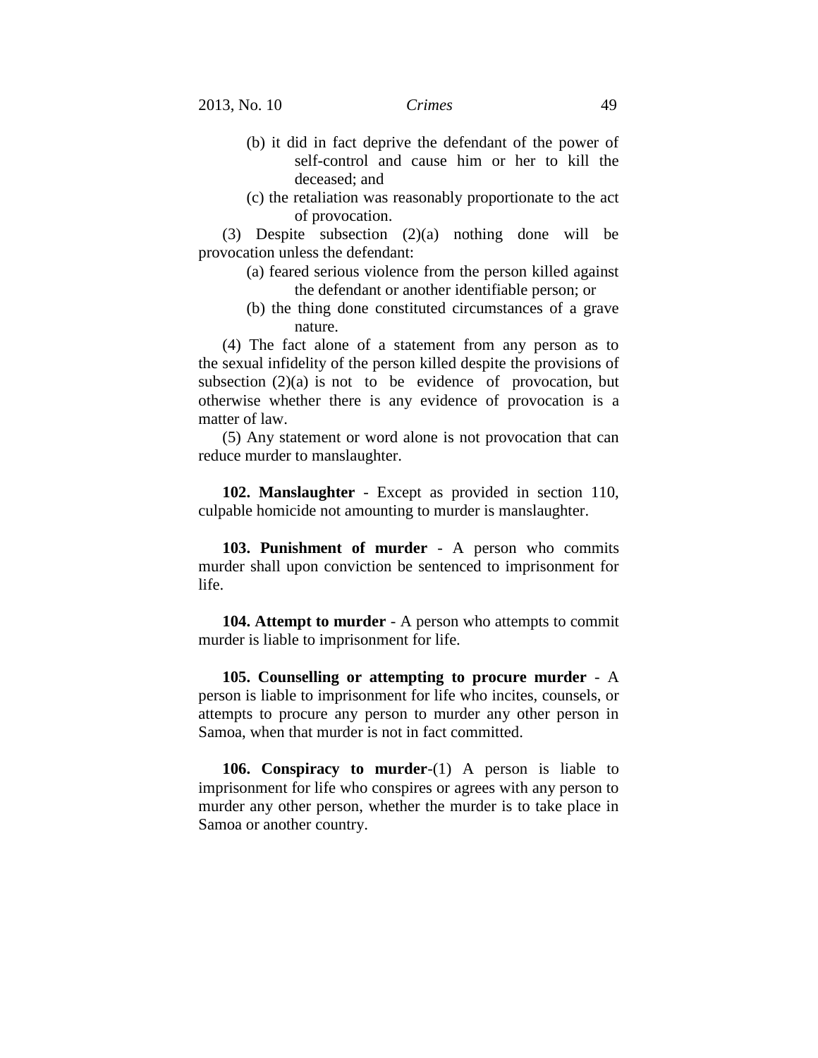- (b) it did in fact deprive the defendant of the power of self-control and cause him or her to kill the deceased; and
- (c) the retaliation was reasonably proportionate to the act of provocation.

(3) Despite subsection (2)(a) nothing done will be provocation unless the defendant:

- (a) feared serious violence from the person killed against the defendant or another identifiable person; or
- (b) the thing done constituted circumstances of a grave nature.

(4) The fact alone of a statement from any person as to the sexual infidelity of the person killed despite the provisions of subsection  $(2)(a)$  is not to be evidence of provocation, but otherwise whether there is any evidence of provocation is a matter of law.

(5) Any statement or word alone is not provocation that can reduce murder to manslaughter.

**102. Manslaughter** - Except as provided in section 110, culpable homicide not amounting to murder is manslaughter.

**103. Punishment of murder** - A person who commits murder shall upon conviction be sentenced to imprisonment for life.

**104. Attempt to murder** - A person who attempts to commit murder is liable to imprisonment for life.

**105. Counselling or attempting to procure murder** - A person is liable to imprisonment for life who incites, counsels, or attempts to procure any person to murder any other person in Samoa, when that murder is not in fact committed.

**106. Conspiracy to murder**-(1) A person is liable to imprisonment for life who conspires or agrees with any person to murder any other person, whether the murder is to take place in Samoa or another country.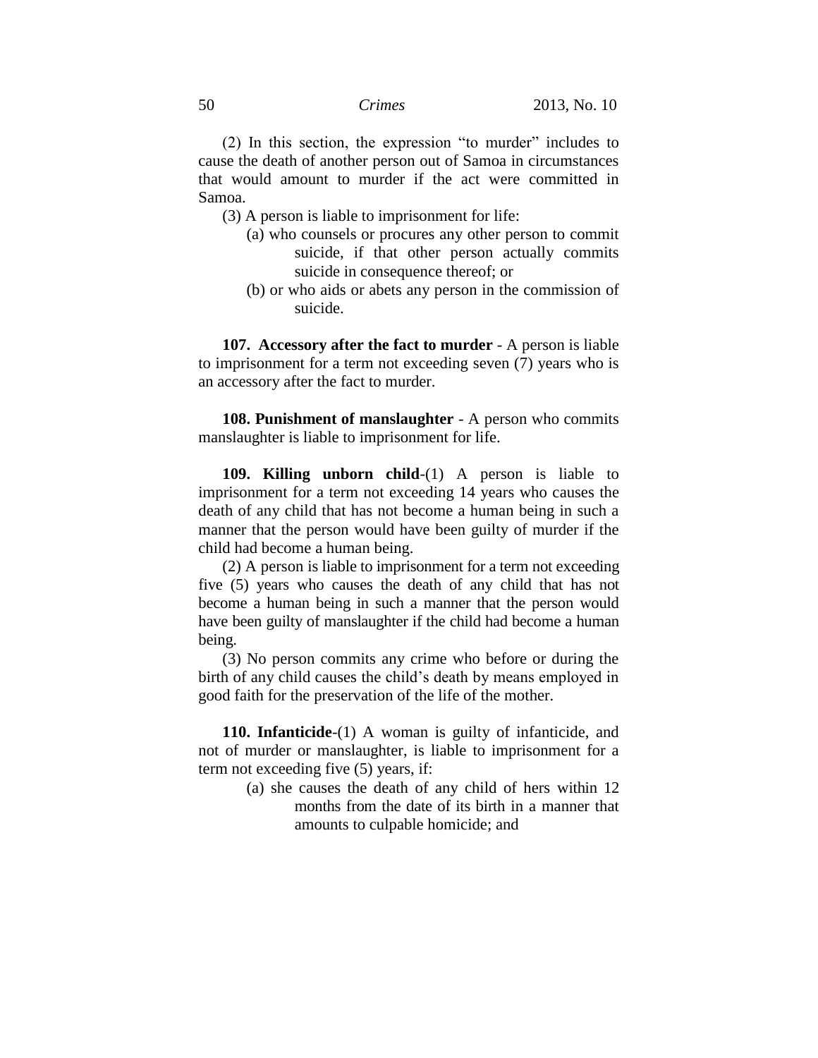(2) In this section, the expression "to murder" includes to cause the death of another person out of Samoa in circumstances that would amount to murder if the act were committed in Samoa.

(3) A person is liable to imprisonment for life:

- (a) who counsels or procures any other person to commit suicide, if that other person actually commits suicide in consequence thereof; or
- (b) or who aids or abets any person in the commission of suicide.

**107. Accessory after the fact to murder** - A person is liable to imprisonment for a term not exceeding seven (7) years who is an accessory after the fact to murder.

**108. Punishment of manslaughter** - A person who commits manslaughter is liable to imprisonment for life.

**109. Killing unborn child**-(1) A person is liable to imprisonment for a term not exceeding 14 years who causes the death of any child that has not become a human being in such a manner that the person would have been guilty of murder if the child had become a human being.

(2) A person is liable to imprisonment for a term not exceeding five (5) years who causes the death of any child that has not become a human being in such a manner that the person would have been guilty of manslaughter if the child had become a human being.

(3) No person commits any crime who before or during the birth of any child causes the child's death by means employed in good faith for the preservation of the life of the mother.

**110. Infanticide**-(1) A woman is guilty of infanticide, and not of murder or manslaughter, is liable to imprisonment for a term not exceeding five (5) years, if:

> (a) she causes the death of any child of hers within 12 months from the date of its birth in a manner that amounts to culpable homicide; and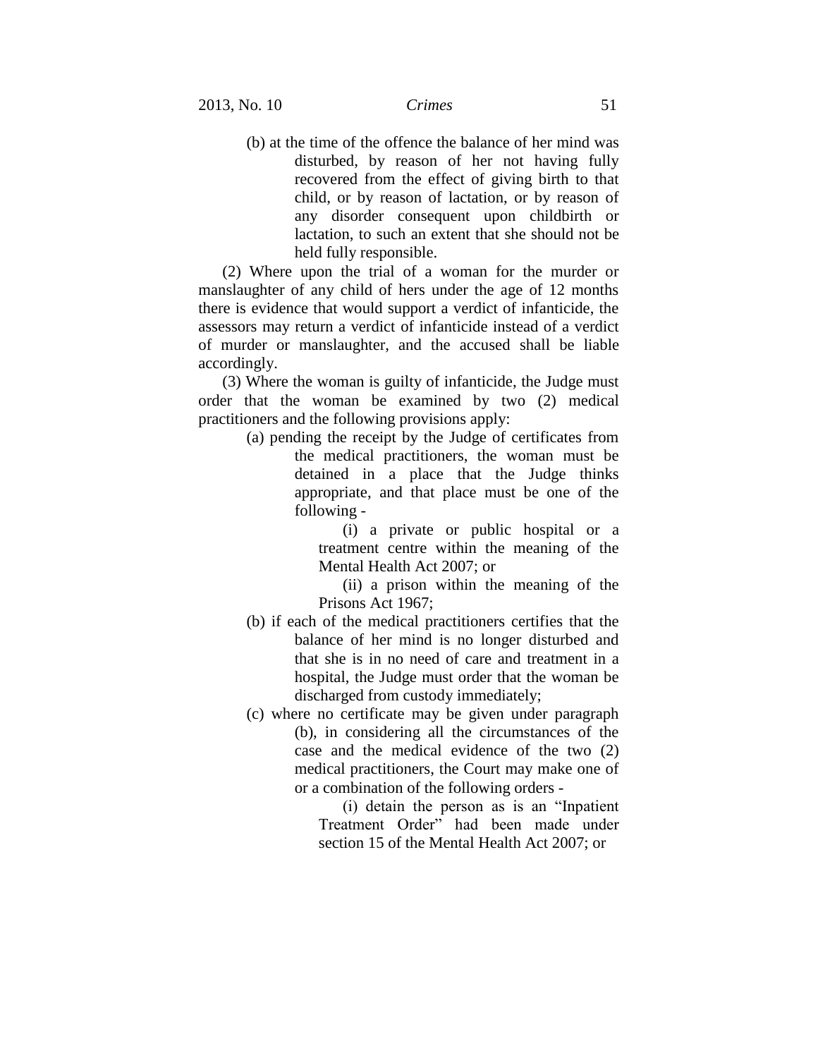(b) at the time of the offence the balance of her mind was disturbed, by reason of her not having fully recovered from the effect of giving birth to that child, or by reason of lactation, or by reason of any disorder consequent upon childbirth or lactation, to such an extent that she should not be held fully responsible.

(2) Where upon the trial of a woman for the murder or manslaughter of any child of hers under the age of 12 months there is evidence that would support a verdict of infanticide, the assessors may return a verdict of infanticide instead of a verdict of murder or manslaughter, and the accused shall be liable accordingly.

(3) Where the woman is guilty of infanticide, the Judge must order that the woman be examined by two (2) medical practitioners and the following provisions apply:

> (a) pending the receipt by the Judge of certificates from the medical practitioners, the woman must be detained in a place that the Judge thinks appropriate, and that place must be one of the following -

> > (i) a private or public hospital or a treatment centre within the meaning of the Mental Health Act 2007; or

> > (ii) a prison within the meaning of the Prisons Act 1967;

- (b) if each of the medical practitioners certifies that the balance of her mind is no longer disturbed and that she is in no need of care and treatment in a hospital, the Judge must order that the woman be discharged from custody immediately;
- (c) where no certificate may be given under paragraph (b), in considering all the circumstances of the case and the medical evidence of the two (2) medical practitioners, the Court may make one of or a combination of the following orders -

(i) detain the person as is an "Inpatient Treatment Order" had been made under section 15 of the Mental Health Act 2007; or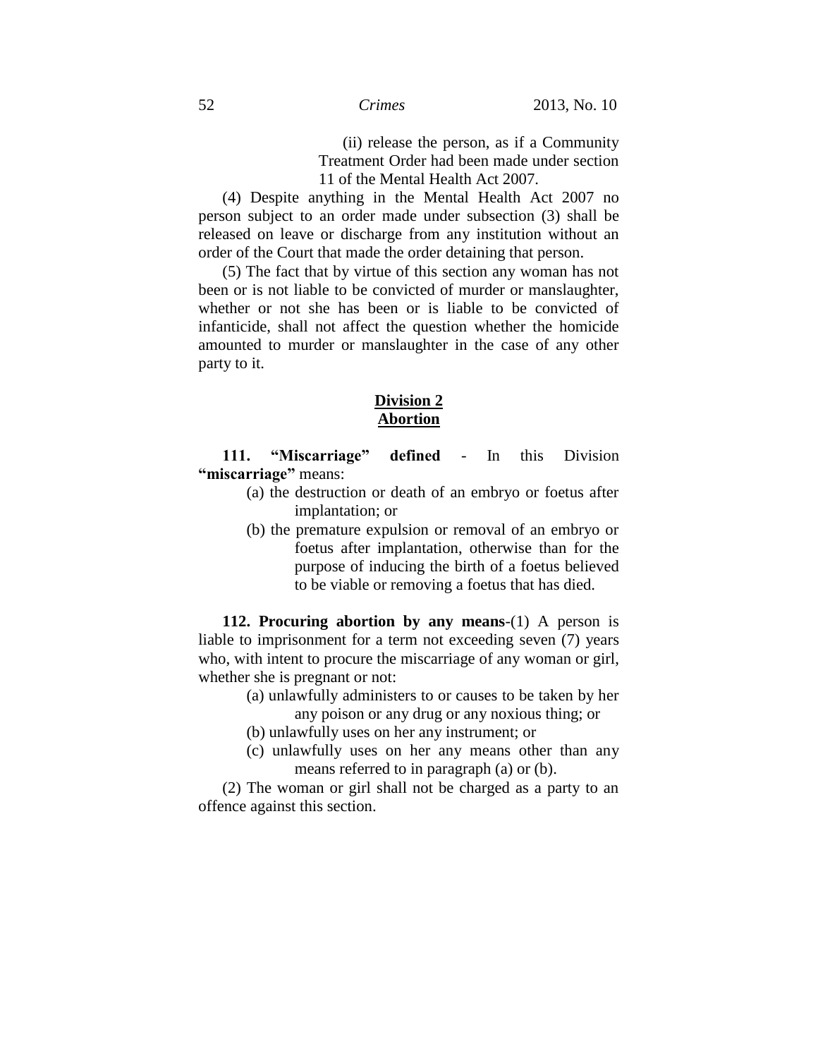(ii) release the person, as if a Community Treatment Order had been made under section 11 of the Mental Health Act 2007.

(4) Despite anything in the Mental Health Act 2007 no person subject to an order made under subsection (3) shall be released on leave or discharge from any institution without an order of the Court that made the order detaining that person.

(5) The fact that by virtue of this section any woman has not been or is not liable to be convicted of murder or manslaughter, whether or not she has been or is liable to be convicted of infanticide, shall not affect the question whether the homicide amounted to murder or manslaughter in the case of any other party to it.

### **Division 2 Abortion**

**111. "Miscarriage" defined** - In this Division **"miscarriage"** means:

- (a) the destruction or death of an embryo or foetus after implantation; or
- (b) the premature expulsion or removal of an embryo or foetus after implantation, otherwise than for the purpose of inducing the birth of a foetus believed to be viable or removing a foetus that has died.

**112. Procuring abortion by any means**-(1) A person is liable to imprisonment for a term not exceeding seven (7) years who, with intent to procure the miscarriage of any woman or girl, whether she is pregnant or not:

- (a) unlawfully administers to or causes to be taken by her any poison or any drug or any noxious thing; or
- (b) unlawfully uses on her any instrument; or
- (c) unlawfully uses on her any means other than any means referred to in paragraph (a) or (b).

(2) The woman or girl shall not be charged as a party to an offence against this section.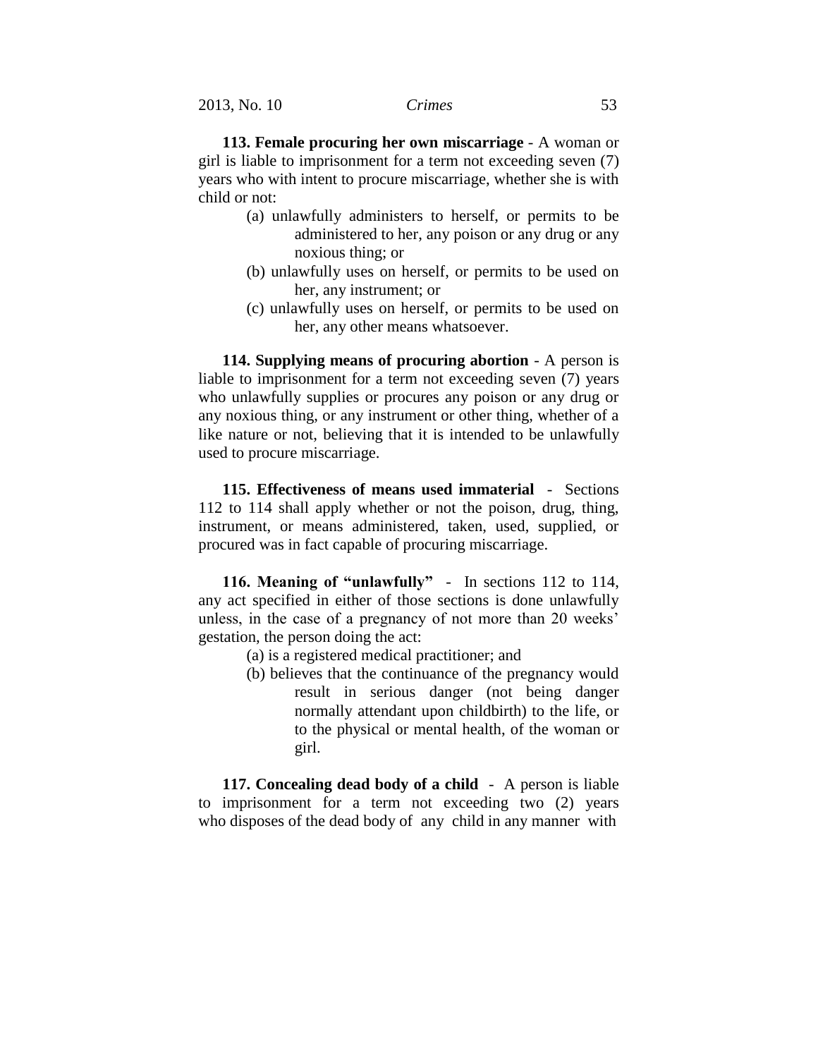**113. Female procuring her own miscarriage** - A woman or girl is liable to imprisonment for a term not exceeding seven (7) years who with intent to procure miscarriage, whether she is with child or not:

- (a) unlawfully administers to herself, or permits to be administered to her, any poison or any drug or any noxious thing; or
- (b) unlawfully uses on herself, or permits to be used on her, any instrument; or
- (c) unlawfully uses on herself, or permits to be used on her, any other means whatsoever.

**114. Supplying means of procuring abortion** - A person is liable to imprisonment for a term not exceeding seven (7) years who unlawfully supplies or procures any poison or any drug or any noxious thing, or any instrument or other thing, whether of a like nature or not, believing that it is intended to be unlawfully used to procure miscarriage.

**115. Effectiveness of means used immaterial** - Sections 112 to 114 shall apply whether or not the poison, drug, thing, instrument, or means administered, taken, used, supplied, or procured was in fact capable of procuring miscarriage.

**116. Meaning of "unlawfully"** - In sections 112 to 114, any act specified in either of those sections is done unlawfully unless, in the case of a pregnancy of not more than 20 weeks' gestation, the person doing the act:

- (a) is a registered medical practitioner; and
- (b) believes that the continuance of the pregnancy would result in serious danger (not being danger normally attendant upon childbirth) to the life, or to the physical or mental health, of the woman or girl.

**117. Concealing dead body of a child** - A person is liable to imprisonment for a term not exceeding two (2) years who disposes of the dead body of any child in any manner with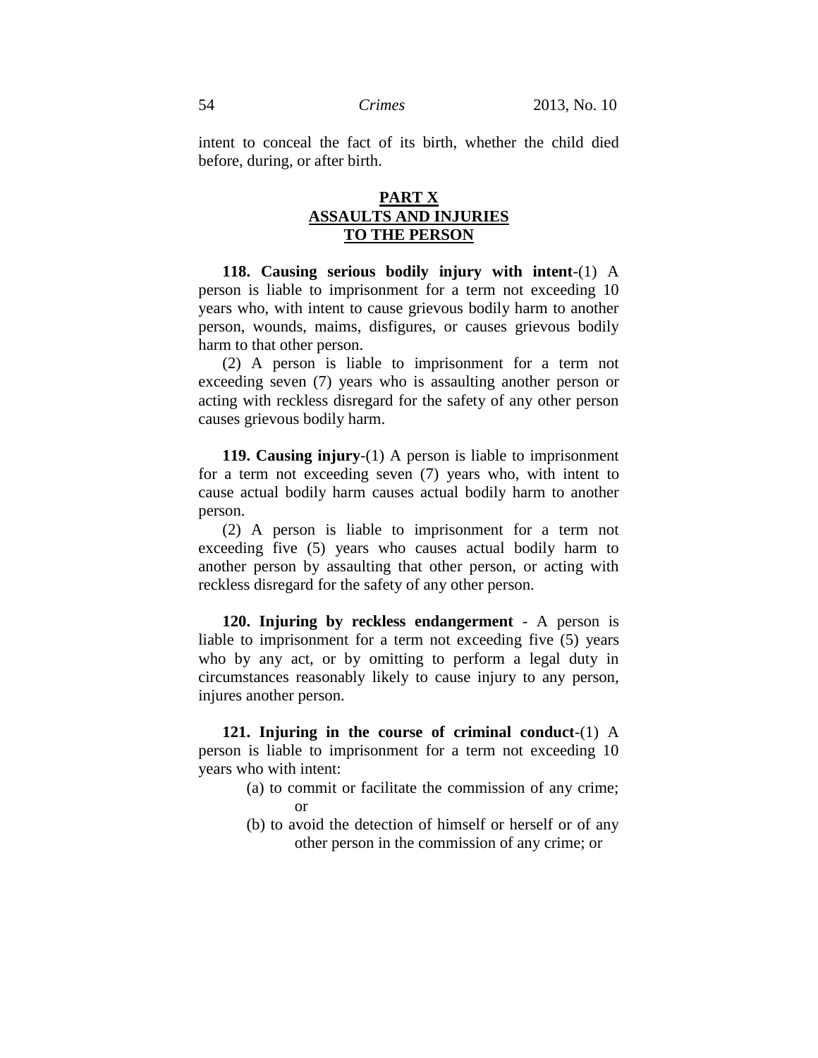intent to conceal the fact of its birth, whether the child died before, during, or after birth.

## **PART X ASSAULTS AND INJURIES TO THE PERSON**

**118. Causing serious bodily injury with intent**-(1) A person is liable to imprisonment for a term not exceeding 10 years who, with intent to cause grievous bodily harm to another person, wounds, maims, disfigures, or causes grievous bodily harm to that other person.

(2) A person is liable to imprisonment for a term not exceeding seven (7) years who is assaulting another person or acting with reckless disregard for the safety of any other person causes grievous bodily harm.

**119. Causing injury**-(1) A person is liable to imprisonment for a term not exceeding seven (7) years who, with intent to cause actual bodily harm causes actual bodily harm to another person.

(2) A person is liable to imprisonment for a term not exceeding five (5) years who causes actual bodily harm to another person by assaulting that other person, or acting with reckless disregard for the safety of any other person.

**120. Injuring by reckless endangerment** - A person is liable to imprisonment for a term not exceeding five (5) years who by any act, or by omitting to perform a legal duty in circumstances reasonably likely to cause injury to any person, injures another person.

**121. Injuring in the course of criminal conduct**-(1) A person is liable to imprisonment for a term not exceeding 10 years who with intent:

- (a) to commit or facilitate the commission of any crime; or
- (b) to avoid the detection of himself or herself or of any other person in the commission of any crime; or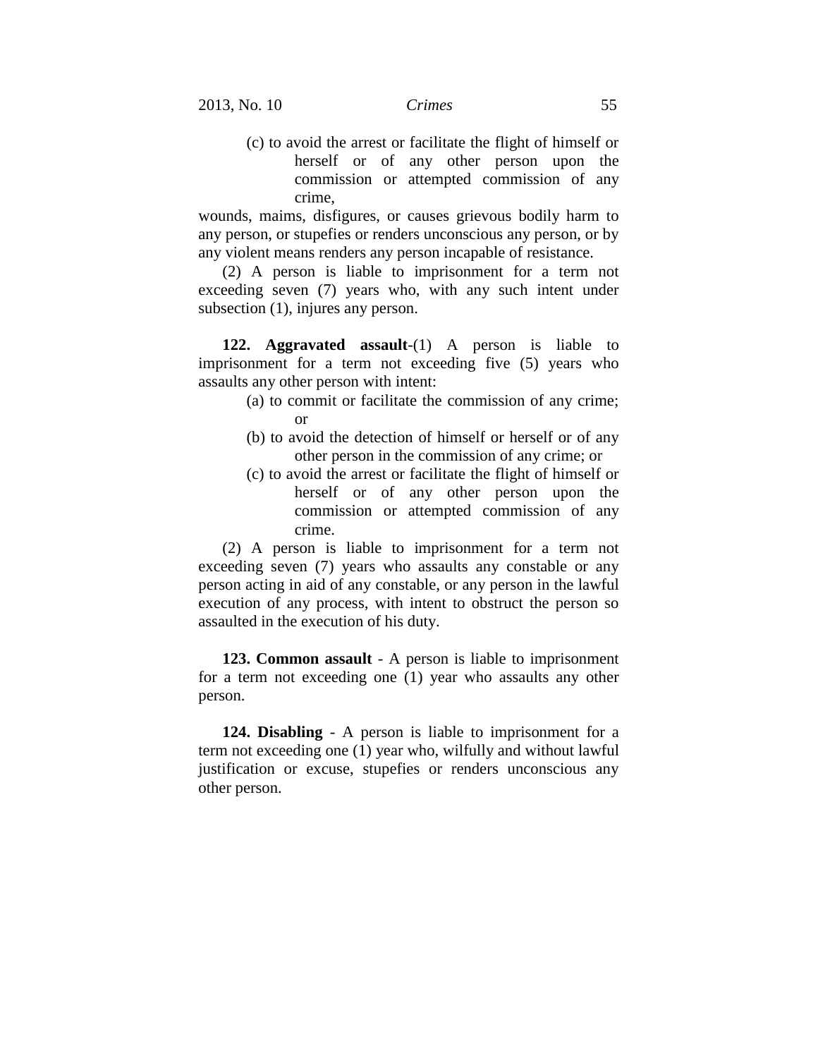(c) to avoid the arrest or facilitate the flight of himself or herself or of any other person upon the commission or attempted commission of any crime,

wounds, maims, disfigures, or causes grievous bodily harm to any person, or stupefies or renders unconscious any person, or by any violent means renders any person incapable of resistance.

(2) A person is liable to imprisonment for a term not exceeding seven (7) years who, with any such intent under subsection  $(1)$ , injures any person.

**122. Aggravated assault**-(1) A person is liable to imprisonment for a term not exceeding five (5) years who assaults any other person with intent:

- (a) to commit or facilitate the commission of any crime; or
- (b) to avoid the detection of himself or herself or of any other person in the commission of any crime; or
- (c) to avoid the arrest or facilitate the flight of himself or herself or of any other person upon the commission or attempted commission of any crime.

(2) A person is liable to imprisonment for a term not exceeding seven (7) years who assaults any constable or any person acting in aid of any constable, or any person in the lawful execution of any process, with intent to obstruct the person so assaulted in the execution of his duty.

**123. Common assault** - A person is liable to imprisonment for a term not exceeding one (1) year who assaults any other person.

**124. Disabling** - A person is liable to imprisonment for a term not exceeding one (1) year who, wilfully and without lawful justification or excuse, stupefies or renders unconscious any other person.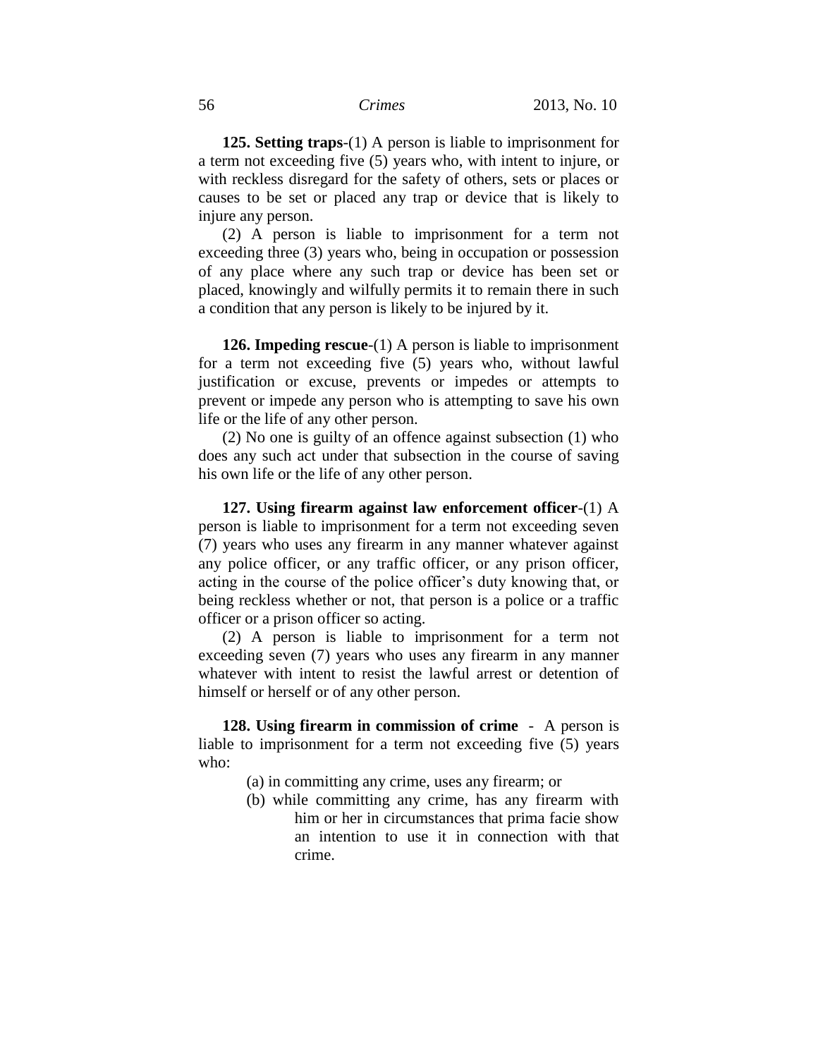**125. Setting traps**-(1) A person is liable to imprisonment for a term not exceeding five (5) years who, with intent to injure, or with reckless disregard for the safety of others, sets or places or causes to be set or placed any trap or device that is likely to injure any person.

(2) A person is liable to imprisonment for a term not exceeding three (3) years who, being in occupation or possession of any place where any such trap or device has been set or placed, knowingly and wilfully permits it to remain there in such a condition that any person is likely to be injured by it.

**126. Impeding rescue**-(1) A person is liable to imprisonment for a term not exceeding five (5) years who, without lawful justification or excuse, prevents or impedes or attempts to prevent or impede any person who is attempting to save his own life or the life of any other person.

(2) No one is guilty of an offence against subsection (1) who does any such act under that subsection in the course of saving his own life or the life of any other person.

**127. Using firearm against law enforcement officer**-(1) A person is liable to imprisonment for a term not exceeding seven (7) years who uses any firearm in any manner whatever against any police officer, or any traffic officer, or any prison officer, acting in the course of the police officer's duty knowing that, or being reckless whether or not, that person is a police or a traffic officer or a prison officer so acting.

(2) A person is liable to imprisonment for a term not exceeding seven (7) years who uses any firearm in any manner whatever with intent to resist the lawful arrest or detention of himself or herself or of any other person.

**128. Using firearm in commission of crime** - A person is liable to imprisonment for a term not exceeding five (5) years who:

- (a) in committing any crime, uses any firearm; or
- (b) while committing any crime, has any firearm with him or her in circumstances that prima facie show an intention to use it in connection with that crime.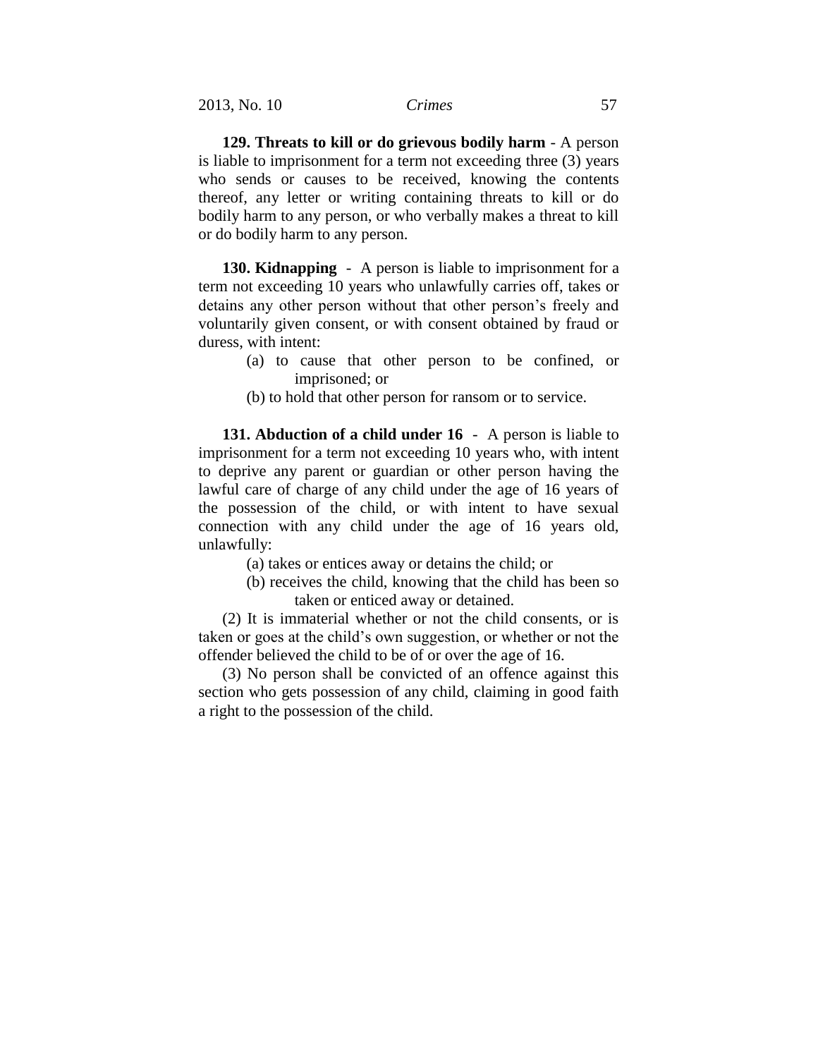**129. Threats to kill or do grievous bodily harm** - A person is liable to imprisonment for a term not exceeding three (3) years who sends or causes to be received, knowing the contents thereof, any letter or writing containing threats to kill or do bodily harm to any person, or who verbally makes a threat to kill or do bodily harm to any person.

**130. Kidnapping** - A person is liable to imprisonment for a term not exceeding 10 years who unlawfully carries off, takes or detains any other person without that other person's freely and voluntarily given consent, or with consent obtained by fraud or duress, with intent:

- (a) to cause that other person to be confined, or imprisoned; or
- (b) to hold that other person for ransom or to service.

**131. Abduction of a child under 16** - A person is liable to imprisonment for a term not exceeding 10 years who, with intent to deprive any parent or guardian or other person having the lawful care of charge of any child under the age of 16 years of the possession of the child, or with intent to have sexual connection with any child under the age of 16 years old, unlawfully:

- (a) takes or entices away or detains the child; or
- (b) receives the child, knowing that the child has been so taken or enticed away or detained.

(2) It is immaterial whether or not the child consents, or is taken or goes at the child's own suggestion, or whether or not the offender believed the child to be of or over the age of 16.

(3) No person shall be convicted of an offence against this section who gets possession of any child, claiming in good faith a right to the possession of the child.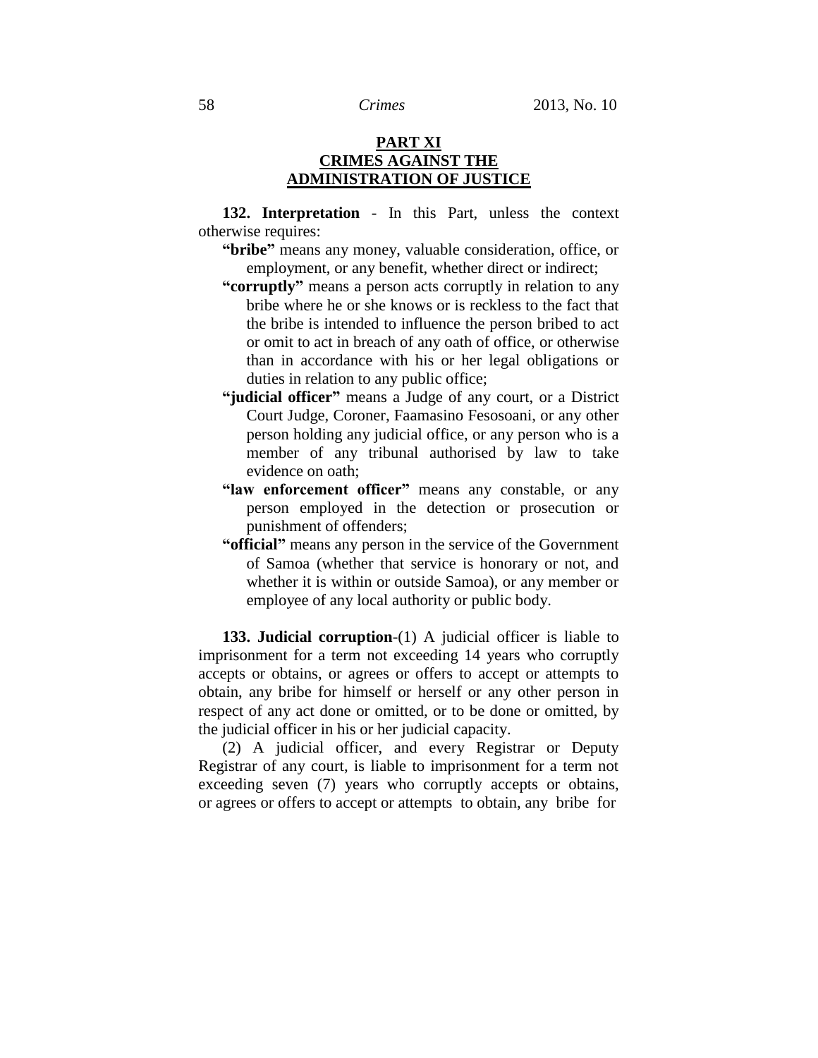## **PART XI CRIMES AGAINST THE ADMINISTRATION OF JUSTICE**

**132. Interpretation** - In this Part, unless the context otherwise requires:

- **"bribe"** means any money, valuable consideration, office, or employment, or any benefit, whether direct or indirect;
- **"corruptly"** means a person acts corruptly in relation to any bribe where he or she knows or is reckless to the fact that the bribe is intended to influence the person bribed to act or omit to act in breach of any oath of office, or otherwise than in accordance with his or her legal obligations or duties in relation to any public office;
- **"judicial officer"** means a Judge of any court, or a District Court Judge, Coroner, Faamasino Fesosoani, or any other person holding any judicial office, or any person who is a member of any tribunal authorised by law to take evidence on oath;
- **"law enforcement officer"** means any constable, or any person employed in the detection or prosecution or punishment of offenders;
- **"official"** means any person in the service of the Government of Samoa (whether that service is honorary or not, and whether it is within or outside Samoa), or any member or employee of any local authority or public body.

**133. Judicial corruption**-(1) A judicial officer is liable to imprisonment for a term not exceeding 14 years who corruptly accepts or obtains, or agrees or offers to accept or attempts to obtain, any bribe for himself or herself or any other person in respect of any act done or omitted, or to be done or omitted, by the judicial officer in his or her judicial capacity.

(2) A judicial officer, and every Registrar or Deputy Registrar of any court, is liable to imprisonment for a term not exceeding seven (7) years who corruptly accepts or obtains, or agrees or offers to accept or attempts to obtain, any bribe for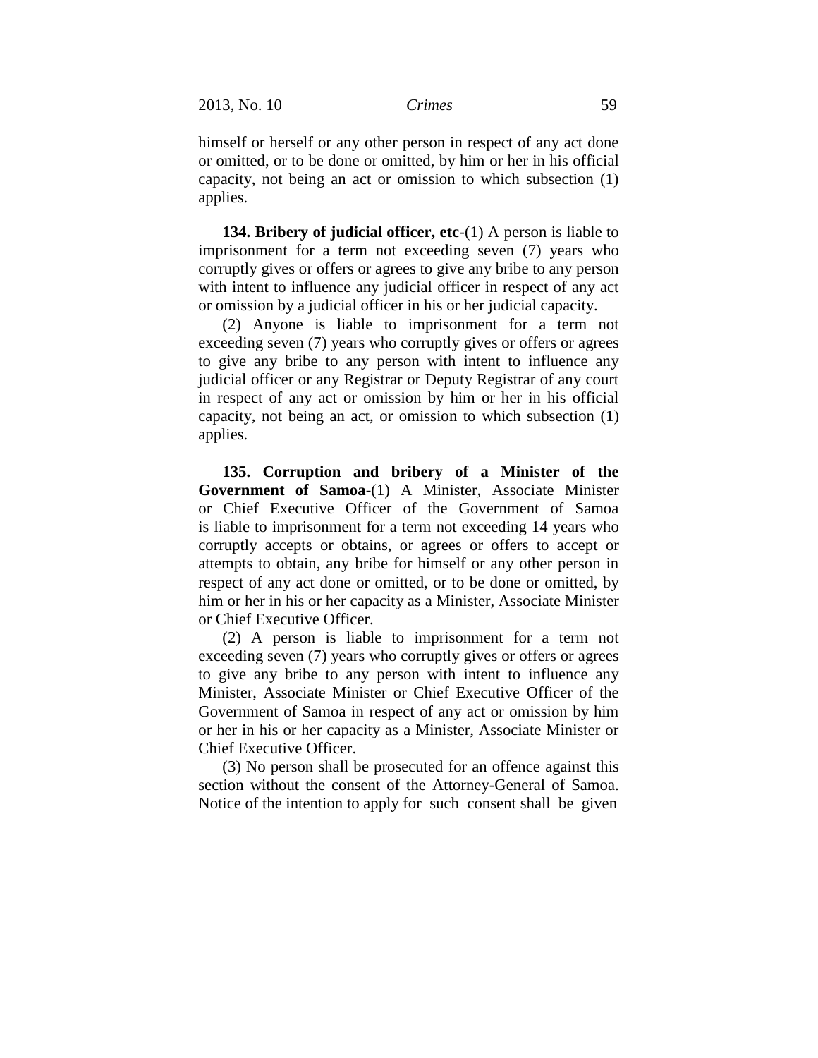himself or herself or any other person in respect of any act done or omitted, or to be done or omitted, by him or her in his official capacity, not being an act or omission to which subsection (1) applies.

**134. Bribery of judicial officer, etc**-(1) A person is liable to imprisonment for a term not exceeding seven (7) years who corruptly gives or offers or agrees to give any bribe to any person with intent to influence any judicial officer in respect of any act or omission by a judicial officer in his or her judicial capacity.

(2) Anyone is liable to imprisonment for a term not exceeding seven (7) years who corruptly gives or offers or agrees to give any bribe to any person with intent to influence any judicial officer or any Registrar or Deputy Registrar of any court in respect of any act or omission by him or her in his official capacity, not being an act, or omission to which subsection (1) applies.

**135. Corruption and bribery of a Minister of the Government of Samoa**-(1) A Minister, Associate Minister or Chief Executive Officer of the Government of Samoa is liable to imprisonment for a term not exceeding 14 years who corruptly accepts or obtains, or agrees or offers to accept or attempts to obtain, any bribe for himself or any other person in respect of any act done or omitted, or to be done or omitted, by him or her in his or her capacity as a Minister, Associate Minister or Chief Executive Officer.

(2) A person is liable to imprisonment for a term not exceeding seven (7) years who corruptly gives or offers or agrees to give any bribe to any person with intent to influence any Minister, Associate Minister or Chief Executive Officer of the Government of Samoa in respect of any act or omission by him or her in his or her capacity as a Minister, Associate Minister or Chief Executive Officer.

(3) No person shall be prosecuted for an offence against this section without the consent of the Attorney-General of Samoa. Notice of the intention to apply for such consent shall be given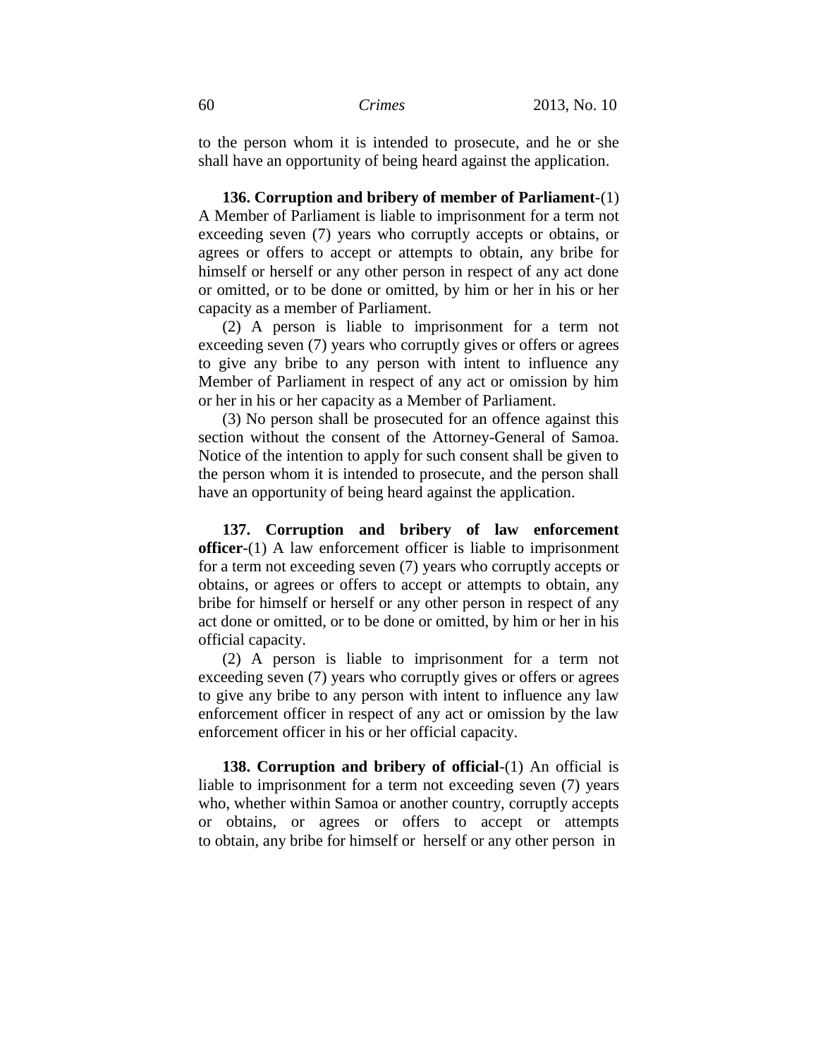to the person whom it is intended to prosecute, and he or she shall have an opportunity of being heard against the application.

**136. Corruption and bribery of member of Parliament**-(1) A Member of Parliament is liable to imprisonment for a term not exceeding seven (7) years who corruptly accepts or obtains, or agrees or offers to accept or attempts to obtain, any bribe for himself or herself or any other person in respect of any act done or omitted, or to be done or omitted, by him or her in his or her capacity as a member of Parliament.

(2) A person is liable to imprisonment for a term not exceeding seven (7) years who corruptly gives or offers or agrees to give any bribe to any person with intent to influence any Member of Parliament in respect of any act or omission by him or her in his or her capacity as a Member of Parliament.

(3) No person shall be prosecuted for an offence against this section without the consent of the Attorney-General of Samoa. Notice of the intention to apply for such consent shall be given to the person whom it is intended to prosecute, and the person shall have an opportunity of being heard against the application.

**137. Corruption and bribery of law enforcement officer**-(1) A law enforcement officer is liable to imprisonment for a term not exceeding seven (7) years who corruptly accepts or obtains, or agrees or offers to accept or attempts to obtain, any bribe for himself or herself or any other person in respect of any act done or omitted, or to be done or omitted, by him or her in his official capacity.

(2) A person is liable to imprisonment for a term not exceeding seven (7) years who corruptly gives or offers or agrees to give any bribe to any person with intent to influence any law enforcement officer in respect of any act or omission by the law enforcement officer in his or her official capacity.

**138. Corruption and bribery of official**-(1) An official is liable to imprisonment for a term not exceeding seven (7) years who, whether within Samoa or another country, corruptly accepts or obtains, or agrees or offers to accept or attempts to obtain, any bribe for himself or herself or any other person in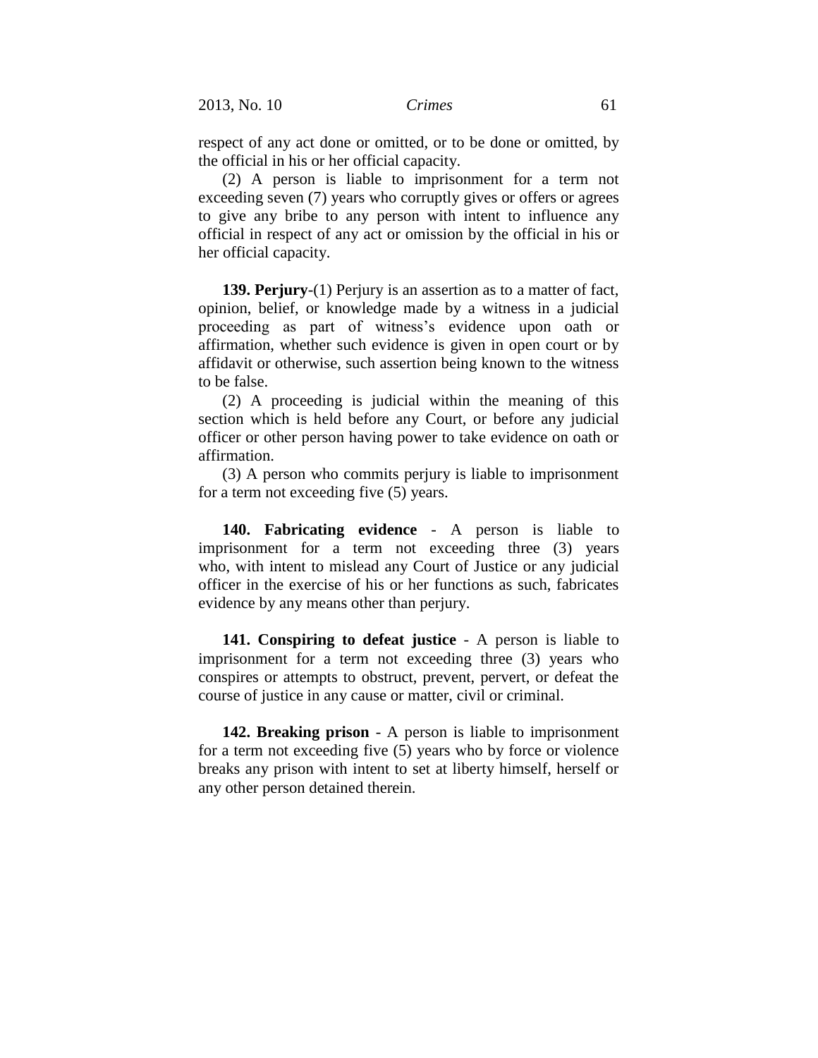respect of any act done or omitted, or to be done or omitted, by the official in his or her official capacity.

(2) A person is liable to imprisonment for a term not exceeding seven (7) years who corruptly gives or offers or agrees to give any bribe to any person with intent to influence any official in respect of any act or omission by the official in his or her official capacity.

**139. Perjury**-(1) Perjury is an assertion as to a matter of fact, opinion, belief, or knowledge made by a witness in a judicial proceeding as part of witness's evidence upon oath or affirmation, whether such evidence is given in open court or by affidavit or otherwise, such assertion being known to the witness to be false.

(2) A proceeding is judicial within the meaning of this section which is held before any Court, or before any judicial officer or other person having power to take evidence on oath or affirmation.

(3) A person who commits perjury is liable to imprisonment for a term not exceeding five (5) years.

**140. Fabricating evidence** - A person is liable to imprisonment for a term not exceeding three (3) years who, with intent to mislead any Court of Justice or any judicial officer in the exercise of his or her functions as such, fabricates evidence by any means other than perjury.

**141. Conspiring to defeat justice** - A person is liable to imprisonment for a term not exceeding three (3) years who conspires or attempts to obstruct, prevent, pervert, or defeat the course of justice in any cause or matter, civil or criminal.

**142. Breaking prison** - A person is liable to imprisonment for a term not exceeding five (5) years who by force or violence breaks any prison with intent to set at liberty himself, herself or any other person detained therein.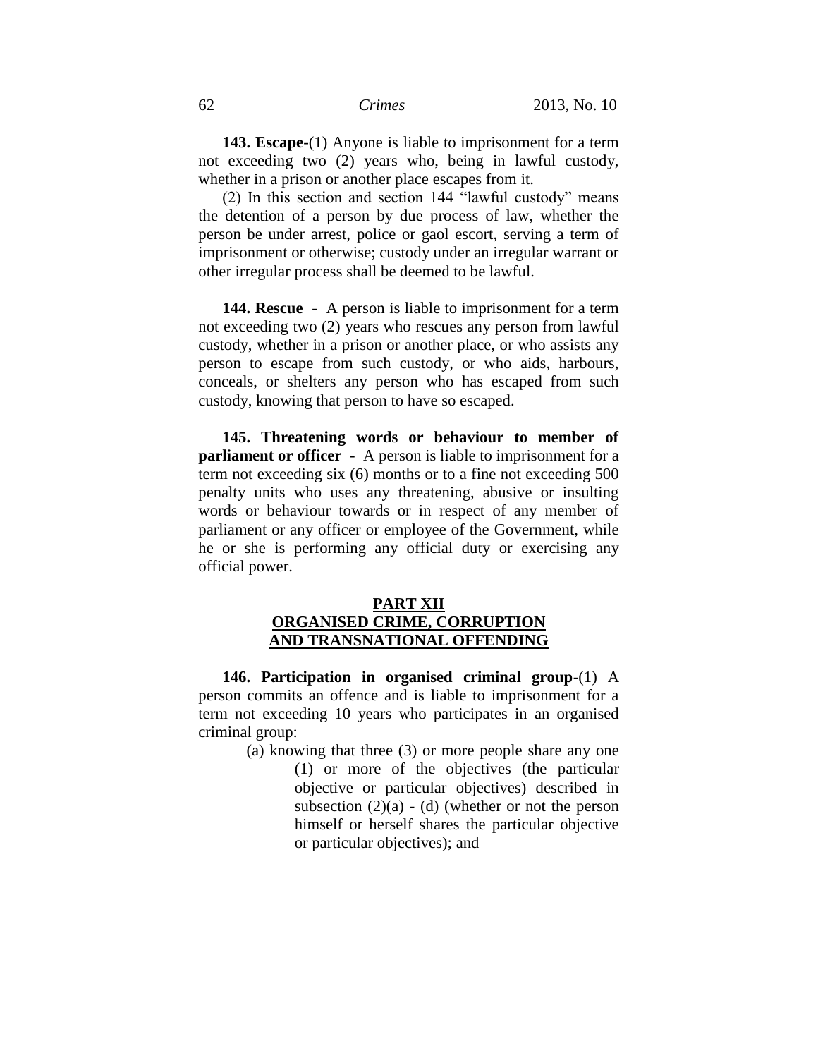**143. Escape**-(1) Anyone is liable to imprisonment for a term not exceeding two (2) years who, being in lawful custody, whether in a prison or another place escapes from it.

(2) In this section and section 144 "lawful custody" means the detention of a person by due process of law, whether the person be under arrest, police or gaol escort, serving a term of imprisonment or otherwise; custody under an irregular warrant or other irregular process shall be deemed to be lawful.

**144. Rescue** - A person is liable to imprisonment for a term not exceeding two (2) years who rescues any person from lawful custody, whether in a prison or another place, or who assists any person to escape from such custody, or who aids, harbours, conceals, or shelters any person who has escaped from such custody, knowing that person to have so escaped.

**145. Threatening words or behaviour to member of parliament or officer** - A person is liable to imprisonment for a term not exceeding six (6) months or to a fine not exceeding 500 penalty units who uses any threatening, abusive or insulting words or behaviour towards or in respect of any member of parliament or any officer or employee of the Government, while he or she is performing any official duty or exercising any official power.

## **PART XII ORGANISED CRIME, CORRUPTION AND TRANSNATIONAL OFFENDING**

**146. Participation in organised criminal group**-(1) A person commits an offence and is liable to imprisonment for a term not exceeding 10 years who participates in an organised criminal group:

> (a) knowing that three (3) or more people share any one (1) or more of the objectives (the particular objective or particular objectives) described in subsection  $(2)(a) - (d)$  (whether or not the person himself or herself shares the particular objective or particular objectives); and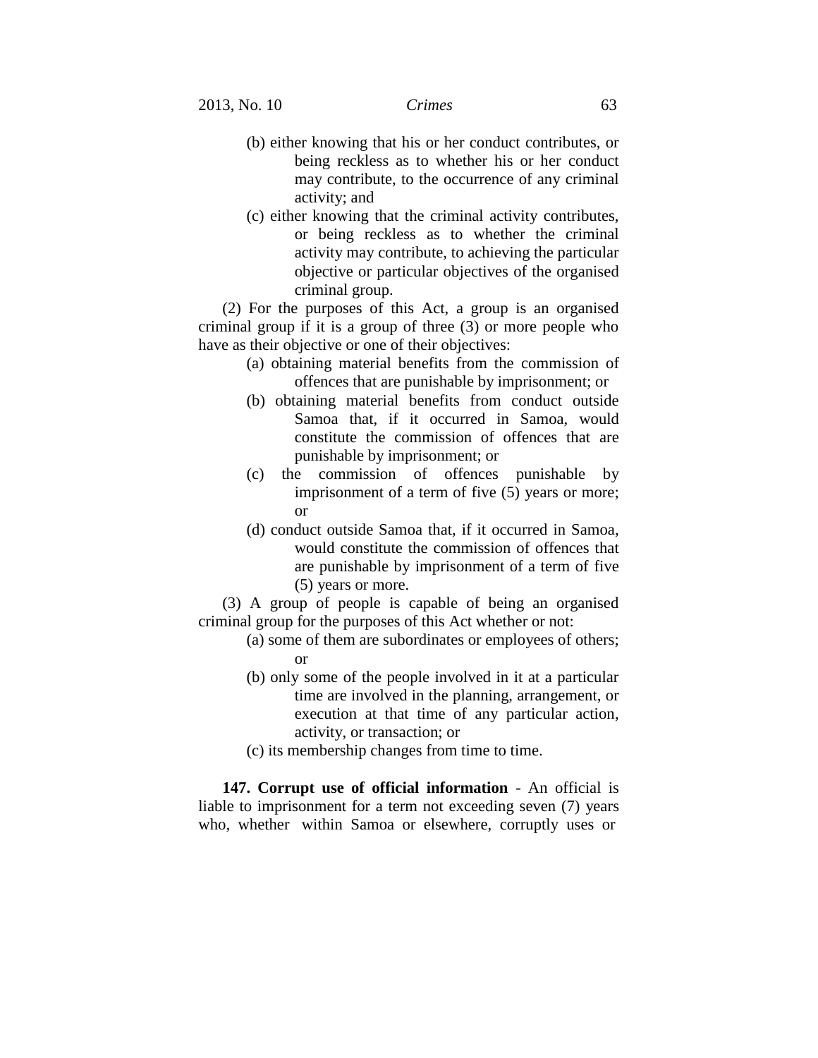- (b) either knowing that his or her conduct contributes, or being reckless as to whether his or her conduct may contribute, to the occurrence of any criminal activity; and
- (c) either knowing that the criminal activity contributes, or being reckless as to whether the criminal activity may contribute, to achieving the particular objective or particular objectives of the organised criminal group.

(2) For the purposes of this Act, a group is an organised criminal group if it is a group of three (3) or more people who have as their objective or one of their objectives:

- (a) obtaining material benefits from the commission of offences that are punishable by imprisonment; or
- (b) obtaining material benefits from conduct outside Samoa that, if it occurred in Samoa, would constitute the commission of offences that are punishable by imprisonment; or
- (c) the commission of offences punishable by imprisonment of a term of five (5) years or more; or
- (d) conduct outside Samoa that, if it occurred in Samoa, would constitute the commission of offences that are punishable by imprisonment of a term of five (5) years or more.

(3) A group of people is capable of being an organised criminal group for the purposes of this Act whether or not:

- (a) some of them are subordinates or employees of others; or
- (b) only some of the people involved in it at a particular time are involved in the planning, arrangement, or execution at that time of any particular action, activity, or transaction; or
- (c) its membership changes from time to time.

**147. Corrupt use of official information** - An official is liable to imprisonment for a term not exceeding seven (7) years who, whether within Samoa or elsewhere, corruptly uses or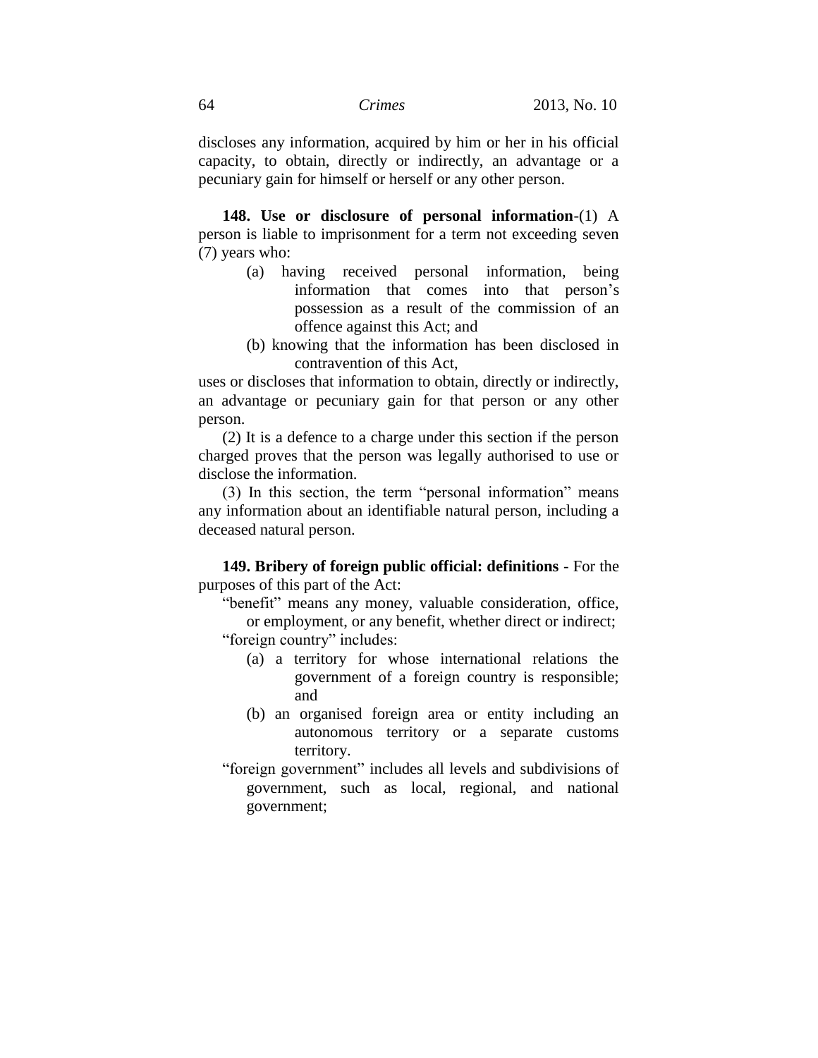discloses any information, acquired by him or her in his official capacity, to obtain, directly or indirectly, an advantage or a pecuniary gain for himself or herself or any other person.

**148. Use or disclosure of personal information**-(1) A person is liable to imprisonment for a term not exceeding seven (7) years who:

- (a) having received personal information, being information that comes into that person's possession as a result of the commission of an offence against this Act; and
- (b) knowing that the information has been disclosed in contravention of this Act,

uses or discloses that information to obtain, directly or indirectly, an advantage or pecuniary gain for that person or any other person.

(2) It is a defence to a charge under this section if the person charged proves that the person was legally authorised to use or disclose the information.

(3) In this section, the term "personal information" means any information about an identifiable natural person, including a deceased natural person.

**149. Bribery of foreign public official: definitions** - For the purposes of this part of the Act:

"benefit" means any money, valuable consideration, office, or employment, or any benefit, whether direct or indirect; "foreign country" includes:

- (a) a territory for whose international relations the government of a foreign country is responsible; and
- (b) an organised foreign area or entity including an autonomous territory or a separate customs territory.
- "foreign government" includes all levels and subdivisions of government, such as local, regional, and national government;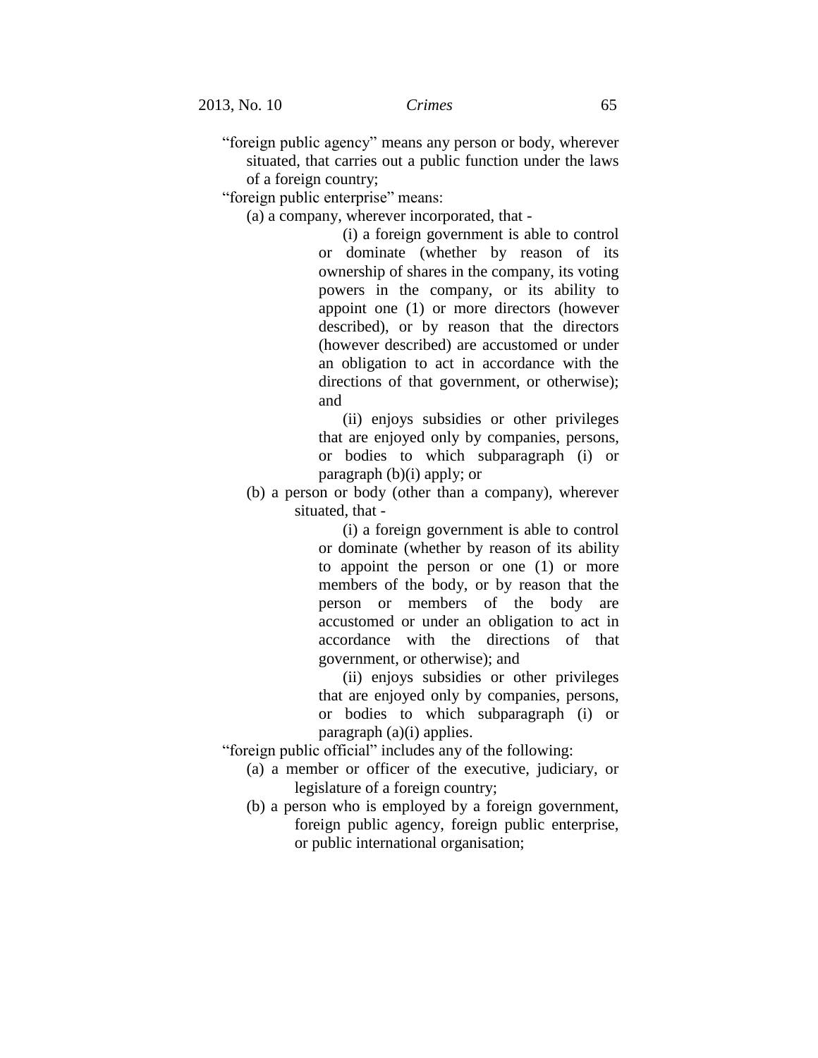"foreign public agency" means any person or body, wherever situated, that carries out a public function under the laws of a foreign country;

"foreign public enterprise" means:

(a) a company, wherever incorporated, that -

(i) a foreign government is able to control or dominate (whether by reason of its ownership of shares in the company, its voting powers in the company, or its ability to appoint one (1) or more directors (however described), or by reason that the directors (however described) are accustomed or under an obligation to act in accordance with the directions of that government, or otherwise); and

(ii) enjoys subsidies or other privileges that are enjoyed only by companies, persons, or bodies to which subparagraph (i) or paragraph (b)(i) apply; or

(b) a person or body (other than a company), wherever situated, that -

> (i) a foreign government is able to control or dominate (whether by reason of its ability to appoint the person or one (1) or more members of the body, or by reason that the person or members of the body are accustomed or under an obligation to act in accordance with the directions of that government, or otherwise); and

> (ii) enjoys subsidies or other privileges that are enjoyed only by companies, persons, or bodies to which subparagraph (i) or paragraph (a)(i) applies.

"foreign public official" includes any of the following:

- (a) a member or officer of the executive, judiciary, or legislature of a foreign country;
- (b) a person who is employed by a foreign government, foreign public agency, foreign public enterprise, or public international organisation;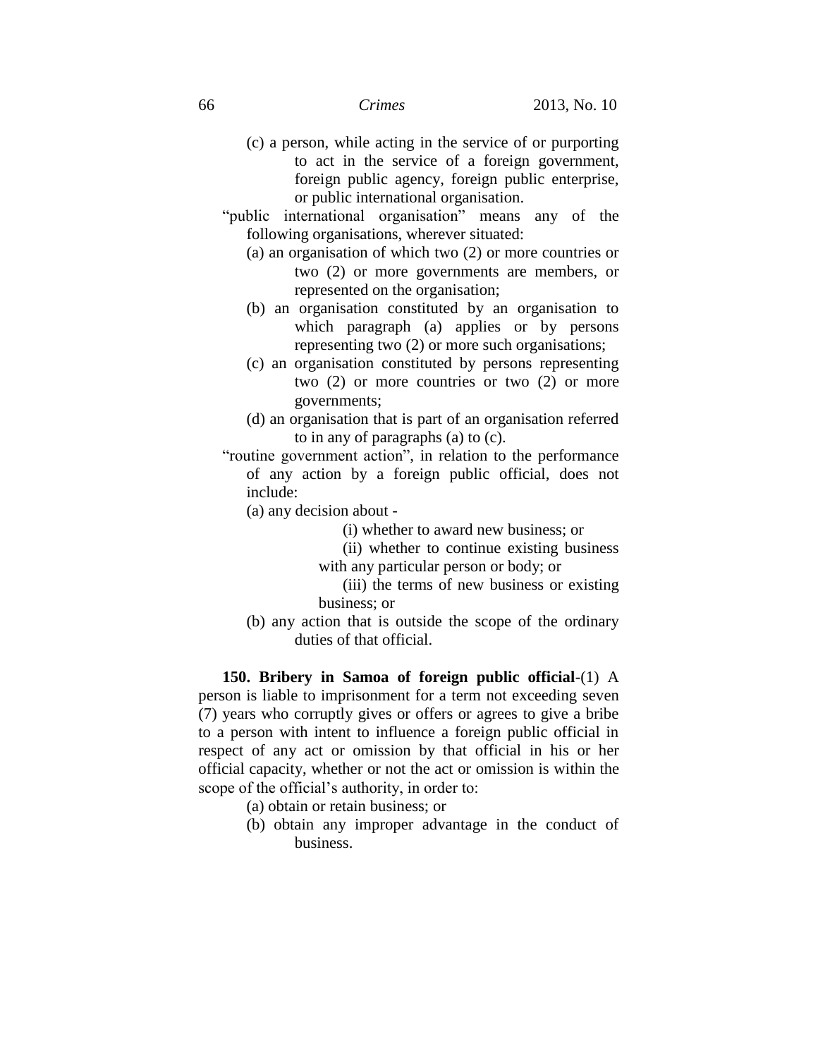- (c) a person, while acting in the service of or purporting to act in the service of a foreign government, foreign public agency, foreign public enterprise, or public international organisation.
- "public international organisation" means any of the following organisations, wherever situated:
	- (a) an organisation of which two (2) or more countries or two (2) or more governments are members, or represented on the organisation;
	- (b) an organisation constituted by an organisation to which paragraph (a) applies or by persons representing two (2) or more such organisations;
	- (c) an organisation constituted by persons representing two (2) or more countries or two (2) or more governments;
	- (d) an organisation that is part of an organisation referred to in any of paragraphs (a) to (c).
- "routine government action", in relation to the performance of any action by a foreign public official, does not include:
	- (a) any decision about
		- (i) whether to award new business; or
		- (ii) whether to continue existing business with any particular person or body; or
		- (iii) the terms of new business or existing business; or
	- (b) any action that is outside the scope of the ordinary duties of that official.

**150. Bribery in Samoa of foreign public official**-(1) A person is liable to imprisonment for a term not exceeding seven (7) years who corruptly gives or offers or agrees to give a bribe to a person with intent to influence a foreign public official in respect of any act or omission by that official in his or her official capacity, whether or not the act or omission is within the scope of the official's authority, in order to:

- (a) obtain or retain business; or
- (b) obtain any improper advantage in the conduct of business.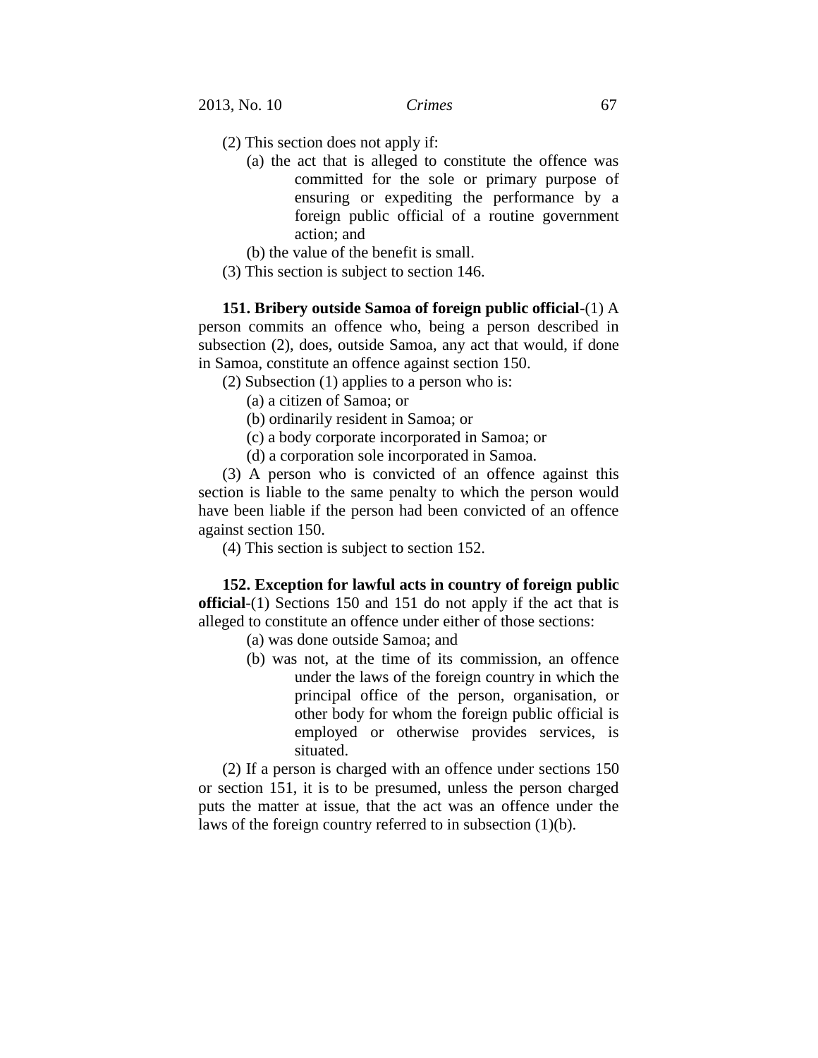- (2) This section does not apply if:
	- (a) the act that is alleged to constitute the offence was committed for the sole or primary purpose of ensuring or expediting the performance by a foreign public official of a routine government action; and
	- (b) the value of the benefit is small.
- (3) This section is subject to section 146.

**151. Bribery outside Samoa of foreign public official**-(1) A person commits an offence who, being a person described in subsection (2), does, outside Samoa, any act that would, if done in Samoa, constitute an offence against section 150.

(2) Subsection (1) applies to a person who is:

(a) a citizen of Samoa; or

(b) ordinarily resident in Samoa; or

(c) a body corporate incorporated in Samoa; or

(d) a corporation sole incorporated in Samoa.

(3) A person who is convicted of an offence against this section is liable to the same penalty to which the person would have been liable if the person had been convicted of an offence against section 150.

(4) This section is subject to section 152.

**152. Exception for lawful acts in country of foreign public official**-(1) Sections 150 and 151 do not apply if the act that is alleged to constitute an offence under either of those sections:

- (a) was done outside Samoa; and
- (b) was not, at the time of its commission, an offence under the laws of the foreign country in which the principal office of the person, organisation, or other body for whom the foreign public official is employed or otherwise provides services, is situated.

(2) If a person is charged with an offence under sections 150 or section 151, it is to be presumed, unless the person charged puts the matter at issue, that the act was an offence under the laws of the foreign country referred to in subsection (1)(b).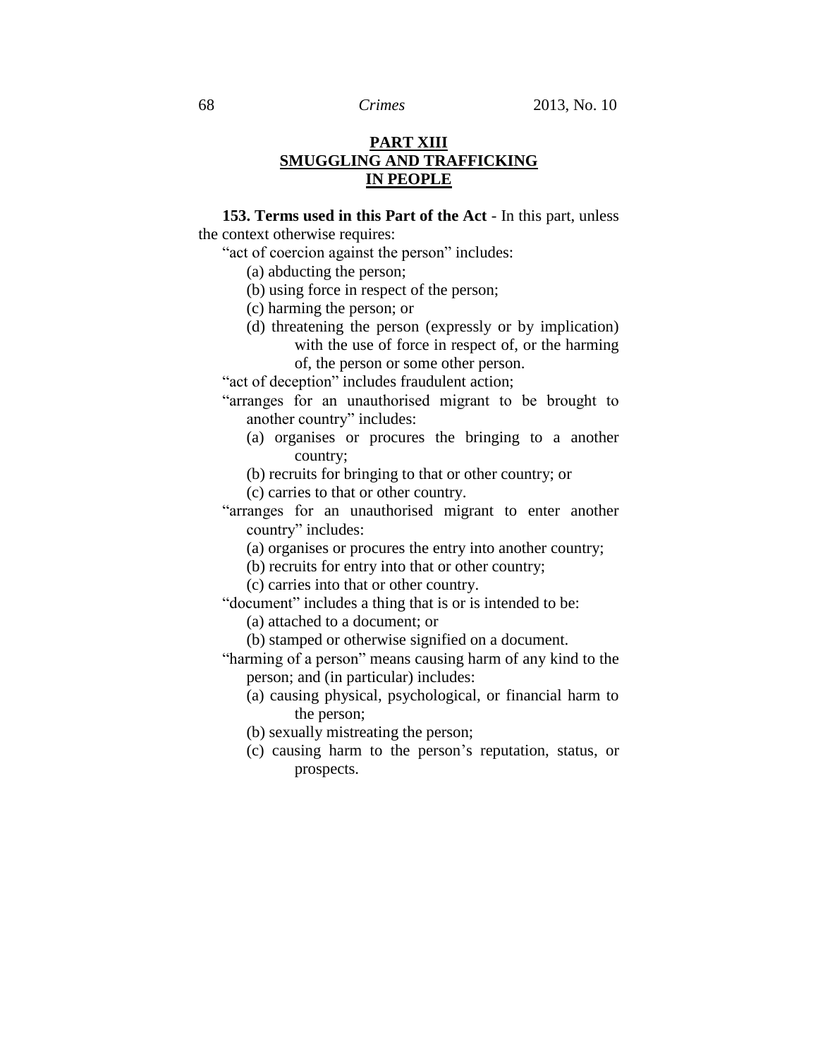# **PART XIII SMUGGLING AND TRAFFICKING IN PEOPLE**

**153. Terms used in this Part of the Act** - In this part, unless the context otherwise requires:

"act of coercion against the person" includes:

- (a) abducting the person;
- (b) using force in respect of the person;
- (c) harming the person; or
- (d) threatening the person (expressly or by implication) with the use of force in respect of, or the harming of, the person or some other person.

"act of deception" includes fraudulent action;

- "arranges for an unauthorised migrant to be brought to another country" includes:
	- (a) organises or procures the bringing to a another country;
	- (b) recruits for bringing to that or other country; or
	- (c) carries to that or other country.
- "arranges for an unauthorised migrant to enter another country" includes:
	- (a) organises or procures the entry into another country;
	- (b) recruits for entry into that or other country;
	- (c) carries into that or other country.

"document" includes a thing that is or is intended to be:

- (a) attached to a document; or
- (b) stamped or otherwise signified on a document.
- "harming of a person" means causing harm of any kind to the person; and (in particular) includes:
	- (a) causing physical, psychological, or financial harm to the person;
	- (b) sexually mistreating the person;
	- (c) causing harm to the person's reputation, status, or prospects.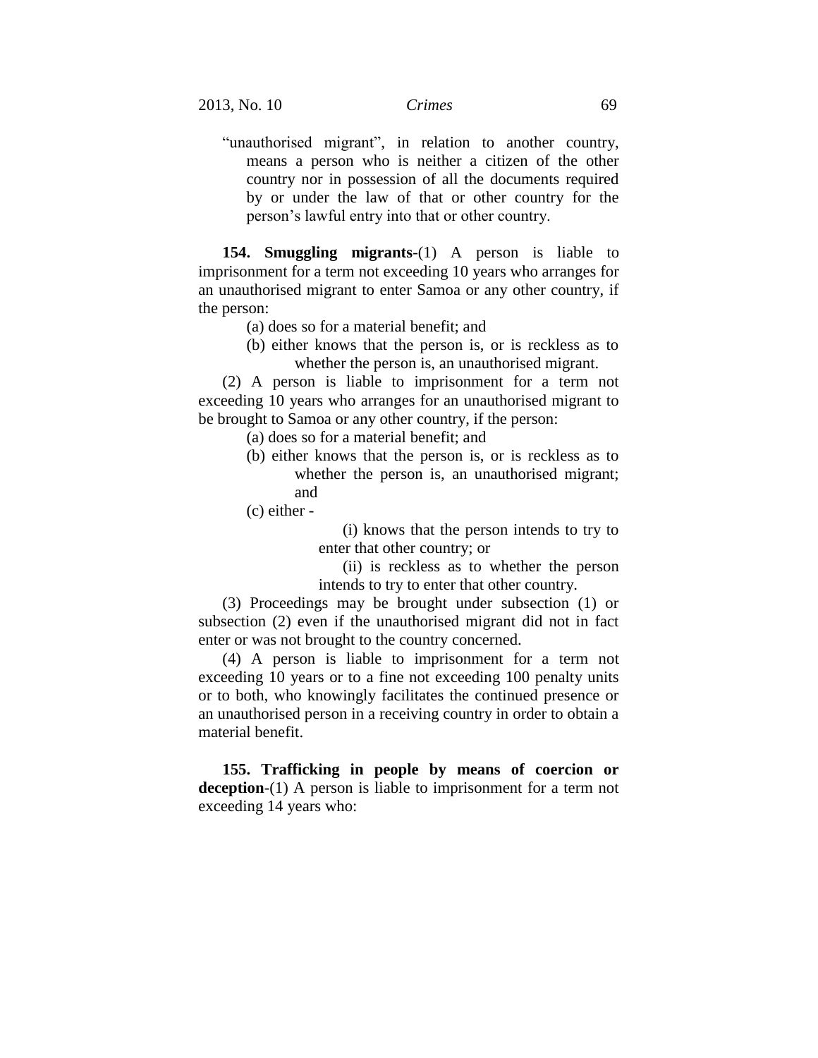"unauthorised migrant", in relation to another country, means a person who is neither a citizen of the other country nor in possession of all the documents required by or under the law of that or other country for the person's lawful entry into that or other country.

**154. Smuggling migrants**-(1) A person is liable to imprisonment for a term not exceeding 10 years who arranges for an unauthorised migrant to enter Samoa or any other country, if the person:

- (a) does so for a material benefit; and
- (b) either knows that the person is, or is reckless as to whether the person is, an unauthorised migrant.

(2) A person is liable to imprisonment for a term not exceeding 10 years who arranges for an unauthorised migrant to be brought to Samoa or any other country, if the person:

- (a) does so for a material benefit; and
- (b) either knows that the person is, or is reckless as to whether the person is, an unauthorised migrant; and

(c) either -

(i) knows that the person intends to try to enter that other country; or

(ii) is reckless as to whether the person intends to try to enter that other country.

(3) Proceedings may be brought under subsection (1) or subsection (2) even if the unauthorised migrant did not in fact enter or was not brought to the country concerned.

(4) A person is liable to imprisonment for a term not exceeding 10 years or to a fine not exceeding 100 penalty units or to both, who knowingly facilitates the continued presence or an unauthorised person in a receiving country in order to obtain a material benefit.

**155. Trafficking in people by means of coercion or deception**-(1) A person is liable to imprisonment for a term not exceeding 14 years who: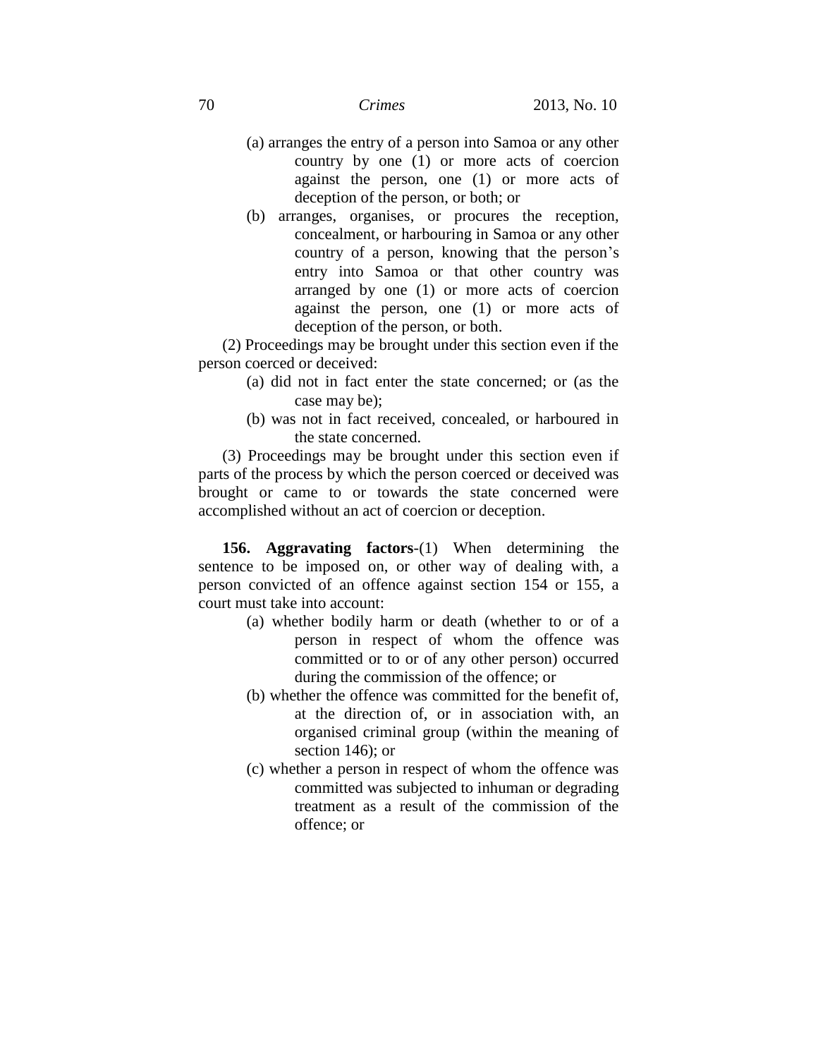- (a) arranges the entry of a person into Samoa or any other country by one (1) or more acts of coercion against the person, one (1) or more acts of deception of the person, or both; or
- (b) arranges, organises, or procures the reception, concealment, or harbouring in Samoa or any other country of a person, knowing that the person's entry into Samoa or that other country was arranged by one (1) or more acts of coercion against the person, one (1) or more acts of deception of the person, or both.

(2) Proceedings may be brought under this section even if the person coerced or deceived:

- (a) did not in fact enter the state concerned; or (as the case may be);
- (b) was not in fact received, concealed, or harboured in the state concerned.

(3) Proceedings may be brought under this section even if parts of the process by which the person coerced or deceived was brought or came to or towards the state concerned were accomplished without an act of coercion or deception.

**156. Aggravating factors**-(1) When determining the sentence to be imposed on, or other way of dealing with, a person convicted of an offence against section 154 or 155, a court must take into account:

- (a) whether bodily harm or death (whether to or of a person in respect of whom the offence was committed or to or of any other person) occurred during the commission of the offence; or
- (b) whether the offence was committed for the benefit of, at the direction of, or in association with, an organised criminal group (within the meaning of section 146); or
- (c) whether a person in respect of whom the offence was committed was subjected to inhuman or degrading treatment as a result of the commission of the offence; or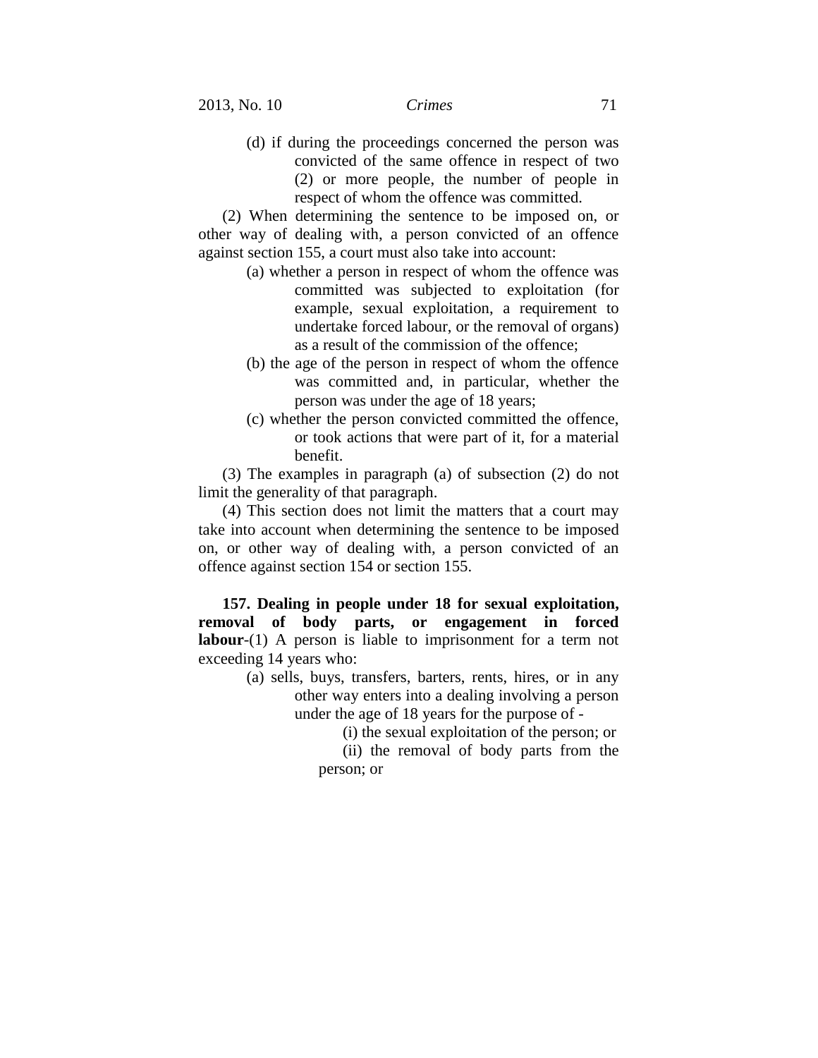(d) if during the proceedings concerned the person was convicted of the same offence in respect of two (2) or more people, the number of people in respect of whom the offence was committed.

(2) When determining the sentence to be imposed on, or other way of dealing with, a person convicted of an offence against section 155, a court must also take into account:

- (a) whether a person in respect of whom the offence was committed was subjected to exploitation (for example, sexual exploitation, a requirement to undertake forced labour, or the removal of organs) as a result of the commission of the offence;
- (b) the age of the person in respect of whom the offence was committed and, in particular, whether the person was under the age of 18 years;
- (c) whether the person convicted committed the offence, or took actions that were part of it, for a material benefit.

(3) The examples in paragraph (a) of subsection (2) do not limit the generality of that paragraph.

(4) This section does not limit the matters that a court may take into account when determining the sentence to be imposed on, or other way of dealing with, a person convicted of an offence against section 154 or section 155.

**157. Dealing in people under 18 for sexual exploitation, removal of body parts, or engagement in forced labour**-(1) A person is liable to imprisonment for a term not exceeding 14 years who:

- (a) sells, buys, transfers, barters, rents, hires, or in any other way enters into a dealing involving a person under the age of 18 years for the purpose of -
	- (i) the sexual exploitation of the person; or

(ii) the removal of body parts from the person; or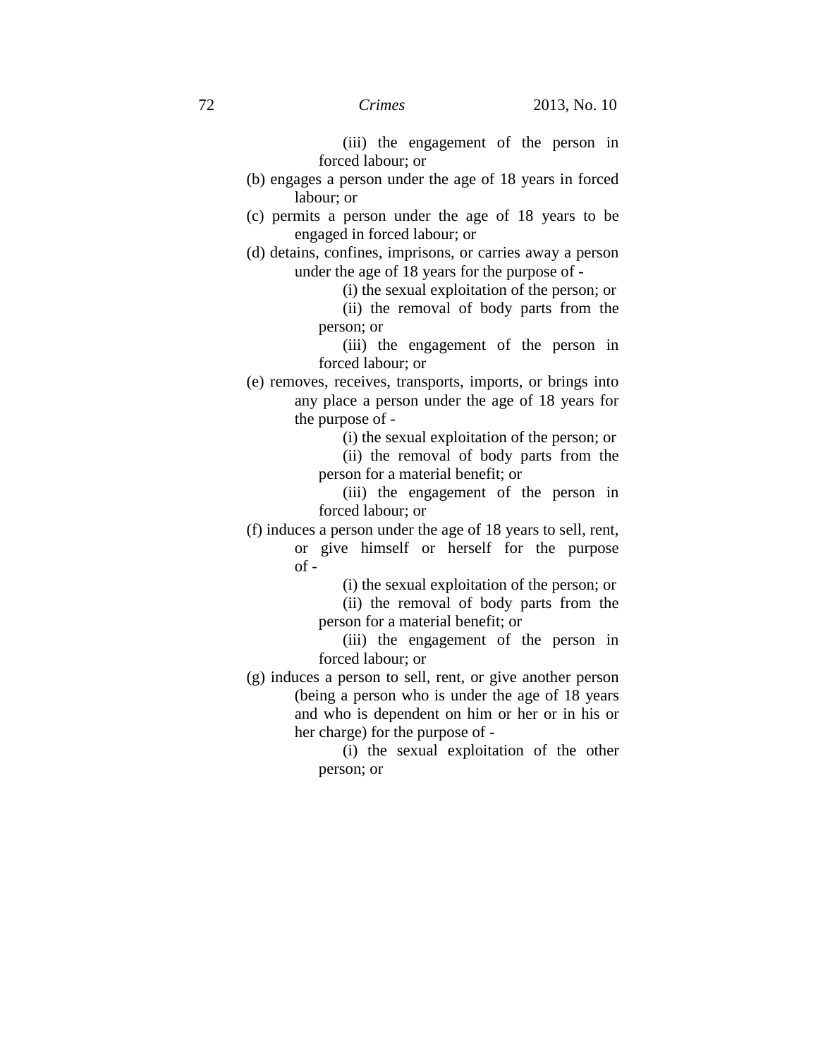(iii) the engagement of the person in forced labour; or

- (b) engages a person under the age of 18 years in forced labour; or
- (c) permits a person under the age of 18 years to be engaged in forced labour; or
- (d) detains, confines, imprisons, or carries away a person under the age of 18 years for the purpose of -

(i) the sexual exploitation of the person; or

(ii) the removal of body parts from the person; or

(iii) the engagement of the person in forced labour; or

(e) removes, receives, transports, imports, or brings into any place a person under the age of 18 years for the purpose of -

(i) the sexual exploitation of the person; or

(ii) the removal of body parts from the person for a material benefit; or

(iii) the engagement of the person in forced labour; or

(f) induces a person under the age of 18 years to sell, rent, or give himself or herself for the purpose  $of -$ 

(i) the sexual exploitation of the person; or

(ii) the removal of body parts from the person for a material benefit; or

(iii) the engagement of the person in forced labour; or

(g) induces a person to sell, rent, or give another person (being a person who is under the age of 18 years and who is dependent on him or her or in his or her charge) for the purpose of -

> (i) the sexual exploitation of the other person; or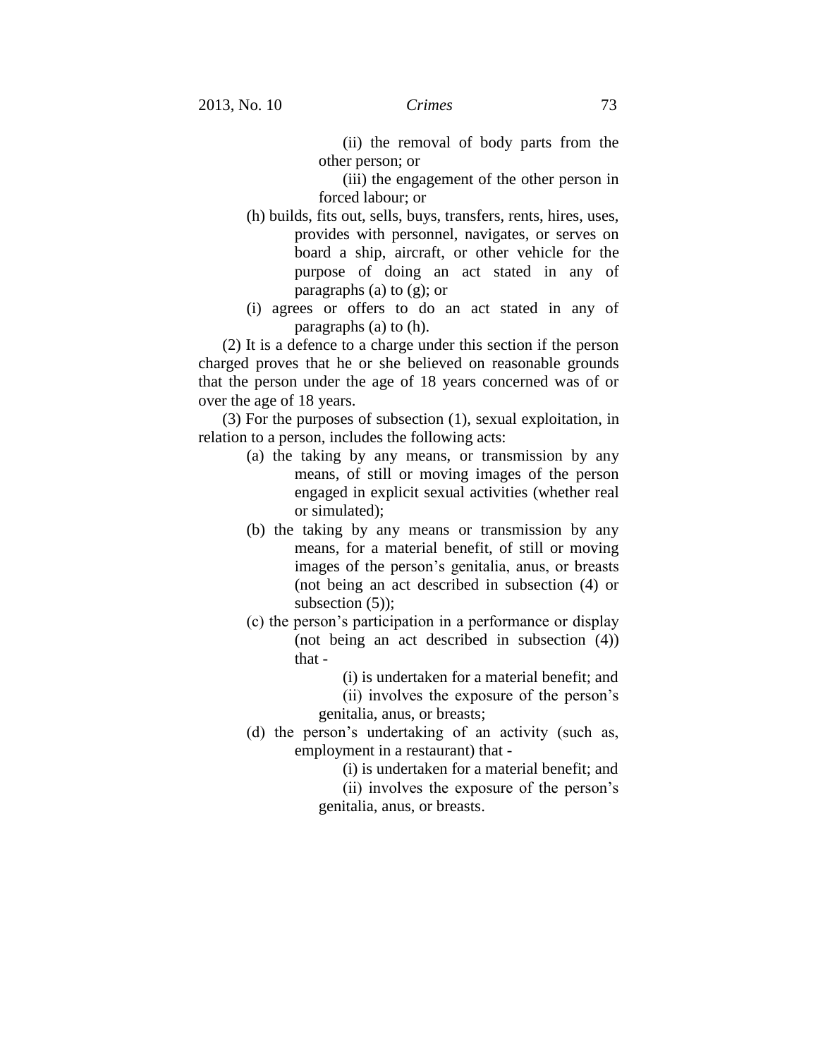(ii) the removal of body parts from the other person; or

(iii) the engagement of the other person in forced labour; or

- (h) builds, fits out, sells, buys, transfers, rents, hires, uses, provides with personnel, navigates, or serves on board a ship, aircraft, or other vehicle for the purpose of doing an act stated in any of paragraphs (a) to (g); or
- (i) agrees or offers to do an act stated in any of paragraphs (a) to (h).

(2) It is a defence to a charge under this section if the person charged proves that he or she believed on reasonable grounds that the person under the age of 18 years concerned was of or over the age of 18 years.

(3) For the purposes of subsection (1), sexual exploitation, in relation to a person, includes the following acts:

- (a) the taking by any means, or transmission by any means, of still or moving images of the person engaged in explicit sexual activities (whether real or simulated);
- (b) the taking by any means or transmission by any means, for a material benefit, of still or moving images of the person's genitalia, anus, or breasts (not being an act described in subsection (4) or subsection  $(5)$ ;
- (c) the person's participation in a performance or display (not being an act described in subsection (4)) that -
	- (i) is undertaken for a material benefit; and

(ii) involves the exposure of the person's

genitalia, anus, or breasts;

(d) the person's undertaking of an activity (such as, employment in a restaurant) that -

(i) is undertaken for a material benefit; and

(ii) involves the exposure of the person's genitalia, anus, or breasts.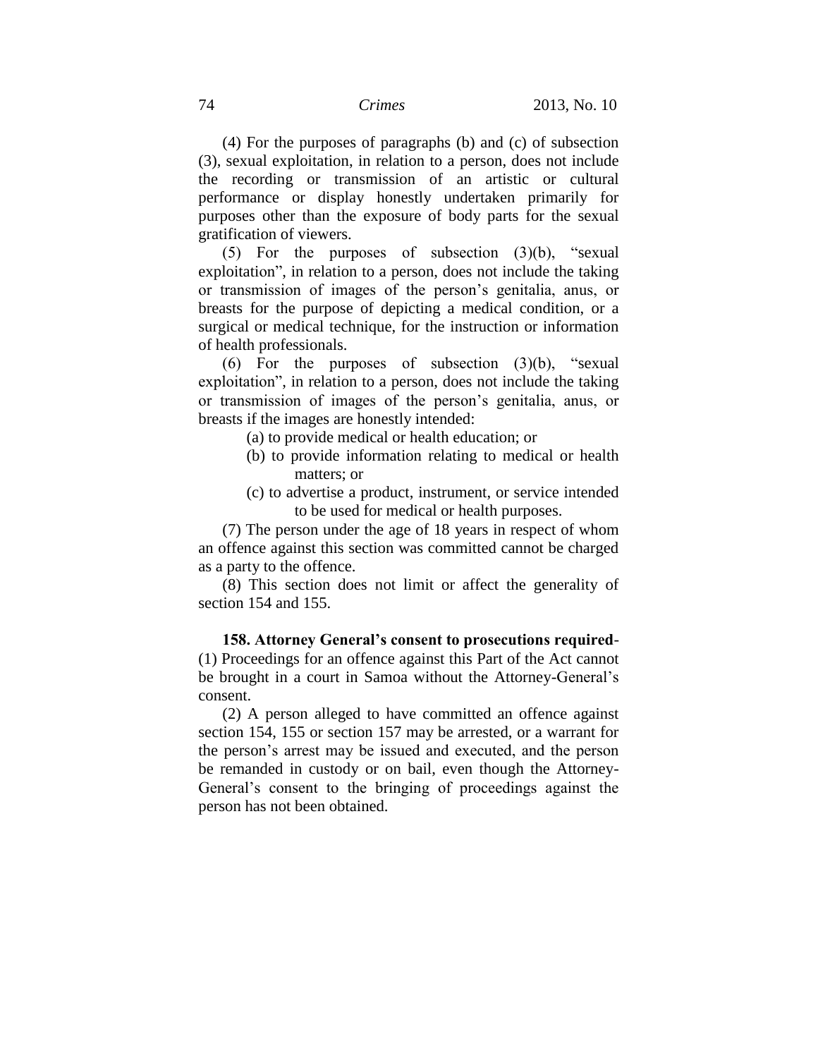(4) For the purposes of paragraphs (b) and (c) of subsection (3), sexual exploitation, in relation to a person, does not include the recording or transmission of an artistic or cultural performance or display honestly undertaken primarily for purposes other than the exposure of body parts for the sexual gratification of viewers.

(5) For the purposes of subsection (3)(b), "sexual exploitation", in relation to a person, does not include the taking or transmission of images of the person's genitalia, anus, or breasts for the purpose of depicting a medical condition, or a surgical or medical technique, for the instruction or information of health professionals.

(6) For the purposes of subsection  $(3)(b)$ , "sexual exploitation", in relation to a person, does not include the taking or transmission of images of the person's genitalia, anus, or breasts if the images are honestly intended:

- (a) to provide medical or health education; or
- (b) to provide information relating to medical or health matters; or
- (c) to advertise a product, instrument, or service intended to be used for medical or health purposes.

(7) The person under the age of 18 years in respect of whom an offence against this section was committed cannot be charged as a party to the offence.

(8) This section does not limit or affect the generality of section 154 and 155.

**158. Attorney General's consent to prosecutions required**- (1) Proceedings for an offence against this Part of the Act cannot be brought in a court in Samoa without the Attorney-General's consent.

(2) A person alleged to have committed an offence against section 154, 155 or section 157 may be arrested, or a warrant for the person's arrest may be issued and executed, and the person be remanded in custody or on bail, even though the Attorney-General's consent to the bringing of proceedings against the person has not been obtained.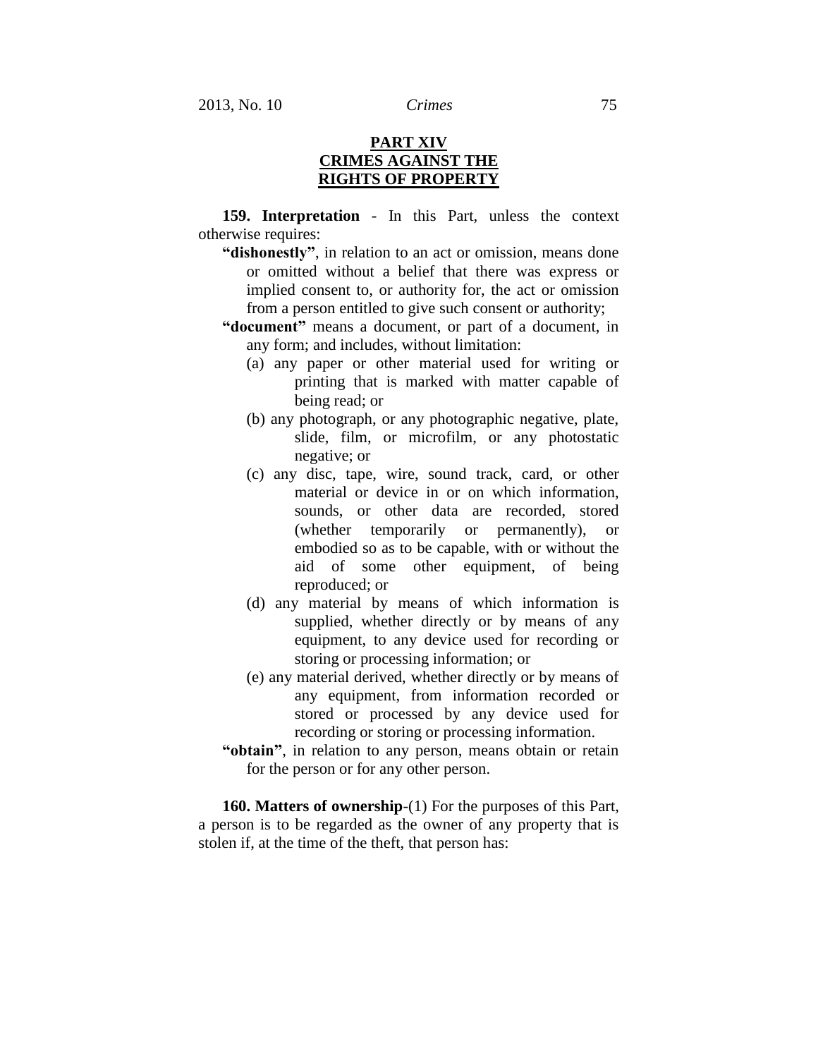# **PART XIV CRIMES AGAINST THE RIGHTS OF PROPERTY**

**159. Interpretation** - In this Part, unless the context otherwise requires:

- **"dishonestly"**, in relation to an act or omission, means done or omitted without a belief that there was express or implied consent to, or authority for, the act or omission from a person entitled to give such consent or authority;
- **"document"** means a document, or part of a document, in any form; and includes, without limitation:
	- (a) any paper or other material used for writing or printing that is marked with matter capable of being read; or
	- (b) any photograph, or any photographic negative, plate, slide, film, or microfilm, or any photostatic negative; or
	- (c) any disc, tape, wire, sound track, card, or other material or device in or on which information, sounds, or other data are recorded, stored (whether temporarily or permanently), or embodied so as to be capable, with or without the aid of some other equipment, of being reproduced; or
	- (d) any material by means of which information is supplied, whether directly or by means of any equipment, to any device used for recording or storing or processing information; or
	- (e) any material derived, whether directly or by means of any equipment, from information recorded or stored or processed by any device used for recording or storing or processing information.
- **"obtain"**, in relation to any person, means obtain or retain for the person or for any other person.

**160. Matters of ownership**-(1) For the purposes of this Part, a person is to be regarded as the owner of any property that is stolen if, at the time of the theft, that person has: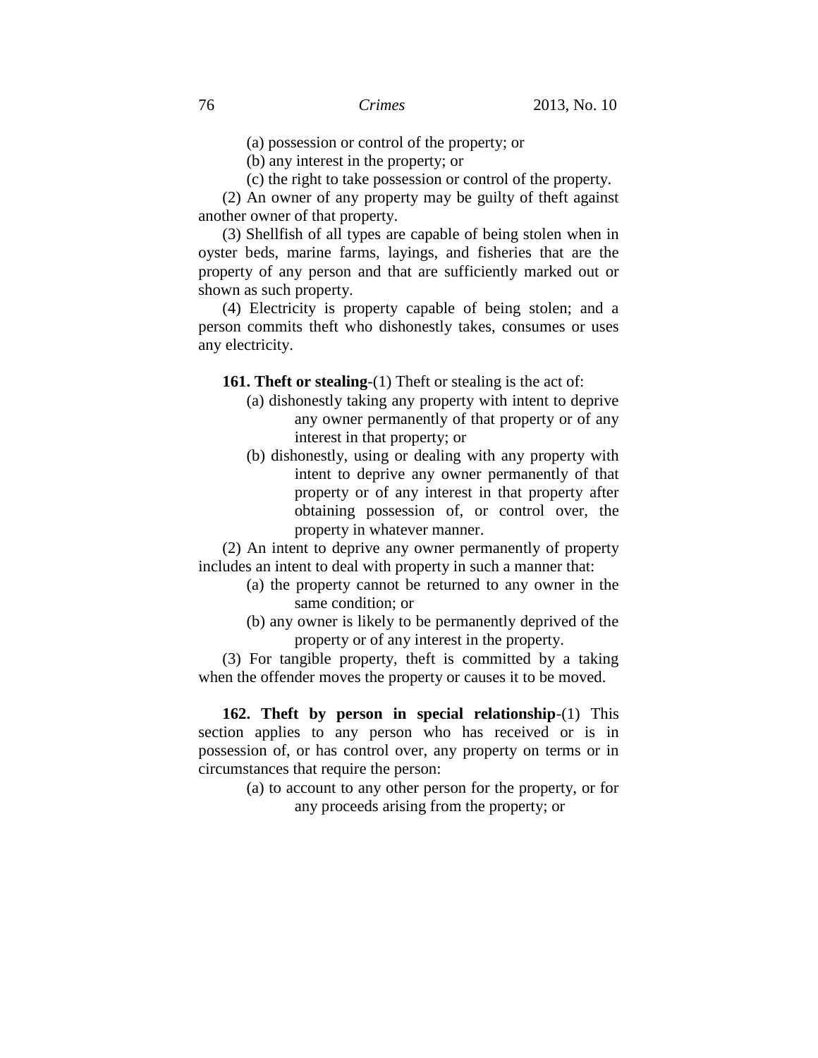(a) possession or control of the property; or

(b) any interest in the property; or

(c) the right to take possession or control of the property.

(2) An owner of any property may be guilty of theft against another owner of that property.

(3) Shellfish of all types are capable of being stolen when in oyster beds, marine farms, layings, and fisheries that are the property of any person and that are sufficiently marked out or shown as such property.

(4) Electricity is property capable of being stolen; and a person commits theft who dishonestly takes, consumes or uses any electricity.

**161. Theft or stealing**-(1) Theft or stealing is the act of:

- (a) dishonestly taking any property with intent to deprive any owner permanently of that property or of any interest in that property; or
- (b) dishonestly, using or dealing with any property with intent to deprive any owner permanently of that property or of any interest in that property after obtaining possession of, or control over, the property in whatever manner.

(2) An intent to deprive any owner permanently of property includes an intent to deal with property in such a manner that:

- (a) the property cannot be returned to any owner in the same condition; or
- (b) any owner is likely to be permanently deprived of the property or of any interest in the property.

(3) For tangible property, theft is committed by a taking when the offender moves the property or causes it to be moved.

**162. Theft by person in special relationship**-(1) This section applies to any person who has received or is in possession of, or has control over, any property on terms or in circumstances that require the person:

> (a) to account to any other person for the property, or for any proceeds arising from the property; or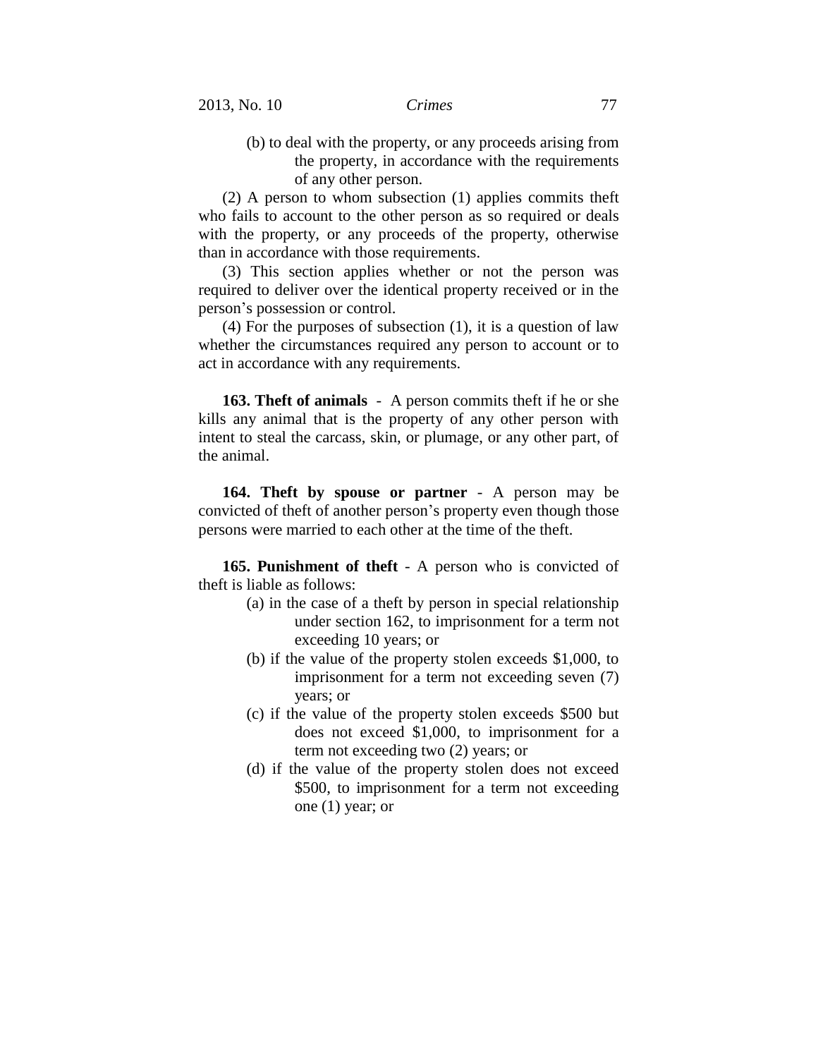(b) to deal with the property, or any proceeds arising from the property, in accordance with the requirements of any other person.

(2) A person to whom subsection (1) applies commits theft who fails to account to the other person as so required or deals with the property, or any proceeds of the property, otherwise than in accordance with those requirements.

(3) This section applies whether or not the person was required to deliver over the identical property received or in the person's possession or control.

(4) For the purposes of subsection (1), it is a question of law whether the circumstances required any person to account or to act in accordance with any requirements.

**163. Theft of animals** - A person commits theft if he or she kills any animal that is the property of any other person with intent to steal the carcass, skin, or plumage, or any other part, of the animal.

**164. Theft by spouse or partner** - A person may be convicted of theft of another person's property even though those persons were married to each other at the time of the theft.

**165. Punishment of theft** - A person who is convicted of theft is liable as follows:

- (a) in the case of a theft by person in special relationship under section 162, to imprisonment for a term not exceeding 10 years; or
- (b) if the value of the property stolen exceeds \$1,000, to imprisonment for a term not exceeding seven (7) years; or
- (c) if the value of the property stolen exceeds \$500 but does not exceed \$1,000, to imprisonment for a term not exceeding two (2) years; or
- (d) if the value of the property stolen does not exceed \$500, to imprisonment for a term not exceeding one (1) year; or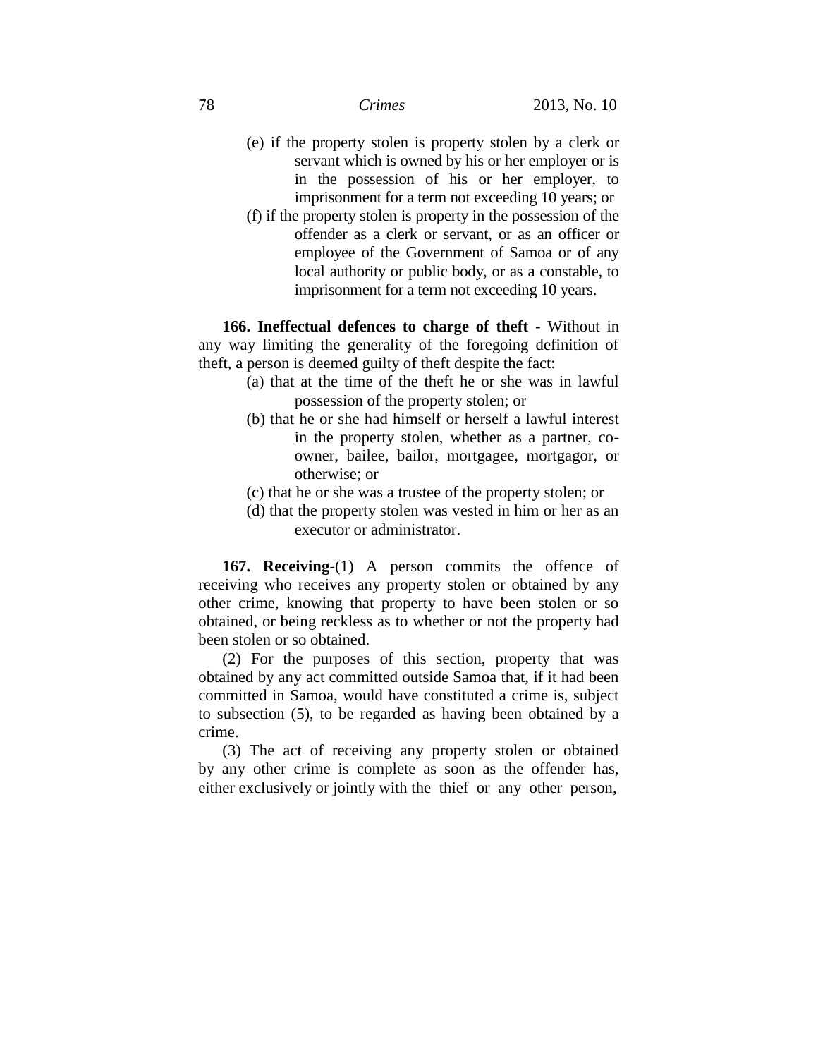- (e) if the property stolen is property stolen by a clerk or servant which is owned by his or her employer or is in the possession of his or her employer, to imprisonment for a term not exceeding 10 years; or
- (f) if the property stolen is property in the possession of the offender as a clerk or servant, or as an officer or employee of the Government of Samoa or of any local authority or public body, or as a constable, to imprisonment for a term not exceeding 10 years.

**166. Ineffectual defences to charge of theft** - Without in any way limiting the generality of the foregoing definition of theft, a person is deemed guilty of theft despite the fact:

- (a) that at the time of the theft he or she was in lawful possession of the property stolen; or
- (b) that he or she had himself or herself a lawful interest in the property stolen, whether as a partner, coowner, bailee, bailor, mortgagee, mortgagor, or otherwise; or
- (c) that he or she was a trustee of the property stolen; or
- (d) that the property stolen was vested in him or her as an executor or administrator.

**167. Receiving**-(1) A person commits the offence of receiving who receives any property stolen or obtained by any other crime, knowing that property to have been stolen or so obtained, or being reckless as to whether or not the property had been stolen or so obtained.

(2) For the purposes of this section, property that was obtained by any act committed outside Samoa that, if it had been committed in Samoa, would have constituted a crime is, subject to subsection (5), to be regarded as having been obtained by a crime.

(3) The act of receiving any property stolen or obtained by any other crime is complete as soon as the offender has, either exclusively or jointly with the thief or any other person,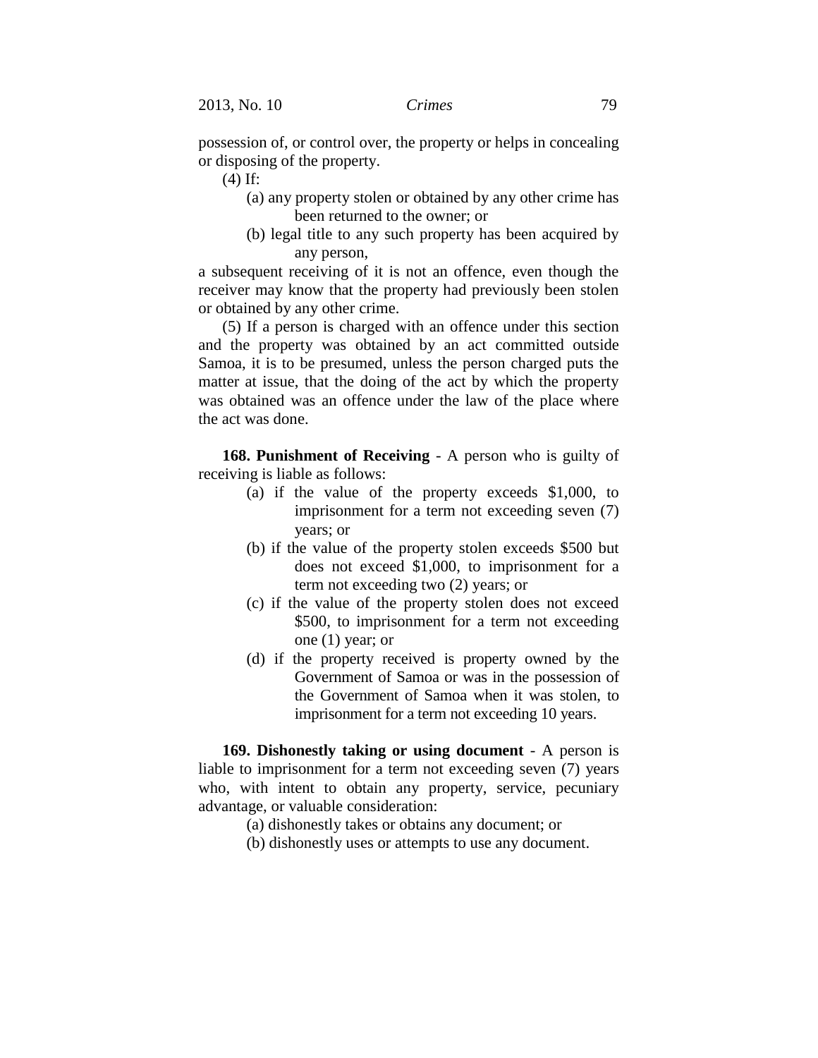possession of, or control over, the property or helps in concealing or disposing of the property.

(4) If:

- (a) any property stolen or obtained by any other crime has been returned to the owner; or
- (b) legal title to any such property has been acquired by any person,

a subsequent receiving of it is not an offence, even though the receiver may know that the property had previously been stolen or obtained by any other crime.

(5) If a person is charged with an offence under this section and the property was obtained by an act committed outside Samoa, it is to be presumed, unless the person charged puts the matter at issue, that the doing of the act by which the property was obtained was an offence under the law of the place where the act was done.

**168. Punishment of Receiving** - A person who is guilty of receiving is liable as follows:

- (a) if the value of the property exceeds \$1,000, to imprisonment for a term not exceeding seven (7) years; or
- (b) if the value of the property stolen exceeds \$500 but does not exceed \$1,000, to imprisonment for a term not exceeding two (2) years; or
- (c) if the value of the property stolen does not exceed \$500, to imprisonment for a term not exceeding one (1) year; or
- (d) if the property received is property owned by the Government of Samoa or was in the possession of the Government of Samoa when it was stolen, to imprisonment for a term not exceeding 10 years.

**169. Dishonestly taking or using document** - A person is liable to imprisonment for a term not exceeding seven (7) years who, with intent to obtain any property, service, pecuniary advantage, or valuable consideration:

- (a) dishonestly takes or obtains any document; or
- (b) dishonestly uses or attempts to use any document.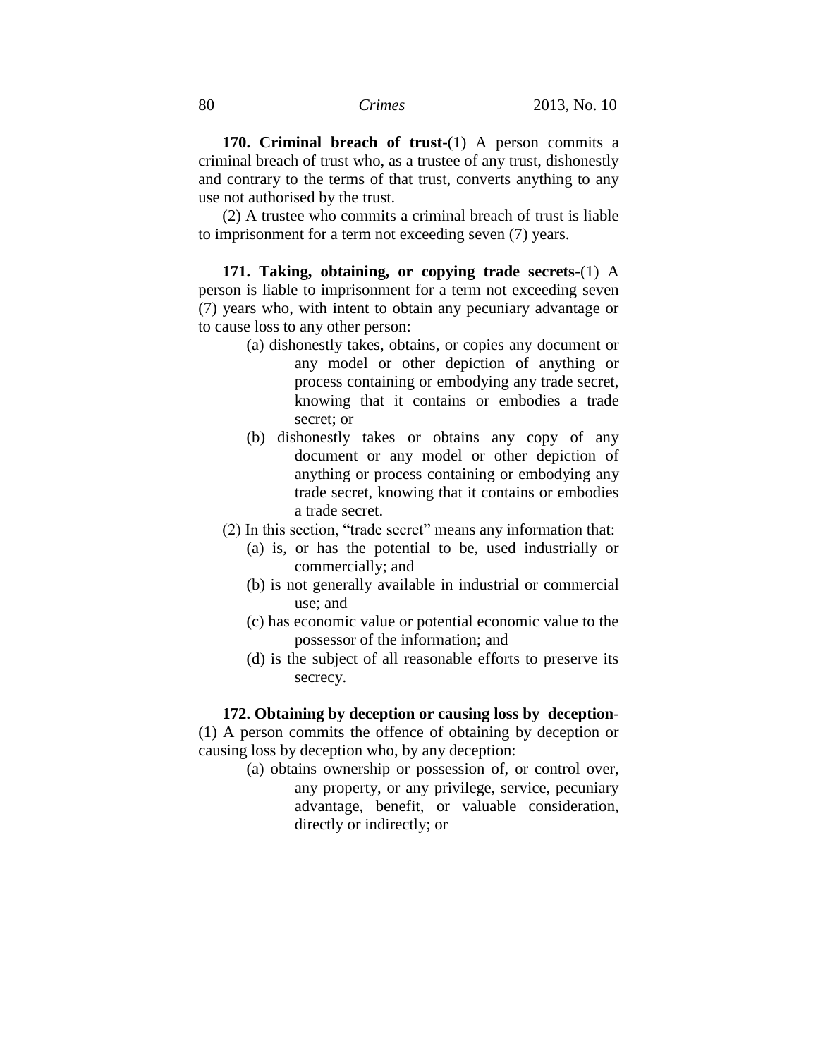**170. Criminal breach of trust**-(1) A person commits a criminal breach of trust who, as a trustee of any trust, dishonestly and contrary to the terms of that trust, converts anything to any use not authorised by the trust.

(2) A trustee who commits a criminal breach of trust is liable to imprisonment for a term not exceeding seven (7) years.

**171. Taking, obtaining, or copying trade secrets**-(1) A person is liable to imprisonment for a term not exceeding seven (7) years who, with intent to obtain any pecuniary advantage or to cause loss to any other person:

- (a) dishonestly takes, obtains, or copies any document or any model or other depiction of anything or process containing or embodying any trade secret, knowing that it contains or embodies a trade secret; or
- (b) dishonestly takes or obtains any copy of any document or any model or other depiction of anything or process containing or embodying any trade secret, knowing that it contains or embodies a trade secret.
- (2) In this section, "trade secret" means any information that:
	- (a) is, or has the potential to be, used industrially or commercially; and
	- (b) is not generally available in industrial or commercial use; and
	- (c) has economic value or potential economic value to the possessor of the information; and
	- (d) is the subject of all reasonable efforts to preserve its secrecy.

#### **172. Obtaining by deception or causing loss by deception**-

(1) A person commits the offence of obtaining by deception or causing loss by deception who, by any deception:

> (a) obtains ownership or possession of, or control over, any property, or any privilege, service, pecuniary advantage, benefit, or valuable consideration, directly or indirectly; or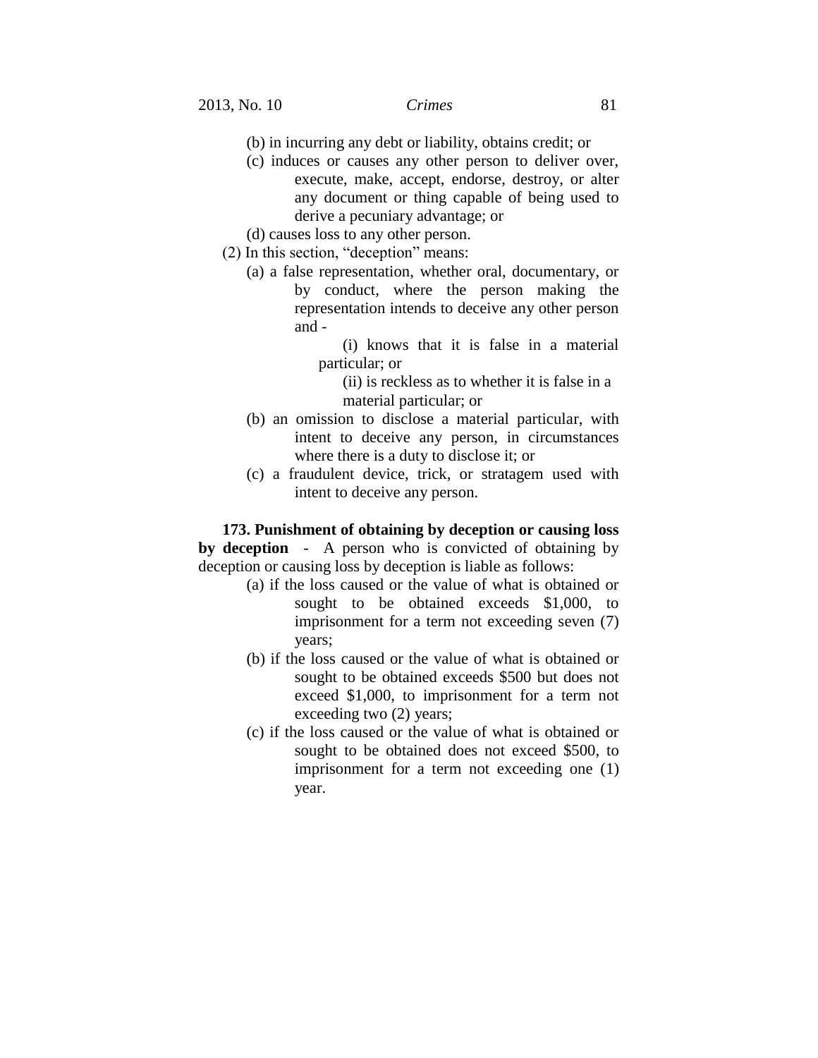- (b) in incurring any debt or liability, obtains credit; or
- (c) induces or causes any other person to deliver over, execute, make, accept, endorse, destroy, or alter any document or thing capable of being used to derive a pecuniary advantage; or
- (d) causes loss to any other person.
- (2) In this section, "deception" means:
	- (a) a false representation, whether oral, documentary, or by conduct, where the person making the representation intends to deceive any other person and -
		- (i) knows that it is false in a material particular; or
			- (ii) is reckless as to whether it is false in a material particular; or
	- (b) an omission to disclose a material particular, with intent to deceive any person, in circumstances where there is a duty to disclose it; or
	- (c) a fraudulent device, trick, or stratagem used with intent to deceive any person.

**173. Punishment of obtaining by deception or causing loss by deception** - A person who is convicted of obtaining by deception or causing loss by deception is liable as follows:

- (a) if the loss caused or the value of what is obtained or sought to be obtained exceeds \$1,000, to imprisonment for a term not exceeding seven (7) years;
- (b) if the loss caused or the value of what is obtained or sought to be obtained exceeds \$500 but does not exceed \$1,000, to imprisonment for a term not exceeding two (2) years;
- (c) if the loss caused or the value of what is obtained or sought to be obtained does not exceed \$500, to imprisonment for a term not exceeding one (1) year.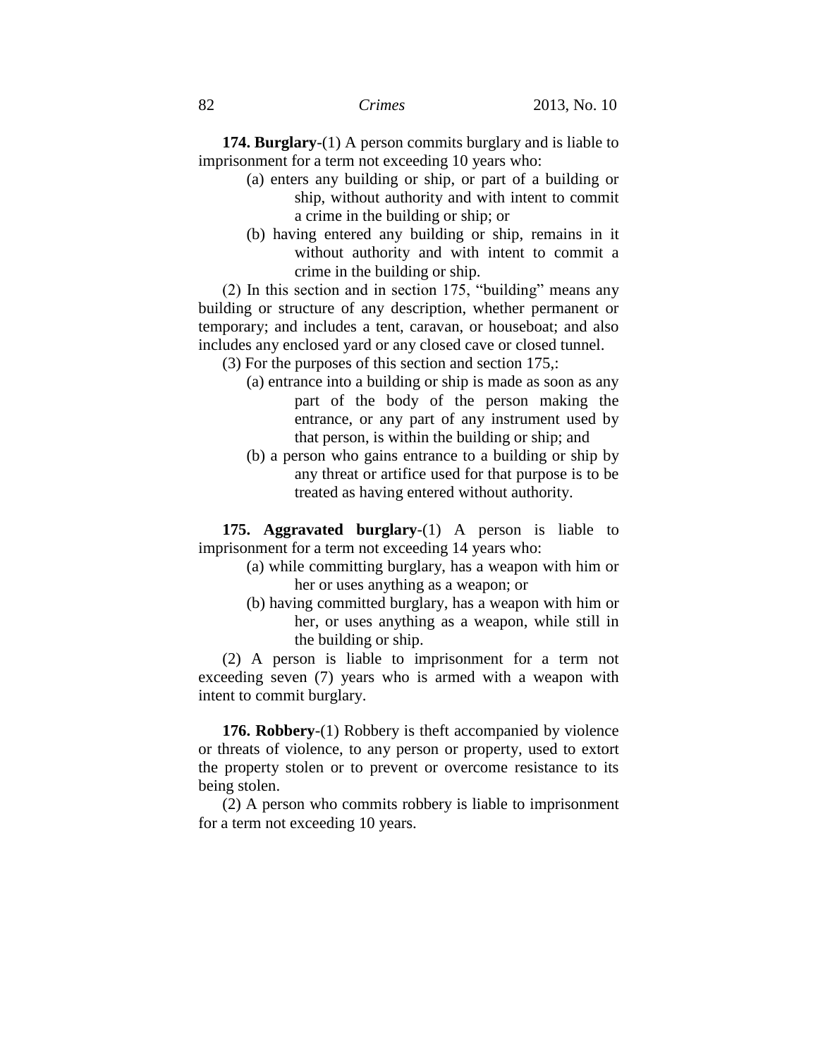**174. Burglary**-(1) A person commits burglary and is liable to imprisonment for a term not exceeding 10 years who:

- (a) enters any building or ship, or part of a building or ship, without authority and with intent to commit a crime in the building or ship; or
- (b) having entered any building or ship, remains in it without authority and with intent to commit a crime in the building or ship.

(2) In this section and in section 175, "building" means any building or structure of any description, whether permanent or temporary; and includes a tent, caravan, or houseboat; and also includes any enclosed yard or any closed cave or closed tunnel.

(3) For the purposes of this section and section 175,:

- (a) entrance into a building or ship is made as soon as any part of the body of the person making the entrance, or any part of any instrument used by that person, is within the building or ship; and
- (b) a person who gains entrance to a building or ship by any threat or artifice used for that purpose is to be treated as having entered without authority.

**175. Aggravated burglary**-(1) A person is liable to imprisonment for a term not exceeding 14 years who:

- (a) while committing burglary, has a weapon with him or her or uses anything as a weapon; or
- (b) having committed burglary, has a weapon with him or her, or uses anything as a weapon, while still in the building or ship.

(2) A person is liable to imprisonment for a term not exceeding seven (7) years who is armed with a weapon with intent to commit burglary.

**176. Robbery**-(1) Robbery is theft accompanied by violence or threats of violence, to any person or property, used to extort the property stolen or to prevent or overcome resistance to its being stolen.

(2) A person who commits robbery is liable to imprisonment for a term not exceeding 10 years.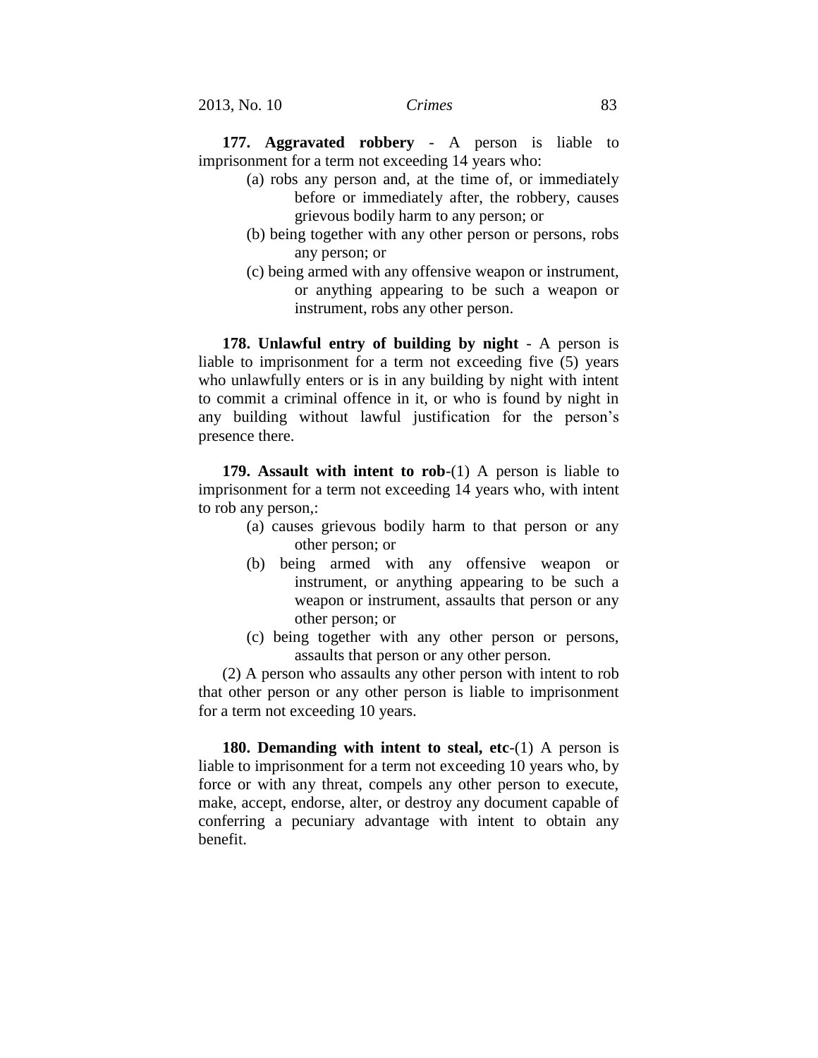**177. Aggravated robbery** - A person is liable to imprisonment for a term not exceeding 14 years who:

- (a) robs any person and, at the time of, or immediately before or immediately after, the robbery, causes grievous bodily harm to any person; or
- (b) being together with any other person or persons, robs any person; or
- (c) being armed with any offensive weapon or instrument, or anything appearing to be such a weapon or instrument, robs any other person.

**178. Unlawful entry of building by night** - A person is liable to imprisonment for a term not exceeding five (5) years who unlawfully enters or is in any building by night with intent to commit a criminal offence in it, or who is found by night in any building without lawful justification for the person's presence there.

**179. Assault with intent to rob**-(1) A person is liable to imprisonment for a term not exceeding 14 years who, with intent to rob any person,:

- (a) causes grievous bodily harm to that person or any other person; or
- (b) being armed with any offensive weapon or instrument, or anything appearing to be such a weapon or instrument, assaults that person or any other person; or
- (c) being together with any other person or persons, assaults that person or any other person.

(2) A person who assaults any other person with intent to rob that other person or any other person is liable to imprisonment for a term not exceeding 10 years.

**180. Demanding with intent to steal, etc**-(1) A person is liable to imprisonment for a term not exceeding 10 years who, by force or with any threat, compels any other person to execute, make, accept, endorse, alter, or destroy any document capable of conferring a pecuniary advantage with intent to obtain any benefit.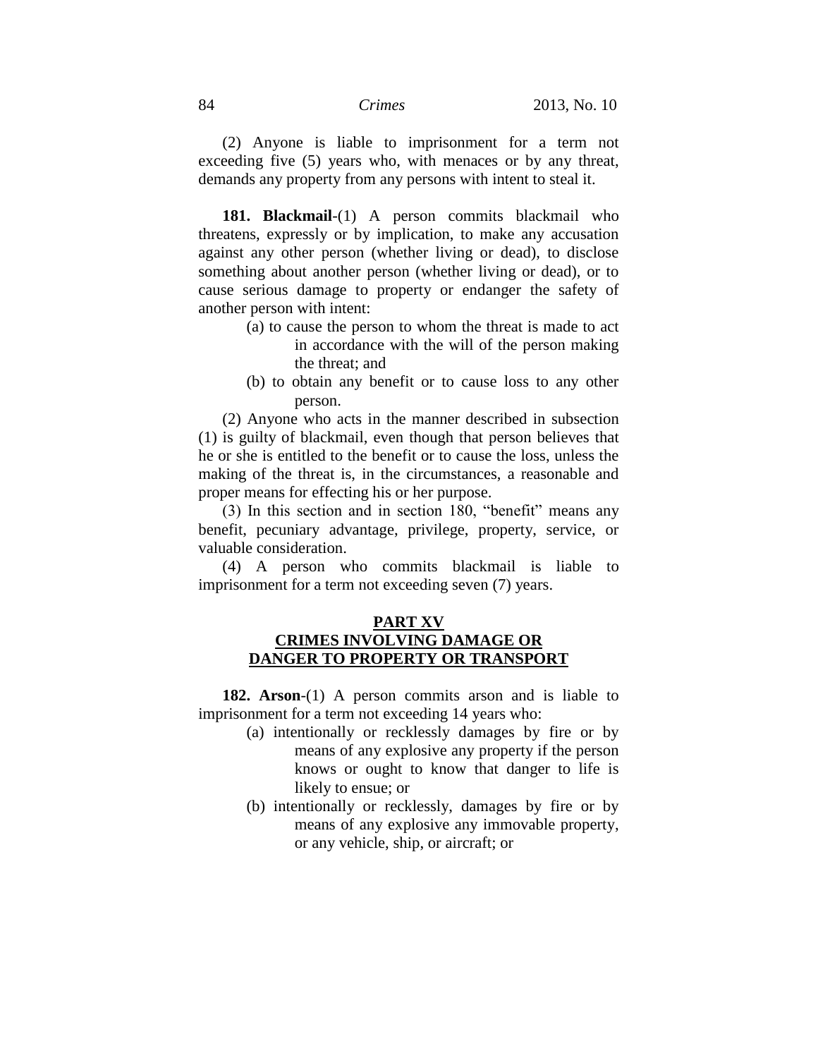(2) Anyone is liable to imprisonment for a term not exceeding five (5) years who, with menaces or by any threat, demands any property from any persons with intent to steal it.

**181. Blackmail**-(1) A person commits blackmail who threatens, expressly or by implication, to make any accusation against any other person (whether living or dead), to disclose something about another person (whether living or dead), or to cause serious damage to property or endanger the safety of another person with intent:

- (a) to cause the person to whom the threat is made to act in accordance with the will of the person making the threat; and
- (b) to obtain any benefit or to cause loss to any other person.

(2) Anyone who acts in the manner described in subsection (1) is guilty of blackmail, even though that person believes that he or she is entitled to the benefit or to cause the loss, unless the making of the threat is, in the circumstances, a reasonable and proper means for effecting his or her purpose.

(3) In this section and in section 180, "benefit" means any benefit, pecuniary advantage, privilege, property, service, or valuable consideration.

(4) A person who commits blackmail is liable to imprisonment for a term not exceeding seven (7) years.

## **PART XV CRIMES INVOLVING DAMAGE OR DANGER TO PROPERTY OR TRANSPORT**

**182. Arson**-(1) A person commits arson and is liable to imprisonment for a term not exceeding 14 years who:

- (a) intentionally or recklessly damages by fire or by means of any explosive any property if the person knows or ought to know that danger to life is likely to ensue; or
- (b) intentionally or recklessly, damages by fire or by means of any explosive any immovable property, or any vehicle, ship, or aircraft; or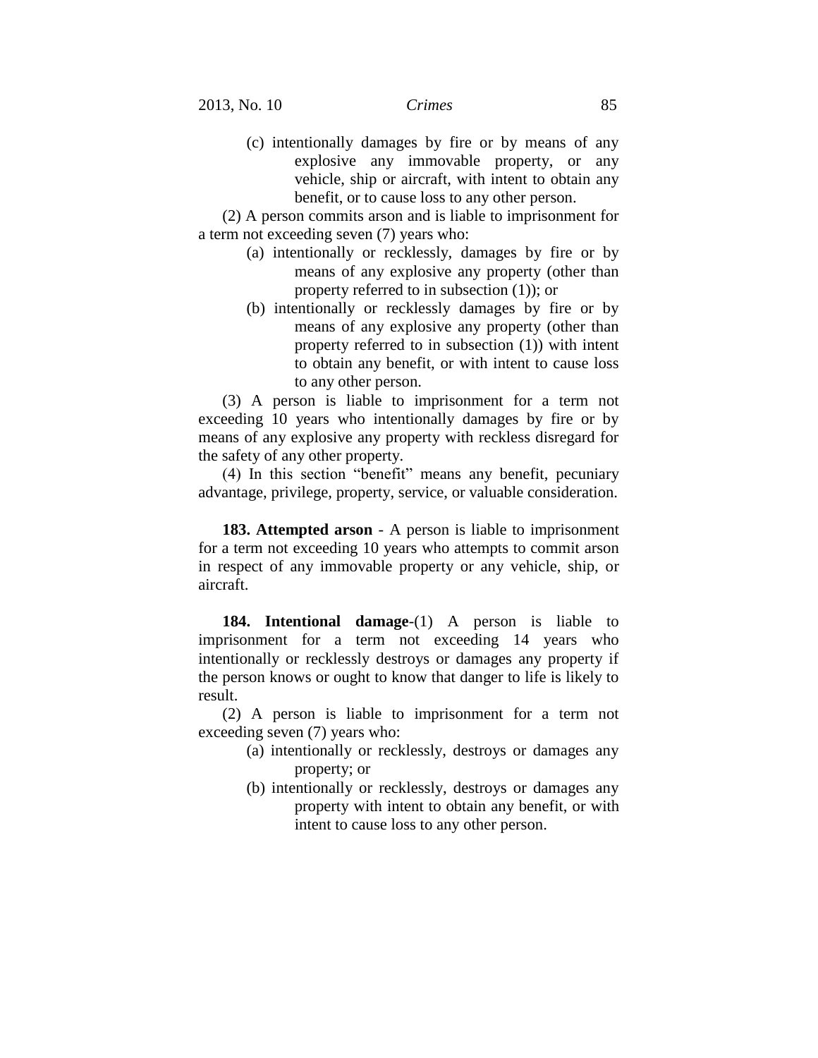(c) intentionally damages by fire or by means of any explosive any immovable property, or any vehicle, ship or aircraft, with intent to obtain any benefit, or to cause loss to any other person.

(2) A person commits arson and is liable to imprisonment for a term not exceeding seven (7) years who:

- (a) intentionally or recklessly, damages by fire or by means of any explosive any property (other than property referred to in subsection (1)); or
- (b) intentionally or recklessly damages by fire or by means of any explosive any property (other than property referred to in subsection (1)) with intent to obtain any benefit, or with intent to cause loss to any other person.

(3) A person is liable to imprisonment for a term not exceeding 10 years who intentionally damages by fire or by means of any explosive any property with reckless disregard for the safety of any other property.

(4) In this section "benefit" means any benefit, pecuniary advantage, privilege, property, service, or valuable consideration.

**183. Attempted arson** - A person is liable to imprisonment for a term not exceeding 10 years who attempts to commit arson in respect of any immovable property or any vehicle, ship, or aircraft.

**184. Intentional damage**-(1) A person is liable to imprisonment for a term not exceeding 14 years who intentionally or recklessly destroys or damages any property if the person knows or ought to know that danger to life is likely to result.

(2) A person is liable to imprisonment for a term not exceeding seven (7) years who:

- (a) intentionally or recklessly, destroys or damages any property; or
- (b) intentionally or recklessly, destroys or damages any property with intent to obtain any benefit, or with intent to cause loss to any other person.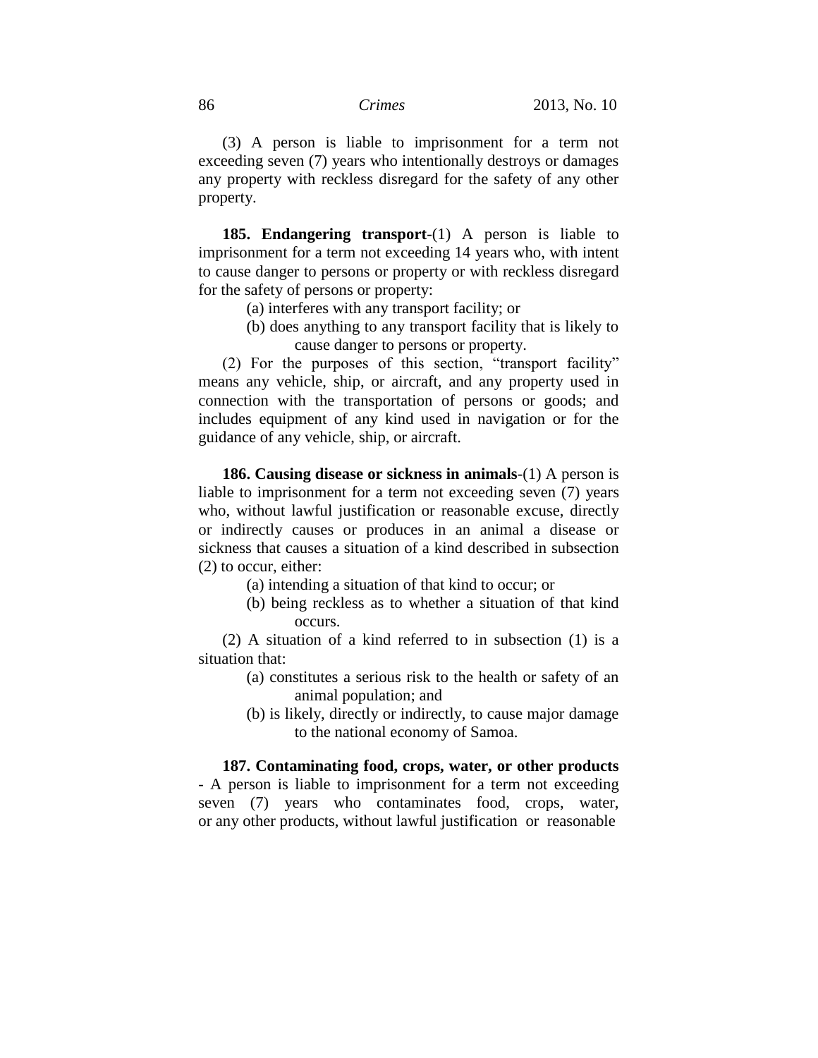(3) A person is liable to imprisonment for a term not exceeding seven (7) years who intentionally destroys or damages any property with reckless disregard for the safety of any other property.

**185. Endangering transport**-(1) A person is liable to imprisonment for a term not exceeding 14 years who, with intent to cause danger to persons or property or with reckless disregard for the safety of persons or property:

- (a) interferes with any transport facility; or
- (b) does anything to any transport facility that is likely to cause danger to persons or property.

(2) For the purposes of this section, "transport facility" means any vehicle, ship, or aircraft, and any property used in connection with the transportation of persons or goods; and includes equipment of any kind used in navigation or for the guidance of any vehicle, ship, or aircraft.

**186. Causing disease or sickness in animals**-(1) A person is liable to imprisonment for a term not exceeding seven (7) years who, without lawful justification or reasonable excuse, directly or indirectly causes or produces in an animal a disease or sickness that causes a situation of a kind described in subsection (2) to occur, either:

- (a) intending a situation of that kind to occur; or
- (b) being reckless as to whether a situation of that kind occurs.

(2) A situation of a kind referred to in subsection (1) is a situation that:

- (a) constitutes a serious risk to the health or safety of an animal population; and
- (b) is likely, directly or indirectly, to cause major damage to the national economy of Samoa.

# **187. Contaminating food, crops, water, or other products**

- A person is liable to imprisonment for a term not exceeding seven (7) years who contaminates food, crops, water, or any other products, without lawful justification or reasonable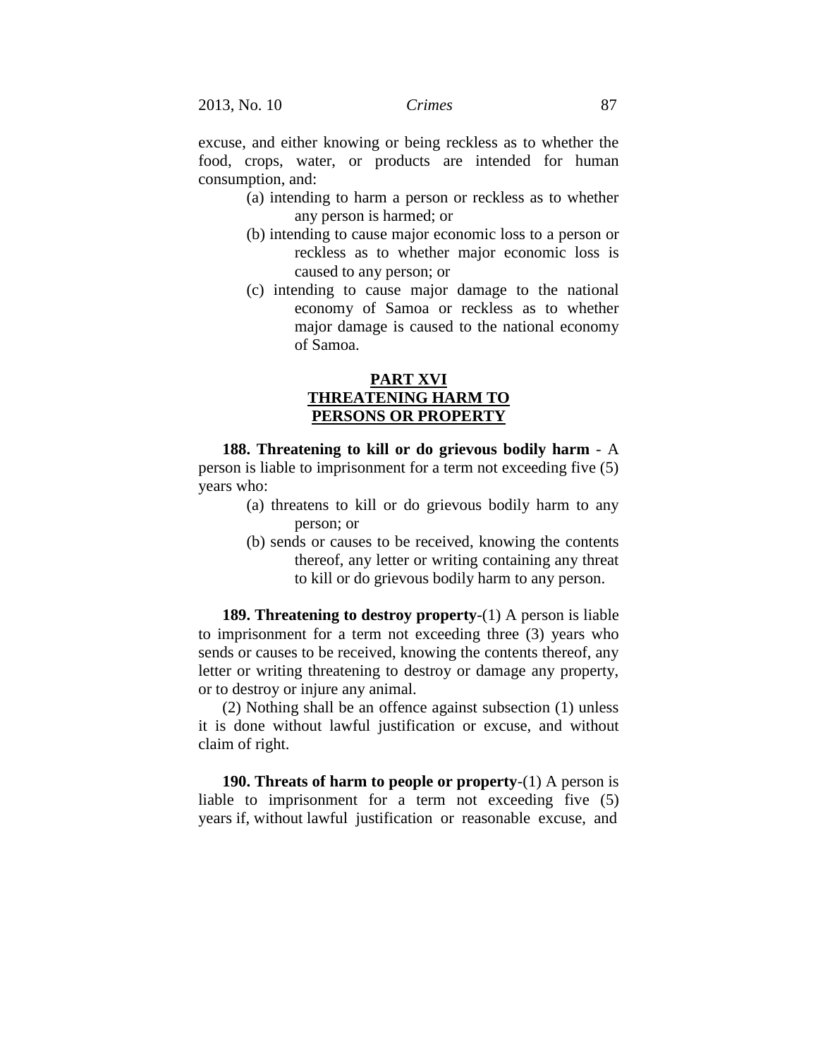excuse, and either knowing or being reckless as to whether the food, crops, water, or products are intended for human consumption, and:

- (a) intending to harm a person or reckless as to whether any person is harmed; or
- (b) intending to cause major economic loss to a person or reckless as to whether major economic loss is caused to any person; or
- (c) intending to cause major damage to the national economy of Samoa or reckless as to whether major damage is caused to the national economy of Samoa.

### **PART XVI THREATENING HARM TO PERSONS OR PROPERTY**

**188. Threatening to kill or do grievous bodily harm** - A person is liable to imprisonment for a term not exceeding five (5) years who:

- (a) threatens to kill or do grievous bodily harm to any person; or
- (b) sends or causes to be received, knowing the contents thereof, any letter or writing containing any threat to kill or do grievous bodily harm to any person.

**189. Threatening to destroy property**-(1) A person is liable to imprisonment for a term not exceeding three (3) years who sends or causes to be received, knowing the contents thereof, any letter or writing threatening to destroy or damage any property, or to destroy or injure any animal.

(2) Nothing shall be an offence against subsection (1) unless it is done without lawful justification or excuse, and without claim of right.

**190. Threats of harm to people or property**-(1) A person is liable to imprisonment for a term not exceeding five (5) years if, without lawful justification or reasonable excuse, and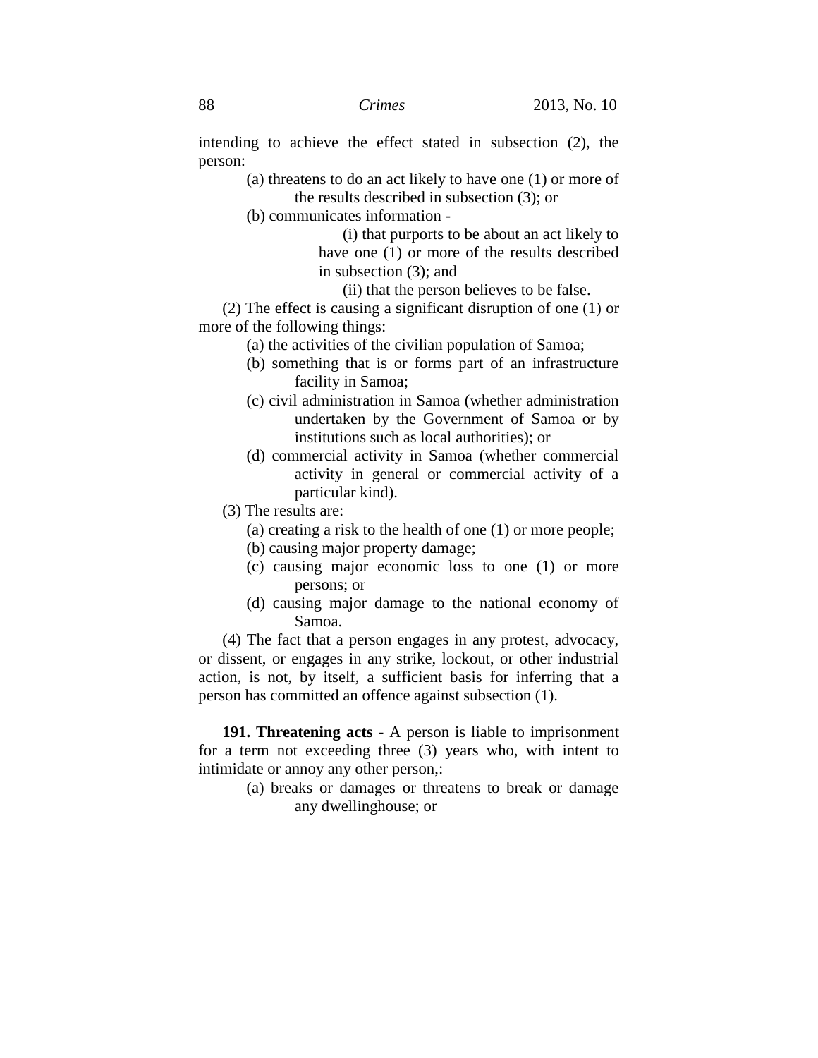intending to achieve the effect stated in subsection (2), the person:

> (a) threatens to do an act likely to have one (1) or more of the results described in subsection (3); or

(b) communicates information -

(i) that purports to be about an act likely to have one (1) or more of the results described in subsection (3); and

(ii) that the person believes to be false.

(2) The effect is causing a significant disruption of one (1) or more of the following things:

- (a) the activities of the civilian population of Samoa;
- (b) something that is or forms part of an infrastructure facility in Samoa;
- (c) civil administration in Samoa (whether administration undertaken by the Government of Samoa or by institutions such as local authorities); or
- (d) commercial activity in Samoa (whether commercial activity in general or commercial activity of a particular kind).
- (3) The results are:
	- (a) creating a risk to the health of one (1) or more people;
	- (b) causing major property damage;
	- (c) causing major economic loss to one (1) or more persons; or
	- (d) causing major damage to the national economy of Samoa.

(4) The fact that a person engages in any protest, advocacy, or dissent, or engages in any strike, lockout, or other industrial action, is not, by itself, a sufficient basis for inferring that a person has committed an offence against subsection (1).

**191. Threatening acts** - A person is liable to imprisonment for a term not exceeding three (3) years who, with intent to intimidate or annoy any other person,:

> (a) breaks or damages or threatens to break or damage any dwellinghouse; or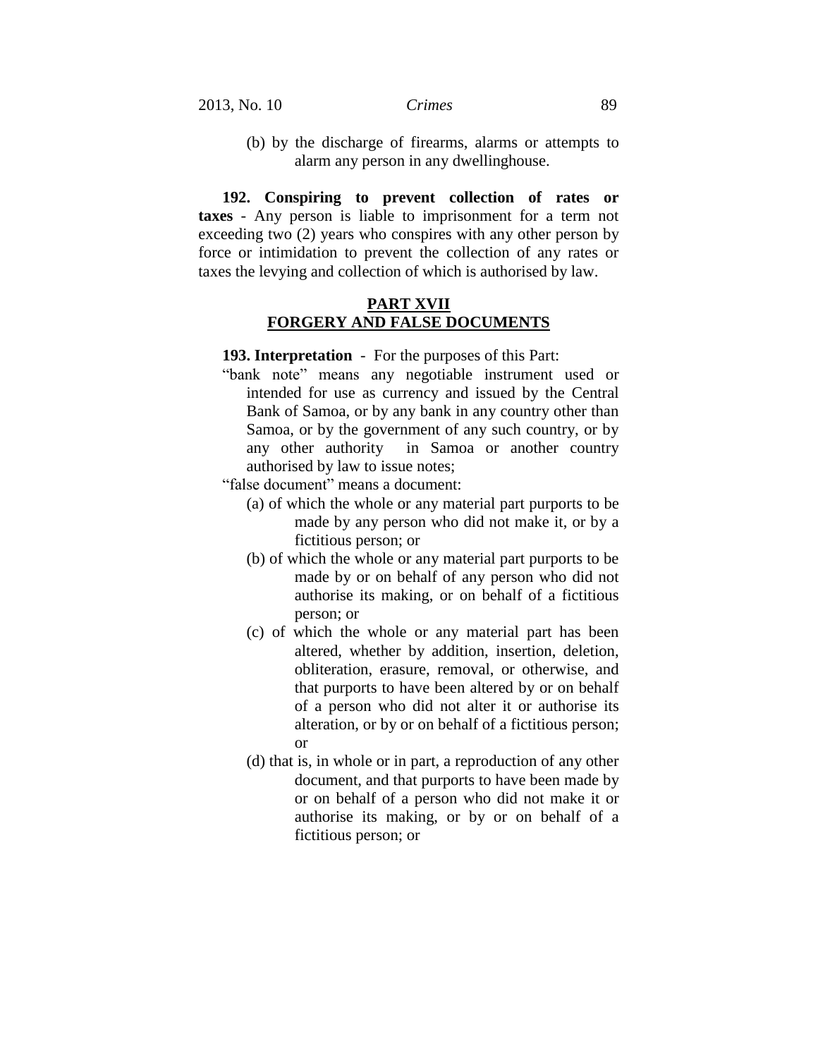(b) by the discharge of firearms, alarms or attempts to alarm any person in any dwellinghouse.

**192. Conspiring to prevent collection of rates or taxes** - Any person is liable to imprisonment for a term not exceeding two (2) years who conspires with any other person by force or intimidation to prevent the collection of any rates or taxes the levying and collection of which is authorised by law.

#### **PART XVII FORGERY AND FALSE DOCUMENTS**

**193. Interpretation** - For the purposes of this Part:

"bank note" means any negotiable instrument used or intended for use as currency and issued by the Central Bank of Samoa, or by any bank in any country other than Samoa, or by the government of any such country, or by any other authority in Samoa or another country authorised by law to issue notes;

"false document" means a document:

- (a) of which the whole or any material part purports to be made by any person who did not make it, or by a fictitious person; or
- (b) of which the whole or any material part purports to be made by or on behalf of any person who did not authorise its making, or on behalf of a fictitious person; or
- (c) of which the whole or any material part has been altered, whether by addition, insertion, deletion, obliteration, erasure, removal, or otherwise, and that purports to have been altered by or on behalf of a person who did not alter it or authorise its alteration, or by or on behalf of a fictitious person; or
- (d) that is, in whole or in part, a reproduction of any other document, and that purports to have been made by or on behalf of a person who did not make it or authorise its making, or by or on behalf of a fictitious person; or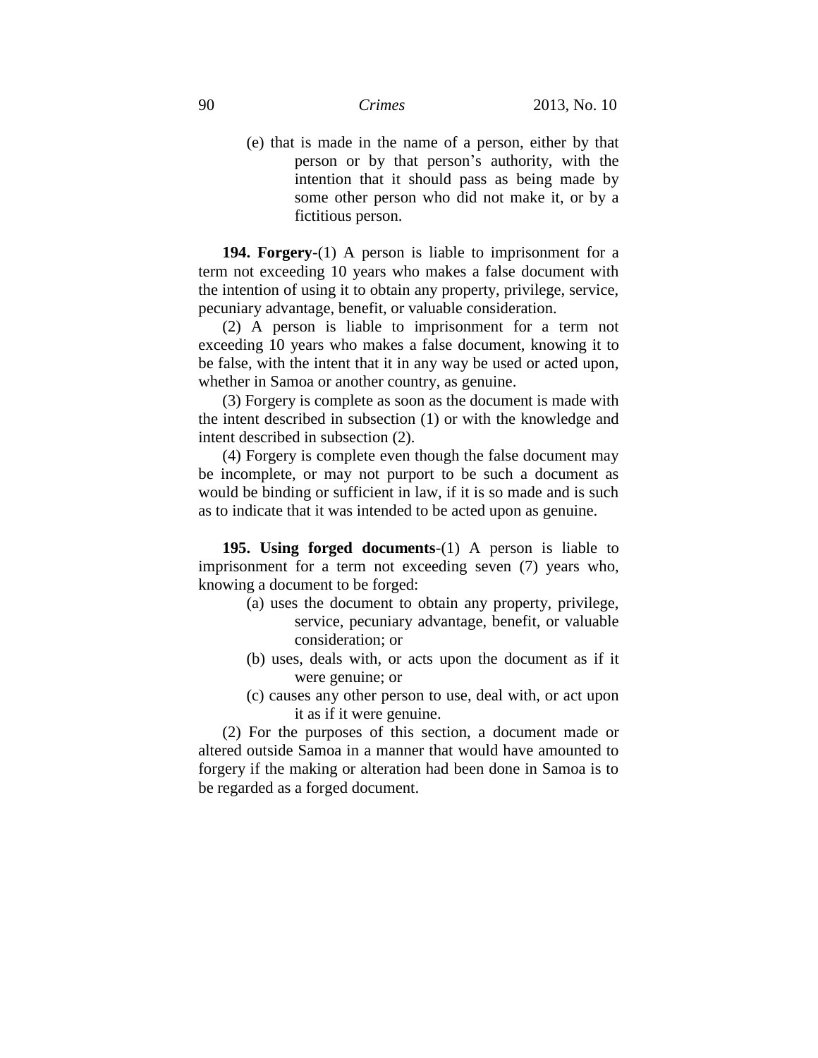(e) that is made in the name of a person, either by that person or by that person's authority, with the intention that it should pass as being made by some other person who did not make it, or by a fictitious person.

**194. Forgery**-(1) A person is liable to imprisonment for a term not exceeding 10 years who makes a false document with the intention of using it to obtain any property, privilege, service, pecuniary advantage, benefit, or valuable consideration.

(2) A person is liable to imprisonment for a term not exceeding 10 years who makes a false document, knowing it to be false, with the intent that it in any way be used or acted upon, whether in Samoa or another country, as genuine.

(3) Forgery is complete as soon as the document is made with the intent described in subsection (1) or with the knowledge and intent described in subsection (2).

(4) Forgery is complete even though the false document may be incomplete, or may not purport to be such a document as would be binding or sufficient in law, if it is so made and is such as to indicate that it was intended to be acted upon as genuine.

**195. Using forged documents**-(1) A person is liable to imprisonment for a term not exceeding seven (7) years who, knowing a document to be forged:

- (a) uses the document to obtain any property, privilege, service, pecuniary advantage, benefit, or valuable consideration; or
- (b) uses, deals with, or acts upon the document as if it were genuine; or
- (c) causes any other person to use, deal with, or act upon it as if it were genuine.

(2) For the purposes of this section, a document made or altered outside Samoa in a manner that would have amounted to forgery if the making or alteration had been done in Samoa is to be regarded as a forged document.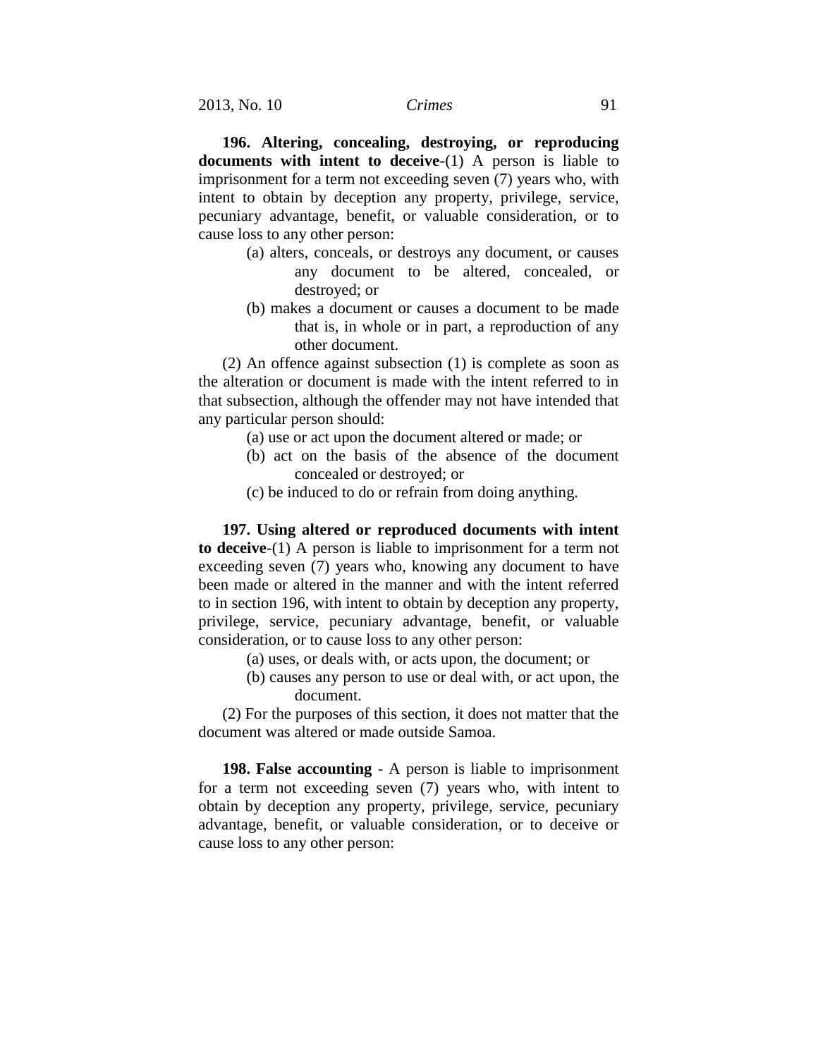**196. Altering, concealing, destroying, or reproducing documents with intent to deceive**-(1) A person is liable to imprisonment for a term not exceeding seven (7) years who, with intent to obtain by deception any property, privilege, service, pecuniary advantage, benefit, or valuable consideration, or to cause loss to any other person:

- (a) alters, conceals, or destroys any document, or causes any document to be altered, concealed, or destroyed; or
- (b) makes a document or causes a document to be made that is, in whole or in part, a reproduction of any other document.

(2) An offence against subsection (1) is complete as soon as the alteration or document is made with the intent referred to in that subsection, although the offender may not have intended that any particular person should:

- (a) use or act upon the document altered or made; or
- (b) act on the basis of the absence of the document concealed or destroyed; or
- (c) be induced to do or refrain from doing anything.

**197. Using altered or reproduced documents with intent to deceive**-(1) A person is liable to imprisonment for a term not exceeding seven (7) years who, knowing any document to have been made or altered in the manner and with the intent referred to in section 196, with intent to obtain by deception any property, privilege, service, pecuniary advantage, benefit, or valuable consideration, or to cause loss to any other person:

- (a) uses, or deals with, or acts upon, the document; or
- (b) causes any person to use or deal with, or act upon, the document.

(2) For the purposes of this section, it does not matter that the document was altered or made outside Samoa.

**198. False accounting** - A person is liable to imprisonment for a term not exceeding seven (7) years who, with intent to obtain by deception any property, privilege, service, pecuniary advantage, benefit, or valuable consideration, or to deceive or cause loss to any other person: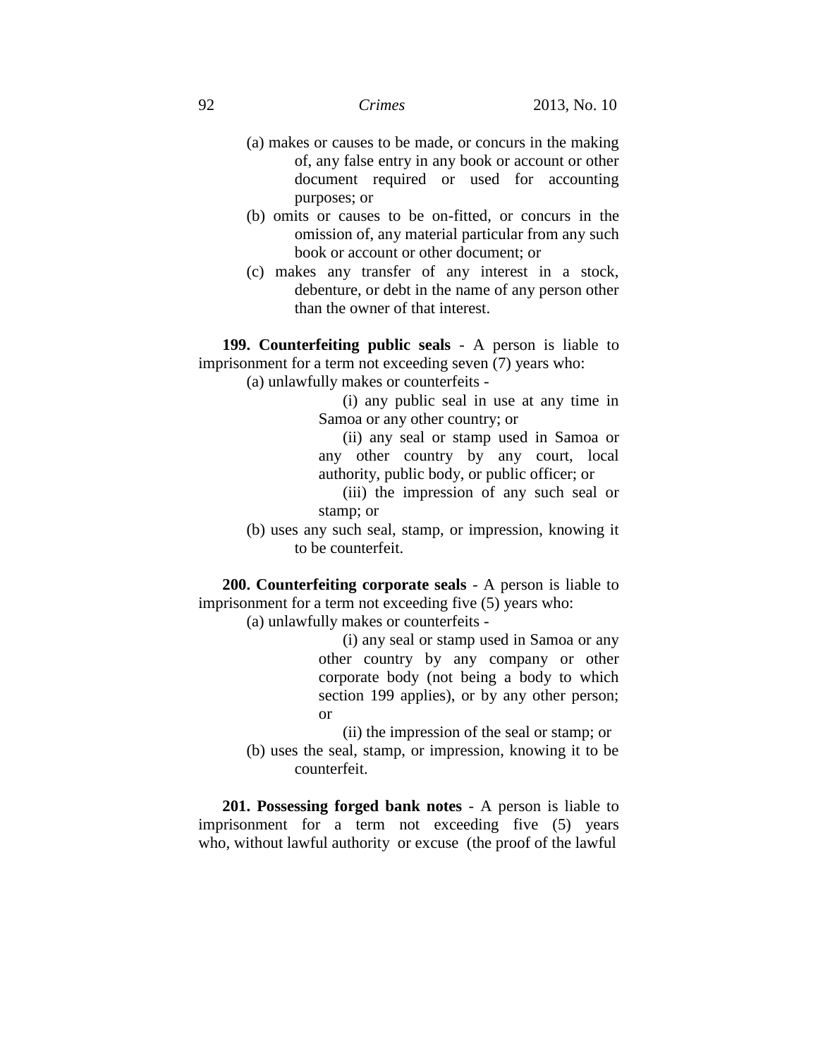- (a) makes or causes to be made, or concurs in the making of, any false entry in any book or account or other document required or used for accounting purposes; or
- (b) omits or causes to be on-fitted, or concurs in the omission of, any material particular from any such book or account or other document; or
- (c) makes any transfer of any interest in a stock, debenture, or debt in the name of any person other than the owner of that interest.

**199. Counterfeiting public seals** - A person is liable to imprisonment for a term not exceeding seven (7) years who:

(a) unlawfully makes or counterfeits -

(i) any public seal in use at any time in Samoa or any other country; or

(ii) any seal or stamp used in Samoa or any other country by any court, local authority, public body, or public officer; or

(iii) the impression of any such seal or stamp; or

(b) uses any such seal, stamp, or impression, knowing it to be counterfeit.

**200. Counterfeiting corporate seals** - A person is liable to imprisonment for a term not exceeding five (5) years who:

(a) unlawfully makes or counterfeits -

(i) any seal or stamp used in Samoa or any other country by any company or other corporate body (not being a body to which section 199 applies), or by any other person; or

(ii) the impression of the seal or stamp; or

(b) uses the seal, stamp, or impression, knowing it to be counterfeit.

**201. Possessing forged bank notes** - A person is liable to imprisonment for a term not exceeding five (5) years who, without lawful authority or excuse (the proof of the lawful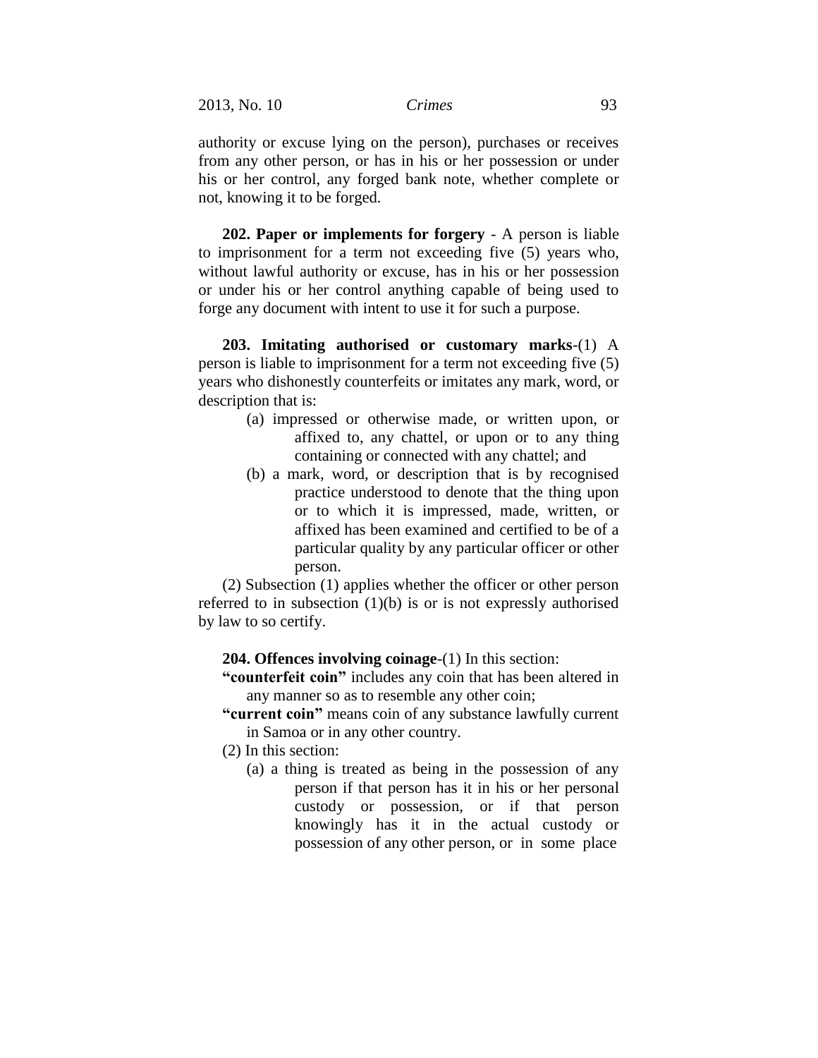authority or excuse lying on the person), purchases or receives from any other person, or has in his or her possession or under his or her control, any forged bank note, whether complete or not, knowing it to be forged.

**202. Paper or implements for forgery** - A person is liable to imprisonment for a term not exceeding five (5) years who, without lawful authority or excuse, has in his or her possession or under his or her control anything capable of being used to forge any document with intent to use it for such a purpose.

**203. Imitating authorised or customary marks**-(1) A person is liable to imprisonment for a term not exceeding five (5) years who dishonestly counterfeits or imitates any mark, word, or description that is:

- (a) impressed or otherwise made, or written upon, or affixed to, any chattel, or upon or to any thing containing or connected with any chattel; and
- (b) a mark, word, or description that is by recognised practice understood to denote that the thing upon or to which it is impressed, made, written, or affixed has been examined and certified to be of a particular quality by any particular officer or other person.

(2) Subsection (1) applies whether the officer or other person referred to in subsection (1)(b) is or is not expressly authorised by law to so certify.

**204. Offences involving coinage**-(1) In this section:

**"counterfeit coin"** includes any coin that has been altered in any manner so as to resemble any other coin;

- **"current coin"** means coin of any substance lawfully current in Samoa or in any other country.
- (2) In this section:
	- (a) a thing is treated as being in the possession of any person if that person has it in his or her personal custody or possession, or if that person knowingly has it in the actual custody or possession of any other person, or in some place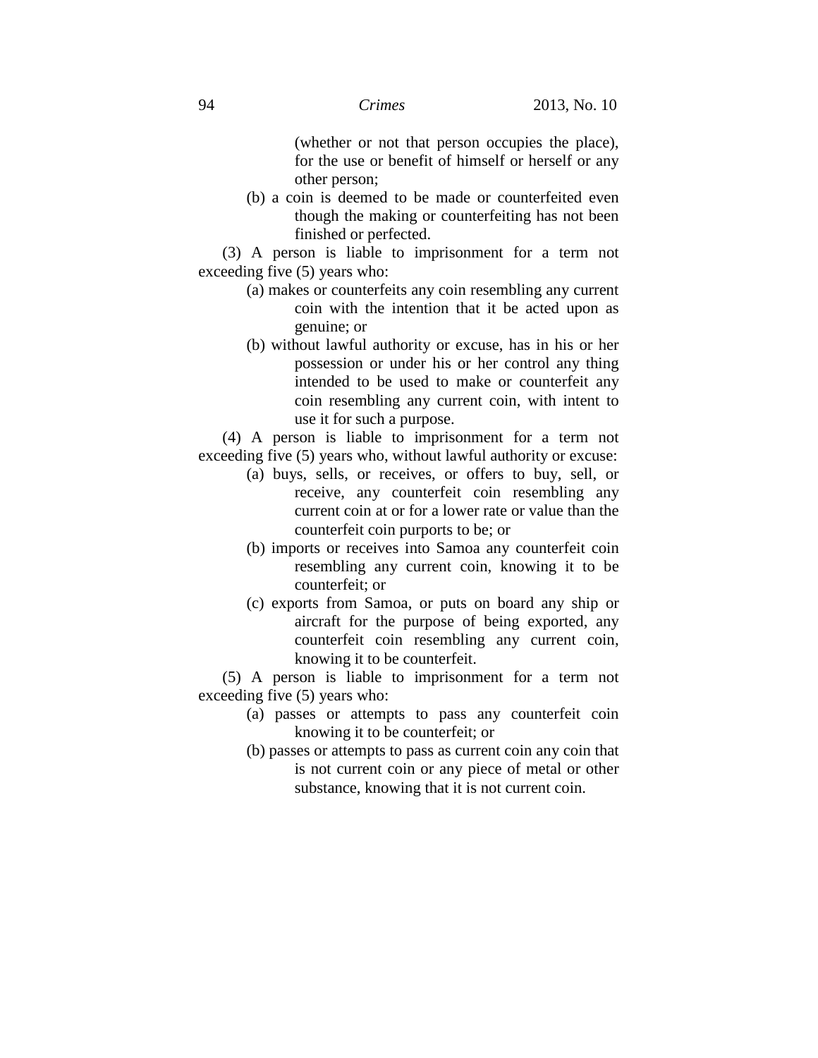(whether or not that person occupies the place), for the use or benefit of himself or herself or any other person;

(b) a coin is deemed to be made or counterfeited even though the making or counterfeiting has not been finished or perfected.

(3) A person is liable to imprisonment for a term not exceeding five (5) years who:

- (a) makes or counterfeits any coin resembling any current coin with the intention that it be acted upon as genuine; or
- (b) without lawful authority or excuse, has in his or her possession or under his or her control any thing intended to be used to make or counterfeit any coin resembling any current coin, with intent to use it for such a purpose.

(4) A person is liable to imprisonment for a term not exceeding five (5) years who, without lawful authority or excuse:

- (a) buys, sells, or receives, or offers to buy, sell, or receive, any counterfeit coin resembling any current coin at or for a lower rate or value than the counterfeit coin purports to be; or
- (b) imports or receives into Samoa any counterfeit coin resembling any current coin, knowing it to be counterfeit; or
- (c) exports from Samoa, or puts on board any ship or aircraft for the purpose of being exported, any counterfeit coin resembling any current coin, knowing it to be counterfeit.

(5) A person is liable to imprisonment for a term not exceeding five (5) years who:

- (a) passes or attempts to pass any counterfeit coin knowing it to be counterfeit; or
- (b) passes or attempts to pass as current coin any coin that is not current coin or any piece of metal or other substance, knowing that it is not current coin.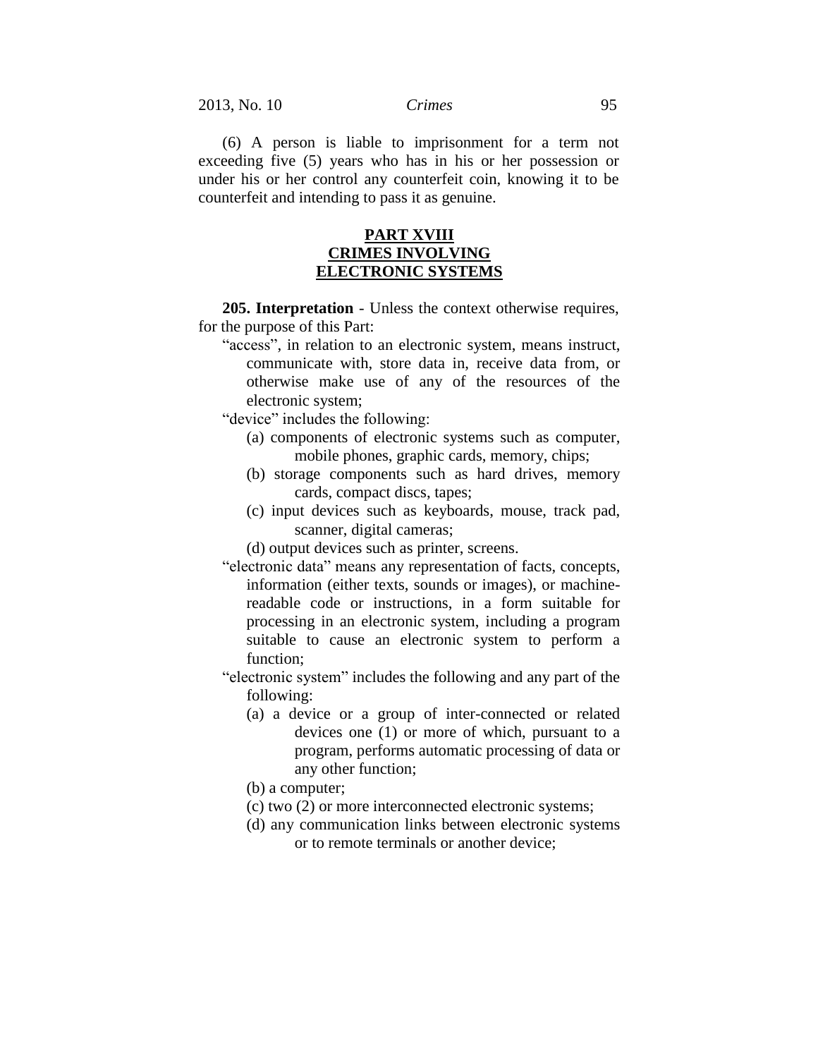(6) A person is liable to imprisonment for a term not exceeding five (5) years who has in his or her possession or under his or her control any counterfeit coin, knowing it to be counterfeit and intending to pass it as genuine.

## **PART XVIII CRIMES INVOLVING ELECTRONIC SYSTEMS**

**205. Interpretation** - Unless the context otherwise requires, for the purpose of this Part:

"access", in relation to an electronic system, means instruct, communicate with, store data in, receive data from, or otherwise make use of any of the resources of the electronic system;

"device" includes the following:

- (a) components of electronic systems such as computer, mobile phones, graphic cards, memory, chips;
- (b) storage components such as hard drives, memory cards, compact discs, tapes;
- (c) input devices such as keyboards, mouse, track pad, scanner, digital cameras;
- (d) output devices such as printer, screens.
- "electronic data" means any representation of facts, concepts, information (either texts, sounds or images), or machinereadable code or instructions, in a form suitable for processing in an electronic system, including a program suitable to cause an electronic system to perform a function;
- "electronic system" includes the following and any part of the following:
	- (a) a device or a group of inter-connected or related devices one (1) or more of which, pursuant to a program, performs automatic processing of data or any other function;
	- (b) a computer;
	- (c) two (2) or more interconnected electronic systems;
	- (d) any communication links between electronic systems or to remote terminals or another device;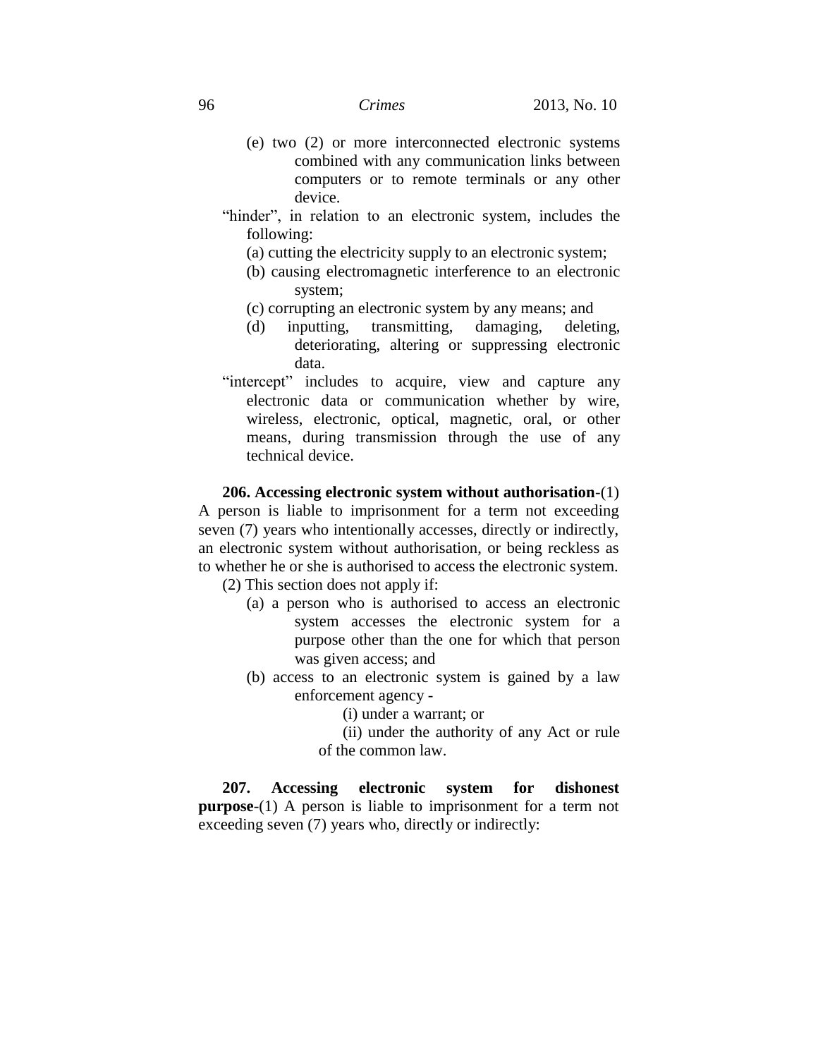- (e) two (2) or more interconnected electronic systems combined with any communication links between computers or to remote terminals or any other device.
- "hinder", in relation to an electronic system, includes the following:
	- (a) cutting the electricity supply to an electronic system;
	- (b) causing electromagnetic interference to an electronic system;
	- (c) corrupting an electronic system by any means; and
	- (d) inputting, transmitting, damaging, deleting, deteriorating, altering or suppressing electronic data.
- "intercept" includes to acquire, view and capture any electronic data or communication whether by wire, wireless, electronic, optical, magnetic, oral, or other means, during transmission through the use of any technical device.

**206. Accessing electronic system without authorisation**-(1) A person is liable to imprisonment for a term not exceeding seven (7) years who intentionally accesses, directly or indirectly, an electronic system without authorisation, or being reckless as to whether he or she is authorised to access the electronic system.

(2) This section does not apply if:

- (a) a person who is authorised to access an electronic system accesses the electronic system for a purpose other than the one for which that person was given access; and
- (b) access to an electronic system is gained by a law enforcement agency -

(i) under a warrant; or

(ii) under the authority of any Act or rule of the common law.

**207. Accessing electronic system for dishonest purpose**-(1) A person is liable to imprisonment for a term not exceeding seven (7) years who, directly or indirectly: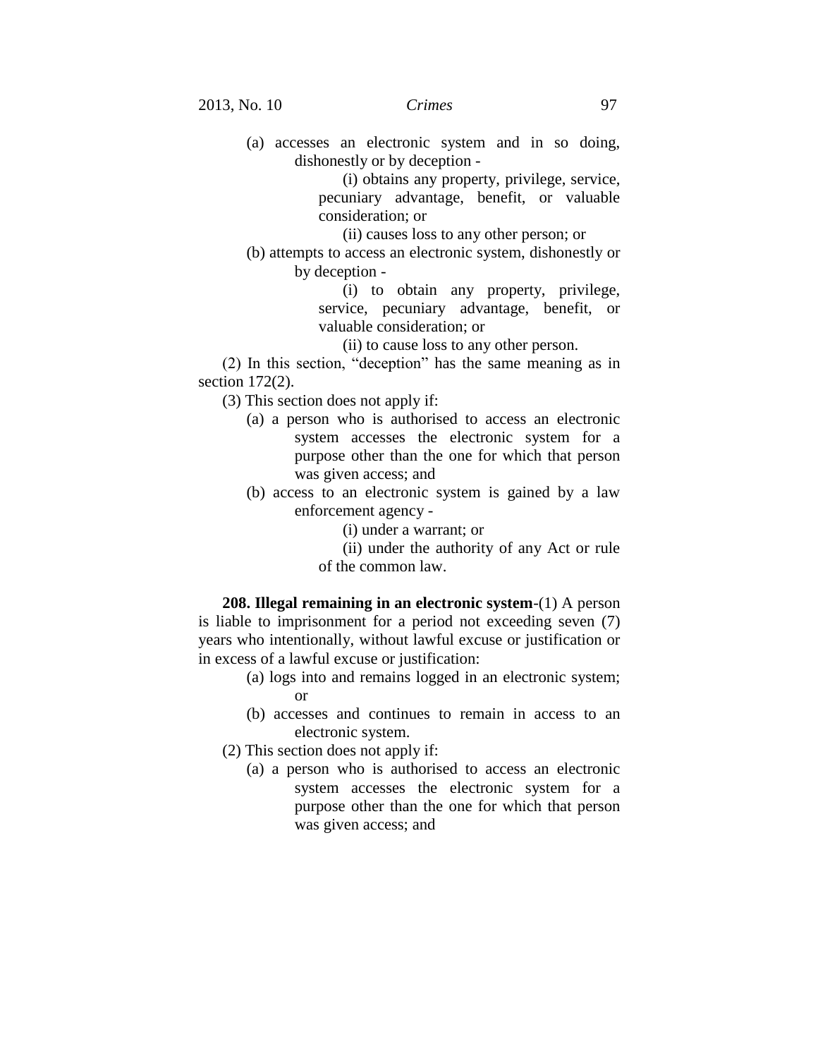(a) accesses an electronic system and in so doing, dishonestly or by deception -

> (i) obtains any property, privilege, service, pecuniary advantage, benefit, or valuable consideration; or

(ii) causes loss to any other person; or

(b) attempts to access an electronic system, dishonestly or by deception -

> (i) to obtain any property, privilege, service, pecuniary advantage, benefit, or valuable consideration; or

(ii) to cause loss to any other person.

(2) In this section, "deception" has the same meaning as in section 172(2).

- (3) This section does not apply if:
	- (a) a person who is authorised to access an electronic system accesses the electronic system for a purpose other than the one for which that person was given access; and
	- (b) access to an electronic system is gained by a law enforcement agency -
		- (i) under a warrant; or
		- (ii) under the authority of any Act or rule
		- of the common law.

**208. Illegal remaining in an electronic system**-(1) A person is liable to imprisonment for a period not exceeding seven (7) years who intentionally, without lawful excuse or justification or in excess of a lawful excuse or justification:

- (a) logs into and remains logged in an electronic system; or
- (b) accesses and continues to remain in access to an electronic system.
- (2) This section does not apply if:
	- (a) a person who is authorised to access an electronic system accesses the electronic system for a purpose other than the one for which that person was given access; and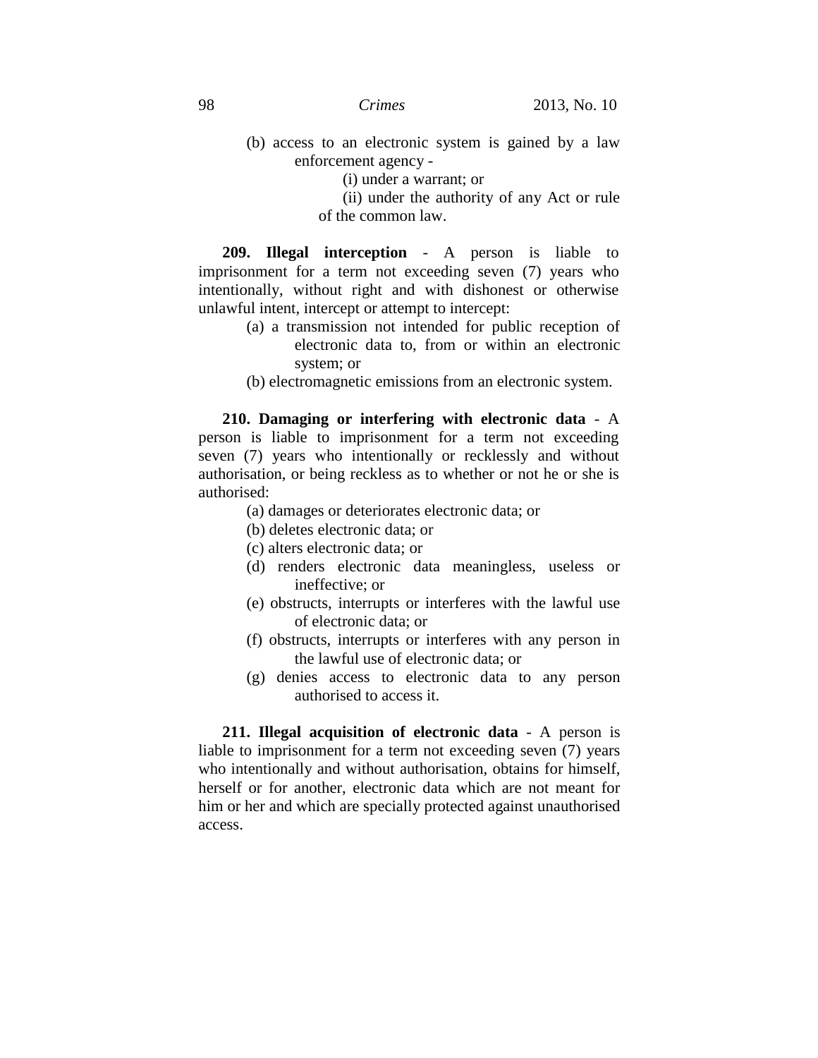- (b) access to an electronic system is gained by a law enforcement agency -
	- (i) under a warrant; or
	- (ii) under the authority of any Act or rule of the common law.

**209. Illegal interception** - A person is liable to imprisonment for a term not exceeding seven (7) years who intentionally, without right and with dishonest or otherwise unlawful intent, intercept or attempt to intercept:

- (a) a transmission not intended for public reception of electronic data to, from or within an electronic system; or
- (b) electromagnetic emissions from an electronic system.

**210. Damaging or interfering with electronic data** - A person is liable to imprisonment for a term not exceeding seven (7) years who intentionally or recklessly and without authorisation, or being reckless as to whether or not he or she is authorised:

- (a) damages or deteriorates electronic data; or
- (b) deletes electronic data; or
- (c) alters electronic data; or
- (d) renders electronic data meaningless, useless or ineffective; or
- (e) obstructs, interrupts or interferes with the lawful use of electronic data; or
- (f) obstructs, interrupts or interferes with any person in the lawful use of electronic data; or
- (g) denies access to electronic data to any person authorised to access it.

**211. Illegal acquisition of electronic data** - A person is liable to imprisonment for a term not exceeding seven (7) years who intentionally and without authorisation, obtains for himself, herself or for another, electronic data which are not meant for him or her and which are specially protected against unauthorised access.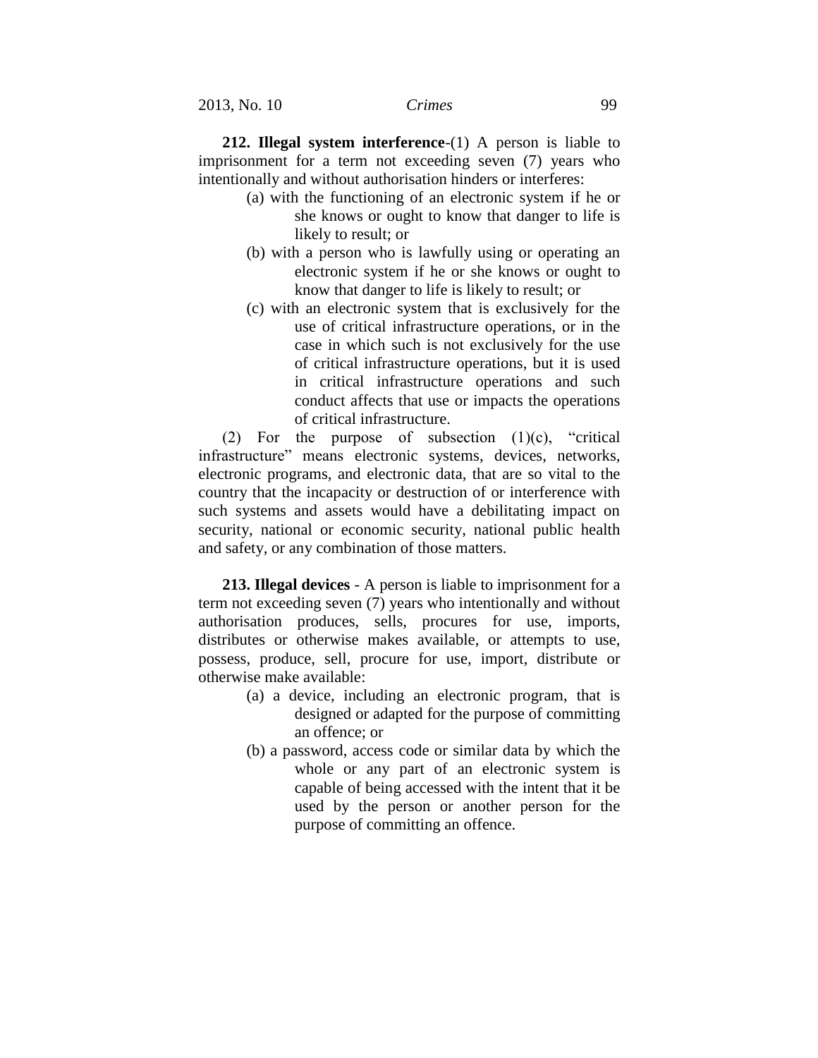**212. Illegal system interference**-(1) A person is liable to imprisonment for a term not exceeding seven (7) years who intentionally and without authorisation hinders or interferes:

- (a) with the functioning of an electronic system if he or she knows or ought to know that danger to life is likely to result; or
- (b) with a person who is lawfully using or operating an electronic system if he or she knows or ought to know that danger to life is likely to result; or
- (c) with an electronic system that is exclusively for the use of critical infrastructure operations, or in the case in which such is not exclusively for the use of critical infrastructure operations, but it is used in critical infrastructure operations and such conduct affects that use or impacts the operations of critical infrastructure.

(2) For the purpose of subsection  $(1)(c)$ , "critical infrastructure" means electronic systems, devices, networks, electronic programs, and electronic data, that are so vital to the country that the incapacity or destruction of or interference with such systems and assets would have a debilitating impact on security, national or economic security, national public health and safety, or any combination of those matters.

**213. Illegal devices** - A person is liable to imprisonment for a term not exceeding seven (7) years who intentionally and without authorisation produces, sells, procures for use, imports, distributes or otherwise makes available, or attempts to use, possess, produce, sell, procure for use, import, distribute or otherwise make available:

- (a) a device, including an electronic program, that is designed or adapted for the purpose of committing an offence; or
- (b) a password, access code or similar data by which the whole or any part of an electronic system is capable of being accessed with the intent that it be used by the person or another person for the purpose of committing an offence.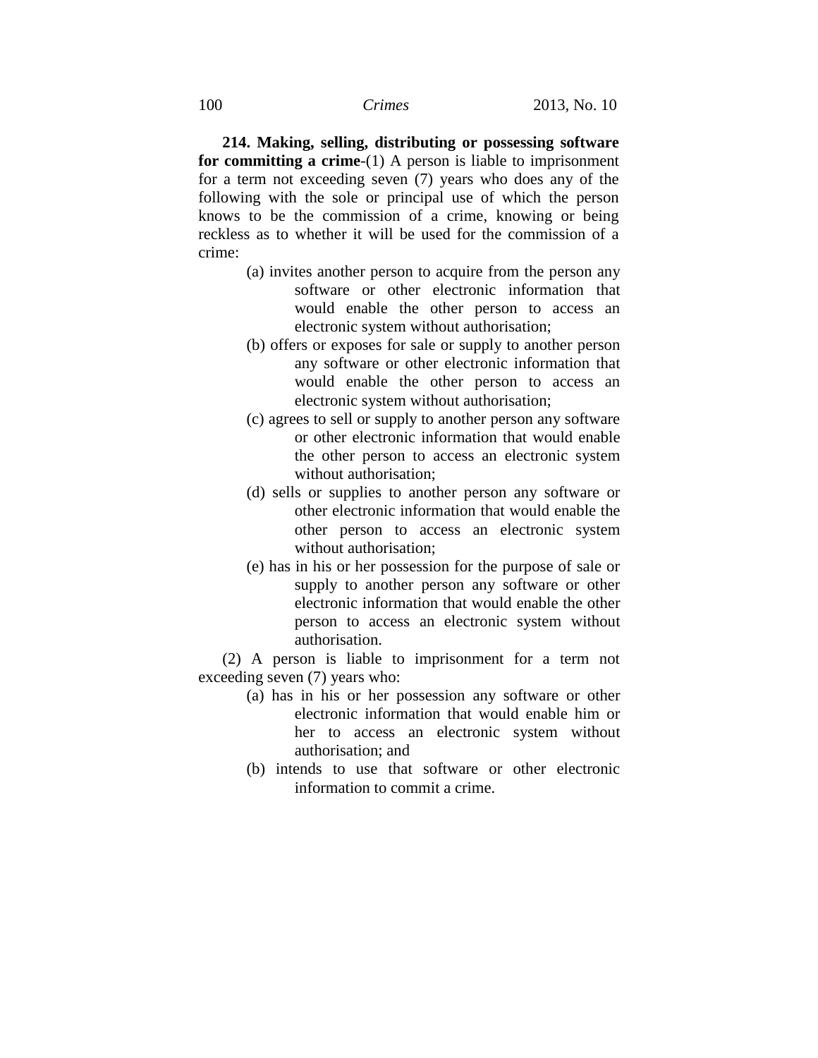**214. Making, selling, distributing or possessing software for committing a crime**-(1) A person is liable to imprisonment for a term not exceeding seven (7) years who does any of the following with the sole or principal use of which the person knows to be the commission of a crime, knowing or being reckless as to whether it will be used for the commission of a crime:

- (a) invites another person to acquire from the person any software or other electronic information that would enable the other person to access an electronic system without authorisation;
- (b) offers or exposes for sale or supply to another person any software or other electronic information that would enable the other person to access an electronic system without authorisation;
- (c) agrees to sell or supply to another person any software or other electronic information that would enable the other person to access an electronic system without authorisation;
- (d) sells or supplies to another person any software or other electronic information that would enable the other person to access an electronic system without authorisation;
- (e) has in his or her possession for the purpose of sale or supply to another person any software or other electronic information that would enable the other person to access an electronic system without authorisation.

(2) A person is liable to imprisonment for a term not exceeding seven (7) years who:

- (a) has in his or her possession any software or other electronic information that would enable him or her to access an electronic system without authorisation; and
- (b) intends to use that software or other electronic information to commit a crime.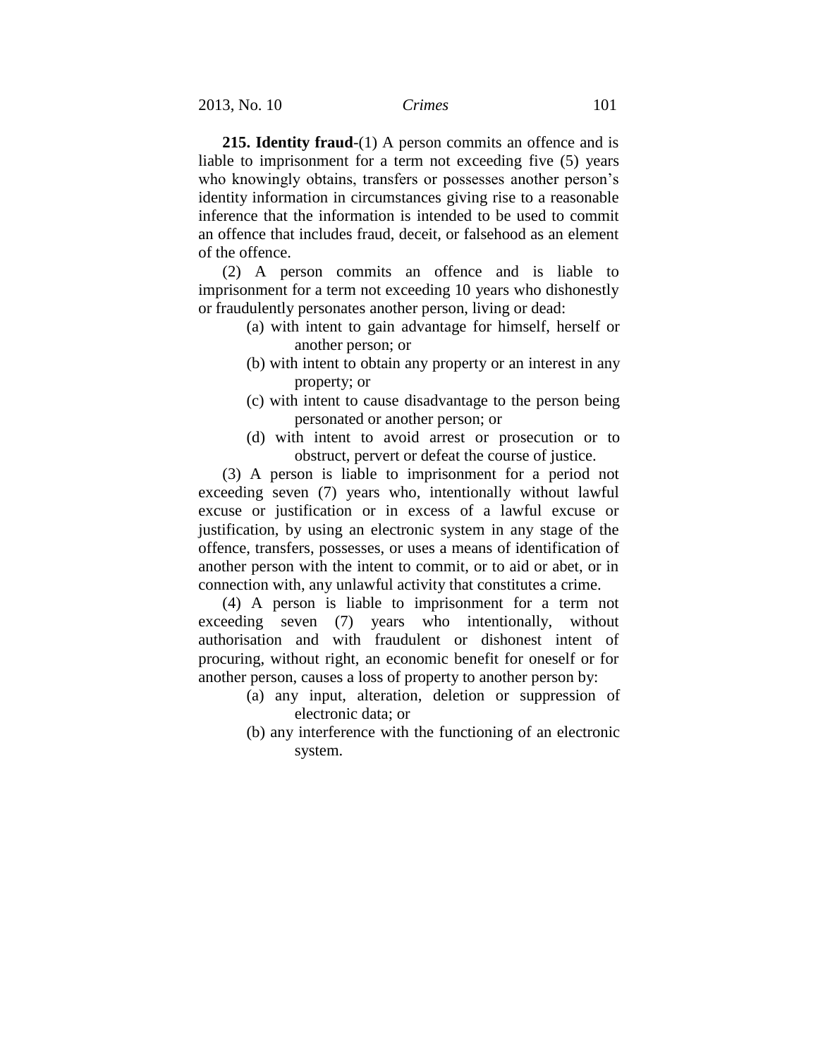**215. Identity fraud**-(1) A person commits an offence and is liable to imprisonment for a term not exceeding five (5) years who knowingly obtains, transfers or possesses another person's identity information in circumstances giving rise to a reasonable inference that the information is intended to be used to commit an offence that includes fraud, deceit, or falsehood as an element of the offence.

(2) A person commits an offence and is liable to imprisonment for a term not exceeding 10 years who dishonestly or fraudulently personates another person, living or dead:

- (a) with intent to gain advantage for himself, herself or another person; or
- (b) with intent to obtain any property or an interest in any property; or
- (c) with intent to cause disadvantage to the person being personated or another person; or
- (d) with intent to avoid arrest or prosecution or to obstruct, pervert or defeat the course of justice.

(3) A person is liable to imprisonment for a period not exceeding seven (7) years who, intentionally without lawful excuse or justification or in excess of a lawful excuse or justification, by using an electronic system in any stage of the offence, transfers, possesses, or uses a means of identification of another person with the intent to commit, or to aid or abet, or in connection with, any unlawful activity that constitutes a crime.

(4) A person is liable to imprisonment for a term not exceeding seven (7) years who intentionally, without authorisation and with fraudulent or dishonest intent of procuring, without right, an economic benefit for oneself or for another person, causes a loss of property to another person by:

- (a) any input, alteration, deletion or suppression of electronic data; or
- (b) any interference with the functioning of an electronic system.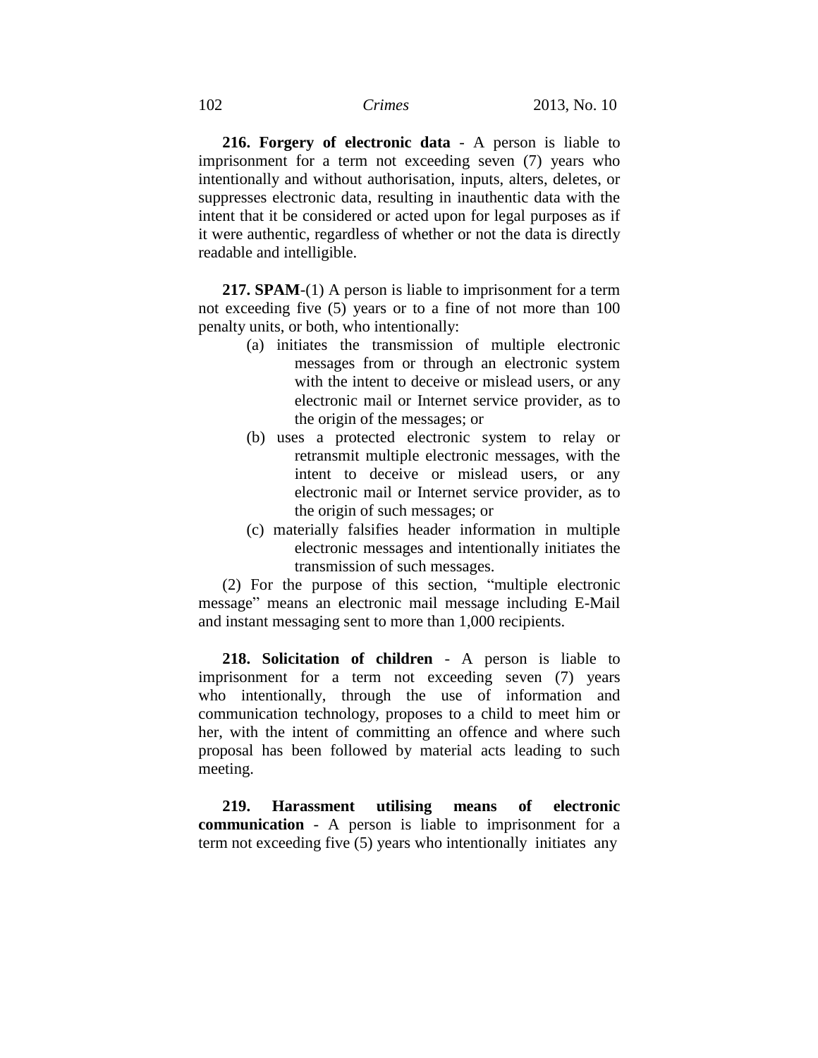**216. Forgery of electronic data** - A person is liable to imprisonment for a term not exceeding seven (7) years who intentionally and without authorisation, inputs, alters, deletes, or suppresses electronic data, resulting in inauthentic data with the intent that it be considered or acted upon for legal purposes as if it were authentic, regardless of whether or not the data is directly readable and intelligible.

**217. SPAM**-(1) A person is liable to imprisonment for a term not exceeding five (5) years or to a fine of not more than 100 penalty units, or both, who intentionally:

- (a) initiates the transmission of multiple electronic messages from or through an electronic system with the intent to deceive or mislead users, or any electronic mail or Internet service provider, as to the origin of the messages; or
- (b) uses a protected electronic system to relay or retransmit multiple electronic messages, with the intent to deceive or mislead users, or any electronic mail or Internet service provider, as to the origin of such messages; or
- (c) materially falsifies header information in multiple electronic messages and intentionally initiates the transmission of such messages.

(2) For the purpose of this section, "multiple electronic message" means an electronic mail message including E-Mail and instant messaging sent to more than 1,000 recipients.

**218. Solicitation of children** - A person is liable to imprisonment for a term not exceeding seven (7) years who intentionally, through the use of information and communication technology, proposes to a child to meet him or her, with the intent of committing an offence and where such proposal has been followed by material acts leading to such meeting.

**219. Harassment utilising means of electronic communication** - A person is liable to imprisonment for a term not exceeding five (5) years who intentionally initiates any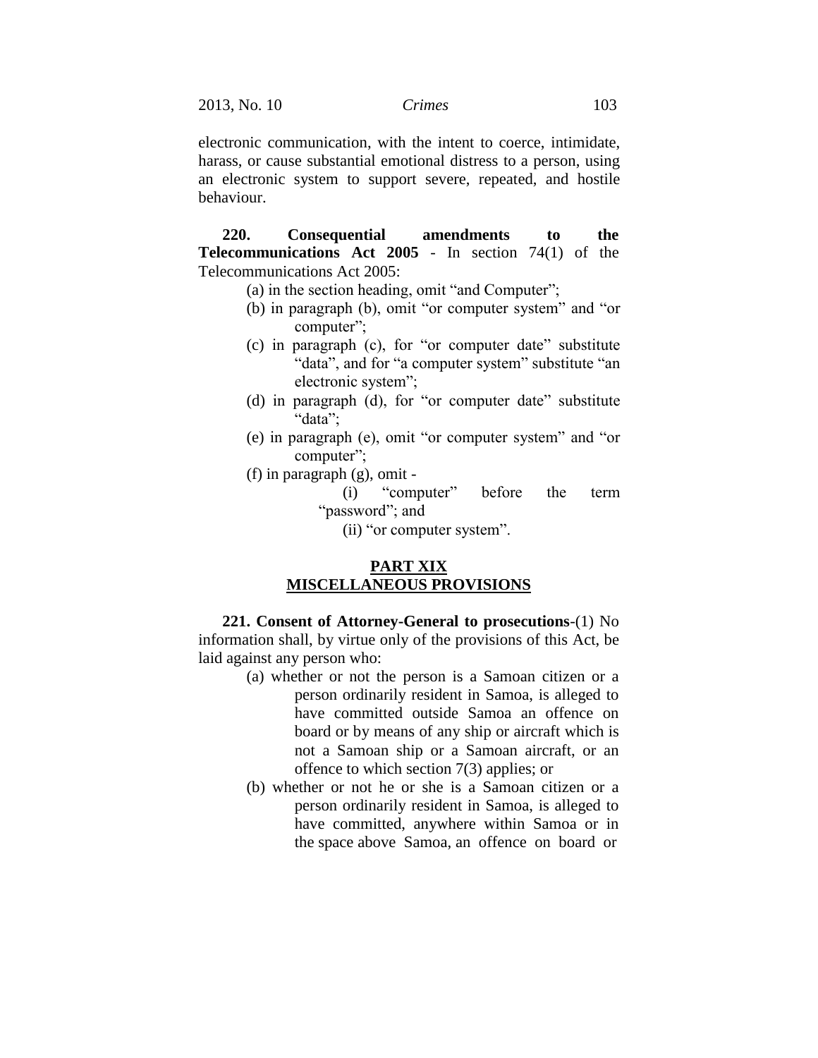electronic communication, with the intent to coerce, intimidate, harass, or cause substantial emotional distress to a person, using an electronic system to support severe, repeated, and hostile behaviour.

**220. Consequential amendments to the Telecommunications Act 2005** - In section 74(1) of the Telecommunications Act 2005:

- (a) in the section heading, omit "and Computer";
- (b) in paragraph (b), omit "or computer system" and "or computer";
- (c) in paragraph (c), for "or computer date" substitute "data", and for "a computer system" substitute "an electronic system";
- (d) in paragraph (d), for "or computer date" substitute "data";
- (e) in paragraph (e), omit "or computer system" and "or computer";
- (f) in paragraph (g), omit
	- (i) "computer" before the term "password"; and
		- (ii) "or computer system".

## **PART XIX MISCELLANEOUS PROVISIONS**

**221. Consent of Attorney-General to prosecutions**-(1) No information shall, by virtue only of the provisions of this Act, be laid against any person who:

- (a) whether or not the person is a Samoan citizen or a person ordinarily resident in Samoa, is alleged to have committed outside Samoa an offence on board or by means of any ship or aircraft which is not a Samoan ship or a Samoan aircraft, or an offence to which section 7(3) applies; or
- (b) whether or not he or she is a Samoan citizen or a person ordinarily resident in Samoa, is alleged to have committed, anywhere within Samoa or in the space above Samoa, an offence on board or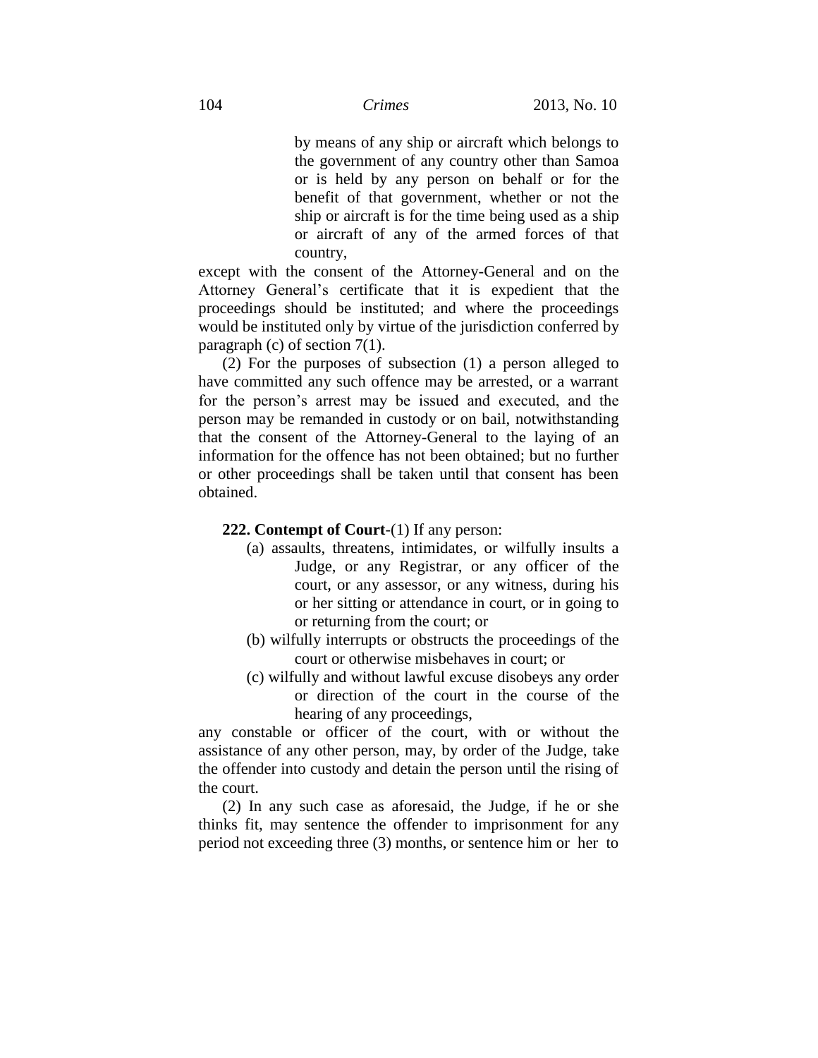by means of any ship or aircraft which belongs to the government of any country other than Samoa or is held by any person on behalf or for the benefit of that government, whether or not the ship or aircraft is for the time being used as a ship or aircraft of any of the armed forces of that country,

except with the consent of the Attorney-General and on the Attorney General's certificate that it is expedient that the proceedings should be instituted; and where the proceedings would be instituted only by virtue of the jurisdiction conferred by paragraph (c) of section  $7(1)$ .

(2) For the purposes of subsection (1) a person alleged to have committed any such offence may be arrested, or a warrant for the person's arrest may be issued and executed, and the person may be remanded in custody or on bail, notwithstanding that the consent of the Attorney-General to the laying of an information for the offence has not been obtained; but no further or other proceedings shall be taken until that consent has been obtained.

#### **222. Contempt of Court**-(1) If any person:

- (a) assaults, threatens, intimidates, or wilfully insults a Judge, or any Registrar, or any officer of the court, or any assessor, or any witness, during his or her sitting or attendance in court, or in going to or returning from the court; or
- (b) wilfully interrupts or obstructs the proceedings of the court or otherwise misbehaves in court; or
- (c) wilfully and without lawful excuse disobeys any order or direction of the court in the course of the hearing of any proceedings,

any constable or officer of the court, with or without the assistance of any other person, may, by order of the Judge, take the offender into custody and detain the person until the rising of the court.

(2) In any such case as aforesaid, the Judge, if he or she thinks fit, may sentence the offender to imprisonment for any period not exceeding three (3) months, or sentence him or her to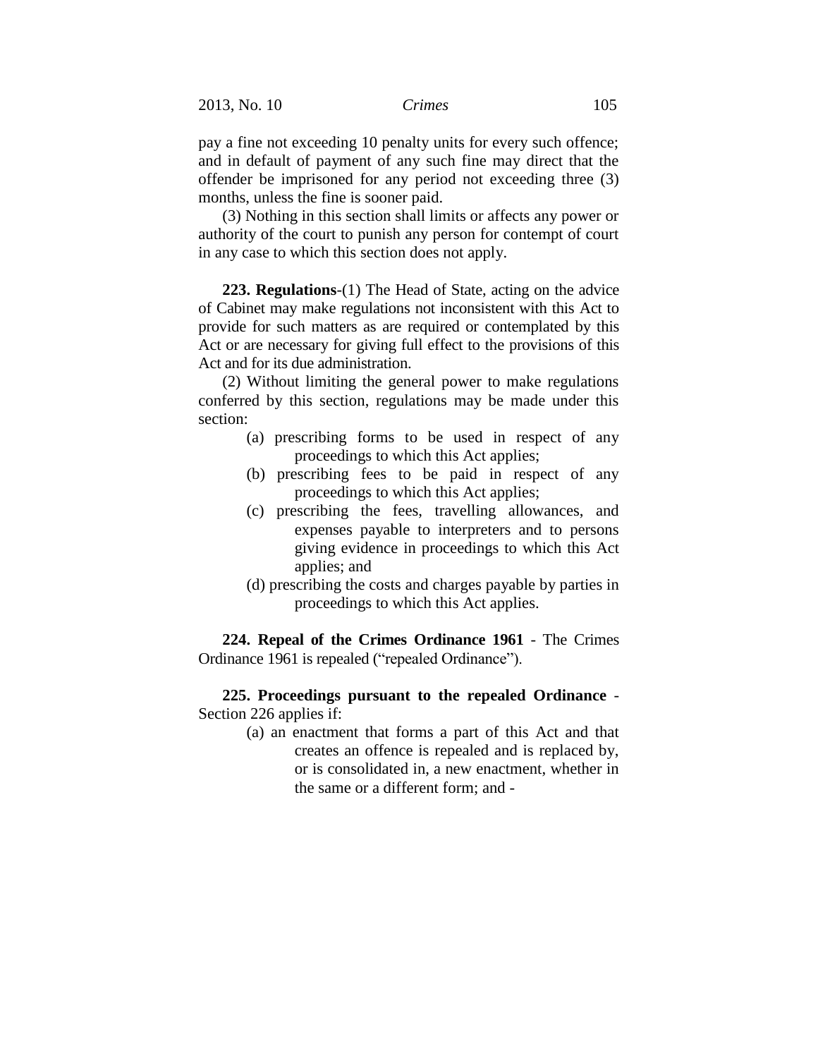pay a fine not exceeding 10 penalty units for every such offence; and in default of payment of any such fine may direct that the offender be imprisoned for any period not exceeding three (3) months, unless the fine is sooner paid.

(3) Nothing in this section shall limits or affects any power or authority of the court to punish any person for contempt of court in any case to which this section does not apply.

**223. Regulations**-(1) The Head of State, acting on the advice of Cabinet may make regulations not inconsistent with this Act to provide for such matters as are required or contemplated by this Act or are necessary for giving full effect to the provisions of this Act and for its due administration.

(2) Without limiting the general power to make regulations conferred by this section, regulations may be made under this section:

- (a) prescribing forms to be used in respect of any proceedings to which this Act applies;
- (b) prescribing fees to be paid in respect of any proceedings to which this Act applies;
- (c) prescribing the fees, travelling allowances, and expenses payable to interpreters and to persons giving evidence in proceedings to which this Act applies; and
- (d) prescribing the costs and charges payable by parties in proceedings to which this Act applies.

**224. Repeal of the Crimes Ordinance 1961** - The Crimes Ordinance 1961 is repealed ("repealed Ordinance").

**225. Proceedings pursuant to the repealed Ordinance** - Section 226 applies if:

> (a) an enactment that forms a part of this Act and that creates an offence is repealed and is replaced by, or is consolidated in, a new enactment, whether in the same or a different form; and -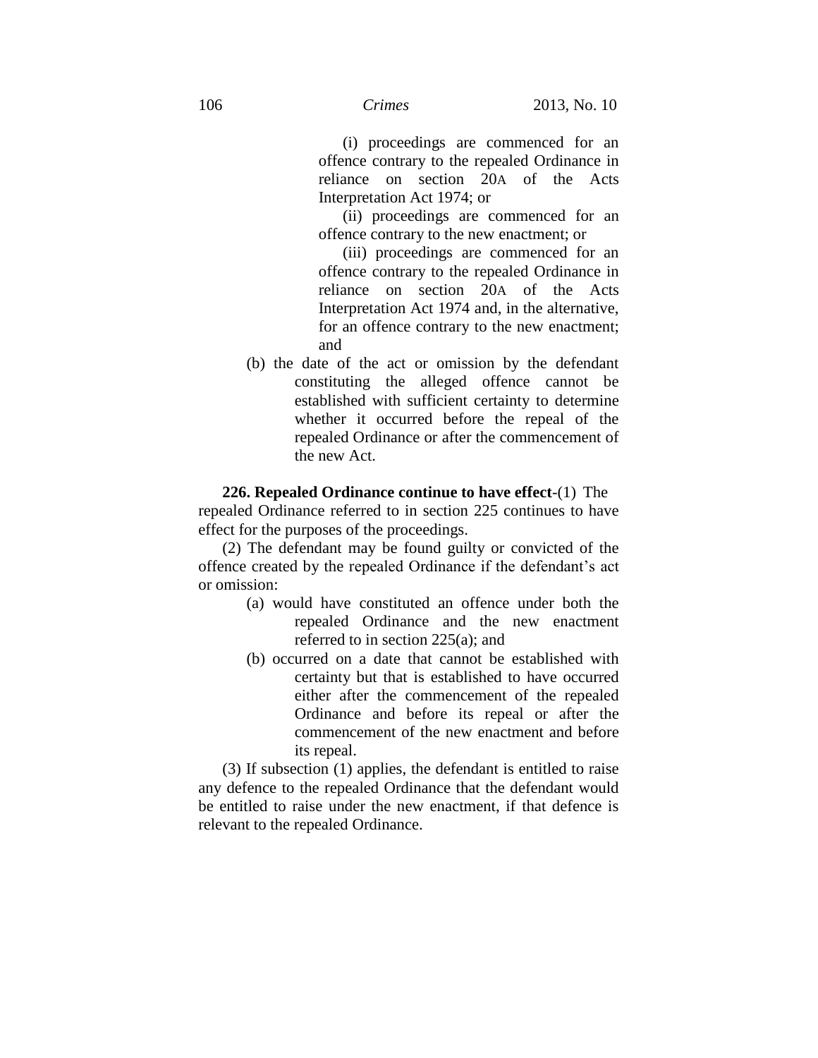(i) proceedings are commenced for an offence contrary to the repealed Ordinance in reliance on section 20A of the Acts Interpretation Act 1974; or

(ii) proceedings are commenced for an offence contrary to the new enactment; or

(iii) proceedings are commenced for an offence contrary to the repealed Ordinance in reliance on section 20A of the Acts Interpretation Act 1974 and, in the alternative, for an offence contrary to the new enactment; and

(b) the date of the act or omission by the defendant constituting the alleged offence cannot be established with sufficient certainty to determine whether it occurred before the repeal of the repealed Ordinance or after the commencement of the new Act.

**226. Repealed Ordinance continue to have effect**-(1) The repealed Ordinance referred to in section 225 continues to have effect for the purposes of the proceedings.

(2) The defendant may be found guilty or convicted of the offence created by the repealed Ordinance if the defendant's act or omission:

- (a) would have constituted an offence under both the repealed Ordinance and the new enactment referred to in section 225(a); and
- (b) occurred on a date that cannot be established with certainty but that is established to have occurred either after the commencement of the repealed Ordinance and before its repeal or after the commencement of the new enactment and before its repeal.

(3) If subsection (1) applies, the defendant is entitled to raise any defence to the repealed Ordinance that the defendant would be entitled to raise under the new enactment, if that defence is relevant to the repealed Ordinance.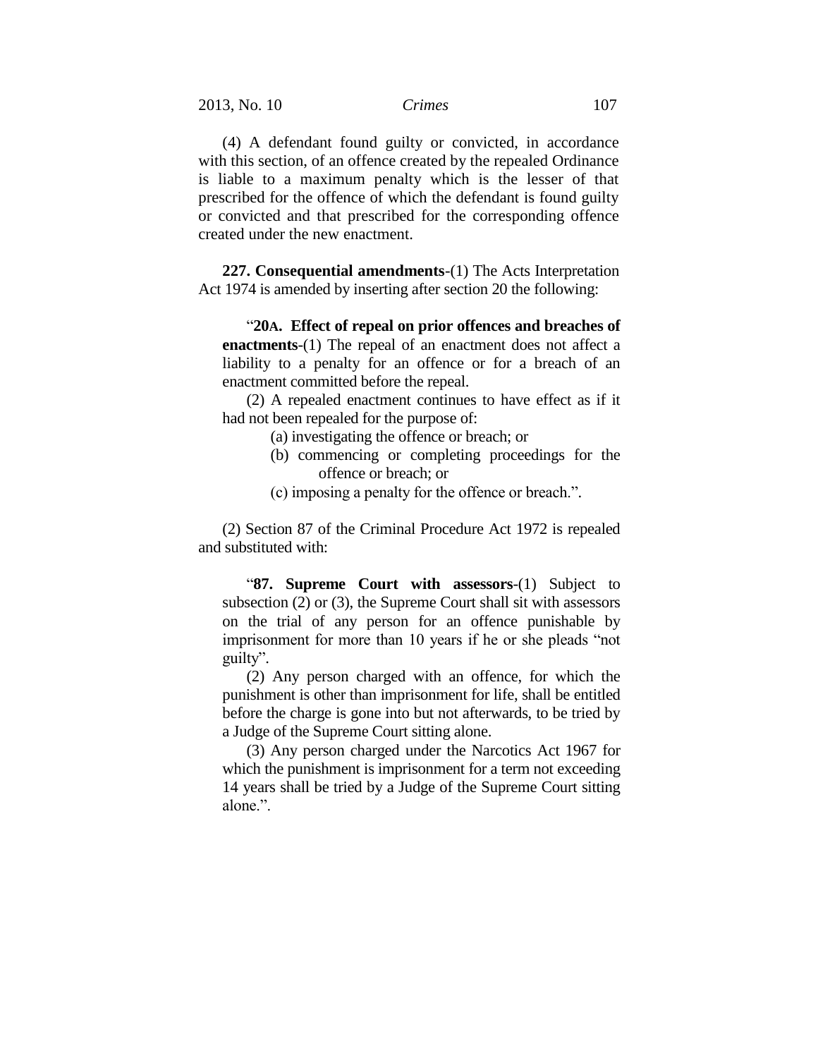(4) A defendant found guilty or convicted, in accordance with this section, of an offence created by the repealed Ordinance is liable to a maximum penalty which is the lesser of that prescribed for the offence of which the defendant is found guilty or convicted and that prescribed for the corresponding offence created under the new enactment.

**227. Consequential amendments**-(1) The Acts Interpretation Act 1974 is amended by inserting after section 20 the following:

"**20A. Effect of repeal on prior offences and breaches of enactments**-(1) The repeal of an enactment does not affect a liability to a penalty for an offence or for a breach of an enactment committed before the repeal.

(2) A repealed enactment continues to have effect as if it had not been repealed for the purpose of:

- (a) investigating the offence or breach; or
- (b) commencing or completing proceedings for the offence or breach; or
- (c) imposing a penalty for the offence or breach.".

(2) Section 87 of the Criminal Procedure Act 1972 is repealed and substituted with:

"**87. Supreme Court with assessors**-(1) Subject to subsection (2) or (3), the Supreme Court shall sit with assessors on the trial of any person for an offence punishable by imprisonment for more than 10 years if he or she pleads "not guilty".

(2) Any person charged with an offence, for which the punishment is other than imprisonment for life, shall be entitled before the charge is gone into but not afterwards, to be tried by a Judge of the Supreme Court sitting alone.

(3) Any person charged under the Narcotics Act 1967 for which the punishment is imprisonment for a term not exceeding 14 years shall be tried by a Judge of the Supreme Court sitting alone<sup>"</sup>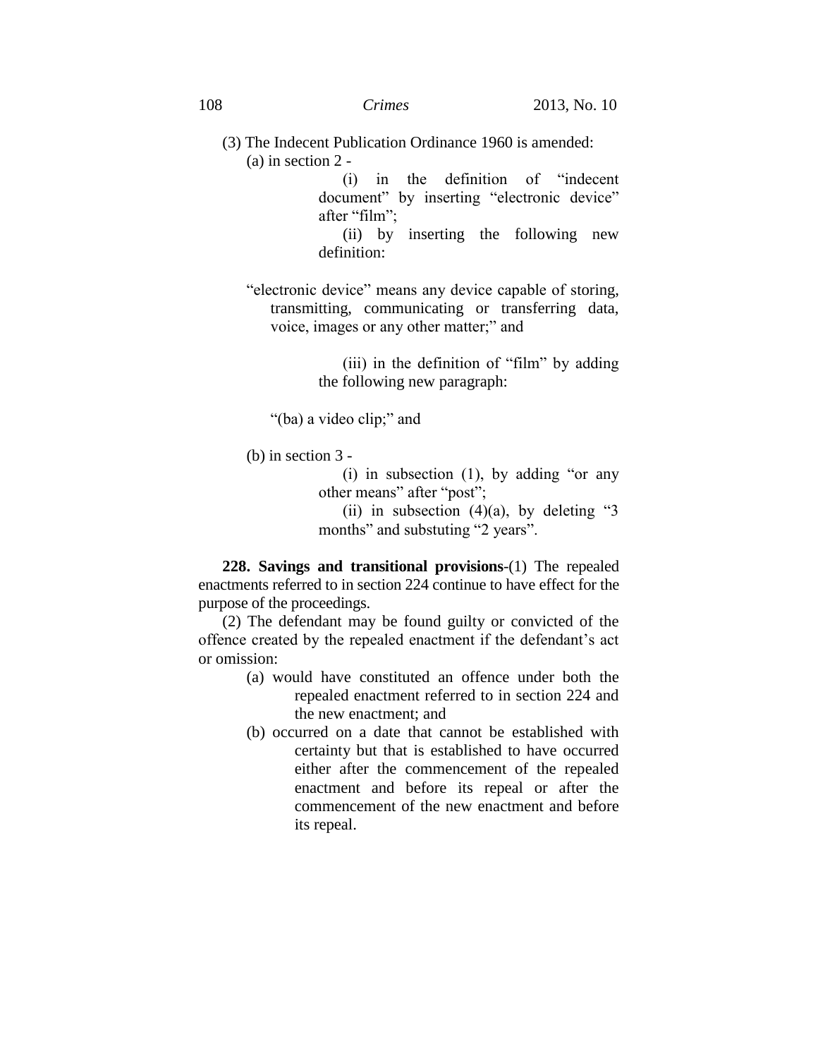(3) The Indecent Publication Ordinance 1960 is amended: (a) in section 2 -

> (i) in the definition of "indecent document" by inserting "electronic device" after "film";

> (ii) by inserting the following new definition:

"electronic device" means any device capable of storing, transmitting, communicating or transferring data, voice, images or any other matter;" and

> (iii) in the definition of "film" by adding the following new paragraph:

"(ba) a video clip;" and

(b) in section 3 -

(i) in subsection (1), by adding "or any other means" after "post";

(ii) in subsection  $(4)(a)$ , by deleting "3 months" and substuting "2 years".

**228. Savings and transitional provisions**-(1) The repealed enactments referred to in section 224 continue to have effect for the purpose of the proceedings.

(2) The defendant may be found guilty or convicted of the offence created by the repealed enactment if the defendant's act or omission:

- (a) would have constituted an offence under both the repealed enactment referred to in section 224 and the new enactment; and
- (b) occurred on a date that cannot be established with certainty but that is established to have occurred either after the commencement of the repealed enactment and before its repeal or after the commencement of the new enactment and before its repeal.